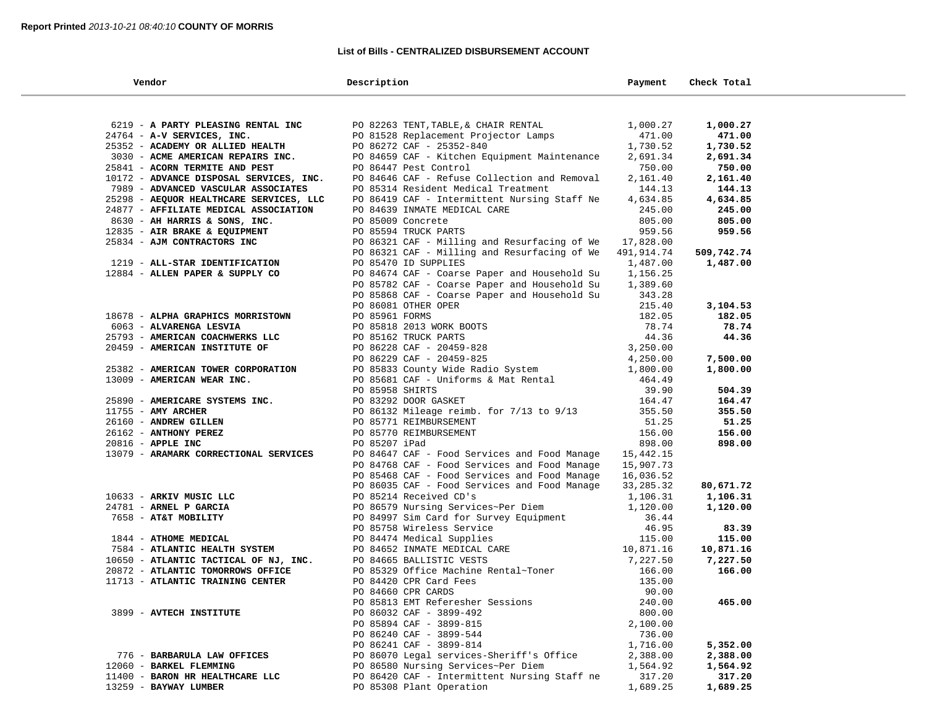### **List of Bills - CENTRALIZED DISBURSEMENT ACCOUNT**

a.

| Vendor                                            | Description                                                                  | Payment              | Check Total |
|---------------------------------------------------|------------------------------------------------------------------------------|----------------------|-------------|
|                                                   |                                                                              |                      |             |
| 6219 - A PARTY PLEASING RENTAL INC                | PO 82263 TENT, TABLE, & CHAIR RENTAL                                         | 1,000.27             | 1,000.27    |
| 24764 - A-V SERVICES, INC.                        | PO 81528 Replacement Projector Lamps                                         | 471.00               | 471.00      |
| 25352 - ACADEMY OR ALLIED HEALTH                  | PO 86272 CAF - 25352-840                                                     | 1,730.52             | 1,730.52    |
| 3030 - ACME AMERICAN REPAIRS INC.                 | PO 84659 CAF - Kitchen Equipment Maintenance                                 | 2,691.34             | 2,691.34    |
| 25841 - ACORN TERMITE AND PEST                    | PO 86447 Pest Control                                                        | 750.00               | 750.00      |
| 10172 - ADVANCE DISPOSAL SERVICES, INC.           | PO 84646 CAF - Refuse Collection and Removal                                 | 2,161.40             | 2,161.40    |
| 7989 - ADVANCED VASCULAR ASSOCIATES               | PO 85314 Resident Medical Treatment                                          | 144.13               | 144.13      |
| 25298 - AEQUOR HEALTHCARE SERVICES, LLC           | PO 86419 CAF - Intermittent Nursing Staff Ne                                 | 4,634.85             | 4,634.85    |
| 24877 - AFFILIATE MEDICAL ASSOCIATION             | PO 84639 INMATE MEDICAL CARE                                                 | 245.00               | 245.00      |
| 8630 - AH HARRIS & SONS, INC.                     | PO 85009 Concrete                                                            | 805.00               | 805.00      |
| 12835 - AIR BRAKE & EQUIPMENT                     | PO 85594 TRUCK PARTS                                                         | 959.56               | 959.56      |
| 25834 - AJM CONTRACTORS INC                       | PO 86321 CAF - Milling and Resurfacing of We                                 | 17,828.00            |             |
|                                                   | PO 86321 CAF - Milling and Resurfacing of We                                 | 491,914.74           | 509,742.74  |
| 1219 - ALL-STAR IDENTIFICATION                    | PO 85470 ID SUPPLIES                                                         | 1,487.00             | 1,487.00    |
| 12884 - ALLEN PAPER & SUPPLY CO                   | PO 84674 CAF - Coarse Paper and Household Su                                 | 1,156.25             |             |
|                                                   | PO 85782 CAF - Coarse Paper and Household Su                                 | 1,389.60             |             |
|                                                   | PO 85868 CAF - Coarse Paper and Household Su                                 | 343.28               |             |
|                                                   | PO 86081 OTHER OPER                                                          | 215.40               | 3,104.53    |
| 18678 - ALPHA GRAPHICS MORRISTOWN                 | PO 85961 FORMS                                                               | 182.05               | 182.05      |
| 6063 - ALVARENGA LESVIA                           | PO 85818 2013 WORK BOOTS                                                     | 78.74                | 78.74       |
| 25793 - AMERICAN COACHWERKS LLC                   | PO 85162 TRUCK PARTS                                                         | 44.36                | 44.36       |
| 20459 - AMERICAN INSTITUTE OF                     | PO 86228 CAF - 20459-828                                                     | 3,250.00             |             |
|                                                   | PO 86229 CAF - 20459-825                                                     | 4,250.00             | 7,500.00    |
| 25382 - AMERICAN TOWER CORPORATION                | PO 85833 County Wide Radio System                                            | 1,800.00             | 1,800.00    |
| 13009 - AMERICAN WEAR INC.                        | PO 85681 CAF - Uniforms & Mat Rental                                         | 464.49               |             |
|                                                   | PO 85958 SHIRTS                                                              | 39.90                | 504.39      |
| 25890 - AMERICARE SYSTEMS INC.                    | PO 83292 DOOR GASKET                                                         | 164.47               | 164.47      |
| $11755$ - AMY ARCHER                              | PO 86132 Mileage reimb. for 7/13 to 9/13                                     | 355.50               | 355.50      |
| 26160 - ANDREW GILLEN                             | PO 85771 REIMBURSEMENT                                                       | 51.25                | 51.25       |
| 26162 - ANTHONY PEREZ                             | PO 85770 REIMBURSEMENT                                                       | 156.00               | 156.00      |
| 20816 - APPLE INC                                 | PO 85207 iPad                                                                | 898.00               | 898.00      |
| 13079 - ARAMARK CORRECTIONAL SERVICES             | PO 84647 CAF - Food Services and Food Manage                                 | 15,442.15            |             |
|                                                   | PO 84768 CAF - Food Services and Food Manage                                 | 15,907.73            |             |
|                                                   | PO 85468 CAF - Food Services and Food Manage                                 | 16,036.52            |             |
|                                                   | PO 86035 CAF - Food Services and Food Manage                                 | 33, 285. 32          | 80,671.72   |
| 10633 - ARKIV MUSIC LLC<br>24781 - ARNEL P GARCIA | PO 85214 Received CD's                                                       | 1,106.31<br>1,120.00 | 1,106.31    |
| 7658 - AT&T MOBILITY                              | PO 86579 Nursing Services~Per Diem<br>PO 84997 Sim Card for Survey Equipment | 36.44                | 1,120.00    |
|                                                   | PO 85758 Wireless Service                                                    | 46.95                | 83.39       |
| 1844 - ATHOME MEDICAL                             | PO 84474 Medical Supplies                                                    | 115.00               | 115.00      |
| 7584 - ATLANTIC HEALTH SYSTEM                     | PO 84652 INMATE MEDICAL CARE                                                 | 10,871.16            | 10,871.16   |
| 10650 - ATLANTIC TACTICAL OF NJ, INC.             | PO 84665 BALLISTIC VESTS                                                     | 7,227.50             | 7,227.50    |
| 20872 - ATLANTIC TOMORROWS OFFICE                 | PO 85329 Office Machine Rental~Toner                                         | 166.00               | 166.00      |
| 11713 - ATLANTIC TRAINING CENTER                  | PO 84420 CPR Card Fees                                                       | 135.00               |             |
|                                                   | PO 84660 CPR CARDS                                                           | 90.00                |             |
|                                                   | PO 85813 EMT Referesher Sessions                                             | 240.00               | 465.00      |
| 3899 - AVTECH INSTITUTE                           | PO 86032 CAF - 3899-492                                                      | 800.00               |             |
|                                                   | PO 85894 CAF - 3899-815                                                      | 2,100.00             |             |
|                                                   | PO 86240 CAF - 3899-544                                                      | 736.00               |             |
|                                                   | PO 86241 CAF - 3899-814                                                      | 1,716.00             | 5,352.00    |
| 776 - BARBARULA LAW OFFICES                       | PO 86070 Legal services-Sheriff's Office                                     | 2,388.00             | 2,388.00    |
| 12060 - BARKEL FLEMMING                           | PO 86580 Nursing Services~Per Diem                                           | 1,564.92             | 1,564.92    |
| 11400 - BARON HR HEALTHCARE LLC                   | PO 86420 CAF - Intermittent Nursing Staff ne                                 | 317.20               | 317.20      |
| 13259 - BAYWAY LUMBER                             | PO 85308 Plant Operation                                                     | 1,689.25             | 1,689.25    |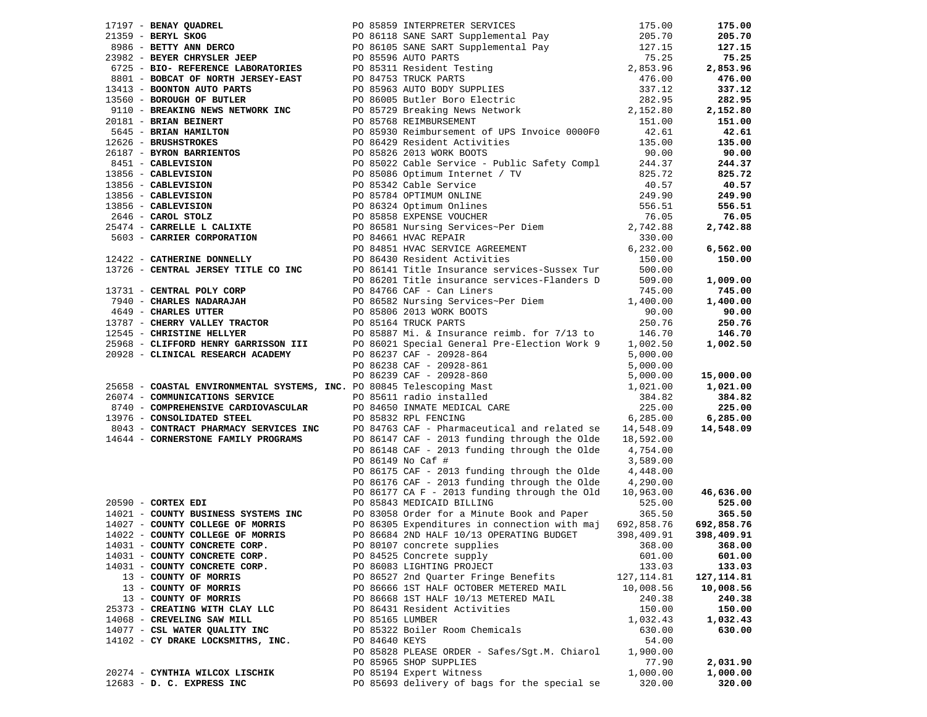| 17197 <b>- BENAY QUADREL (1990)</b> 25589 INTERPERTE SERVICES (1990)<br>171559 <b>- BETTY ANN DEROC PO 16118 SANE SART</b> Supplemental Pay 175.00<br>171559 <b>- BETTY ANN DEROC PREPERTENCE LABORATORIES</b><br>172992 <b>- BETTY ANN DEROC ENGERE</b>                                                                                                                                                                                                                                                                                                   |               |                                                       |            | 175.00        |
|------------------------------------------------------------------------------------------------------------------------------------------------------------------------------------------------------------------------------------------------------------------------------------------------------------------------------------------------------------------------------------------------------------------------------------------------------------------------------------------------------------------------------------------------------------|---------------|-------------------------------------------------------|------------|---------------|
|                                                                                                                                                                                                                                                                                                                                                                                                                                                                                                                                                            |               |                                                       |            | 205.70        |
|                                                                                                                                                                                                                                                                                                                                                                                                                                                                                                                                                            |               |                                                       |            | 127.15        |
|                                                                                                                                                                                                                                                                                                                                                                                                                                                                                                                                                            |               |                                                       |            | 75.25         |
|                                                                                                                                                                                                                                                                                                                                                                                                                                                                                                                                                            |               |                                                       |            | 2,853.96      |
|                                                                                                                                                                                                                                                                                                                                                                                                                                                                                                                                                            |               |                                                       |            | 476.00        |
|                                                                                                                                                                                                                                                                                                                                                                                                                                                                                                                                                            |               |                                                       |            | 337.12        |
|                                                                                                                                                                                                                                                                                                                                                                                                                                                                                                                                                            |               |                                                       |            | 282.95        |
|                                                                                                                                                                                                                                                                                                                                                                                                                                                                                                                                                            |               |                                                       |            | 2,152.80      |
|                                                                                                                                                                                                                                                                                                                                                                                                                                                                                                                                                            |               |                                                       |            | 151.00        |
|                                                                                                                                                                                                                                                                                                                                                                                                                                                                                                                                                            |               |                                                       |            | 42.61         |
|                                                                                                                                                                                                                                                                                                                                                                                                                                                                                                                                                            |               |                                                       |            | 135.00        |
|                                                                                                                                                                                                                                                                                                                                                                                                                                                                                                                                                            |               |                                                       |            | 90.00         |
|                                                                                                                                                                                                                                                                                                                                                                                                                                                                                                                                                            |               |                                                       |            | 244.37        |
|                                                                                                                                                                                                                                                                                                                                                                                                                                                                                                                                                            |               |                                                       |            | 825.72        |
|                                                                                                                                                                                                                                                                                                                                                                                                                                                                                                                                                            |               |                                                       |            | 40.57         |
|                                                                                                                                                                                                                                                                                                                                                                                                                                                                                                                                                            |               |                                                       |            | 249.90        |
|                                                                                                                                                                                                                                                                                                                                                                                                                                                                                                                                                            |               |                                                       |            | 556.51        |
|                                                                                                                                                                                                                                                                                                                                                                                                                                                                                                                                                            |               |                                                       |            | 76.05         |
|                                                                                                                                                                                                                                                                                                                                                                                                                                                                                                                                                            |               |                                                       |            | 2,742.88      |
|                                                                                                                                                                                                                                                                                                                                                                                                                                                                                                                                                            |               |                                                       |            |               |
|                                                                                                                                                                                                                                                                                                                                                                                                                                                                                                                                                            |               |                                                       |            | 6,562.00      |
|                                                                                                                                                                                                                                                                                                                                                                                                                                                                                                                                                            |               |                                                       |            | 150.00        |
|                                                                                                                                                                                                                                                                                                                                                                                                                                                                                                                                                            |               |                                                       |            |               |
|                                                                                                                                                                                                                                                                                                                                                                                                                                                                                                                                                            |               |                                                       |            | 1,009.00      |
|                                                                                                                                                                                                                                                                                                                                                                                                                                                                                                                                                            |               |                                                       |            | 745.00        |
|                                                                                                                                                                                                                                                                                                                                                                                                                                                                                                                                                            |               |                                                       |            | 1,400.00      |
|                                                                                                                                                                                                                                                                                                                                                                                                                                                                                                                                                            |               |                                                       |            | 90.00         |
|                                                                                                                                                                                                                                                                                                                                                                                                                                                                                                                                                            |               |                                                       |            | 250.76        |
|                                                                                                                                                                                                                                                                                                                                                                                                                                                                                                                                                            |               |                                                       |            | 146.70        |
|                                                                                                                                                                                                                                                                                                                                                                                                                                                                                                                                                            |               |                                                       |            | 1,002.50      |
|                                                                                                                                                                                                                                                                                                                                                                                                                                                                                                                                                            |               |                                                       |            |               |
| 13731 - <b>CENTRAL POLY CORP</b><br>200.00<br>200.00<br>200.00<br>200.00<br>200.00<br>200.00<br>200.00<br>200.00<br>200.00<br>200.00<br>200.00<br>200.00<br>200.00<br>200.00<br>200.00<br>200.00<br>200.00<br>200.00<br>200.00<br>200.00<br>200.00<br>200.00<br>200.00<br>200.00<br>2<br>25968 - <b>CLIFFORD HENRY GARRISSON III</b><br>20928 - <b>CLINICAL RESEARCH ACADEMY</b><br>20928 - <b>CLINICAL RESEARCH ACADEMY</b><br>25658 - <b>COASTAL ENVIRONMENTAL SYSTEMS, INC.</b> PO 86239 CAF - 20928-861<br>26074 - <b>COMMUNICATIONS SERVICE</b><br>87 |               |                                                       |            |               |
|                                                                                                                                                                                                                                                                                                                                                                                                                                                                                                                                                            |               |                                                       |            | 15,000.00     |
|                                                                                                                                                                                                                                                                                                                                                                                                                                                                                                                                                            |               |                                                       |            | 1,021.00      |
|                                                                                                                                                                                                                                                                                                                                                                                                                                                                                                                                                            |               |                                                       |            | 384.82        |
|                                                                                                                                                                                                                                                                                                                                                                                                                                                                                                                                                            |               |                                                       |            | 225.00        |
|                                                                                                                                                                                                                                                                                                                                                                                                                                                                                                                                                            |               |                                                       |            | 6,285.00      |
| 8,283.00 CONSOLIDATED SIEEL EXTICES INC<br>8043 - CONTRACT PHARMACY SERVICES INC DE PO 84763 CAF - Pharmaceutical and related se 14,548.09<br>14644 - CORNERSTONE FAMILY PROGRAMS DO 86147 CAF - 2013 funding through the Olde 18,59                                                                                                                                                                                                                                                                                                                       |               |                                                       |            | 14,548.09     |
|                                                                                                                                                                                                                                                                                                                                                                                                                                                                                                                                                            |               |                                                       |            |               |
|                                                                                                                                                                                                                                                                                                                                                                                                                                                                                                                                                            |               | PO 86148 CAF - 2013 funding through the Olde 4,754.00 |            |               |
|                                                                                                                                                                                                                                                                                                                                                                                                                                                                                                                                                            |               | PO 86149 No Caf #                                     | 3,589.00   |               |
|                                                                                                                                                                                                                                                                                                                                                                                                                                                                                                                                                            |               | PO 86175 CAF - 2013 funding through the Olde          | 4,448.00   |               |
|                                                                                                                                                                                                                                                                                                                                                                                                                                                                                                                                                            |               | PO 86176 CAF - 2013 funding through the Olde 4,290.00 |            |               |
|                                                                                                                                                                                                                                                                                                                                                                                                                                                                                                                                                            |               | PO 86177 CA F - 2013 funding through the Old          | 10,963.00  | 46,636.00     |
| $20590$ - CORTEX EDI                                                                                                                                                                                                                                                                                                                                                                                                                                                                                                                                       |               | PO 85843 MEDICAID BILLING                             | 525.00     | 525.00        |
| 14021 - COUNTY BUSINESS SYSTEMS INC<br>14027 - COUNTY COLLEGE OF MORRIS PO 86305 Expenditures in connection with maj 692,858.76                                                                                                                                                                                                                                                                                                                                                                                                                            |               |                                                       |            | 365.50        |
|                                                                                                                                                                                                                                                                                                                                                                                                                                                                                                                                                            |               |                                                       |            | 692,858.76    |
| $14022 - \text{COUNTY COLLEGE OF MORRIS}$                                                                                                                                                                                                                                                                                                                                                                                                                                                                                                                  |               | PO 86684 2ND HALF 10/13 OPERATING BUDGET              | 398,409.91 | 398,409.91    |
| 14031 - COUNTY CONCRETE CORP.                                                                                                                                                                                                                                                                                                                                                                                                                                                                                                                              |               | PO 80107 concrete supplies                            |            | 368.00 368.00 |
| 14031 - COUNTY CONCRETE CORP.                                                                                                                                                                                                                                                                                                                                                                                                                                                                                                                              |               | PO 84525 Concrete supply                              | 601.00     | 601.00        |
| 14031 - COUNTY CONCRETE CORP.                                                                                                                                                                                                                                                                                                                                                                                                                                                                                                                              |               | PO 86083 LIGHTING PROJECT                             | 133.03     | 133.03        |
| 13 - COUNTY OF MORRIS                                                                                                                                                                                                                                                                                                                                                                                                                                                                                                                                      |               | PO 86527 2nd Quarter Fringe Benefits                  | 127,114.81 | 127, 114.81   |
| 13 - COUNTY OF MORRIS                                                                                                                                                                                                                                                                                                                                                                                                                                                                                                                                      |               | PO 86666 1ST HALF OCTOBER METERED MAIL                | 10,008.56  | 10,008.56     |
| 13 - COUNTY OF MORRIS                                                                                                                                                                                                                                                                                                                                                                                                                                                                                                                                      |               | PO 86668 1ST HALF 10/13 METERED MAIL                  | 240.38     | 240.38        |
| 25373 - CREATING WITH CLAY LLC                                                                                                                                                                                                                                                                                                                                                                                                                                                                                                                             |               | PO 86431 Resident Activities                          | 150.00     | 150.00        |
| 14068 - CREVELING SAW MILL                                                                                                                                                                                                                                                                                                                                                                                                                                                                                                                                 |               | PO 85165 LUMBER                                       | 1,032.43   | 1,032.43      |
| 14077 - CSL WATER QUALITY INC                                                                                                                                                                                                                                                                                                                                                                                                                                                                                                                              |               | PO 85322 Boiler Room Chemicals                        | 630.00     | 630.00        |
| 14102 - CY DRAKE LOCKSMITHS, INC.                                                                                                                                                                                                                                                                                                                                                                                                                                                                                                                          | PO 84640 KEYS |                                                       | 54.00      |               |
|                                                                                                                                                                                                                                                                                                                                                                                                                                                                                                                                                            |               | PO 85828 PLEASE ORDER - Safes/Sgt.M. Chiarol          | 1,900.00   |               |
|                                                                                                                                                                                                                                                                                                                                                                                                                                                                                                                                                            |               | PO 85965 SHOP SUPPLIES                                | 77.90      | 2,031.90      |
| 20274 - CYNTHIA WILCOX LISCHIK                                                                                                                                                                                                                                                                                                                                                                                                                                                                                                                             |               | PO 85194 Expert Witness                               | 1,000.00   | 1,000.00      |
| 12683 - D. C. EXPRESS INC                                                                                                                                                                                                                                                                                                                                                                                                                                                                                                                                  |               | PO 85693 delivery of bags for the special se          | 320.00     | 320.00        |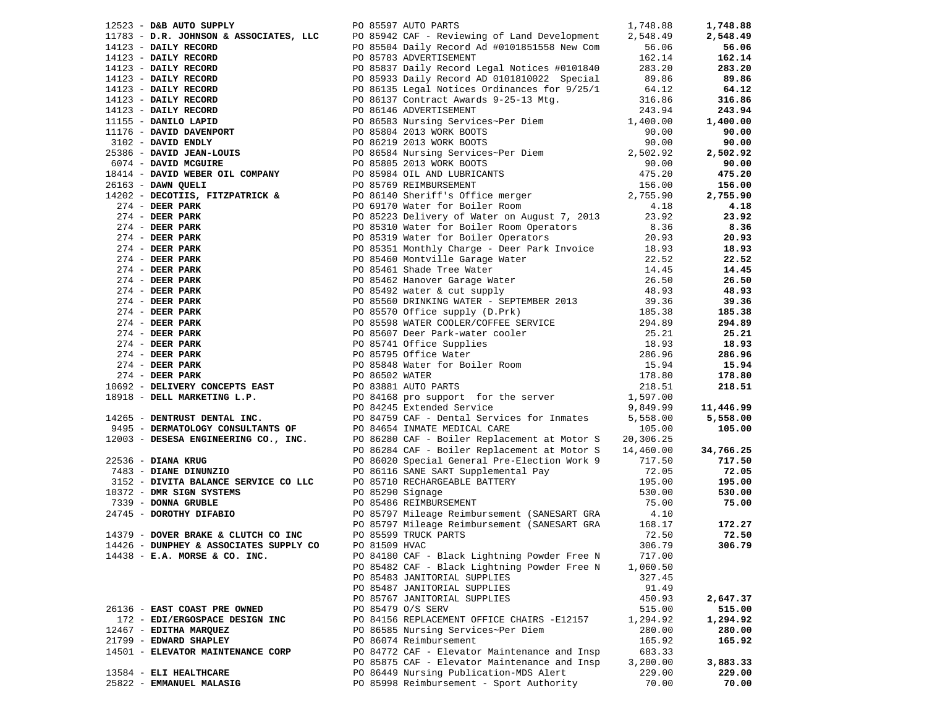| 12523 - D&B AUTO SUPPLY                |               | PO 85597 AUTO PARTS                                                                                                                                                                                                                                          | 1,748.88 | 1,748.88  |
|----------------------------------------|---------------|--------------------------------------------------------------------------------------------------------------------------------------------------------------------------------------------------------------------------------------------------------------|----------|-----------|
| 11783 - D.R. JOHNSON & ASSOCIATES, LLC |               | PO 85942 CAF - Reviewing of Land Development                                                                                                                                                                                                                 | 2,548.49 | 2,548.49  |
|                                        |               |                                                                                                                                                                                                                                                              |          | 56.06     |
|                                        |               |                                                                                                                                                                                                                                                              |          | 162.14    |
|                                        |               |                                                                                                                                                                                                                                                              | 283.20   | 283.20    |
|                                        |               |                                                                                                                                                                                                                                                              |          | 89.86     |
|                                        |               |                                                                                                                                                                                                                                                              |          | 64.12     |
|                                        |               |                                                                                                                                                                                                                                                              |          | 316.86    |
|                                        |               |                                                                                                                                                                                                                                                              |          | 243.94    |
|                                        |               |                                                                                                                                                                                                                                                              |          | 1,400.00  |
|                                        |               |                                                                                                                                                                                                                                                              |          | 90.00     |
|                                        |               |                                                                                                                                                                                                                                                              |          | 90.00     |
|                                        |               |                                                                                                                                                                                                                                                              |          | 2,502.92  |
|                                        |               |                                                                                                                                                                                                                                                              |          | 90.00     |
|                                        |               |                                                                                                                                                                                                                                                              |          | 475.20    |
|                                        |               |                                                                                                                                                                                                                                                              |          | 156.00    |
|                                        |               |                                                                                                                                                                                                                                                              |          | 2,755.90  |
|                                        |               | 1478 - <b>D.R. JOHNSON &amp; ASSOCIATES, LLC</b> PO 85542 CAF - Reviewing of Land Development 2,548.49<br>14123 - <b>DAILY RECORD</b> PO 85564 Daily Record at #0101851558 New Com<br>14123 - <b>DAILY RECORD</b> PO 85783 ADVERTISEMENT<br>14123 - <b>D</b> |          | 4.18      |
|                                        |               |                                                                                                                                                                                                                                                              |          | 23.92     |
|                                        |               |                                                                                                                                                                                                                                                              |          | 8.36      |
|                                        |               |                                                                                                                                                                                                                                                              |          | 20.93     |
|                                        |               |                                                                                                                                                                                                                                                              | 18.93    | 18.93     |
|                                        |               |                                                                                                                                                                                                                                                              |          | 22.52     |
|                                        |               |                                                                                                                                                                                                                                                              |          | 14.45     |
|                                        |               |                                                                                                                                                                                                                                                              |          | 26.50     |
|                                        |               |                                                                                                                                                                                                                                                              |          | 48.93     |
|                                        |               |                                                                                                                                                                                                                                                              |          | 39.36     |
|                                        |               |                                                                                                                                                                                                                                                              |          | 185.38    |
|                                        |               |                                                                                                                                                                                                                                                              |          | 294.89    |
|                                        |               |                                                                                                                                                                                                                                                              |          | 25.21     |
|                                        |               |                                                                                                                                                                                                                                                              |          | 18.93     |
|                                        |               |                                                                                                                                                                                                                                                              |          | 286.96    |
|                                        |               |                                                                                                                                                                                                                                                              |          | 15.94     |
|                                        |               |                                                                                                                                                                                                                                                              |          | 178.80    |
|                                        |               |                                                                                                                                                                                                                                                              |          | 218.51    |
|                                        |               |                                                                                                                                                                                                                                                              |          |           |
|                                        |               |                                                                                                                                                                                                                                                              |          | 11,446.99 |
|                                        |               |                                                                                                                                                                                                                                                              |          | 5,558.00  |
|                                        |               |                                                                                                                                                                                                                                                              |          | 105.00    |
|                                        |               |                                                                                                                                                                                                                                                              |          |           |
|                                        |               |                                                                                                                                                                                                                                                              |          | 34,766.25 |
| 22536 - DIANA KRUG                     |               | PO 86020 Special General Pre-Election Work 9                                                                                                                                                                                                                 | 717.50   | 717.50    |
| 7483 - DIANE DINUNZIO                  |               | PO 86116 SANE SART Supplemental Pay                                                                                                                                                                                                                          | 72.05    | 72.05     |
| $3152$ - DIVITA BALANCE SERVICE CO LLC |               |                                                                                                                                                                                                                                                              | 195.00   | 195.00    |
| 10372 - DMR SIGN SYSTEMS               |               |                                                                                                                                                                                                                                                              | 530.00   | 530.00    |
| 7339 - DONNA GRUBLE                    |               | PO 85710 RECHARGEABLE BATTERY<br>PO 85290 Signage<br>PO 85486 REIMBURSEMENT<br>PO 85486 REIMBURSEMENT                                                                                                                                                        | 75.00    | 75.00     |
|                                        |               |                                                                                                                                                                                                                                                              |          |           |
|                                        |               |                                                                                                                                                                                                                                                              |          | 172.27    |
| 14379 - DOVER BRAKE & CLUTCH CO INC    |               | PO 85599 TRUCK PARTS                                                                                                                                                                                                                                         | 72.50    | 72.50     |
| 14426 - DUNPHEY & ASSOCIATES SUPPLY CO | PO 81509 HVAC |                                                                                                                                                                                                                                                              | 306.79   | 306.79    |
| $14438$ - E.A. MORSE & CO. INC.        |               | PO 84180 CAF - Black Lightning Powder Free N                                                                                                                                                                                                                 | 717.00   |           |
|                                        |               | PO 85482 CAF - Black Lightning Powder Free N                                                                                                                                                                                                                 | 1,060.50 |           |
|                                        |               | PO 85483 JANITORIAL SUPPLIES                                                                                                                                                                                                                                 | 327.45   |           |
|                                        |               | PO 85487 JANITORIAL SUPPLIES                                                                                                                                                                                                                                 | 91.49    |           |
|                                        |               | PO 85767 JANITORIAL SUPPLIES                                                                                                                                                                                                                                 | 450.93   | 2,647.37  |
| 26136 - EAST COAST PRE OWNED           |               | PO 85479 O/S SERV                                                                                                                                                                                                                                            | 515.00   | 515.00    |
| 172 - EDI/ERGOSPACE DESIGN INC         |               | PO 84156 REPLACEMENT OFFICE CHAIRS -E12157                                                                                                                                                                                                                   | 1,294.92 | 1,294.92  |
| 12467 - EDITHA MARQUEZ                 |               | PO 86585 Nursing Services~Per Diem                                                                                                                                                                                                                           | 280.00   | 280.00    |
| 21799 - EDWARD SHAPLEY                 |               | PO 86074 Reimbursement                                                                                                                                                                                                                                       | 165.92   | 165.92    |
| 14501 - ELEVATOR MAINTENANCE CORP      |               | PO 84772 CAF - Elevator Maintenance and Insp                                                                                                                                                                                                                 | 683.33   |           |
|                                        |               | PO 85875 CAF - Elevator Maintenance and Insp                                                                                                                                                                                                                 | 3,200.00 | 3,883.33  |
| 13584 - ELI HEALTHCARE                 |               | PO 86449 Nursing Publication-MDS Alert                                                                                                                                                                                                                       | 229.00   | 229.00    |
| 25822 - EMMANUEL MALASIG               |               | PO 85998 Reimbursement - Sport Authority                                                                                                                                                                                                                     | 70.00    | 70.00     |
|                                        |               |                                                                                                                                                                                                                                                              |          |           |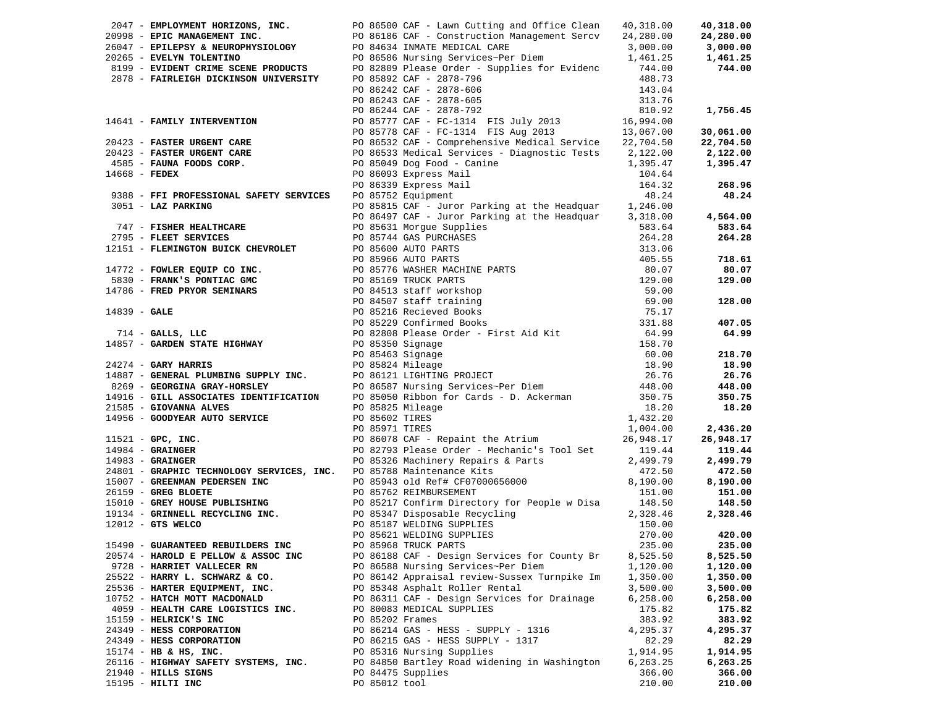|                                                                                |                 | 2047 - EMPLOYMENT HORIZONS, INC. PO 86500 CAF - Lawn Cutting and Office Clean                                                                                                                                                                  | 40,318.00 | 40,318.00 |
|--------------------------------------------------------------------------------|-----------------|------------------------------------------------------------------------------------------------------------------------------------------------------------------------------------------------------------------------------------------------|-----------|-----------|
|                                                                                |                 | 2098 - EPIC MANAGEMENT INC.<br>2098 - EPIC MANAGEMENT INC.<br>20098 - EPIC MANAGEMENT INC.<br>20098 - EPIC MANAGEMENT INC.<br>20098 - EVELYN TOLENTINO<br>20265 - EVELYN TOLENTINO<br>20265 - EVELYN TOLENTINO<br>20265 - EVELYN TOLENTINO<br> |           | 24,280.00 |
|                                                                                |                 |                                                                                                                                                                                                                                                |           | 3,000.00  |
|                                                                                |                 |                                                                                                                                                                                                                                                |           | 1,461.25  |
|                                                                                |                 |                                                                                                                                                                                                                                                |           | 744.00    |
|                                                                                |                 | -14010<br>FU 86243 CAF - 2878-605<br>PO 86244 CAF - 2878-792<br>PO 85777 CAF - FC-1314 FIS July 20<br>PO 85778 CAF - FC-1314 FIS July 20<br>20 86522                                                                                           |           |           |
|                                                                                |                 |                                                                                                                                                                                                                                                | 143.04    |           |
|                                                                                |                 |                                                                                                                                                                                                                                                | 313.76    |           |
|                                                                                |                 |                                                                                                                                                                                                                                                | 810.92    | 1,756.45  |
|                                                                                |                 | 14641 - FAMILY INTERVENTION<br>20423 - FASTER URGENT CARE<br>20423 - FASTER URGENT CARE<br>20423 - FASTER URGENT CARE<br>20423 - FASTER URGENT CARE<br>20423 - FASTER URGENT CARE<br>2086532 CAF - Comprehensive Medical Service<br>22,704.5   |           |           |
|                                                                                |                 |                                                                                                                                                                                                                                                |           |           |
|                                                                                |                 |                                                                                                                                                                                                                                                |           |           |
|                                                                                |                 |                                                                                                                                                                                                                                                |           |           |
|                                                                                |                 |                                                                                                                                                                                                                                                |           |           |
|                                                                                |                 |                                                                                                                                                                                                                                                |           |           |
|                                                                                |                 | PO 85049 Dog Food - Canine<br>PO 86093 Express Mail<br>PO 86339 Express Mail<br>PO 85752 Equipment                                                                                                                                             |           |           |
|                                                                                |                 |                                                                                                                                                                                                                                                | 164.32    | 268.96    |
| 9388 - FFI PROFESSIONAL SAFETY SERVICES                                        |                 |                                                                                                                                                                                                                                                | 48.24     | 48.24     |
|                                                                                |                 |                                                                                                                                                                                                                                                |           |           |
|                                                                                |                 |                                                                                                                                                                                                                                                |           | 4,564.00  |
|                                                                                |                 |                                                                                                                                                                                                                                                |           | 583.64    |
|                                                                                |                 |                                                                                                                                                                                                                                                |           | 264.28    |
|                                                                                |                 |                                                                                                                                                                                                                                                |           |           |
|                                                                                |                 |                                                                                                                                                                                                                                                |           | 718.61    |
|                                                                                |                 |                                                                                                                                                                                                                                                |           | 80.07     |
|                                                                                |                 |                                                                                                                                                                                                                                                |           | 129.00    |
|                                                                                |                 |                                                                                                                                                                                                                                                |           |           |
|                                                                                |                 |                                                                                                                                                                                                                                                |           |           |
|                                                                                |                 |                                                                                                                                                                                                                                                |           | 128.00    |
|                                                                                |                 |                                                                                                                                                                                                                                                |           |           |
|                                                                                |                 | 938 - PFI ROFESSIONAL SAFETY SERVICES<br>2051 - LAZ PARKING PO 95752 Equipent puror Parking at the Headquar 1,246.00<br>2051 - LAZ PARKING PO 968497 CAP - Juror Parking at the Headquar 3,318.04<br>2795 - FLEET SERVICES PO 95631            |           | 407.05    |
|                                                                                |                 |                                                                                                                                                                                                                                                |           | 64.99     |
|                                                                                |                 |                                                                                                                                                                                                                                                |           |           |
|                                                                                |                 |                                                                                                                                                                                                                                                |           | 218.70    |
|                                                                                |                 |                                                                                                                                                                                                                                                |           | 18.90     |
|                                                                                |                 |                                                                                                                                                                                                                                                |           | 26.76     |
|                                                                                |                 |                                                                                                                                                                                                                                                |           | 448.00    |
|                                                                                |                 |                                                                                                                                                                                                                                                |           | 350.75    |
|                                                                                |                 |                                                                                                                                                                                                                                                |           | 18.20     |
| 14956 - GOODYEAR AUTO SERVICE<br>PO 85602 TIRES                                |                 |                                                                                                                                                                                                                                                | 1,432.20  |           |
|                                                                                | PO 85971 TIRES  |                                                                                                                                                                                                                                                | 1,004.00  | 2,436.20  |
| 11521 - <b>GPC, INC.</b><br>14984 - <b>GRAINGER</b><br>14983 - <b>GRAINGER</b> |                 | PO 86078 CAF - Repaint the Atrium                                                                                                                                                                                                              | 26,948.17 | 26,948.17 |
|                                                                                |                 | PO 82793 Please Order - Mechanic's Tool Set 119.44                                                                                                                                                                                             |           | 119.44    |
|                                                                                |                 |                                                                                                                                                                                                                                                |           |           |
| $14983$ - GRAINGER                                                             |                 | PO 85326 Machinery Repairs & Parts 2,499.79                                                                                                                                                                                                    |           | 2,499.79  |
|                                                                                |                 |                                                                                                                                                                                                                                                |           | 472.50    |
|                                                                                |                 |                                                                                                                                                                                                                                                |           | 8,190.00  |
|                                                                                |                 |                                                                                                                                                                                                                                                |           | 151.00    |
|                                                                                |                 |                                                                                                                                                                                                                                                |           | 148.50    |
|                                                                                |                 |                                                                                                                                                                                                                                                |           | 2,328.46  |
|                                                                                |                 |                                                                                                                                                                                                                                                |           |           |
|                                                                                |                 |                                                                                                                                                                                                                                                |           | 420.00    |
|                                                                                |                 |                                                                                                                                                                                                                                                |           | 235.00    |
|                                                                                |                 |                                                                                                                                                                                                                                                |           | 8,525.50  |
| 9728 - HARRIET VALLECER RN                                                     |                 | PO 86588 Nursing Services~Per Diem                                                                                                                                                                                                             | 1,120.00  | 1,120.00  |
| 25522 - HARRY L. SCHWARZ & CO.                                                 |                 | PO 86142 Appraisal review-Sussex Turnpike Im                                                                                                                                                                                                   | 1,350.00  | 1,350.00  |
| 25536 - HARTER EQUIPMENT, INC.                                                 |                 | PO 85348 Asphalt Roller Rental                                                                                                                                                                                                                 | 3,500.00  | 3,500.00  |
| 10752 - HATCH MOTT MACDONALD                                                   |                 | PO 86311 CAF - Design Services for Drainage                                                                                                                                                                                                    | 6,258.00  | 6,258.00  |
| 4059 - HEALTH CARE LOGISTICS INC.                                              |                 | PO 80083 MEDICAL SUPPLIES                                                                                                                                                                                                                      | 175.82    | 175.82    |
| 15159 - HELRICK'S INC                                                          | PO 85202 Frames |                                                                                                                                                                                                                                                | 383.92    |           |
|                                                                                |                 |                                                                                                                                                                                                                                                |           | 383.92    |
| 24349 - HESS CORPORATION                                                       |                 | PO 86214 GAS - HESS - SUPPLY - 1316                                                                                                                                                                                                            | 4,295.37  | 4,295.37  |
| 24349 - HESS CORPORATION                                                       |                 | PO 86215 GAS - HESS SUPPLY - 1317                                                                                                                                                                                                              | 82.29     | 82.29     |
| $15174 - HB & HS, INC.$                                                        |                 | PO 85316 Nursing Supplies                                                                                                                                                                                                                      | 1,914.95  | 1,914.95  |
| 26116 - HIGHWAY SAFETY SYSTEMS, INC.                                           |                 | PO 84850 Bartley Road widening in Washington                                                                                                                                                                                                   | 6,263.25  | 6,263.25  |
| 21940 - HILLS SIGNS                                                            |                 | PO 84475 Supplies                                                                                                                                                                                                                              | 366.00    | 366.00    |
| 15195 - HILTI INC                                                              | PO 85012 tool   |                                                                                                                                                                                                                                                | 210.00    | 210.00    |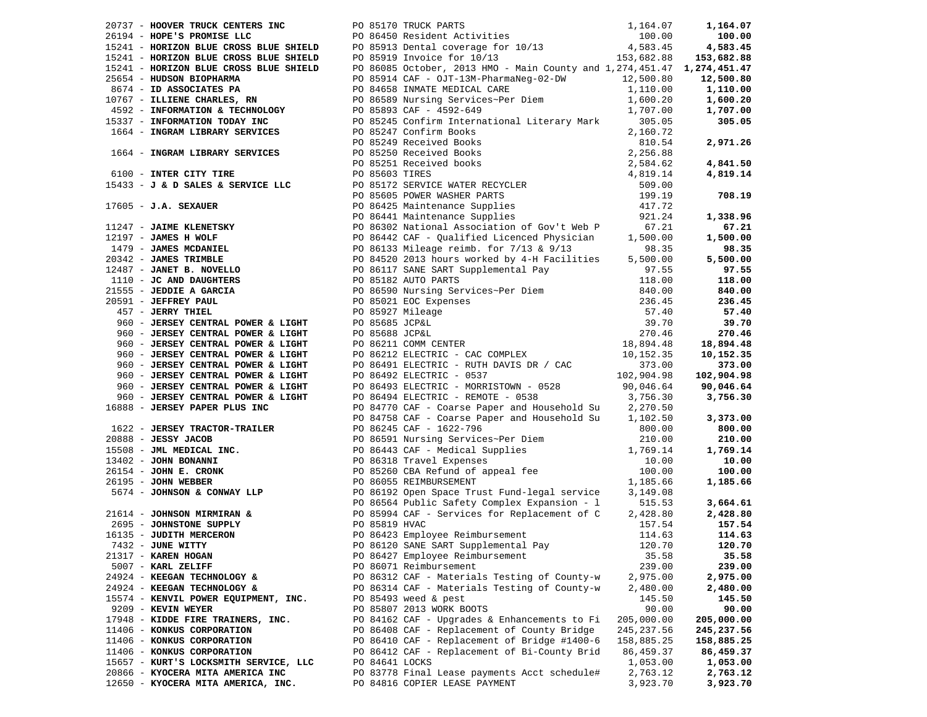|                                       |  | 2017 - MOOMS INDEX CONTENT INC. IN 1971 71264.07<br>1971 - MOOMS INDUCTION IN BUILD 10 05170 TAUCA (1971 71264.07)<br>197341 - MOOMS INDEX CONTENT INC. IS (1972) - 197341 - 197341 - 197341 - 197342<br>1974-1982-1982 - 197360 MO |             |            |
|---------------------------------------|--|-------------------------------------------------------------------------------------------------------------------------------------------------------------------------------------------------------------------------------------|-------------|------------|
|                                       |  |                                                                                                                                                                                                                                     |             |            |
|                                       |  |                                                                                                                                                                                                                                     |             |            |
|                                       |  |                                                                                                                                                                                                                                     |             |            |
|                                       |  |                                                                                                                                                                                                                                     |             |            |
|                                       |  |                                                                                                                                                                                                                                     |             |            |
|                                       |  |                                                                                                                                                                                                                                     |             |            |
|                                       |  |                                                                                                                                                                                                                                     |             |            |
|                                       |  |                                                                                                                                                                                                                                     |             |            |
|                                       |  |                                                                                                                                                                                                                                     |             |            |
|                                       |  |                                                                                                                                                                                                                                     |             |            |
|                                       |  |                                                                                                                                                                                                                                     |             |            |
|                                       |  |                                                                                                                                                                                                                                     |             |            |
|                                       |  |                                                                                                                                                                                                                                     |             |            |
|                                       |  |                                                                                                                                                                                                                                     |             |            |
|                                       |  |                                                                                                                                                                                                                                     |             |            |
|                                       |  |                                                                                                                                                                                                                                     |             |            |
|                                       |  |                                                                                                                                                                                                                                     |             |            |
|                                       |  |                                                                                                                                                                                                                                     |             |            |
|                                       |  |                                                                                                                                                                                                                                     |             |            |
|                                       |  |                                                                                                                                                                                                                                     |             |            |
|                                       |  |                                                                                                                                                                                                                                     |             |            |
|                                       |  |                                                                                                                                                                                                                                     |             |            |
|                                       |  |                                                                                                                                                                                                                                     |             |            |
|                                       |  |                                                                                                                                                                                                                                     |             |            |
|                                       |  |                                                                                                                                                                                                                                     |             | 57.40      |
|                                       |  |                                                                                                                                                                                                                                     |             |            |
|                                       |  |                                                                                                                                                                                                                                     |             |            |
|                                       |  |                                                                                                                                                                                                                                     |             |            |
|                                       |  |                                                                                                                                                                                                                                     |             |            |
|                                       |  |                                                                                                                                                                                                                                     |             |            |
|                                       |  |                                                                                                                                                                                                                                     |             |            |
|                                       |  |                                                                                                                                                                                                                                     |             |            |
|                                       |  |                                                                                                                                                                                                                                     |             |            |
| $16888 - JERSEY PAPER PLUS INC$       |  | PO 84770 CAF - Coarse Paper and Household Su 2,270.50                                                                                                                                                                               |             |            |
|                                       |  | PO 84758 CAF - Coarse Paper and Household Su 1,102.50                                                                                                                                                                               |             | 3,373.00   |
|                                       |  |                                                                                                                                                                                                                                     |             |            |
|                                       |  |                                                                                                                                                                                                                                     |             |            |
|                                       |  |                                                                                                                                                                                                                                     |             |            |
|                                       |  |                                                                                                                                                                                                                                     |             |            |
|                                       |  |                                                                                                                                                                                                                                     |             |            |
|                                       |  |                                                                                                                                                                                                                                     |             |            |
|                                       |  |                                                                                                                                                                                                                                     |             |            |
|                                       |  |                                                                                                                                                                                                                                     |             |            |
|                                       |  |                                                                                                                                                                                                                                     |             | 3,664.61   |
|                                       |  |                                                                                                                                                                                                                                     |             |            |
|                                       |  |                                                                                                                                                                                                                                     |             |            |
|                                       |  |                                                                                                                                                                                                                                     |             |            |
| 7432 - JUNE WITTY                     |  | PO 86120 SANE SART Supplemental Pay 120.70 120.70                                                                                                                                                                                   |             |            |
| 21317 - KAREN HOGAN                   |  | PO 86427 Employee Reimbursement                                                                                                                                                                                                     | 35.58       | 35.58      |
| 5007 - KARL ZELIFF                    |  | PO 86071 Reimbursement                                                                                                                                                                                                              | 239.00      | 239.00     |
| 24924 - KEEGAN TECHNOLOGY &           |  | PO 86312 CAF - Materials Testing of County-w                                                                                                                                                                                        | 2,975.00    | 2,975.00   |
| 24924 - KEEGAN TECHNOLOGY &           |  | PO 86314 CAF - Materials Testing of County-w                                                                                                                                                                                        | 2,480.00    | 2,480.00   |
| 15574 - KENVIL POWER EQUIPMENT, INC.  |  | PO 85493 weed & pest                                                                                                                                                                                                                | 145.50      | 145.50     |
| 9209 - KEVIN WEYER                    |  | PO 85807 2013 WORK BOOTS                                                                                                                                                                                                            | 90.00       | 90.00      |
| 17948 - KIDDE FIRE TRAINERS, INC.     |  | PO 84162 CAF - Upgrades & Enhancements to Fi                                                                                                                                                                                        | 205,000.00  |            |
|                                       |  |                                                                                                                                                                                                                                     |             | 205,000.00 |
| 11406 - KONKUS CORPORATION            |  | PO 86408 CAF - Replacement of County Bridge                                                                                                                                                                                         | 245, 237.56 | 245,237.56 |
| 11406 - KONKUS CORPORATION            |  | PO 86410 CAF - Replacement of Bridge #1400-6                                                                                                                                                                                        | 158,885.25  | 158,885.25 |
| 11406 - KONKUS CORPORATION            |  | PO 86412 CAF - Replacement of Bi-County Brid                                                                                                                                                                                        | 86,459.37   | 86,459.37  |
| 15657 - KURT'S LOCKSMITH SERVICE, LLC |  | PO 84641 LOCKS                                                                                                                                                                                                                      | 1,053.00    | 1,053.00   |
| 20866 - KYOCERA MITA AMERICA INC      |  | PO 83778 Final Lease payments Acct schedule#                                                                                                                                                                                        | 2,763.12    | 2,763.12   |
| 12650 - KYOCERA MITA AMERICA, INC.    |  | PO 84816 COPIER LEASE PAYMENT                                                                                                                                                                                                       | 3,923.70    | 3,923.70   |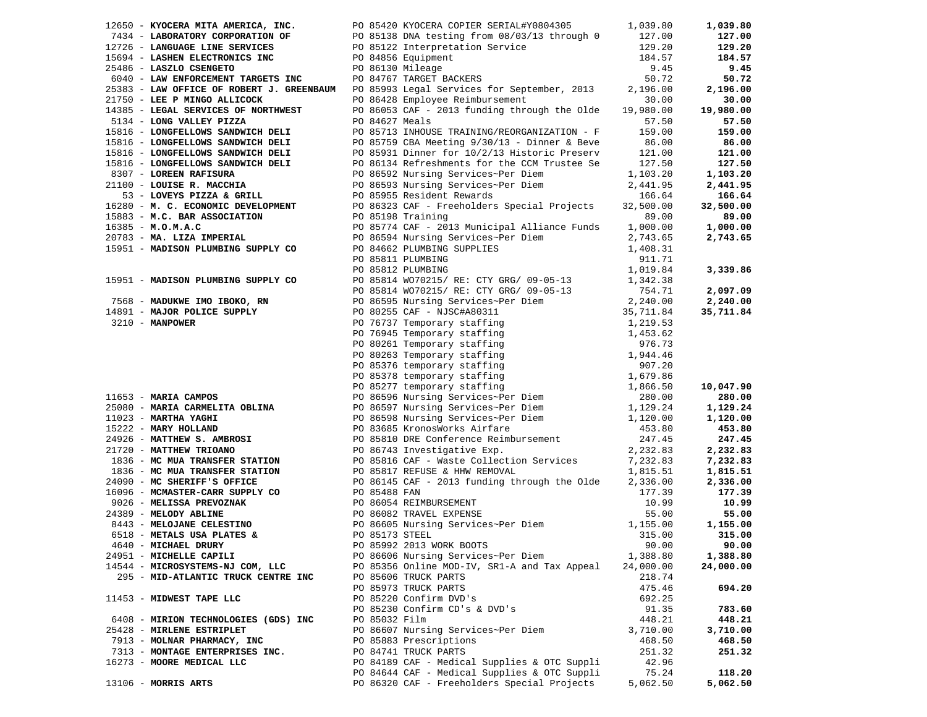|                                                                               |                  | 12650 - KYOCERA MITA AMERICA, INC. PO 85420 KYOCERA COPIER SERIAL#Y0804305 1,039.80                                                                                                                                                                 |                   | 1,039.80  |
|-------------------------------------------------------------------------------|------------------|-----------------------------------------------------------------------------------------------------------------------------------------------------------------------------------------------------------------------------------------------------|-------------------|-----------|
| 7434 - LABORATORY CORPORATION OF                                              |                  |                                                                                                                                                                                                                                                     | 127.00            | 127.00    |
| 12726 - LANGUAGE LINE SERVICES                                                |                  |                                                                                                                                                                                                                                                     | 129.20            | 129.20    |
| 15694 - LASHEN ELECTRONICS INC                                                |                  | PO 85138 DNA testing from 08/03/13 through 0<br>PO 85122 Interpretation Service<br>PO 84856 Equipment<br>PO 86130 Mileage                                                                                                                           | 184.57            | 184.57    |
| 25486 - LASZLO CSENGETO                                                       | PO 86130 Mileage |                                                                                                                                                                                                                                                     | 9.45              | 9.45      |
| 6040 - LAW ENFORCEMENT TARGETS INC                                            |                  | PO 84767 TARGET BACKERS                                                                                                                                                                                                                             | 50.72             | 50.72     |
|                                                                               |                  | 25383 - LAW OFFICE OF ROBERT J. GREENBAUM PO 85993 Legal Services for September, 2013                                                                                                                                                               | 2,196.00          | 2,196.00  |
| 21750 - LEE P MINGO ALLICOCK                                                  |                  | PO 86428 Employee Reimbursement                                                                                                                                                                                                                     | 30.00             | 30.00     |
| 14385 - LEGAL SERVICES OF NORTHWEST                                           |                  | PO 86053 CAF - 2013 funding through the Olde                                                                                                                                                                                                        | 19,980.00         | 19,980.00 |
|                                                                               | PO 84627 Meals   |                                                                                                                                                                                                                                                     |                   | 57.50     |
| 5134 - LONG VALLEY PIZZA<br>15816 - LONGFELLOWS SANDWICH DELI                 |                  | PO 85713 INHOUSE TRAINING/REORGANIZATION - F                                                                                                                                                                                                        | 57.50             |           |
|                                                                               |                  |                                                                                                                                                                                                                                                     | 159.00            | 159.00    |
| 15816 - LONGFELLOWS SANDWICH DELI                                             |                  | PO 85759 CBA Meeting 9/30/13 - Dinner & Beve                                                                                                                                                                                                        | $86.00$<br>121 00 | 86.00     |
| 15816 - LONGFELLOWS SANDWICH DELI                                             |                  | PO 85931 Dinner for 10/2/13 Historic Preserv                                                                                                                                                                                                        | 121.00            | 121.00    |
| 15816 - LONGFELLOWS SANDWICH DELI                                             |                  | PO 86134 Refreshments for the CCM Trustee Se                                                                                                                                                                                                        | 127.50            | 127.50    |
| 8307 - LOREEN RAFISURA                                                        |                  | PO 86592 Nursing Services~Per Diem                                                                                                                                                                                                                  | 1,103.20          | 1,103.20  |
| 21100 - LOUISE R. MACCHIA                                                     |                  | PO 86593 Nursing Services~Per Diem<br>PO 85955 Resident Rewards                                                                                                                                                                                     | 2,441.95          | 2,441.95  |
| 53 - LOVEYS PIZZA & GRILL                                                     |                  |                                                                                                                                                                                                                                                     | 166.64            | 166.64    |
|                                                                               |                  | 16280 - M. C. ECONOMIC DEVELOPMENT PO 86323 CAF - Freeholders Special Projects                                                                                                                                                                      | 32,500.00         | 32,500.00 |
| 15883 - M.C. BAR ASSOCIATION                                                  |                  | PO 85198 Training                                                                                                                                                                                                                                   | 89.00             | 89.00     |
| $16385 - M.0.M.A.C$                                                           |                  | PO 85774 CAF - 2013 Municipal Alliance Funds                                                                                                                                                                                                        | 1,000.00          | 1,000.00  |
| 20783 - MA. LIZA IMPERIAL                                                     |                  | PO 86594 Nursing Services~Per Diem                                                                                                                                                                                                                  | 2,743.65          | 2,743.65  |
| 15951 - MADISON PLUMBING SUPPLY CO                                            |                  | PO 84662 PLUMBING SUPPLIES                                                                                                                                                                                                                          | 1,408.31          |           |
|                                                                               |                  | PO 85811 PLUMBING                                                                                                                                                                                                                                   | 911.71            |           |
|                                                                               |                  | PO 85812 PLUMBING                                                                                                                                                                                                                                   | 1,019.84          | 3,339.86  |
| 15951 - MADISON PLUMBING SUPPLY CO                                            |                  | PO 85814 WO70215/ RE: CTY GRG/ 09-05-13                                                                                                                                                                                                             | 1,342.38          |           |
|                                                                               |                  | PO 85814 WO70215/ RE: CTY GRG/ 09-05-13                                                                                                                                                                                                             | 754.71            | 2,097.09  |
|                                                                               |                  |                                                                                                                                                                                                                                                     |                   | 2,240.00  |
|                                                                               |                  |                                                                                                                                                                                                                                                     |                   | 35,711.84 |
|                                                                               |                  |                                                                                                                                                                                                                                                     |                   |           |
|                                                                               |                  |                                                                                                                                                                                                                                                     |                   |           |
|                                                                               |                  |                                                                                                                                                                                                                                                     |                   |           |
|                                                                               |                  | 7568 - MADUKWE IMO IBOKO, RN<br>14891 - MAJOR POLICE SUPPLY<br>14891 - MAJOR POLICE SUPPLY<br>2,240.00<br>14891 - MANPOWER<br>2,711.84<br>20 76737 Temporary staffing<br>2,711.84<br>20 76737 Temporary staffing<br>2,711.84<br>2,711.84<br>2,711.8 |                   |           |
|                                                                               |                  |                                                                                                                                                                                                                                                     |                   |           |
|                                                                               |                  |                                                                                                                                                                                                                                                     |                   |           |
|                                                                               |                  |                                                                                                                                                                                                                                                     |                   | 10,047.90 |
|                                                                               |                  |                                                                                                                                                                                                                                                     |                   | 280.00    |
|                                                                               |                  |                                                                                                                                                                                                                                                     |                   | 1,129.24  |
|                                                                               |                  |                                                                                                                                                                                                                                                     |                   | 1,120.00  |
|                                                                               |                  |                                                                                                                                                                                                                                                     |                   | 453.80    |
| 15222 - MARY HOLLAND<br>24926 - MATTHEW S. AMBROSI<br>21720 - MATTHEW TRIOANO |                  | PO 83685 KronosWorks Airfare<br>PO 83685 KronosWorks Airfare<br>247.45                                                                                                                                                                              |                   |           |
| 21720 - MATTHEW TRIOANO                                                       |                  | PO 86743 Investigative Exp.                                                                                                                                                                                                                         |                   | 247.45    |
|                                                                               |                  | PO 86743 Investigative EAP.<br>PO 85816 CAF - Waste Collection Services                                                                                                                                                                             | 2,232.83          | 2,232.83  |
| 1836 - MC MUA TRANSFER STATION                                                |                  |                                                                                                                                                                                                                                                     | 7,232.83          | 7,232.83  |
| 1836 - MC MUA TRANSFER STATION                                                |                  | PO 85817 REFUSE & HHW REMOVAL<br>PO 86145 CAF - 2013 funding through the Olde                                                                                                                                                                       | 1,815.51          | 1,815.51  |
| 24090 - MC SHERIFF'S OFFICE                                                   |                  |                                                                                                                                                                                                                                                     | 2,336.00          | 2,336.00  |
|                                                                               |                  | 16096 - MCMASTER-CARR SUPPLY CO<br>9026 - MELISSA PREVOZNAK PO 86054 REIMBURSEMENT<br>24389 - MELODY ABLINE PO 86082 TRAVEL EXPENSE<br>8443 - MELOJANE CELESTINO PO 86605 Nursing Services~Per Diem                                                 | 177.39            | 177.39    |
|                                                                               |                  |                                                                                                                                                                                                                                                     | 10.99             | 10.99     |
|                                                                               |                  |                                                                                                                                                                                                                                                     | 55.00             | 55.00     |
|                                                                               |                  |                                                                                                                                                                                                                                                     | 1,155.00          | 1,155.00  |
| 6518 - METALS USA PLATES &                                                    | PO 85173 STEEL   |                                                                                                                                                                                                                                                     | 315.00            | 315.00    |
| 4640 - MICHAEL DRURY                                                          |                  | PO 85992 2013 WORK BOOTS                                                                                                                                                                                                                            | 90.00             | 90.00     |
| 24951 - MICHELLE CAPILI                                                       |                  | PO 86606 Nursing Services~Per Diem                                                                                                                                                                                                                  | 1,388.80          | 1,388.80  |
| 14544 - MICROSYSTEMS-NJ COM, LLC                                              |                  | PO 85356 Online MOD-IV, SR1-A and Tax Appeal                                                                                                                                                                                                        | 24,000.00         | 24,000.00 |
| 295 - MID-ATLANTIC TRUCK CENTRE INC                                           |                  | PO 85606 TRUCK PARTS                                                                                                                                                                                                                                | 218.74            |           |
|                                                                               |                  | PO 85973 TRUCK PARTS                                                                                                                                                                                                                                | 475.46            | 694.20    |
| 11453 - MIDWEST TAPE LLC                                                      |                  | PO 85220 Confirm DVD's                                                                                                                                                                                                                              | 692.25            |           |
|                                                                               |                  | PO 85230 Confirm CD's & DVD's                                                                                                                                                                                                                       | 91.35             | 783.60    |
| 6408 - MIRION TECHNOLOGIES (GDS) INC                                          | PO 85032 Film    |                                                                                                                                                                                                                                                     | 448.21            | 448.21    |
| 25428 - MIRLENE ESTRIPLET                                                     |                  | PO 86607 Nursing Services~Per Diem                                                                                                                                                                                                                  | 3,710.00          | 3,710.00  |
| 7913 - MOLNAR PHARMACY, INC                                                   |                  | PO 85883 Prescriptions                                                                                                                                                                                                                              | 468.50            | 468.50    |
| 7313 - MONTAGE ENTERPRISES INC.                                               |                  | PO 84741 TRUCK PARTS                                                                                                                                                                                                                                | 251.32            | 251.32    |
| 16273 - MOORE MEDICAL LLC                                                     |                  | PO 84189 CAF - Medical Supplies & OTC Suppli                                                                                                                                                                                                        | 42.96             |           |
|                                                                               |                  | PO 84644 CAF - Medical Supplies & OTC Suppli                                                                                                                                                                                                        | 75.24             | 118.20    |
| 13106 - MORRIS ARTS                                                           |                  | PO 86320 CAF - Freeholders Special Projects                                                                                                                                                                                                         | 5,062.50          | 5,062.50  |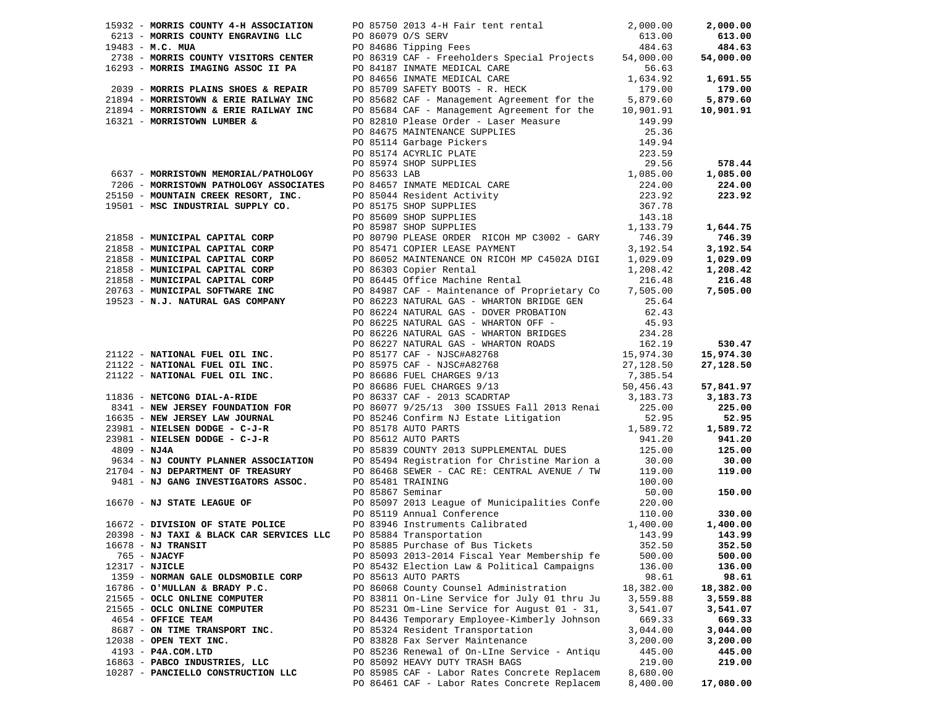|                                    | 16678 - <b>NJ TRANSIT</b> 252.50             |           | 352.50    |
|------------------------------------|----------------------------------------------|-----------|-----------|
| 765 - NJACYF                       | PO 85093 2013-2014 Fiscal Year Membership fe | 500.00    | 500.00    |
| 12317 - NJICLE                     | PO 85432 Election Law & Political Campaigns  | 136.00    | 136.00    |
| 1359 - NORMAN GALE OLDSMOBILE CORP | PO 85613 AUTO PARTS                          | 98.61     | 98.61     |
| 16786 - O'MULLAN & BRADY P.C.      | PO 86068 County Counsel Administration       | 18,382.00 | 18,382.00 |
|                                    |                                              |           |           |
| 21565 - OCLC ONLINE COMPUTER       | PO 83811 On-Line Service for July 01 thru Ju | 3,559.88  | 3,559.88  |
| 21565 - OCLC ONLINE COMPUTER       | PO 85231 Om-Line Service for August 01 - 31, | 3,541.07  | 3,541.07  |
| 4654 - OFFICE TEAM                 | PO 84436 Temporary Employee-Kimberly Johnson | 669.33    | 669.33    |
| 8687 - ON TIME TRANSPORT INC.      | PO 85324 Resident Transportation             | 3,044.00  | 3,044.00  |
| $12038$ - OPEN TEXT INC.           | PO 83828 Fax Server Maintenance              | 3,200.00  | 3,200.00  |
| 4193 - P4A.COM.LTD                 | PO 85236 Renewal of On-LIne Service - Antiqu | 445.00    | 445.00    |
| 16863 - PABCO INDUSTRIES, LLC      | PO 85092 HEAVY DUTY TRASH BAGS               | 219.00    | 219.00    |
|                                    |                                              |           |           |
| 10287 - PANCIELLO CONSTRUCTION LLC | PO 85985 CAF - Labor Rates Concrete Replacem | 8,680.00  |           |
|                                    | PO 86461 CAF - Labor Rates Concrete Replacem | 8,400.00  | 17,080.00 |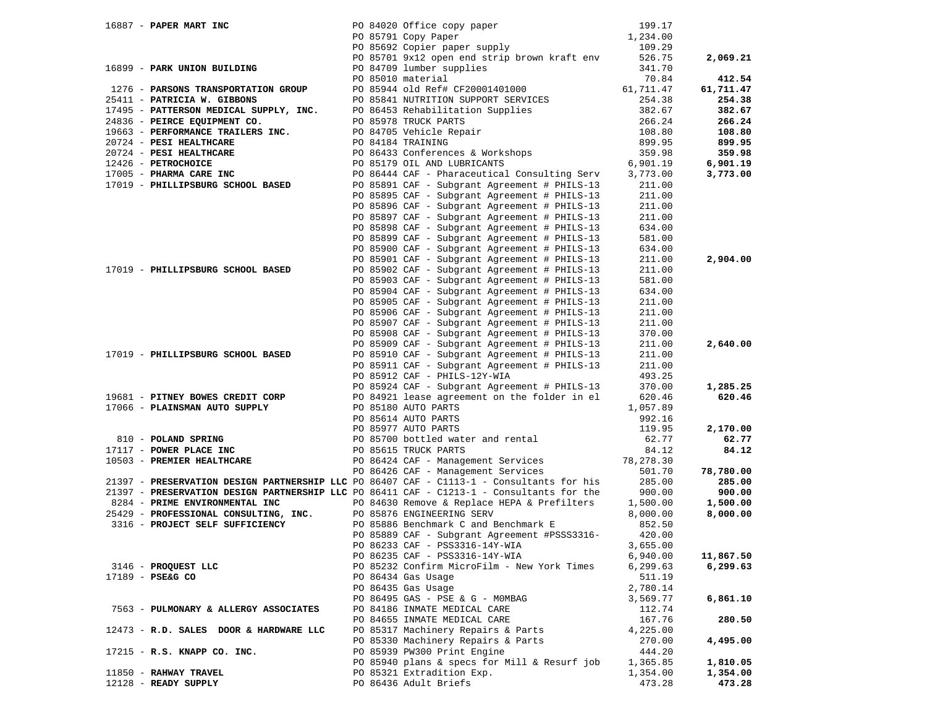| 16887 - PAPER MART INC                 |                   |                                                                                                                                                                                                                                                       |                  |           |
|----------------------------------------|-------------------|-------------------------------------------------------------------------------------------------------------------------------------------------------------------------------------------------------------------------------------------------------|------------------|-----------|
|                                        |                   |                                                                                                                                                                                                                                                       |                  |           |
|                                        |                   | PO 84020 Office copy paper 199.17<br>PO 85791 Copy Paper 1,234.00<br>PO 85692 Copier paper supply 109.29                                                                                                                                              |                  |           |
|                                        |                   | PO 85701 9x12 open end strip brown kraft env                                                                                                                                                                                                          | 526.75           | 2,069.21  |
| 16899 - PARK UNION BUILDING            |                   | PO 84709 lumber supplies                                                                                                                                                                                                                              | 341.70           |           |
|                                        | PO 85010 material |                                                                                                                                                                                                                                                       | 70.84            | 412.54    |
|                                        |                   | PO 85944 old Ref# CF20001401000 61,711.47                                                                                                                                                                                                             |                  | 61,711.47 |
|                                        |                   |                                                                                                                                                                                                                                                       | 254.38           | 254.38    |
|                                        |                   | 1276 - PARSONS TRANSPORTATION GROUP<br>25411 - PATRICIA W. GIBBONS<br>17495 - PATTERSON MEDICAL SUPPLY, INC.<br>24836 - PEIRCE EQUIPMENT CO.<br>24836 - PEIRCE EQUIPMENT CO.<br>2663 - PERFORMANCE TRAILERS INC.<br>20724 - PESI HEALTHCAR            | 254.38<br>382.67 | 382.67    |
|                                        |                   |                                                                                                                                                                                                                                                       |                  | 266.24    |
|                                        |                   |                                                                                                                                                                                                                                                       | 266.24<br>108.80 | 108.80    |
|                                        |                   |                                                                                                                                                                                                                                                       | 899.95           |           |
|                                        |                   |                                                                                                                                                                                                                                                       |                  | 899.95    |
|                                        |                   |                                                                                                                                                                                                                                                       | 359.98           | 359.98    |
|                                        |                   |                                                                                                                                                                                                                                                       | 6,901.19         | 6,901.19  |
|                                        |                   | PO 86444 CAF - Pharaceutical Consulting Serv 3,773.00                                                                                                                                                                                                 |                  | 3,773.00  |
| 17019 - PHILLIPSBURG SCHOOL BASED      |                   | PO 85891 CAF - Subgrant Agreement # PHILS-13                                                                                                                                                                                                          | 211.00           |           |
|                                        |                   | PO 85895 CAF - Subgrant Agreement # PHILS-13                                                                                                                                                                                                          | 211.00           |           |
|                                        |                   | PO 85896 CAF - Subgrant Agreement # PHILS-13                                                                                                                                                                                                          | 211.00           |           |
|                                        |                   | PO 85897 CAF - Subgrant Agreement # PHILS-13                                                                                                                                                                                                          | 211.00           |           |
|                                        |                   | PO 85898 CAF - Subgrant Agreement # PHILS-13                                                                                                                                                                                                          | 634.00           |           |
|                                        |                   | PO 85899 CAF - Subgrant Agreement # PHILS-13                                                                                                                                                                                                          | 581.00           |           |
|                                        |                   | PO 85900 CAF - Subgrant Agreement # PHILS-13                                                                                                                                                                                                          | 634.00           |           |
|                                        |                   | PO 85901 CAF - Subgrant Agreement # PHILS-13                                                                                                                                                                                                          | 211.00           | 2,904.00  |
| 17019 - PHILLIPSBURG SCHOOL BASED      |                   | PO 85902 CAF - Subgrant Agreement # PHILS-13                                                                                                                                                                                                          | 211.00           |           |
|                                        |                   | PO 85903 CAF - Subgrant Agreement # PHILS-13                                                                                                                                                                                                          | 581.00           |           |
|                                        |                   | PO 85904 CAF - Subgrant Agreement # PHILS-13                                                                                                                                                                                                          | 634.00           |           |
|                                        |                   | PO 85905 CAF - Subgrant Agreement # PHILS-13                                                                                                                                                                                                          | 211.00           |           |
|                                        |                   | PO 85906 CAF - Subgrant Agreement # PHILS-13                                                                                                                                                                                                          |                  |           |
|                                        |                   |                                                                                                                                                                                                                                                       | 211.00           |           |
|                                        |                   | PO 85907 CAF - Subgrant Agreement # PHILS-13                                                                                                                                                                                                          | 211.00           |           |
|                                        |                   | PO 85908 CAF - Subgrant Agreement # PHILS-13                                                                                                                                                                                                          | 370.00           |           |
|                                        |                   | PO 85909 CAF - Subgrant Agreement # PHILS-13                                                                                                                                                                                                          | 211.00           | 2,640.00  |
| 17019 - PHILLIPSBURG SCHOOL BASED      |                   | PO 85910 CAF - Subgrant Agreement # PHILS-13                                                                                                                                                                                                          | 211.00           |           |
|                                        |                   | PO 85911 CAF - Subgrant Agreement # PHILS-13                                                                                                                                                                                                          | 211.00           |           |
|                                        |                   | PO 85912 CAF - PHILS-12Y-WIA                                                                                                                                                                                                                          | 493.25           |           |
|                                        |                   | PO 85924 CAF - Subgrant Agreement # PHILS-13                                                                                                                                                                                                          | 370.00           | 1,285.25  |
|                                        |                   | 19681 - PITNEY BOWES CREDIT CORP 100 84921 lease agreement on the folder in el<br>17066 - PLAINSMAN AUTO SUPPLY 100 85180 AUTO PARTS                                                                                                                  | 620.46           | 620.46    |
|                                        |                   | 17066 - <b>PLAINSMAN AUTO SUPPLY</b><br>20085614 AUTO PARTS<br>20085614 AUTO PARTS<br>20085977 AUTO PARTS<br>20085977 AUTO PARTS<br>20085977 AUTO PARTS<br>20085977 AUTO PARTS<br>20085615 TRUCK PARTS<br>20086424 CAF - Management Services<br>20086 |                  |           |
|                                        |                   |                                                                                                                                                                                                                                                       |                  |           |
|                                        |                   |                                                                                                                                                                                                                                                       |                  | 2,170.00  |
|                                        |                   |                                                                                                                                                                                                                                                       |                  | 62.77     |
|                                        |                   |                                                                                                                                                                                                                                                       |                  | 84.12     |
|                                        |                   |                                                                                                                                                                                                                                                       |                  |           |
|                                        |                   |                                                                                                                                                                                                                                                       |                  | 78,780.00 |
|                                        |                   |                                                                                                                                                                                                                                                       |                  | 285.00    |
|                                        |                   | 21397 - PRESERVATION DESIGN PARTNERSHIP LLC PO 86411 CAF - C1213-1 - Consultants for the                                                                                                                                                              | 900.00           | 900.00    |
|                                        |                   |                                                                                                                                                                                                                                                       |                  | 1,500.00  |
|                                        |                   | 9284 - PRIME ENVIRONMENTAL INC<br>25429 - PROFESSIONAL CONSULTING, INC. PO 85876 ENGINEERING SERV 8,000.00<br>3316 - PROJECT SELF SUFFICIENCY PO 85886 Benchmark C and Benchmark E 852.50                                                             |                  | 8,000.00  |
|                                        |                   |                                                                                                                                                                                                                                                       |                  |           |
|                                        |                   | PO 85889 CAF - Subgrant Agreement #PSSS3316-                                                                                                                                                                                                          | 420.00           |           |
|                                        |                   |                                                                                                                                                                                                                                                       |                  |           |
|                                        |                   | PO 86233 CAF - PSS3316-14Y-WIA 3,655.00                                                                                                                                                                                                               |                  |           |
|                                        |                   | PO 86235 CAF - PSS3316-14Y-WIA                                                                                                                                                                                                                        | 6,940.00         | 11,867.50 |
| 3146 - PROQUEST LLC                    |                   | PO 85232 Confirm MicroFilm - New York Times                                                                                                                                                                                                           | 6,299.63         | 6,299.63  |
| 17189 - PSE&G CO                       |                   | PO 86434 Gas Usage                                                                                                                                                                                                                                    | 511.19           |           |
|                                        |                   | PO 86435 Gas Usage                                                                                                                                                                                                                                    | 2,780.14         |           |
|                                        |                   | PO 86495 GAS - PSE & G - MOMBAG                                                                                                                                                                                                                       | 3,569.77         | 6,861.10  |
| 7563 - PULMONARY & ALLERGY ASSOCIATES  |                   | PO 84186 INMATE MEDICAL CARE                                                                                                                                                                                                                          | 112.74           |           |
|                                        |                   | PO 84655 INMATE MEDICAL CARE                                                                                                                                                                                                                          | 167.76           | 280.50    |
| 12473 - R.D. SALES DOOR & HARDWARE LLC |                   | PO 85317 Machinery Repairs & Parts                                                                                                                                                                                                                    | 4,225.00         |           |
|                                        |                   | PO 85330 Machinery Repairs & Parts                                                                                                                                                                                                                    | 270.00           | 4,495.00  |
| 17215 - R.S. KNAPP CO. INC.            |                   | PO 85939 PW300 Print Engine                                                                                                                                                                                                                           | 444.20           |           |
|                                        |                   | PO 85940 plans & specs for Mill & Resurf job                                                                                                                                                                                                          | 1,365.85         | 1,810.05  |
| 11850 - RAHWAY TRAVEL                  |                   | PO 85321 Extradition Exp.                                                                                                                                                                                                                             | 1,354.00         | 1,354.00  |
| 12128 - READY SUPPLY                   |                   | PO 86436 Adult Briefs                                                                                                                                                                                                                                 | 473.28           | 473.28    |
|                                        |                   |                                                                                                                                                                                                                                                       |                  |           |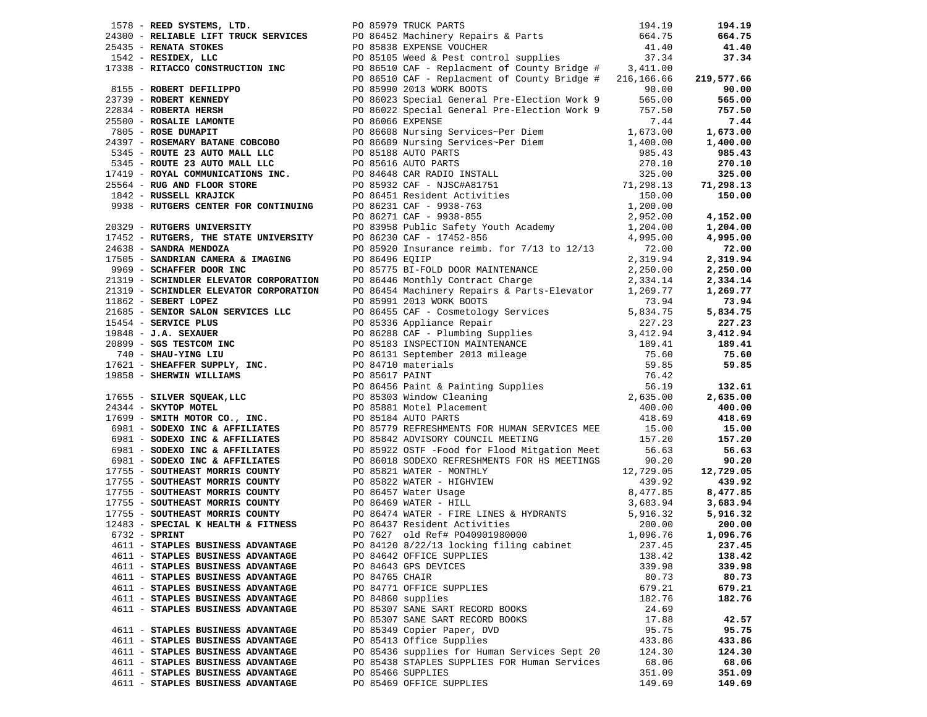| 1738 - REED SYSTEMS, ITD. 1894.19<br>24100 - RELANSIS LIFT TRUCK SERVICES PO 86182 Nachinery Repairs & Parts<br>264105 - REENDRE, LIGC PO 86318 EXPRESS FOR THE STRAIN PROPERTY AND 11442 - RESIDENT, LIGC 2008<br>1942 - RESIDENT,    |  |                                                        |                  | 194.19           |
|----------------------------------------------------------------------------------------------------------------------------------------------------------------------------------------------------------------------------------------|--|--------------------------------------------------------|------------------|------------------|
|                                                                                                                                                                                                                                        |  |                                                        |                  | 664.75           |
|                                                                                                                                                                                                                                        |  |                                                        |                  | 41.40            |
|                                                                                                                                                                                                                                        |  |                                                        |                  | 37.34            |
|                                                                                                                                                                                                                                        |  |                                                        |                  |                  |
|                                                                                                                                                                                                                                        |  |                                                        |                  | 219,577.66       |
|                                                                                                                                                                                                                                        |  |                                                        |                  | 90.00            |
|                                                                                                                                                                                                                                        |  |                                                        |                  | 565.00           |
|                                                                                                                                                                                                                                        |  |                                                        |                  | 757.50           |
|                                                                                                                                                                                                                                        |  |                                                        |                  | 7.44             |
|                                                                                                                                                                                                                                        |  |                                                        |                  | 1,673.00         |
|                                                                                                                                                                                                                                        |  |                                                        |                  | 1,400.00         |
|                                                                                                                                                                                                                                        |  |                                                        |                  | 985.43           |
|                                                                                                                                                                                                                                        |  |                                                        |                  | 270.10           |
|                                                                                                                                                                                                                                        |  |                                                        |                  | 325.00           |
|                                                                                                                                                                                                                                        |  |                                                        |                  | 71,298.13        |
|                                                                                                                                                                                                                                        |  |                                                        |                  | 150.00           |
|                                                                                                                                                                                                                                        |  |                                                        |                  |                  |
|                                                                                                                                                                                                                                        |  |                                                        |                  | 4,152.00         |
|                                                                                                                                                                                                                                        |  |                                                        |                  | 1,204.00         |
|                                                                                                                                                                                                                                        |  |                                                        |                  | 4,995.00         |
|                                                                                                                                                                                                                                        |  |                                                        |                  | 72.00            |
|                                                                                                                                                                                                                                        |  |                                                        |                  | 2,319.94         |
|                                                                                                                                                                                                                                        |  |                                                        |                  | 2,250.00         |
|                                                                                                                                                                                                                                        |  |                                                        |                  | 2,334.14         |
|                                                                                                                                                                                                                                        |  |                                                        |                  | 1,269.77         |
|                                                                                                                                                                                                                                        |  |                                                        |                  |                  |
|                                                                                                                                                                                                                                        |  |                                                        |                  |                  |
|                                                                                                                                                                                                                                        |  |                                                        |                  |                  |
|                                                                                                                                                                                                                                        |  |                                                        |                  |                  |
|                                                                                                                                                                                                                                        |  |                                                        |                  |                  |
|                                                                                                                                                                                                                                        |  |                                                        |                  |                  |
|                                                                                                                                                                                                                                        |  |                                                        |                  |                  |
|                                                                                                                                                                                                                                        |  |                                                        |                  |                  |
|                                                                                                                                                                                                                                        |  |                                                        |                  |                  |
|                                                                                                                                                                                                                                        |  |                                                        |                  |                  |
|                                                                                                                                                                                                                                        |  |                                                        |                  |                  |
|                                                                                                                                                                                                                                        |  |                                                        |                  |                  |
|                                                                                                                                                                                                                                        |  |                                                        |                  |                  |
|                                                                                                                                                                                                                                        |  |                                                        |                  |                  |
|                                                                                                                                                                                                                                        |  |                                                        |                  |                  |
|                                                                                                                                                                                                                                        |  |                                                        |                  |                  |
|                                                                                                                                                                                                                                        |  |                                                        |                  |                  |
|                                                                                                                                                                                                                                        |  |                                                        |                  | 439.92           |
|                                                                                                                                                                                                                                        |  |                                                        |                  |                  |
| 2119 SCHINDER ELEVATOR CORPORATION 50 86454 Northlation Results & Parts-Elevator 1,289.77 1,289.77<br>1988 - SERIVICE REVIVENCE (1988 2013) WORK BOOST 2013 WATER STREET REVIVENCE 2013<br>1989 - <b>30.4454 - 30.447 - 30.447 - 3</b> |  |                                                        |                  |                  |
|                                                                                                                                                                                                                                        |  |                                                        |                  |                  |
|                                                                                                                                                                                                                                        |  |                                                        |                  |                  |
|                                                                                                                                                                                                                                        |  |                                                        |                  |                  |
|                                                                                                                                                                                                                                        |  |                                                        |                  |                  |
| 4611 - STAPLES BUSINESS ADVANTAGE                                                                                                                                                                                                      |  | PO 84642 OFFICE SUPPLIES                               | 138.42           | 138.42           |
| 4611 - STAPLES BUSINESS ADVANTAGE                                                                                                                                                                                                      |  | PO 84643 GPS DEVICES                                   | 339.98           | 339.98           |
| 4611 - STAPLES BUSINESS ADVANTAGE                                                                                                                                                                                                      |  | PO 84765 CHAIR                                         | 80.73            | 80.73            |
| 4611 - STAPLES BUSINESS ADVANTAGE                                                                                                                                                                                                      |  | PO 84771 OFFICE SUPPLIES                               | 679.21           | 679.21           |
| 4611 - STAPLES BUSINESS ADVANTAGE                                                                                                                                                                                                      |  | PO 84860 supplies                                      | 182.76           | 182.76           |
| 4611 - STAPLES BUSINESS ADVANTAGE                                                                                                                                                                                                      |  | PO 85307 SANE SART RECORD BOOKS                        | 24.69            |                  |
|                                                                                                                                                                                                                                        |  | PO 85307 SANE SART RECORD BOOKS                        | 17.88            | 42.57            |
|                                                                                                                                                                                                                                        |  |                                                        | 95.75            |                  |
| 4611 - STAPLES BUSINESS ADVANTAGE<br>4611 - STAPLES BUSINESS ADVANTAGE                                                                                                                                                                 |  | PO 85349 Copier Paper, DVD<br>PO 85413 Office Supplies |                  | 95.75            |
| 4611 - STAPLES BUSINESS ADVANTAGE                                                                                                                                                                                                      |  | PO 85436 supplies for Human Services Sept 20           | 433.86<br>124.30 | 433.86<br>124.30 |
|                                                                                                                                                                                                                                        |  | PO 85438 STAPLES SUPPLIES FOR Human Services           |                  |                  |
| 4611 - STAPLES BUSINESS ADVANTAGE                                                                                                                                                                                                      |  |                                                        | 68.06            | 68.06            |
| 4611 - STAPLES BUSINESS ADVANTAGE                                                                                                                                                                                                      |  | PO 85466 SUPPLIES                                      | 351.09           | 351.09           |
| 4611 - STAPLES BUSINESS ADVANTAGE                                                                                                                                                                                                      |  | PO 85469 OFFICE SUPPLIES                               | 149.69           | 149.69           |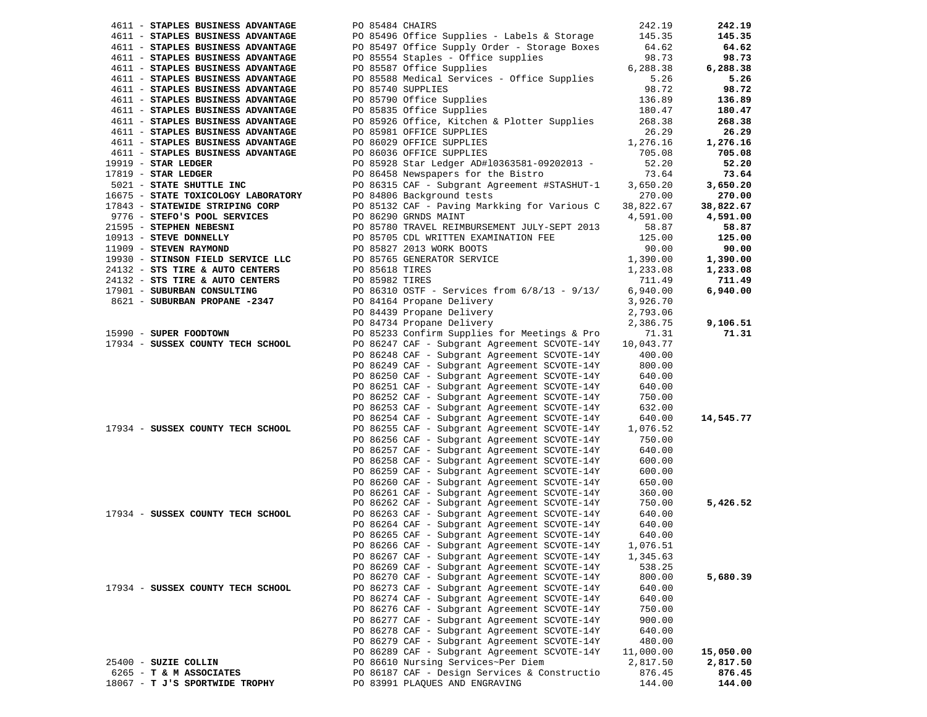| 4611 - STAPLES BUSINESS ADVANTAGE                                          | PO 85484 CHAIRS                   |                                                                                                                                          | 242.19    | 242.19    |
|----------------------------------------------------------------------------|-----------------------------------|------------------------------------------------------------------------------------------------------------------------------------------|-----------|-----------|
| 4611 - STAPLES BUSINESS ADVANTAGE                                          |                                   | PO 85496 Office Supplies - Labels & Storage 145.35                                                                                       |           | 145.35    |
| 4611 - STAPLES BUSINESS ADVANTAGE                                          |                                   | PO 85497 Office Supply Order - Storage Boxes                                                                                             | 64.62     | 64.62     |
| 4611 - STAPLES BUSINESS ADVANTAGE                                          |                                   | PO 85554 Staples - Office supplies                                                                                                       | 98.73     | 98.73     |
| 4611 - STAPLES BUSINESS ADVANTAGE                                          |                                   | PO 85587 Office Supplies                                                                                                                 | 6,288.38  | 6,288.38  |
| 4611 - STAPLES BUSINESS ADVANTAGE                                          |                                   | PO 85588 Medical Services - Office Supplies                                                                                              | 5.26      | 5.26      |
| 4611 - STAPLES BUSINESS ADVANTAGE                                          |                                   | PO 85740 SUPPLIES                                                                                                                        | 98.72     | 98.72     |
| 4611 - STAPLES BUSINESS ADVANTAGE                                          |                                   | PO 85790 Office Supplies                                                                                                                 | 136.89    |           |
|                                                                            |                                   |                                                                                                                                          |           | 136.89    |
| 4611 - STAPLES BUSINESS ADVANTAGE                                          |                                   | PO 85835 Office Supplies                                                                                                                 | 180.47    | 180.47    |
| 4611 - STAPLES BUSINESS ADVANTAGE                                          |                                   | PO 85926 Office, Kitchen & Plotter Supplies                                                                                              | 268.38    | 268.38    |
| 4611 - STAPLES BUSINESS ADVANTAGE                                          |                                   | PO 85981 OFFICE SUPPLIES                                                                                                                 | 26.29     | 26.29     |
| 4611 - STAPLES BUSINESS ADVANTAGE                                          |                                   | PO 86029 OFFICE SUPPLIES<br>PO 86036 OFFICE SUPPLIES<br>DO 86036 OFFICE SUPPLIES                                                         | 1,276.16  | 1,276.16  |
| 4611 - STAPLES BUSINESS ADVANTAGE                                          |                                   |                                                                                                                                          | 705.08    | 705.08    |
| $19919$ - STAR LEDGER                                                      |                                   | PO 85928 Star Ledger AD#10363581-09202013 -                                                                                              | 52.20     | 52.20     |
| $17819$ - STAR LEDGER                                                      |                                   | PO 86458 Newspapers for the Bistro                                                                                                       | 73.64     | 73.64     |
| 5021 - STATE SHUTTLE INC                                                   |                                   | PO 86315 CAF - Subgrant Agreement #STASHUT-1                                                                                             | 3,650.20  | 3,650.20  |
| 16675 - STATE TOXICOLOGY LABORATORY                                        |                                   | PO 84806 Background tests                                                                                                                | 270.00    | 270.00    |
| 17843 - STATEWIDE STRIPING CORP                                            |                                   | PO 85132 CAF - Paving Markking for Various C                                                                                             | 38,822.67 | 38,822.67 |
| 9776 - STEFO'S POOL SERVICES                                               |                                   | PO 86290 GRNDS MAINT<br>PO 85780 TRAVEL REIMBURSEMENT JULY-SEPT 2013<br>PO 85705 CDL WRITTEN EXAMINATION FEE<br>PO 85827 2013 WORK BOOTS | 4,591.00  | 4,591.00  |
| 21595 - STEPHEN NEBESNI                                                    |                                   |                                                                                                                                          | 58.87     | 58.87     |
| 10913 - STEVE DONNELLY<br>10913 - STEVE DONNELLY<br>11909 - STEVEN RAYMOND |                                   |                                                                                                                                          | 125.00    | 125.00    |
|                                                                            |                                   |                                                                                                                                          | 90.00     | 90.00     |
| 19930 - STINSON FIELD SERVICE LLC<br>24132 - STS TIRE & AUTO CENTERS       |                                   | PO 85765 GENERATOR SERVICE<br>PO 85618 TIRES                                                                                             | 1,390.00  | 1,390.00  |
|                                                                            |                                   |                                                                                                                                          | 1,233.08  | 1,233.08  |
| 24132 - STS TIRE & AUTO CENTERS                                            | PO 85982 TIRES<br>PO 86310 OSTF - |                                                                                                                                          | 711.49    | 711.49    |
| 17901 - SUBURBAN CONSULTING                                                |                                   | PO 86310 OSTF - Services from 6/8/13 - 9/13/                                                                                             | 6,940.00  | 6,940.00  |
| 8621 - SUBURBAN PROPANE -2347                                              |                                   | PO 84164 Propane Delivery<br>PO 84439 Propane Delivery<br>DO 84734 Propane Delivery                                                      | 3,926.70  |           |
|                                                                            |                                   |                                                                                                                                          | 2,793.06  |           |
|                                                                            |                                   | PO 84734 Propane Delivery                                                                                                                | 2,386.75  | 9,106.51  |
| 15990 - SUPER FOODTOWN                                                     |                                   | PO 85233 Confirm Supplies for Meetings & Pro                                                                                             | 71.31     | 71.31     |
| 17934 - SUSSEX COUNTY TECH SCHOOL                                          |                                   | PO 86247 CAF - Subgrant Agreement SCVOTE-14Y                                                                                             | 10,043.77 |           |
|                                                                            |                                   | PO 86248 CAF - Subgrant Agreement SCVOTE-14Y                                                                                             | 400.00    |           |
|                                                                            |                                   | PO 86249 CAF - Subgrant Agreement SCVOTE-14Y                                                                                             | 800.00    |           |
|                                                                            |                                   | PO 86250 CAF - Subgrant Agreement SCVOTE-14Y                                                                                             | 640.00    |           |
|                                                                            |                                   | PO 86251 CAF - Subgrant Agreement SCVOTE-14Y                                                                                             | 640.00    |           |
|                                                                            |                                   | PO 86252 CAF - Subgrant Agreement SCVOTE-14Y                                                                                             | 750.00    |           |
|                                                                            |                                   | PO 86253 CAF - Subgrant Agreement SCVOTE-14Y                                                                                             | 632.00    |           |
|                                                                            |                                   | PO 86254 CAF - Subgrant Agreement SCVOTE-14Y                                                                                             | 640.00    | 14,545.77 |
| 17934 - SUSSEX COUNTY TECH SCHOOL                                          |                                   | PO 86255 CAF - Subgrant Agreement SCVOTE-14Y                                                                                             | 1,076.52  |           |
|                                                                            |                                   | PO 86256 CAF - Subgrant Agreement SCVOTE-14Y                                                                                             | 750.00    |           |
|                                                                            |                                   | PO 86257 CAF - Subgrant Agreement SCVOTE-14Y                                                                                             | 640.00    |           |
|                                                                            |                                   | PO 86258 CAF - Subgrant Agreement SCVOTE-14Y                                                                                             | 600.00    |           |
|                                                                            |                                   | PO 86259 CAF - Subgrant Agreement SCVOTE-14Y                                                                                             | 600.00    |           |
|                                                                            |                                   | PO 86260 CAF - Subgrant Agreement SCVOTE-14Y                                                                                             | 650.00    |           |
|                                                                            |                                   | PO 86261 CAF - Subgrant Agreement SCVOTE-14Y                                                                                             | 360.00    |           |
|                                                                            |                                   | PO 86262 CAF - Subgrant Agreement SCVOTE-14Y                                                                                             | 750.00    | 5,426.52  |
| 17934 - SUSSEX COUNTY TECH SCHOOL                                          |                                   | PO 86263 CAF - Subgrant Agreement SCVOTE-14Y                                                                                             | 640.00    |           |
|                                                                            |                                   | PO 86264 CAF - Subgrant Agreement SCVOTE-14Y                                                                                             | 640.00    |           |
|                                                                            |                                   | PO 86265 CAF - Subgrant Agreement SCVOTE-14Y                                                                                             | 640.00    |           |
|                                                                            |                                   | PO 86266 CAF - Subgrant Agreement SCVOTE-14Y                                                                                             | 1,076.51  |           |
|                                                                            |                                   | PO 86267 CAF - Subgrant Agreement SCVOTE-14Y                                                                                             | 1,345.63  |           |
|                                                                            |                                   | PO 86269 CAF - Subgrant Agreement SCVOTE-14Y                                                                                             | 538.25    |           |
|                                                                            |                                   | PO 86270 CAF - Subgrant Agreement SCVOTE-14Y                                                                                             | 800.00    | 5,680.39  |
| 17934 - SUSSEX COUNTY TECH SCHOOL                                          |                                   | PO 86273 CAF - Subgrant Agreement SCVOTE-14Y                                                                                             | 640.00    |           |
|                                                                            |                                   | PO 86274 CAF - Subgrant Agreement SCVOTE-14Y                                                                                             | 640.00    |           |
|                                                                            |                                   | PO 86276 CAF - Subgrant Agreement SCVOTE-14Y                                                                                             | 750.00    |           |
|                                                                            |                                   | PO 86277 CAF - Subgrant Agreement SCVOTE-14Y                                                                                             | 900.00    |           |
|                                                                            |                                   | PO 86278 CAF - Subgrant Agreement SCVOTE-14Y                                                                                             | 640.00    |           |
|                                                                            |                                   | PO 86279 CAF - Subgrant Agreement SCVOTE-14Y                                                                                             | 480.00    |           |
|                                                                            |                                   | PO 86289 CAF - Subgrant Agreement SCVOTE-14Y                                                                                             | 11,000.00 | 15,050.00 |
| 25400 - SUZIE COLLIN                                                       |                                   | PO 86610 Nursing Services~Per Diem                                                                                                       | 2,817.50  | 2,817.50  |
| 6265 - T & M ASSOCIATES                                                    |                                   | PO 86187 CAF - Design Services & Constructio                                                                                             | 876.45    | 876.45    |
| 18067 - T J'S SPORTWIDE TROPHY                                             |                                   | PO 83991 PLAOUES AND ENGRAVING                                                                                                           | 144.00    | 144.00    |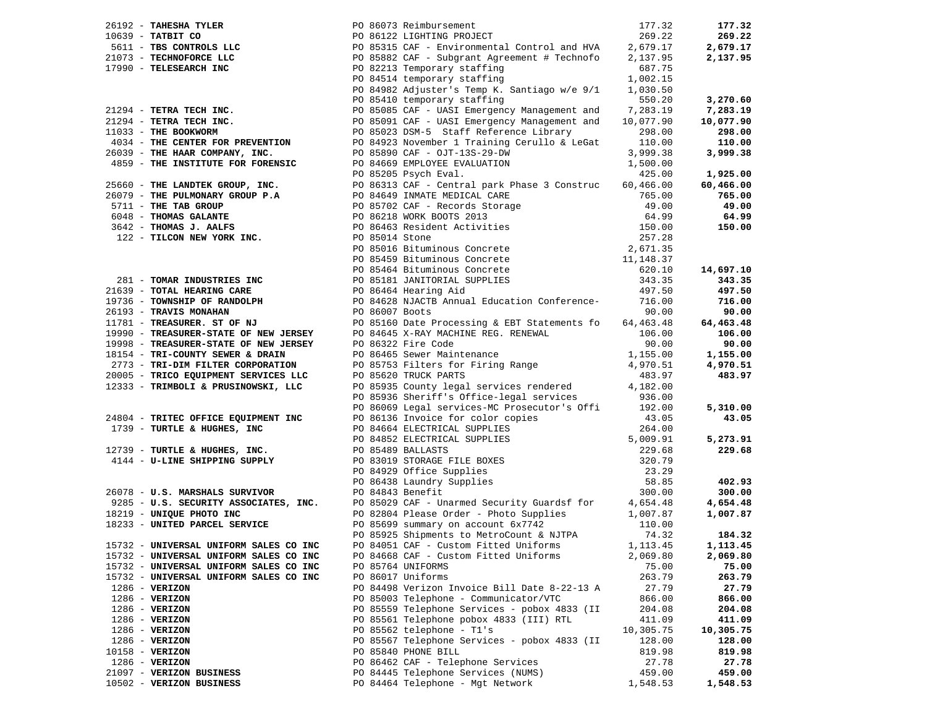|  |                                        |  |                                                                                                                                                                                                                                                 |           | 177.32    |
|--|----------------------------------------|--|-------------------------------------------------------------------------------------------------------------------------------------------------------------------------------------------------------------------------------------------------|-----------|-----------|
|  |                                        |  | 26192 - TAHESHA TYLER<br>26192 - TATRIT CO<br>5611 - TBS CONTROLS LLC<br>2611 - TBS CONTROLS LLC<br>2611 - TBS CONTROLS LLC<br>2611 - TBS CONTROLS LLC<br>2611 - TBCHNOFORCE LLC<br>2679.17<br>2003 - TECHNOFORCE LLC<br>26842 CAF - Subgrant A |           | 269.22    |
|  |                                        |  |                                                                                                                                                                                                                                                 |           | 2,679.17  |
|  |                                        |  |                                                                                                                                                                                                                                                 |           | 2,137.95  |
|  |                                        |  |                                                                                                                                                                                                                                                 |           |           |
|  |                                        |  |                                                                                                                                                                                                                                                 |           |           |
|  |                                        |  |                                                                                                                                                                                                                                                 |           |           |
|  |                                        |  |                                                                                                                                                                                                                                                 |           | 3,270.60  |
|  |                                        |  |                                                                                                                                                                                                                                                 |           | 7,283.19  |
|  |                                        |  |                                                                                                                                                                                                                                                 |           | 10,077.90 |
|  |                                        |  |                                                                                                                                                                                                                                                 |           | 298.00    |
|  |                                        |  | 4034 - THE CENTER FOR PREVENTION PO 84923 November 1 Training Cerullo & LeGat 110.00<br>26039 - THE HAAR COMPANY, INC. PO 85890 CAF - OJT-13S-29-DW 3,999.38<br>4859 - THE INSTITUTE FOR FORENSIC PO 84669 EMPLOYEE EVALUATION 1,500            |           | 110.00    |
|  |                                        |  |                                                                                                                                                                                                                                                 | 3,999.38  | 3,999.38  |
|  |                                        |  |                                                                                                                                                                                                                                                 |           |           |
|  |                                        |  |                                                                                                                                                                                                                                                 | 425.00    | 1,925.00  |
|  |                                        |  |                                                                                                                                                                                                                                                 |           | 60,466.00 |
|  |                                        |  |                                                                                                                                                                                                                                                 |           | 765.00    |
|  |                                        |  |                                                                                                                                                                                                                                                 |           | 49.00     |
|  |                                        |  |                                                                                                                                                                                                                                                 |           | 64.99     |
|  |                                        |  |                                                                                                                                                                                                                                                 |           | 150.00    |
|  |                                        |  |                                                                                                                                                                                                                                                 |           |           |
|  |                                        |  |                                                                                                                                                                                                                                                 |           |           |
|  |                                        |  |                                                                                                                                                                                                                                                 |           |           |
|  |                                        |  |                                                                                                                                                                                                                                                 |           | 14,697.10 |
|  |                                        |  |                                                                                                                                                                                                                                                 |           | 343.35    |
|  |                                        |  |                                                                                                                                                                                                                                                 |           | 497.50    |
|  |                                        |  |                                                                                                                                                                                                                                                 |           | 716.00    |
|  |                                        |  |                                                                                                                                                                                                                                                 |           | 90.00     |
|  |                                        |  |                                                                                                                                                                                                                                                 |           | 64,463.48 |
|  |                                        |  |                                                                                                                                                                                                                                                 |           | 106.00    |
|  |                                        |  |                                                                                                                                                                                                                                                 |           | 90.00     |
|  |                                        |  |                                                                                                                                                                                                                                                 |           | 1,155.00  |
|  |                                        |  |                                                                                                                                                                                                                                                 |           | 4,970.51  |
|  |                                        |  |                                                                                                                                                                                                                                                 |           | 483.97    |
|  |                                        |  |                                                                                                                                                                                                                                                 |           |           |
|  |                                        |  |                                                                                                                                                                                                                                                 |           |           |
|  |                                        |  |                                                                                                                                                                                                                                                 |           | 5,310.00  |
|  |                                        |  |                                                                                                                                                                                                                                                 |           | 43.05     |
|  |                                        |  |                                                                                                                                                                                                                                                 |           |           |
|  |                                        |  |                                                                                                                                                                                                                                                 |           | 5,273.91  |
|  |                                        |  |                                                                                                                                                                                                                                                 |           | 229.68    |
|  |                                        |  |                                                                                                                                                                                                                                                 |           |           |
|  |                                        |  |                                                                                                                                                                                                                                                 |           |           |
|  |                                        |  |                                                                                                                                                                                                                                                 |           | 402.93    |
|  |                                        |  |                                                                                                                                                                                                                                                 |           | 300.00    |
|  |                                        |  |                                                                                                                                                                                                                                                 |           | 4,654.48  |
|  |                                        |  |                                                                                                                                                                                                                                                 |           | 1,007.87  |
|  |                                        |  |                                                                                                                                                                                                                                                 |           |           |
|  |                                        |  |                                                                                                                                                                                                                                                 |           | 184.32    |
|  | 15732 - UNIVERSAL UNIFORM SALES CO INC |  | PO 85925 Shipments to MetroCount & NJTPA 74.32<br>PO 84051 CAF - Custom Fitted Uniforms 1,113.45                                                                                                                                                |           | 1,113.45  |
|  | 15732 - UNIVERSAL UNIFORM SALES CO INC |  | PO 84668 CAF - Custom Fitted Uniforms                                                                                                                                                                                                           | 2,069.80  | 2,069.80  |
|  | 15732 - UNIVERSAL UNIFORM SALES CO INC |  | PO 85764 UNIFORMS                                                                                                                                                                                                                               | 75.00     | 75.00     |
|  | 15732 - UNIVERSAL UNIFORM SALES CO INC |  | PO 86017 Uniforms                                                                                                                                                                                                                               | 263.79    | 263.79    |
|  | $1286 - VERIZON$                       |  | PO 84498 Verizon Invoice Bill Date 8-22-13 A                                                                                                                                                                                                    | 27.79     | 27.79     |
|  | 1286 - VERIZON                         |  | PO 85003 Telephone - Communicator/VTC                                                                                                                                                                                                           | 866.00    | 866.00    |
|  | 1286 - VERIZON                         |  | PO 85559 Telephone Services - pobox 4833 (II                                                                                                                                                                                                    | 204.08    | 204.08    |
|  | 1286 - VERIZON                         |  | PO 85561 Telephone pobox 4833 (III) RTL                                                                                                                                                                                                         | 411.09    | 411.09    |
|  | $1286 - VERIZON$                       |  | PO 85562 telephone - T1's                                                                                                                                                                                                                       | 10,305.75 | 10,305.75 |
|  | $1286 - VERIZON$                       |  | PO 85567 Telephone Services - pobox 4833 (II                                                                                                                                                                                                    | 128.00    | 128.00    |
|  | $10158 - VERTZON$                      |  | PO 85840 PHONE BILL                                                                                                                                                                                                                             | 819.98    | 819.98    |
|  | $1286 - VERIZON$                       |  | PO 86462 CAF - Telephone Services                                                                                                                                                                                                               | 27.78     | 27.78     |
|  | 21097 - VERIZON BUSINESS               |  | PO 84445 Telephone Services (NUMS)                                                                                                                                                                                                              | 459.00    | 459.00    |
|  | 10502 - VERIZON BUSINESS               |  | PO 84464 Telephone - Mgt Network                                                                                                                                                                                                                | 1,548.53  | 1,548.53  |
|  |                                        |  |                                                                                                                                                                                                                                                 |           |           |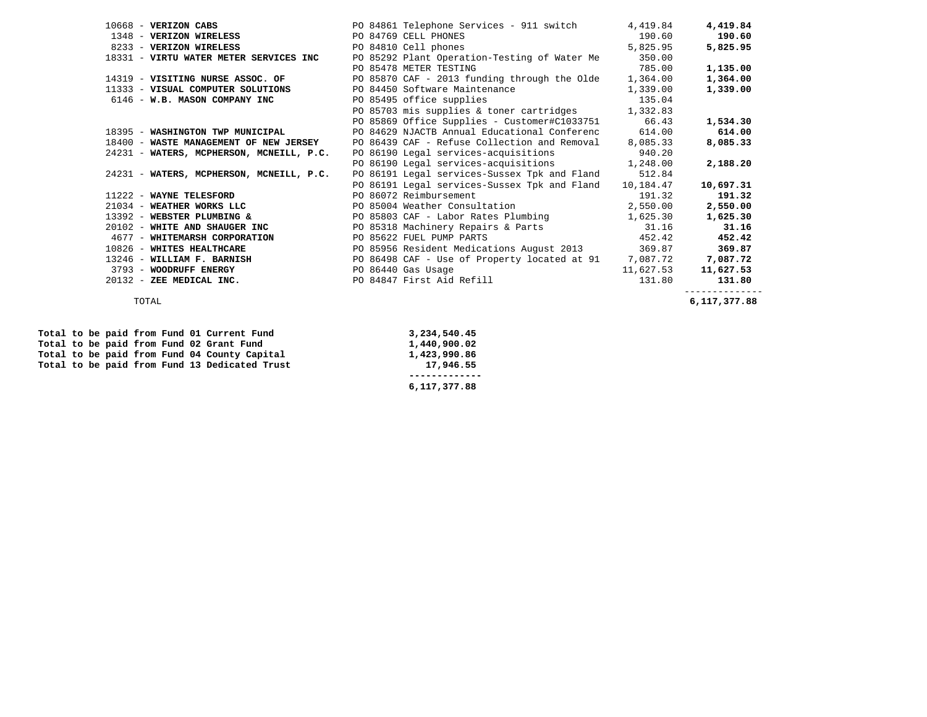| 10668 - VERIZON CABS                     | PO 84861 Telephone Services - 911 switch           | 4,419.84  | 4,419.84       |
|------------------------------------------|----------------------------------------------------|-----------|----------------|
| 1348 - VERIZON WIRELESS                  | PO 84769 CELL PHONES                               | 190.60    | 190.60         |
| 8233 - VERIZON WIRELESS                  | PO 84810 Cell phones                               | 5,825.95  | 5,825.95       |
| 18331 - VIRTU WATER METER SERVICES INC   | PO 85292 Plant Operation-Testing of Water Me       | 350.00    |                |
|                                          | PO 85478 METER TESTING                             | 785.00    | 1,135.00       |
| 14319 - VISITING NURSE ASSOC. OF         | PO 85870 CAF - 2013 funding through the Olde       | 1,364.00  | 1,364.00       |
| 11333 - VISUAL COMPUTER SOLUTIONS        | PO 84450 Software Maintenance                      | 1,339.00  | 1,339.00       |
| 6146 - W.B. MASON COMPANY INC            | PO 85495 office supplies                           | 135.04    |                |
|                                          | PO 85703 mis supplies & toner cartridges 1,332.83  |           |                |
|                                          | PO 85869 Office Supplies - Customer#C1033751 66.43 |           | 1,534.30       |
| 18395 - WASHINGTON TWP MUNICIPAL         | PO 84629 NJACTB Annual Educational Conferenc       | 614.00    | 614.00         |
| 18400 - WASTE MANAGEMENT OF NEW JERSEY   | PO 86439 CAF - Refuse Collection and Removal       | 8,085.33  | 8,085.33       |
| 24231 - WATERS, MCPHERSON, MCNEILL, P.C. | PO 86190 Legal services-acquisitions               | 940.20    |                |
|                                          | PO 86190 Legal services-acquisitions 1,248.00      |           | 2,188.20       |
| 24231 - WATERS, MCPHERSON, MCNEILL, P.C. | PO 86191 Legal services-Sussex Tpk and Fland       | 512.84    |                |
|                                          | PO 86191 Legal services-Sussex Tpk and Fland       | 10,184.47 | 10,697.31      |
| 11222 - WAYNE TELESFORD                  | PO 86072 Reimbursement                             | 191.32    | 191.32         |
| 21034 - WEATHER WORKS LLC                | PO 85004 Weather Consultation                      | 2,550.00  | 2,550.00       |
| 13392 - WEBSTER PLUMBING &               | PO 85803 CAF - Labor Rates Plumbing                | 1,625.30  | 1,625.30       |
| 20102 - WHITE AND SHAUGER INC            | PO 85318 Machinery Repairs & Parts                 | 31.16     | 31.16          |
| 4677 - WHITEMARSH CORPORATION            | PO 85622 FUEL PUMP PARTS                           | 452.42    | 452.42         |
| 10826 - WHITES HEALTHCARE                | PO 85956 Resident Medications August 2013          | 369.87    | 369.87         |
| 13246 - WILLIAM F. BARNISH               | PO 86498 CAF - Use of Property located at 91       | 7,087.72  | 7,087.72       |
| 3793 - WOODRUFF ENERGY                   | PO 86440 Gas Usage                                 | 11,627.53 | 11,627.53      |
| 20132 - ZEE MEDICAL INC.                 | PO 84847 First Aid Refill                          | 131.80    | 131.80         |
|                                          |                                                    |           | -------------- |

| Total to be paid from Fund 01 Current Fund    | 3,234,540.45 |
|-----------------------------------------------|--------------|
| Total to be paid from Fund 02 Grant Fund      | 1,440,900.02 |
| Total to be paid from Fund 04 County Capital  | 1,423,990.86 |
| Total to be paid from Fund 13 Dedicated Trust | 17,946.55    |
|                                               |              |
|                                               | 6,117,377.88 |

TOTAL **6,117,377.88**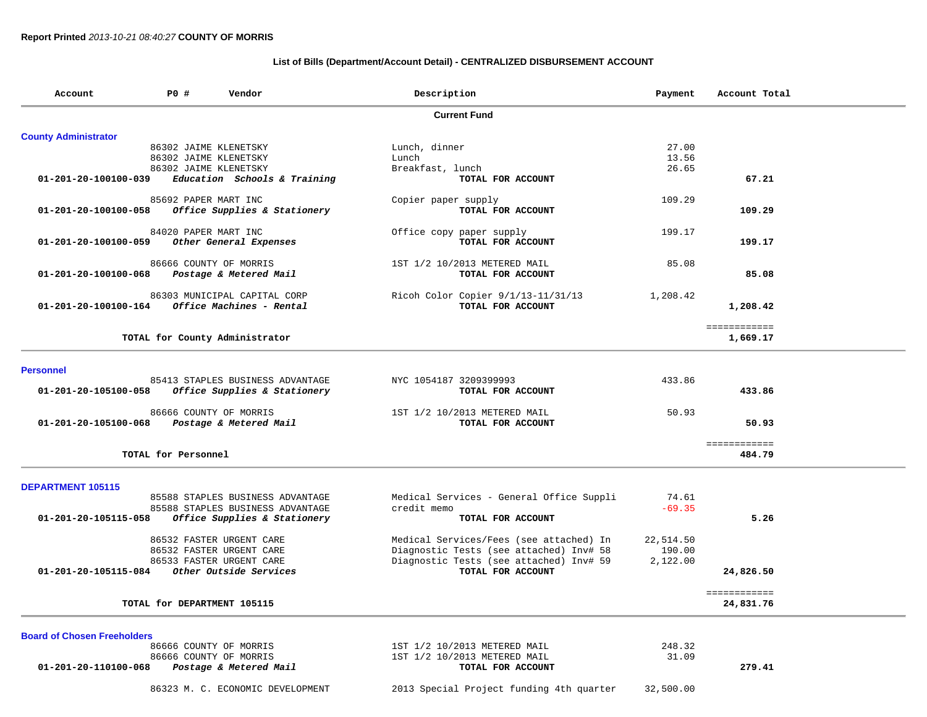### **List of Bills (Department/Account Detail) - CENTRALIZED DISBURSEMENT ACCOUNT**

| Account                            | P0 #                  | Vendor                           | Description                                             | Payment   | Account Total |
|------------------------------------|-----------------------|----------------------------------|---------------------------------------------------------|-----------|---------------|
|                                    |                       |                                  | <b>Current Fund</b>                                     |           |               |
| <b>County Administrator</b>        |                       |                                  |                                                         |           |               |
|                                    | 86302 JAIME KLENETSKY |                                  | Lunch, dinner                                           | 27.00     |               |
|                                    | 86302 JAIME KLENETSKY |                                  | Lunch                                                   | 13.56     |               |
|                                    | 86302 JAIME KLENETSKY |                                  | Breakfast, lunch                                        | 26.65     |               |
| 01-201-20-100100-039               |                       | Education Schools & Training     | TOTAL FOR ACCOUNT                                       |           | 67.21         |
|                                    | 85692 PAPER MART INC  |                                  | Copier paper supply                                     | 109.29    |               |
| 01-201-20-100100-058               |                       | Office Supplies & Stationery     | TOTAL FOR ACCOUNT                                       |           | 109.29        |
|                                    | 84020 PAPER MART INC  |                                  | Office copy paper supply                                | 199.17    |               |
| 01-201-20-100100-059               |                       | Other General Expenses           | TOTAL FOR ACCOUNT                                       |           | 199.17        |
|                                    |                       | 86666 COUNTY OF MORRIS           | 1ST 1/2 10/2013 METERED MAIL                            | 85.08     |               |
| 01-201-20-100100-068               |                       | Postage & Metered Mail           | TOTAL FOR ACCOUNT                                       |           | 85.08         |
|                                    |                       | 86303 MUNICIPAL CAPITAL CORP     |                                                         | 1,208.42  |               |
| 01-201-20-100100-164               |                       | Office Machines - Rental         | Ricoh Color Copier 9/1/13-11/31/13<br>TOTAL FOR ACCOUNT |           | 1,208.42      |
|                                    |                       |                                  |                                                         |           | ============  |
|                                    |                       | TOTAL for County Administrator   |                                                         |           | 1,669.17      |
| <b>Personnel</b>                   |                       |                                  |                                                         |           |               |
|                                    |                       | 85413 STAPLES BUSINESS ADVANTAGE | NYC 1054187 3209399993                                  | 433.86    |               |
| 01-201-20-105100-058               |                       | Office Supplies & Stationery     | TOTAL FOR ACCOUNT                                       |           | 433.86        |
|                                    |                       | 86666 COUNTY OF MORRIS           | 1ST 1/2 10/2013 METERED MAIL                            | 50.93     |               |
| 01-201-20-105100-068               |                       | Postage & Metered Mail           | TOTAL FOR ACCOUNT                                       |           | 50.93         |
|                                    |                       |                                  |                                                         |           | ============  |
|                                    | TOTAL for Personnel   |                                  |                                                         |           | 484.79        |
| DEPARTMENT 105115                  |                       |                                  |                                                         |           |               |
|                                    |                       | 85588 STAPLES BUSINESS ADVANTAGE | Medical Services - General Office Suppli                | 74.61     |               |
|                                    |                       | 85588 STAPLES BUSINESS ADVANTAGE | credit memo                                             | $-69.35$  |               |
| 01-201-20-105115-058               |                       | Office Supplies & Stationery     | TOTAL FOR ACCOUNT                                       |           | 5.26          |
|                                    |                       | 86532 FASTER URGENT CARE         | Medical Services/Fees (see attached) In                 | 22,514.50 |               |
|                                    |                       | 86532 FASTER URGENT CARE         | Diagnostic Tests (see attached) Inv# 58                 | 190.00    |               |
|                                    |                       | 86533 FASTER URGENT CARE         | Diagnostic Tests (see attached) Inv# 59                 | 2,122.00  |               |
| 01-201-20-105115-084               |                       | Other Outside Services           | TOTAL FOR ACCOUNT                                       |           | 24,826.50     |
|                                    |                       |                                  |                                                         |           | ============  |
|                                    |                       | TOTAL for DEPARTMENT 105115      |                                                         |           | 24,831.76     |
| <b>Board of Chosen Freeholders</b> |                       |                                  |                                                         |           |               |
|                                    |                       | 86666 COUNTY OF MORRIS           | 1ST 1/2 10/2013 METERED MAIL                            | 248.32    |               |
|                                    |                       | 86666 COUNTY OF MORRIS           | 1ST 1/2 10/2013 METERED MAIL                            | 31.09     |               |
| 01-201-20-110100-068               |                       | Postage & Metered Mail           | TOTAL FOR ACCOUNT                                       |           | 279.41        |
|                                    |                       | 86323 M. C. ECONOMIC DEVELOPMENT | 2013 Special Project funding 4th quarter                | 32,500.00 |               |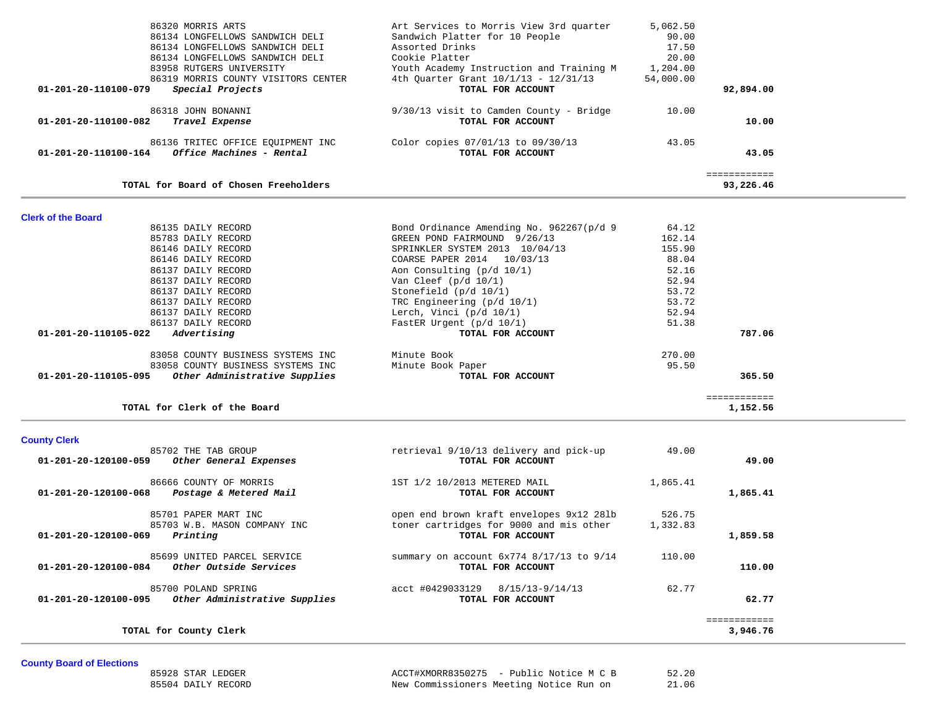| 86134 LONGFELLOWS SANDWICH DELI<br>86134 LONGFELLOWS SANDWICH DELI | Sandwich Platter for 10 People<br>Assorted Drinks | 90.00<br>17.50 |                           |  |
|--------------------------------------------------------------------|---------------------------------------------------|----------------|---------------------------|--|
| 86134 LONGFELLOWS SANDWICH DELI                                    | Cookie Platter                                    | 20.00          |                           |  |
| 83958 RUTGERS UNIVERSITY                                           | Youth Academy Instruction and Training M          | 1,204.00       |                           |  |
| 86319 MORRIS COUNTY VISITORS CENTER                                | 4th Quarter Grant 10/1/13 - 12/31/13              | 54,000.00      |                           |  |
| Special Projects<br>01-201-20-110100-079                           | TOTAL FOR ACCOUNT                                 |                | 92,894.00                 |  |
| 86318 JOHN BONANNI                                                 | 9/30/13 visit to Camden County - Bridge           | 10.00          |                           |  |
| 01-201-20-110100-082 Travel Expense                                | TOTAL FOR ACCOUNT                                 |                | 10.00                     |  |
| 86136 TRITEC OFFICE EQUIPMENT INC                                  | Color copies 07/01/13 to 09/30/13                 | 43.05          |                           |  |
| 01-201-20-110100-164 Office Machines - Rental                      | TOTAL FOR ACCOUNT                                 |                | 43.05                     |  |
| TOTAL for Board of Chosen Freeholders                              |                                                   |                | ============<br>93,226.46 |  |
|                                                                    |                                                   |                |                           |  |
| <b>Clerk of the Board</b>                                          |                                                   |                |                           |  |
| 86135 DAILY RECORD                                                 | Bond Ordinance Amending No. 962267(p/d 9          | 64.12          |                           |  |
| 85783 DAILY RECORD                                                 | GREEN POND FAIRMOUND 9/26/13                      | 162.14         |                           |  |
| 86146 DAILY RECORD                                                 | SPRINKLER SYSTEM 2013 10/04/13                    | 155.90         |                           |  |
| 86146 DAILY RECORD                                                 | COARSE PAPER 2014 10/03/13                        | 88.04          |                           |  |
| 86137 DAILY RECORD                                                 | Aon Consulting (p/d 10/1)                         | 52.16          |                           |  |
| 86137 DAILY RECORD                                                 | Van Cleef $(p/d 10/1)$                            | 52.94          |                           |  |
| 86137 DAILY RECORD                                                 | Stonefield (p/d 10/1)                             | 53.72          |                           |  |
| 86137 DAILY RECORD                                                 | TRC Engineering (p/d 10/1)                        | 53.72          |                           |  |
| 86137 DAILY RECORD                                                 | Lerch, Vinci $(p/d 10/1)$                         | 52.94          |                           |  |
| 86137 DAILY RECORD                                                 | FastER Urgent (p/d 10/1)                          | 51.38          |                           |  |
| 01-201-20-110105-022 Advertising                                   | TOTAL FOR ACCOUNT                                 |                | 787.06                    |  |
| 83058 COUNTY BUSINESS SYSTEMS INC                                  | Minute Book                                       | 270.00         |                           |  |
| 83058 COUNTY BUSINESS SYSTEMS INC                                  | Minute Book Paper                                 | 95.50          |                           |  |
| 01-201-20-110105-095 Other Administrative Supplies                 | TOTAL FOR ACCOUNT                                 |                | 365.50                    |  |
| TOTAL for Clerk of the Board                                       |                                                   |                | ============<br>1,152.56  |  |
|                                                                    |                                                   |                |                           |  |
| <b>County Clerk</b>                                                |                                                   |                |                           |  |
| 85702 THE TAB GROUP                                                | retrieval 9/10/13 delivery and pick-up            | 49.00          |                           |  |
| 01-201-20-120100-059 Other General Expenses                        | TOTAL FOR ACCOUNT                                 |                | 49.00                     |  |
| 86666 COUNTY OF MORRIS                                             | 1ST 1/2 10/2013 METERED MAIL                      | 1,865.41       |                           |  |
| 01-201-20-120100-068 Postage & Metered Mail                        | TOTAL FOR ACCOUNT                                 |                | 1,865.41                  |  |
| 85701 PAPER MART INC                                               | open end brown kraft envelopes 9x12 281b          | 526.75         |                           |  |
| 85703 W.B. MASON COMPANY INC                                       | toner cartridges for 9000 and mis other           | 1,332.83       |                           |  |
| 01-201-20-120100-069<br>Printing                                   | TOTAL FOR ACCOUNT                                 |                | 1,859.58                  |  |
| 85699 UNITED PARCEL SERVICE                                        | summary on account 6x774 8/17/13 to 9/14          | 110.00         |                           |  |
| <i>Other Outside Services</i><br>01-201-20-120100-084              | TOTAL FOR ACCOUNT                                 |                | 110.00                    |  |
| 85700 POLAND SPRING                                                | acct #0429033129 8/15/13-9/14/13                  | 62.77          |                           |  |
| Other Administrative Supplies<br>01-201-20-120100-095              | TOTAL FOR ACCOUNT                                 |                | 62.77                     |  |
|                                                                    |                                                   |                | ============              |  |
| TOTAL for County Clerk                                             |                                                   |                | 3,946.76                  |  |

86320 MORRIS ARTS Art Services to Morris View 3rd quarter 5,062.50

**County Board of Elections**

85928 STAR LEDGER **ACCT#XMORR8350275** - Public Notice M C B 52.20 85504 DAILY RECORD New Commissioners Meeting Notice Run on 21.06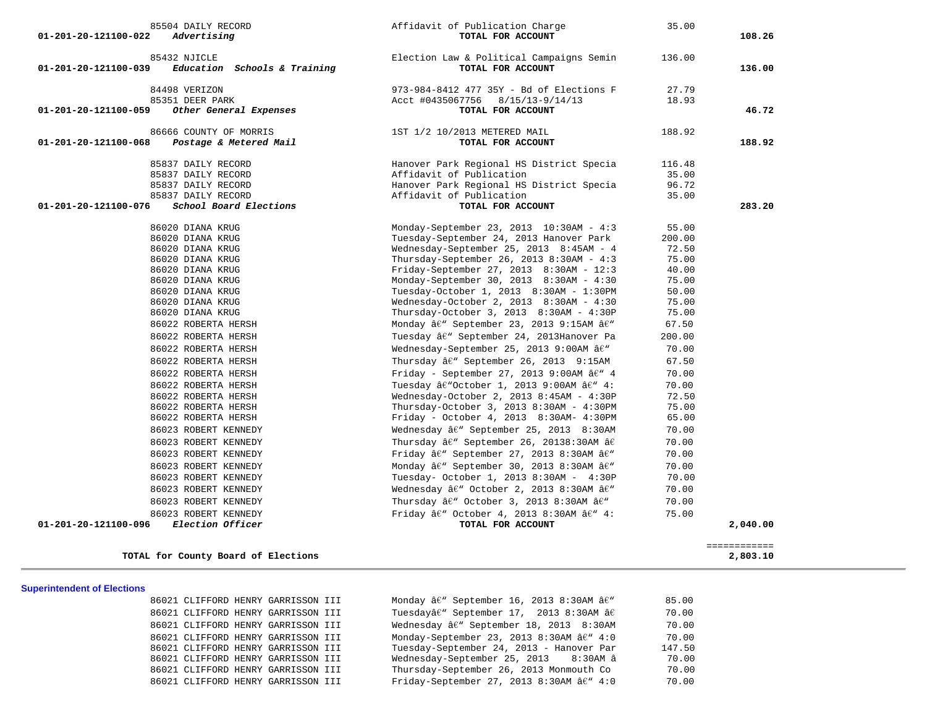| 01-201-20-121100-022 | 85504 DAILY RECORD<br>Advertising            | Affidavit of Publication Charge<br>TOTAL FOR ACCOUNT                                 | 35.00  | 108.26   |
|----------------------|----------------------------------------------|--------------------------------------------------------------------------------------|--------|----------|
| 01-201-20-121100-039 | 85432 NJICLE<br>Education Schools & Training | Election Law & Political Campaigns Semin<br>TOTAL FOR ACCOUNT                        | 136.00 | 136.00   |
|                      | 84498 VERIZON                                | 973-984-8412 477 35Y - Bd of Elections F                                             | 27.79  |          |
|                      | 85351 DEER PARK                              | Acct #0435067756<br>8/15/13-9/14/13                                                  | 18.93  |          |
| 01-201-20-121100-059 | Other General Expenses                       | TOTAL FOR ACCOUNT                                                                    |        | 46.72    |
|                      | 86666 COUNTY OF MORRIS                       | 1ST 1/2 10/2013 METERED MAIL                                                         | 188.92 |          |
| 01-201-20-121100-068 | Postage & Metered Mail                       | TOTAL FOR ACCOUNT                                                                    |        | 188.92   |
|                      | 85837 DAILY RECORD                           | Hanover Park Regional HS District Specia                                             | 116.48 |          |
|                      | 85837 DAILY RECORD                           | Affidavit of Publication                                                             | 35.00  |          |
|                      | 85837 DAILY RECORD                           | Hanover Park Regional HS District Specia                                             | 96.72  |          |
|                      | 85837 DAILY RECORD                           | Affidavit of Publication                                                             | 35.00  |          |
| 01-201-20-121100-076 | School Board Elections                       | TOTAL FOR ACCOUNT                                                                    |        | 283.20   |
|                      | 86020 DIANA KRUG                             | Monday-September 23, 2013 10:30AM - 4:3                                              | 55.00  |          |
|                      | 86020 DIANA KRUG                             | Tuesday-September 24, 2013 Hanover Park                                              | 200.00 |          |
|                      | 86020 DIANA KRUG                             | Wednesday-September 25, 2013 8:45AM - 4                                              | 72.50  |          |
|                      | 86020 DIANA KRUG                             | Thursday-September 26, 2013 $8:30AM - 4:3$                                           | 75.00  |          |
|                      | 86020 DIANA KRUG                             | Friday-September 27, 2013 8:30AM - 12:3                                              | 40.00  |          |
|                      | 86020 DIANA KRUG                             | Monday-September 30, 2013 8:30AM - 4:30                                              | 75.00  |          |
|                      | 86020 DIANA KRUG                             | Tuesday-October 1, 2013 8:30AM - 1:30PM                                              | 50.00  |          |
|                      | 86020 DIANA KRUG                             | Wednesday-October 2, 2013 8:30AM - 4:30                                              | 75.00  |          |
|                      | 86020 DIANA KRUG                             | Thursday-October 3, 2013 8:30AM - 4:30P                                              | 75.00  |          |
|                      | 86022 ROBERTA HERSH                          | Monday â€" September 23, 2013 9:15AM â€"                                             | 67.50  |          |
|                      | 86022 ROBERTA HERSH                          | Tuesday â€" September 24, 2013Hanover Pa                                             | 200.00 |          |
|                      | 86022 ROBERTA HERSH                          | Wednesday-September 25, 2013 9:00AM â€"                                              | 70.00  |          |
|                      | 86022 ROBERTA HERSH                          | Thursday $\hat{a}\hat{\epsilon}$ " September 26, 2013 9:15AM                         | 67.50  |          |
|                      | 86022 ROBERTA HERSH                          | Friday - September 27, 2013 9:00AM $âf''$ 4                                          | 70.00  |          |
|                      | 86022 ROBERTA HERSH                          | Tuesday †"October 1, 2013 9:00AM †" 4:                                               | 70.00  |          |
|                      | 86022 ROBERTA HERSH                          | Wednesday-October 2, 2013 8:45AM - 4:30P                                             | 72.50  |          |
|                      | 86022 ROBERTA HERSH                          | Thursday-October 3, 2013 8:30AM - 4:30PM                                             | 75.00  |          |
|                      | 86022 ROBERTA HERSH                          | Friday - October 4, 2013 8:30AM- 4:30PM                                              | 65.00  |          |
|                      | 86023 ROBERT KENNEDY                         | Wednesday â€" September 25, 2013 8:30AM                                              | 70.00  |          |
|                      | 86023 ROBERT KENNEDY                         | Thursday â€" September 26, 20138:30AM â€                                             | 70.00  |          |
|                      | 86023 ROBERT KENNEDY                         | Friday â€" September 27, 2013 8:30AM â€"                                             | 70.00  |          |
|                      | 86023 ROBERT KENNEDY                         | Monday â€" September 30, 2013 8:30AM â€"                                             | 70.00  |          |
|                      | 86023 ROBERT KENNEDY                         | Tuesday- October 1, 2013 8:30AM - 4:30P                                              | 70.00  |          |
|                      | 86023 ROBERT KENNEDY                         | Wednesday â€" October 2, 2013 8:30AM â€"                                             | 70.00  |          |
|                      | 86023 ROBERT KENNEDY                         | Thursday $\hat{a}\hat{\epsilon}$ " October 3, 2013 8:30AM $\hat{a}\hat{\epsilon}$ "  | 70.00  |          |
|                      | 86023 ROBERT KENNEDY                         | Friday $\hat{a}\hat{\epsilon}$ " October 4, 2013 8:30AM $\hat{a}\hat{\epsilon}$ " 4: | 75.00  |          |
| 01-201-20-121100-096 | Election Officer                             | TOTAL FOR ACCOUNT                                                                    |        | 2,040.00 |
|                      |                                              |                                                                                      |        |          |

### **TOTAL for County Board of Elections 2,803.10**

============

**Superintendent of Elections**

86021 CLIFFORD HENRY GARRISSON III Monday â $\ell$ " September 16, 2013 8:30AM â $\ell$ " 85.00 86021 CLIFFORD HENRY GARRISSON III Tuesdayâ€" September 17, 2013 8:30AM â€ 70.00 86021 CLIFFORD HENRY GARRISSON III Wednesday â€" September 18, 2013 8:30AM 70.00 86021 CLIFFORD HENRY GARRISSON III Monday-September 23, 2013 8:30AM â€" 4:0 70.00 86021 CLIFFORD HENRY GARRISSON III Tuesday-September 24, 2013 - Hanover Par 147.50 86021 CLIFFORD HENRY GARRISSON III Wednesday-September 25, 2013 8:30AM â 70.00 86021 CLIFFORD HENRY GARRISSON III Thursday-September 26, 2013 Monmouth Co 70.00 86021 CLIFFORD HENRY GARRISSON III Friday-September 27, 2013 8:30AM â€" 4:0 70.00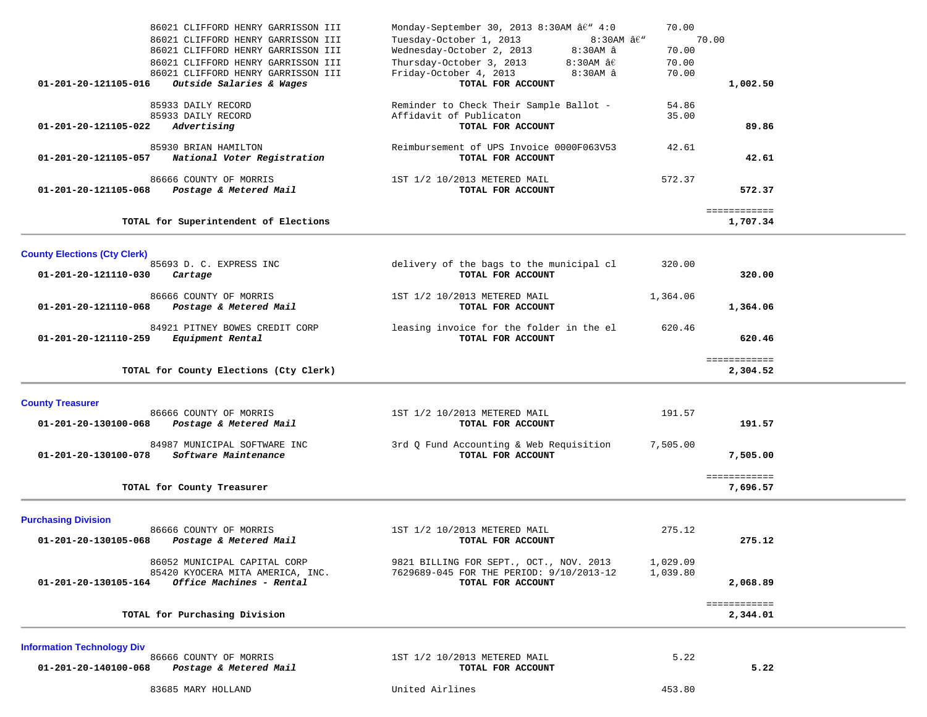| 86021 CLIFFORD HENRY GARRISSON III<br>86021 CLIFFORD HENRY GARRISSON III<br>86021 CLIFFORD HENRY GARRISSON III<br>86021 CLIFFORD HENRY GARRISSON III<br>86021 CLIFFORD HENRY GARRISSON III | Monday-September 30, 2013 8:30AM â€" 4:0<br>Tuesday-October 1, 2013<br>$8:30AM$ $âf''$<br>Wednesday-October 2, 2013<br>8:30AM â<br>Thursday-October 3, 2013<br>8:30AM $\mathsf{\hat{a}} \mathsf{\hat{E}}$<br>Friday-October 4, 2013<br>8:30AM â | 70.00<br>70.00<br>70.00<br>70.00 | 70.00                    |  |
|--------------------------------------------------------------------------------------------------------------------------------------------------------------------------------------------|-------------------------------------------------------------------------------------------------------------------------------------------------------------------------------------------------------------------------------------------------|----------------------------------|--------------------------|--|
| Outside Salaries & Wages<br>01-201-20-121105-016                                                                                                                                           | TOTAL FOR ACCOUNT                                                                                                                                                                                                                               |                                  | 1,002.50                 |  |
| 85933 DAILY RECORD<br>85933 DAILY RECORD<br>01-201-20-121105-022<br>Advertising                                                                                                            | Reminder to Check Their Sample Ballot -<br>Affidavit of Publicaton<br>TOTAL FOR ACCOUNT                                                                                                                                                         | 54.86<br>35.00                   | 89.86                    |  |
| 85930 BRIAN HAMILTON<br>National Voter Registration<br>01-201-20-121105-057                                                                                                                | Reimbursement of UPS Invoice 0000F063V53<br>TOTAL FOR ACCOUNT                                                                                                                                                                                   | 42.61                            | 42.61                    |  |
| 86666 COUNTY OF MORRIS<br>Postage & Metered Mail<br>01-201-20-121105-068                                                                                                                   | 1ST 1/2 10/2013 METERED MAIL<br>TOTAL FOR ACCOUNT                                                                                                                                                                                               | 572.37                           | 572.37                   |  |
| TOTAL for Superintendent of Elections                                                                                                                                                      |                                                                                                                                                                                                                                                 |                                  | ============<br>1,707.34 |  |
| <b>County Elections (Cty Clerk)</b><br>85693 D. C. EXPRESS INC<br>01-201-20-121110-030<br>Cartage                                                                                          | delivery of the bags to the municipal cl<br>TOTAL FOR ACCOUNT                                                                                                                                                                                   | 320.00                           | 320.00                   |  |
| 86666 COUNTY OF MORRIS<br>01-201-20-121110-068<br>Postage & Metered Mail                                                                                                                   | 1ST 1/2 10/2013 METERED MAIL<br>TOTAL FOR ACCOUNT                                                                                                                                                                                               | 1,364.06                         | 1,364.06                 |  |
| 84921 PITNEY BOWES CREDIT CORP<br>01-201-20-121110-259<br>Equipment Rental                                                                                                                 | leasing invoice for the folder in the el<br>TOTAL FOR ACCOUNT                                                                                                                                                                                   | 620.46                           | 620.46                   |  |
|                                                                                                                                                                                            |                                                                                                                                                                                                                                                 |                                  |                          |  |
| TOTAL for County Elections (Cty Clerk)                                                                                                                                                     |                                                                                                                                                                                                                                                 |                                  | ============<br>2,304.52 |  |
| <b>County Treasurer</b><br>86666 COUNTY OF MORRIS<br>01-201-20-130100-068<br>Postage & Metered Mail                                                                                        | 1ST 1/2 10/2013 METERED MAIL<br>TOTAL FOR ACCOUNT                                                                                                                                                                                               | 191.57                           | 191.57                   |  |
| 84987 MUNICIPAL SOFTWARE INC<br>Software Maintenance<br>01-201-20-130100-078                                                                                                               | 3rd Q Fund Accounting & Web Requisition<br>TOTAL FOR ACCOUNT                                                                                                                                                                                    | 7,505.00                         | 7,505.00                 |  |
| TOTAL for County Treasurer                                                                                                                                                                 |                                                                                                                                                                                                                                                 |                                  | ============<br>7,696.57 |  |
| <b>Purchasing Division</b><br>86666 COUNTY OF MORRIS<br>01-201-20-130105-068<br>Postage & Metered Mail                                                                                     | 1ST 1/2 10/2013 METERED MAIL<br>TOTAL FOR ACCOUNT                                                                                                                                                                                               | 275.12                           | 275.12                   |  |
| 86052 MUNICIPAL CAPITAL CORP<br>85420 KYOCERA MITA AMERICA, INC.<br>01-201-20-130105-164<br>Office Machines - Rental                                                                       | 9821 BILLING FOR SEPT., OCT., NOV. 2013<br>7629689-045 FOR THE PERIOD: 9/10/2013-12<br>TOTAL FOR ACCOUNT                                                                                                                                        | 1,029.09<br>1,039.80             | 2,068.89                 |  |
| TOTAL for Purchasing Division                                                                                                                                                              |                                                                                                                                                                                                                                                 |                                  | ============<br>2,344.01 |  |
| <b>Information Technology Div</b><br>86666 COUNTY OF MORRIS<br>01-201-20-140100-068<br>Postage & Metered Mail                                                                              | 1ST 1/2 10/2013 METERED MAIL<br>TOTAL FOR ACCOUNT                                                                                                                                                                                               | 5.22                             | 5.22                     |  |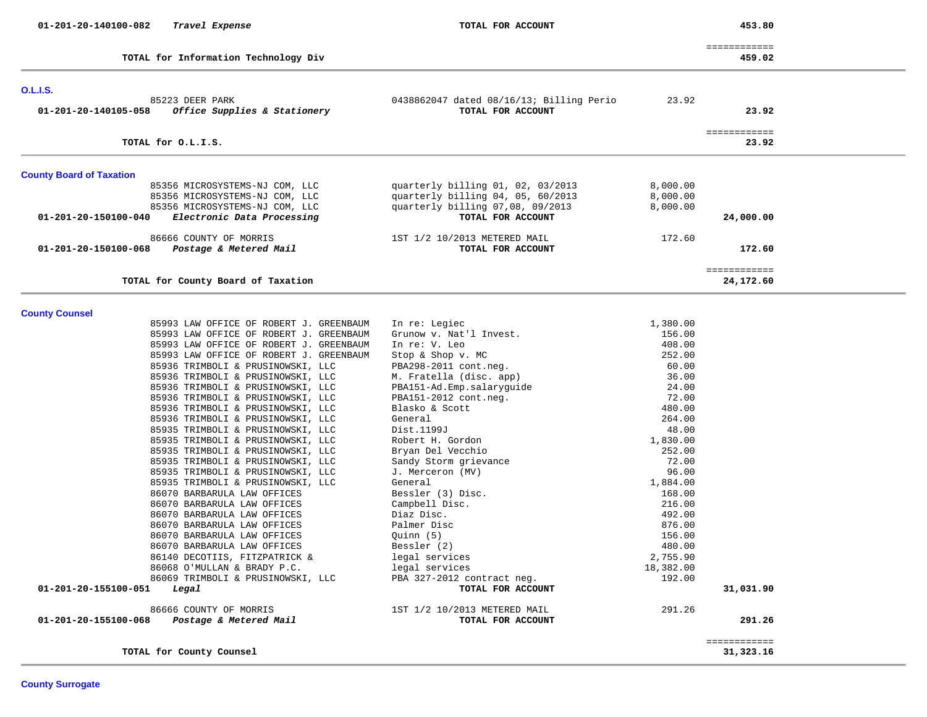| 01-201-20-140100-082 | Travel Expense |  |
|----------------------|----------------|--|
|----------------------|----------------|--|

**TOTAL for Information Technology Div 459.02**

 **01-201-20-140100-082** *Travel Expense* **TOTAL FOR ACCOUNT 453.80**

| -------------<br>____________ |                                      |
|-------------------------------|--------------------------------------|
| 459.02                        | TOTAL for Information Technology Div |

|  | 459 |  |
|--|-----|--|
|  |     |  |

| <b>O.L.I.S.</b>                                                                                                                                          |                                                                                                                                 |                                  |                           |
|----------------------------------------------------------------------------------------------------------------------------------------------------------|---------------------------------------------------------------------------------------------------------------------------------|----------------------------------|---------------------------|
| 85223 DEER PARK<br>Office Supplies & Stationery<br>01-201-20-140105-058                                                                                  | 0438862047 dated 08/16/13; Billing Perio<br>TOTAL FOR ACCOUNT                                                                   | 23.92                            | 23.92                     |
| TOTAL for O.L.I.S.                                                                                                                                       |                                                                                                                                 |                                  | ============<br>23.92     |
|                                                                                                                                                          |                                                                                                                                 |                                  |                           |
| <b>County Board of Taxation</b>                                                                                                                          |                                                                                                                                 |                                  |                           |
| 85356 MICROSYSTEMS-NJ COM, LLC<br>85356 MICROSYSTEMS-NJ COM, LLC<br>85356 MICROSYSTEMS-NJ COM, LLC<br>01-201-20-150100-040<br>Electronic Data Processing | quarterly billing 01, 02, 03/2013<br>quarterly billing 04, 05, 60/2013<br>quarterly billing 07,08, 09/2013<br>TOTAL FOR ACCOUNT | 8,000.00<br>8,000.00<br>8,000.00 | 24,000.00                 |
| 86666 COUNTY OF MORRIS<br>01-201-20-150100-068<br>Postage & Metered Mail                                                                                 | 1ST 1/2 10/2013 METERED MAIL<br>TOTAL FOR ACCOUNT                                                                               | 172.60                           | 172.60                    |
| TOTAL for County Board of Taxation                                                                                                                       |                                                                                                                                 |                                  | ============<br>24,172.60 |
| <b>County Counsel</b>                                                                                                                                    |                                                                                                                                 |                                  |                           |
| 85993 LAW OFFICE OF ROBERT J. GREENBAUM                                                                                                                  | In re: Legiec                                                                                                                   | 1,380.00                         |                           |
| 85993 LAW OFFICE OF ROBERT J. GREENBAUM                                                                                                                  | Grunow v. Nat'l Invest.                                                                                                         | 156.00                           |                           |
| 85993 LAW OFFICE OF ROBERT J. GREENBAUM                                                                                                                  | In re: V. Leo                                                                                                                   | 408.00                           |                           |
| 85993 LAW OFFICE OF ROBERT J. GREENBAUM                                                                                                                  | Stop & Shop v. MC                                                                                                               | 252.00                           |                           |
| 85936 TRIMBOLI & PRUSINOWSKI, LLC                                                                                                                        | PBA298-2011 cont.neg.                                                                                                           | 60.00                            |                           |
| 85936 TRIMBOLI & PRUSINOWSKI, LLC                                                                                                                        | M. Fratella (disc. app)                                                                                                         | 36.00                            |                           |
| 85936 TRIMBOLI & PRUSINOWSKI, LLC<br>85936 TRIMBOLI & PRUSINOWSKI, LLC                                                                                   | PBA151-Ad.Emp.salaryguide<br>PBA151-2012 cont.neg.                                                                              | 24.00<br>72.00                   |                           |
| 85936 TRIMBOLI & PRUSINOWSKI, LLC                                                                                                                        | Blasko & Scott                                                                                                                  | 480.00                           |                           |
| 85936 TRIMBOLI & PRUSINOWSKI, LLC                                                                                                                        | General                                                                                                                         | 264.00                           |                           |
| 85935 TRIMBOLI & PRUSINOWSKI, LLC                                                                                                                        | Dist.1199J                                                                                                                      | 48.00                            |                           |
| 85935 TRIMBOLI & PRUSINOWSKI, LLC                                                                                                                        | Robert H. Gordon                                                                                                                | 1,830.00                         |                           |
| 85935 TRIMBOLI & PRUSINOWSKI, LLC                                                                                                                        | Bryan Del Vecchio                                                                                                               | 252.00                           |                           |
| 85935 TRIMBOLI & PRUSINOWSKI, LLC                                                                                                                        | Sandy Storm grievance                                                                                                           | 72.00                            |                           |
| 85935 TRIMBOLI & PRUSINOWSKI, LLC                                                                                                                        | J. Merceron (MV)                                                                                                                | 96.00                            |                           |
| 85935 TRIMBOLI & PRUSINOWSKI, LLC                                                                                                                        | General                                                                                                                         | 1,884.00                         |                           |
| 86070 BARBARULA LAW OFFICES                                                                                                                              | Bessler (3) Disc.                                                                                                               | 168.00                           |                           |
| 86070 BARBARULA LAW OFFICES                                                                                                                              | Campbell Disc.                                                                                                                  | 216.00                           |                           |
| 86070 BARBARULA LAW OFFICES                                                                                                                              | Diaz Disc.                                                                                                                      | 492.00                           |                           |
| 86070 BARBARULA LAW OFFICES<br>86070 BARBARULA LAW OFFICES                                                                                               | Palmer Disc                                                                                                                     | 876.00                           |                           |
| 86070 BARBARULA LAW OFFICES                                                                                                                              | Quinn (5)<br>Bessler (2)                                                                                                        | 156.00<br>480.00                 |                           |
| 86140 DECOTIIS, FITZPATRICK &                                                                                                                            | legal services                                                                                                                  | 2,755.90                         |                           |
| 86068 O'MULLAN & BRADY P.C.                                                                                                                              | legal services                                                                                                                  | 18,382.00                        |                           |
| 86069 TRIMBOLI & PRUSINOWSKI, LLC                                                                                                                        | PBA 327-2012 contract neg.                                                                                                      | 192.00                           |                           |
| 01-201-20-155100-051<br>Legal                                                                                                                            | TOTAL FOR ACCOUNT                                                                                                               |                                  | 31,031.90                 |
| 86666 COUNTY OF MORRIS<br>Postage & Metered Mail<br>01-201-20-155100-068                                                                                 | 1ST 1/2 10/2013 METERED MAIL<br>TOTAL FOR ACCOUNT                                                                               | 291.26                           | 291.26                    |
| TOTAL for County Counsel                                                                                                                                 |                                                                                                                                 |                                  | ============<br>31,323.16 |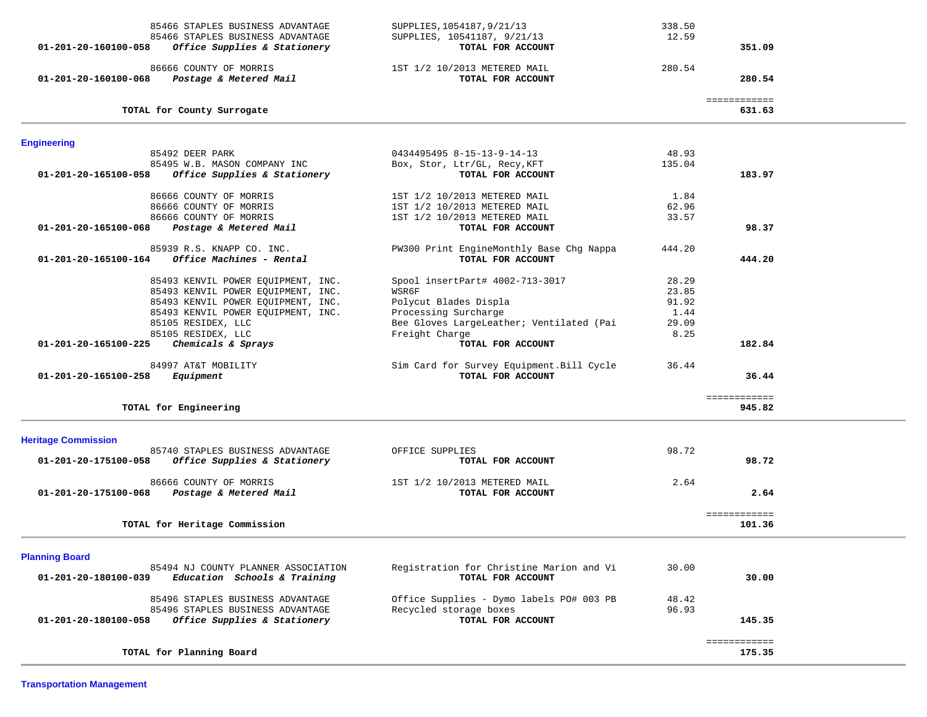| 85466 STAPLES BUSINESS ADVANTAGE<br>85466 STAPLES BUSINESS ADVANTAGE                        | SUPPLIES, 1054187, 9/21/13<br>SUPPLIES, 10541187, 9/21/13     | 338.50<br>12.59 |                        |  |
|---------------------------------------------------------------------------------------------|---------------------------------------------------------------|-----------------|------------------------|--|
| Office Supplies & Stationery<br>01-201-20-160100-058                                        | TOTAL FOR ACCOUNT                                             |                 | 351.09                 |  |
| 86666 COUNTY OF MORRIS                                                                      | 1ST 1/2 10/2013 METERED MAIL                                  | 280.54          |                        |  |
| Postage & Metered Mail<br>01-201-20-160100-068                                              | TOTAL FOR ACCOUNT                                             |                 | 280.54                 |  |
| TOTAL for County Surrogate                                                                  |                                                               |                 | ============<br>631.63 |  |
|                                                                                             |                                                               |                 |                        |  |
| <b>Engineering</b>                                                                          | 0434495495 8-15-13-9-14-13                                    | 48.93           |                        |  |
| 85492 DEER PARK<br>85495 W.B. MASON COMPANY INC                                             | Box, Stor, Ltr/GL, Recy, KFT                                  | 135.04          |                        |  |
| Office Supplies & Stationery<br>01-201-20-165100-058                                        | TOTAL FOR ACCOUNT                                             |                 | 183.97                 |  |
| 86666 COUNTY OF MORRIS                                                                      | 1ST 1/2 10/2013 METERED MAIL                                  | 1.84            |                        |  |
| 86666 COUNTY OF MORRIS                                                                      | 1ST 1/2 10/2013 METERED MAIL                                  | 62.96           |                        |  |
| 86666 COUNTY OF MORRIS                                                                      | 1ST 1/2 10/2013 METERED MAIL                                  | 33.57           |                        |  |
| 01-201-20-165100-068<br>Postage & Metered Mail                                              | TOTAL FOR ACCOUNT                                             |                 | 98.37                  |  |
| 85939 R.S. KNAPP CO. INC.                                                                   | PW300 Print EngineMonthly Base Chg Nappa                      | 444.20          |                        |  |
| Office Machines - Rental<br>01-201-20-165100-164                                            | TOTAL FOR ACCOUNT                                             |                 | 444.20                 |  |
| 85493 KENVIL POWER EQUIPMENT, INC.                                                          | Spool insertPart# 4002-713-3017                               | 28.29           |                        |  |
| 85493 KENVIL POWER EQUIPMENT, INC.                                                          | WSR6F                                                         | 23.85           |                        |  |
| 85493 KENVIL POWER EQUIPMENT, INC.                                                          | Polycut Blades Displa                                         | 91.92           |                        |  |
| 85493 KENVIL POWER EQUIPMENT, INC.                                                          | Processing Surcharge                                          | 1.44            |                        |  |
| 85105 RESIDEX, LLC                                                                          | Bee Gloves LargeLeather; Ventilated (Pai                      | 29.09           |                        |  |
| 85105 RESIDEX, LLC                                                                          | Freight Charge                                                | 8.25            |                        |  |
| Chemicals & Sprays<br>01-201-20-165100-225                                                  | TOTAL FOR ACCOUNT                                             |                 | 182.84                 |  |
| 84997 AT&T MOBILITY                                                                         | Sim Card for Survey Equipment. Bill Cycle                     | 36.44           |                        |  |
| 01-201-20-165100-258<br>Equipment                                                           | TOTAL FOR ACCOUNT                                             |                 | 36.44                  |  |
|                                                                                             |                                                               |                 | ============           |  |
| TOTAL for Engineering                                                                       |                                                               |                 | 945.82                 |  |
|                                                                                             |                                                               |                 |                        |  |
| <b>Heritage Commission</b><br>85740 STAPLES BUSINESS ADVANTAGE                              | OFFICE SUPPLIES                                               | 98.72           |                        |  |
| 01-201-20-175100-058<br>Office Supplies & Stationery                                        | TOTAL FOR ACCOUNT                                             |                 | 98.72                  |  |
| 86666 COUNTY OF MORRIS                                                                      | 1ST 1/2 10/2013 METERED MAIL                                  | 2.64            |                        |  |
| Postage & Metered Mail<br>01-201-20-175100-068                                              | TOTAL FOR ACCOUNT                                             |                 | 2.64                   |  |
|                                                                                             |                                                               |                 | ============           |  |
| TOTAL for Heritage Commission                                                               |                                                               |                 | 101.36                 |  |
|                                                                                             |                                                               |                 |                        |  |
| <b>Planning Board</b>                                                                       |                                                               |                 |                        |  |
| 85494 NJ COUNTY PLANNER ASSOCIATION<br>Education Schools & Training<br>01-201-20-180100-039 | Registration for Christine Marion and Vi<br>TOTAL FOR ACCOUNT | 30.00           | 30.00                  |  |
|                                                                                             |                                                               |                 |                        |  |
| 85496 STAPLES BUSINESS ADVANTAGE<br>85496 STAPLES BUSINESS ADVANTAGE                        | Office Supplies - Dymo labels PO# 003 PB                      | 48.42           |                        |  |
| 01-201-20-180100-058<br>Office Supplies & Stationery                                        | Recycled storage boxes<br>TOTAL FOR ACCOUNT                   | 96.93           | 145.35                 |  |
|                                                                                             |                                                               |                 |                        |  |
|                                                                                             |                                                               |                 | ============           |  |
| TOTAL for Planning Board                                                                    |                                                               |                 | 175.35                 |  |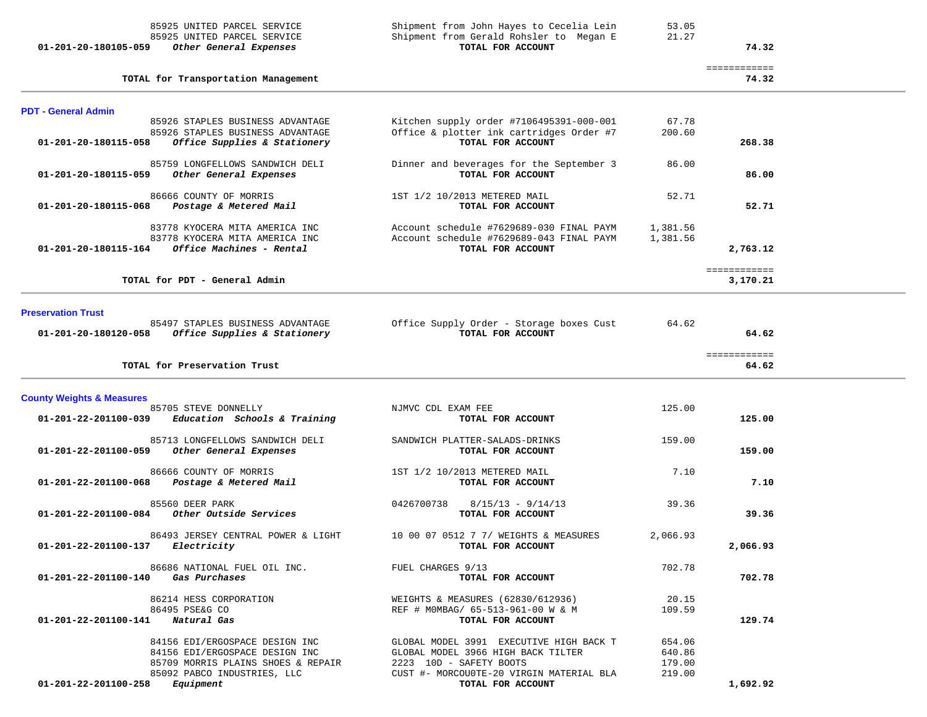| 85925 UNITED PARCEL SERVICE<br>01-201-20-180105-059 Other General Expenses                                                   | Shipment from Gerald Rohsler to Megan E<br>TOTAL FOR ACCOUNT                                              | 21.27                      | 74.32                    |  |
|------------------------------------------------------------------------------------------------------------------------------|-----------------------------------------------------------------------------------------------------------|----------------------------|--------------------------|--|
| TOTAL for Transportation Management                                                                                          |                                                                                                           |                            | ============<br>74.32    |  |
| <b>PDT - General Admin</b>                                                                                                   |                                                                                                           |                            |                          |  |
| 85926 STAPLES BUSINESS ADVANTAGE<br>85926 STAPLES BUSINESS ADVANTAGE<br>Office Supplies & Stationery<br>01-201-20-180115-058 | Kitchen supply order #7106495391-000-001<br>Office & plotter ink cartridges Order #7<br>TOTAL FOR ACCOUNT | 67.78<br>200.60            | 268.38                   |  |
| 85759 LONGFELLOWS SANDWICH DELI<br>Other General Expenses<br>01-201-20-180115-059                                            | Dinner and beverages for the September 3<br>TOTAL FOR ACCOUNT                                             | 86.00                      | 86.00                    |  |
| 86666 COUNTY OF MORRIS<br>01-201-20-180115-068 Postage & Metered Mail                                                        | 1ST 1/2 10/2013 METERED MAIL<br>TOTAL FOR ACCOUNT                                                         | 52.71                      | 52.71                    |  |
| 83778 KYOCERA MITA AMERICA INC<br>83778 KYOCERA MITA AMERICA INC<br>Office Machines - Rental<br>01-201-20-180115-164         | Account schedule #7629689-030 FINAL PAYM<br>Account schedule #7629689-043 FINAL PAYM<br>TOTAL FOR ACCOUNT | 1,381.56<br>1,381.56       | 2,763.12                 |  |
| TOTAL for PDT - General Admin                                                                                                |                                                                                                           |                            | ============<br>3,170.21 |  |
| <b>Preservation Trust</b><br>85497 STAPLES BUSINESS ADVANTAGE<br>01-201-20-180120-058 Office Supplies & Stationery           | Office Supply Order - Storage boxes Cust<br>TOTAL FOR ACCOUNT                                             | 64.62                      | 64.62                    |  |
| TOTAL for Preservation Trust                                                                                                 |                                                                                                           |                            | ============<br>64.62    |  |
| <b>County Weights &amp; Measures</b>                                                                                         |                                                                                                           |                            |                          |  |
| 85705 STEVE DONNELLY<br>Education Schools & Training<br>01-201-22-201100-039                                                 | NJMVC CDL EXAM FEE<br>TOTAL FOR ACCOUNT                                                                   | 125.00                     | 125.00                   |  |
| 85713 LONGFELLOWS SANDWICH DELI<br>01-201-22-201100-059 Other General Expenses                                               | SANDWICH PLATTER-SALADS-DRINKS<br>TOTAL FOR ACCOUNT                                                       | 159.00                     | 159.00                   |  |
| 86666 COUNTY OF MORRIS<br>Postage & Metered Mail<br>01-201-22-201100-068                                                     | 1ST 1/2 10/2013 METERED MAIL<br>TOTAL FOR ACCOUNT                                                         | 7.10                       | 7.10                     |  |
| 85560 DEER PARK<br>$01-201-22-201100-084$ Other Outside Services                                                             | $0426700738$ $8/15/13 - 9/14/13$<br>TOTAL FOR ACCOUNT                                                     | 39.36                      | 39.36                    |  |
| 86493 JERSEY CENTRAL POWER & LIGHT<br>01-201-22-201100-137<br><i>Electricity</i>                                             | 10 00 07 0512 7 7/ WEIGHTS & MEASURES<br>TOTAL FOR ACCOUNT                                                | 2,066.93                   | 2,066.93                 |  |
| 86686 NATIONAL FUEL OIL INC.<br>01-201-22-201100-140 Gas Purchases                                                           | FUEL CHARGES 9/13<br>TOTAL FOR ACCOUNT                                                                    | 702.78                     | 702.78                   |  |
| 86214 HESS CORPORATION<br>86495 PSE&G CO<br>01-201-22-201100-141 Natural Gas                                                 | WEIGHTS & MEASURES (62830/612936)<br>REF # MOMBAG/ 65-513-961-00 W & M<br>TOTAL FOR ACCOUNT               | 20.15<br>109.59            | 129.74                   |  |
| 84156 EDI/ERGOSPACE DESIGN INC<br>84156 EDI/ERGOSPACE DESIGN INC<br>85709 MORRIS PLAINS SHOES & REPAIR                       | GLOBAL MODEL 3991 EXECUTIVE HIGH BACK T<br>GLOBAL MODEL 3966 HIGH BACK TILTER<br>2223 10D - SAFETY BOOTS  | 654.06<br>640.86<br>179.00 |                          |  |
| 85092 PABCO INDUSTRIES, LLC<br>$01 - 201 - 22 - 201100 - 258$ Equipment                                                      | CUST #- MORCOUOTE-20 VIRGIN MATERIAL BLA<br>TOTAL FOR ACCOUNT                                             | 219.00                     | 1,692.92                 |  |

85925 UNITED PARCEL SERVICE Shipment from John Hayes to Cecelia Lein 53.05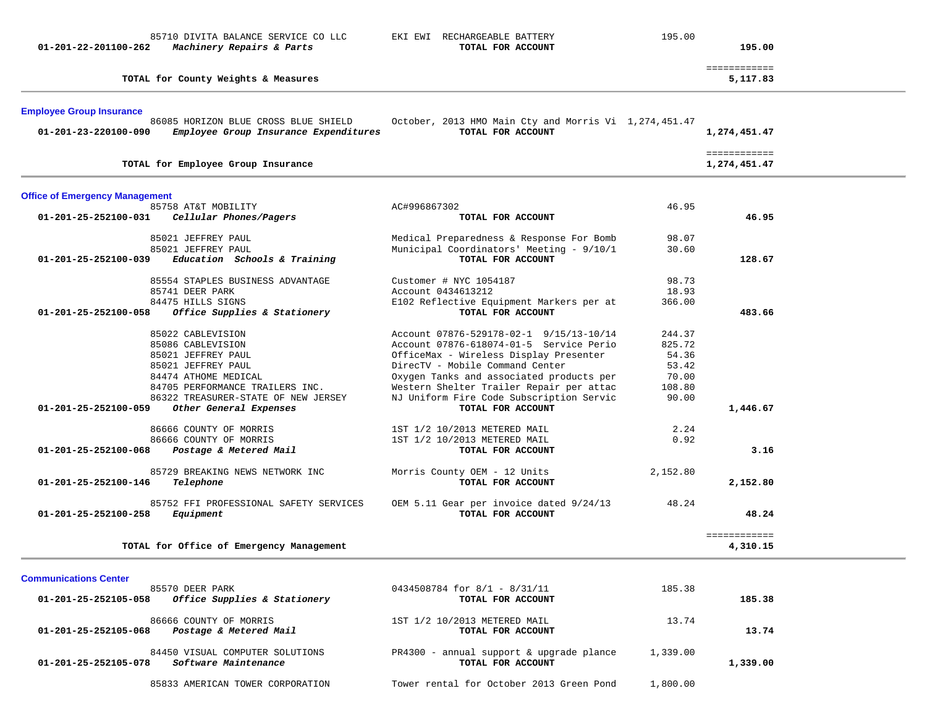| 01-201-22-201100-262                  | 85710 DIVITA BALANCE SERVICE CO LLC<br>Machinery Repairs & Parts | EKI EWI RECHARGEABLE BATTERY<br>TOTAL FOR ACCOUNT                                    | 195.00         | 195.00                       |  |
|---------------------------------------|------------------------------------------------------------------|--------------------------------------------------------------------------------------|----------------|------------------------------|--|
|                                       | TOTAL for County Weights & Measures                              |                                                                                      |                | ============<br>5,117.83     |  |
| <b>Employee Group Insurance</b>       | 86085 HORIZON BLUE CROSS BLUE SHIELD                             | October, 2013 HMO Main Cty and Morris Vi 1,274,451.47                                |                |                              |  |
| 01-201-23-220100-090                  | Employee Group Insurance Expenditures                            | TOTAL FOR ACCOUNT                                                                    |                | 1,274,451.47                 |  |
|                                       | TOTAL for Employee Group Insurance                               |                                                                                      |                | ============<br>1,274,451.47 |  |
| <b>Office of Emergency Management</b> |                                                                  |                                                                                      |                |                              |  |
| 01-201-25-252100-031                  | 85758 AT&T MOBILITY<br>Cellular Phones/Pagers                    | AC#996867302<br>TOTAL FOR ACCOUNT                                                    | 46.95          | 46.95                        |  |
|                                       |                                                                  |                                                                                      |                |                              |  |
|                                       | 85021 JEFFREY PAUL<br>85021 JEFFREY PAUL                         | Medical Preparedness & Response For Bomb<br>Municipal Coordinators' Meeting - 9/10/1 | 98.07<br>30.60 |                              |  |
| 01-201-25-252100-039                  | Education Schools & Training                                     | TOTAL FOR ACCOUNT                                                                    |                | 128.67                       |  |
|                                       | 85554 STAPLES BUSINESS ADVANTAGE                                 | Customer # NYC 1054187                                                               | 98.73          |                              |  |
|                                       | 85741 DEER PARK                                                  | Account 0434613212                                                                   | 18.93          |                              |  |
|                                       | 84475 HILLS SIGNS                                                | E102 Reflective Equipment Markers per at                                             | 366.00         |                              |  |
| 01-201-25-252100-058                  | Office Supplies & Stationery                                     | TOTAL FOR ACCOUNT                                                                    |                | 483.66                       |  |
|                                       | 85022 CABLEVISION                                                | Account 07876-529178-02-1 9/15/13-10/14                                              | 244.37         |                              |  |
|                                       | 85086 CABLEVISION                                                | Account 07876-618074-01-5 Service Perio                                              | 825.72         |                              |  |
|                                       | 85021 JEFFREY PAUL                                               | OfficeMax - Wireless Display Presenter                                               | 54.36          |                              |  |
|                                       | 85021 JEFFREY PAUL<br>84474 ATHOME MEDICAL                       | DirecTV - Mobile Command Center<br>Oxygen Tanks and associated products per          | 53.42<br>70.00 |                              |  |
|                                       | 84705 PERFORMANCE TRAILERS INC.                                  | Western Shelter Trailer Repair per attac                                             | 108.80         |                              |  |
|                                       | 86322 TREASURER-STATE OF NEW JERSEY                              | NJ Uniform Fire Code Subscription Servic                                             | 90.00          |                              |  |
| $01 - 201 - 25 - 252100 - 059$        | Other General Expenses                                           | TOTAL FOR ACCOUNT                                                                    |                | 1,446.67                     |  |
|                                       | 86666 COUNTY OF MORRIS                                           | 1ST 1/2 10/2013 METERED MAIL                                                         | 2.24           |                              |  |
|                                       | 86666 COUNTY OF MORRIS                                           | 1ST 1/2 10/2013 METERED MAIL                                                         | 0.92           |                              |  |
| 01-201-25-252100-068                  | Postage & Metered Mail                                           | TOTAL FOR ACCOUNT                                                                    |                | 3.16                         |  |
|                                       | 85729 BREAKING NEWS NETWORK INC                                  | Morris County OEM - 12 Units                                                         | 2,152.80       |                              |  |
| 01-201-25-252100-146                  | Telephone                                                        | TOTAL FOR ACCOUNT                                                                    |                | 2,152.80                     |  |
|                                       | 85752 FFI PROFESSIONAL SAFETY SERVICES                           | OEM 5.11 Gear per invoice dated 9/24/13                                              | 48.24          |                              |  |
| 01-201-25-252100-258                  | Equipment                                                        | TOTAL FOR ACCOUNT                                                                    |                | 48.24                        |  |
|                                       | TOTAL for Office of Emergency Management                         |                                                                                      |                | ============<br>4,310.15     |  |

| <b>Communications Center</b>                         |                                          |          |          |
|------------------------------------------------------|------------------------------------------|----------|----------|
| 85570 DEER PARK                                      | 0434508784 for 8/1 - 8/31/11             | 185.38   |          |
| Office Supplies & Stationery<br>01-201-25-252105-058 | TOTAL FOR ACCOUNT                        |          | 185.38   |
| 86666 COUNTY OF MORRIS                               | 1ST 1/2 10/2013 METERED MAIL             | 13.74    |          |
| 01-201-25-252105-068<br>Postage & Metered Mail       | TOTAL FOR ACCOUNT                        |          | 13.74    |
| 84450 VISUAL COMPUTER SOLUTIONS                      | PR4300 - annual support & upgrade plance | 1,339.00 |          |
| Software Maintenance<br>01-201-25-252105-078         | TOTAL FOR ACCOUNT                        |          | 1,339.00 |
| 85833 AMERICAN TOWER CORPORATION                     | Tower rental for October 2013 Green Pond | 1,800.00 |          |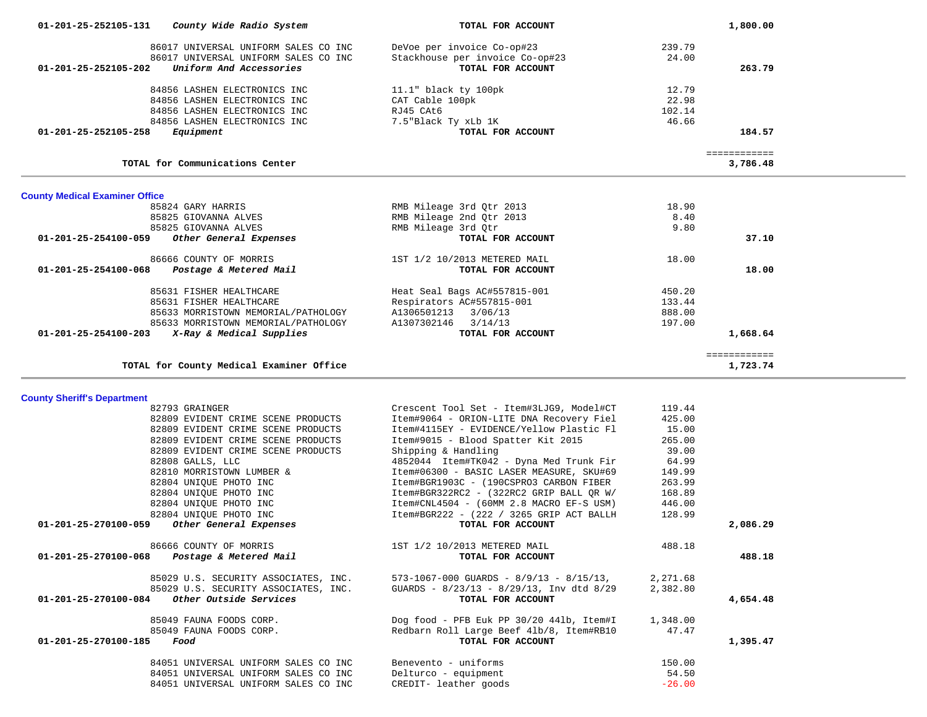| 01-201-25-252105-131<br>County Wide Radio System   | TOTAL FOR ACCOUNT                                                                    |                   | 1,800.00                 |  |
|----------------------------------------------------|--------------------------------------------------------------------------------------|-------------------|--------------------------|--|
| 86017 UNIVERSAL UNIFORM SALES CO INC               | DeVoe per invoice Co-op#23                                                           | 239.79            |                          |  |
| 86017 UNIVERSAL UNIFORM SALES CO INC               | Stackhouse per invoice Co-op#23                                                      | 24.00             |                          |  |
| 01-201-25-252105-202<br>Uniform And Accessories    | TOTAL FOR ACCOUNT                                                                    |                   | 263.79                   |  |
|                                                    |                                                                                      |                   |                          |  |
| 84856 LASHEN ELECTRONICS INC                       | $11.1"$ black ty $100pk$                                                             | 12.79             |                          |  |
| 84856 LASHEN ELECTRONICS INC                       | CAT Cable 100pk                                                                      | 22.98             |                          |  |
| 84856 LASHEN ELECTRONICS INC                       | RJ45 CAt6                                                                            | 102.14            |                          |  |
| 84856 LASHEN ELECTRONICS INC                       | 7.5"Black Ty xLb 1K                                                                  | 46.66             |                          |  |
| 01-201-25-252105-258<br>Equipment                  | TOTAL FOR ACCOUNT                                                                    |                   | 184.57                   |  |
|                                                    |                                                                                      |                   |                          |  |
| TOTAL for Communications Center                    |                                                                                      |                   | ============<br>3,786.48 |  |
| <b>County Medical Examiner Office</b>              |                                                                                      |                   |                          |  |
| 85824 GARY HARRIS                                  | RMB Mileage 3rd Qtr 2013                                                             | 18.90             |                          |  |
| 85825 GIOVANNA ALVES                               | RMB Mileage 2nd Qtr 2013                                                             | 8.40              |                          |  |
| 85825 GIOVANNA ALVES                               | RMB Mileage 3rd Qtr                                                                  | 9.80              |                          |  |
| 01-201-25-254100-059<br>Other General Expenses     | TOTAL FOR ACCOUNT                                                                    |                   | 37.10                    |  |
|                                                    |                                                                                      |                   |                          |  |
| 86666 COUNTY OF MORRIS                             | 1ST 1/2 10/2013 METERED MAIL                                                         | 18.00             |                          |  |
| Postage & Metered Mail<br>01-201-25-254100-068     | TOTAL FOR ACCOUNT                                                                    |                   | 18.00                    |  |
|                                                    |                                                                                      |                   |                          |  |
| 85631 FISHER HEALTHCARE                            | Heat Seal Bags AC#557815-001                                                         | 450.20            |                          |  |
| 85631 FISHER HEALTHCARE                            | Respirators AC#557815-001                                                            | 133.44            |                          |  |
| 85633 MORRISTOWN MEMORIAL/PATHOLOGY                | A1306501213 3/06/13                                                                  | 888.00            |                          |  |
| 85633 MORRISTOWN MEMORIAL/PATHOLOGY                | A1307302146 3/14/13                                                                  | 197.00            |                          |  |
| X-Ray & Medical Supplies<br>01-201-25-254100-203   | TOTAL FOR ACCOUNT                                                                    |                   | 1,668.64                 |  |
|                                                    |                                                                                      |                   | ============             |  |
| TOTAL for County Medical Examiner Office           |                                                                                      |                   | 1,723.74                 |  |
|                                                    |                                                                                      |                   |                          |  |
| <b>County Sheriff's Department</b>                 |                                                                                      |                   |                          |  |
| 82793 GRAINGER                                     | Crescent Tool Set - Item#3LJG9, Model#CT                                             | 119.44            |                          |  |
| 82809 EVIDENT CRIME SCENE PRODUCTS                 | Item#9064 - ORION-LITE DNA Recovery Fiel                                             | 425.00            |                          |  |
| 82809 EVIDENT CRIME SCENE PRODUCTS                 | Item#4115EY - EVIDENCE/Yellow Plastic Fl                                             | 15.00             |                          |  |
| 82809 EVIDENT CRIME SCENE PRODUCTS                 | Item#9015 - Blood Spatter Kit 2015                                                   | 265.00            |                          |  |
| 82809 EVIDENT CRIME SCENE PRODUCTS                 | Shipping & Handling                                                                  | 39.00             |                          |  |
|                                                    |                                                                                      | 64.99             |                          |  |
| 82808 GALLS, LLC                                   | 4852044 Item#TK042 - Dyna Med Trunk Fir                                              |                   |                          |  |
| 82810 MORRISTOWN LUMBER &                          | Item#06300 - BASIC LASER MEASURE, SKU#69                                             | 149.99            |                          |  |
| 82804 UNIOUE PHOTO INC                             | Item#BGR1903C - (190CSPRO3 CARBON FIBER                                              | 263.99            |                          |  |
| 82804 UNIQUE PHOTO INC                             | Item#BGR322RC2 - (322RC2 GRIP BALL QR W/                                             | 168.89            |                          |  |
| 82804 UNIQUE PHOTO INC                             | Item#CNL4504 - (60MM 2.8 MACRO EF-S USM)                                             | 446.00            |                          |  |
| 82804 UNIQUE PHOTO INC                             | Item#BGR222 - (222 / 3265 GRIP ACT BALLH                                             | 128.99            |                          |  |
| 01-201-25-270100-059<br>Other General Expenses     | TOTAL FOR ACCOUNT                                                                    |                   | 2,086.29                 |  |
| 86666 COUNTY OF MORRIS                             | 1ST 1/2 10/2013 METERED MAIL                                                         | 488.18            |                          |  |
| 01-201-25-270100-068 Postage & Metered Mail        | TOTAL FOR ACCOUNT                                                                    |                   | 488.18                   |  |
|                                                    |                                                                                      |                   |                          |  |
| 85029 U.S. SECURITY ASSOCIATES, INC.               | $573 - 1067 - 000$ GUARDS - $8/9/13$ - $8/15/13$ ,                                   | 2,271.68          |                          |  |
| 85029 U.S. SECURITY ASSOCIATES, INC.               | GUARDS - 8/23/13 - 8/29/13, Inv dtd 8/29                                             | 2,382.80          |                          |  |
| Other Outside Services<br>01-201-25-270100-084     | TOTAL FOR ACCOUNT                                                                    |                   | 4,654.48                 |  |
|                                                    |                                                                                      |                   |                          |  |
| 85049 FAUNA FOODS CORP.<br>85049 FAUNA FOODS CORP. | Dog food - PFB Euk PP 30/20 441b, Item#I<br>Redbarn Roll Large Beef 41b/8, Item#RB10 | 1,348.00<br>47.47 |                          |  |
|                                                    | TOTAL FOR ACCOUNT                                                                    |                   |                          |  |
| 01-201-25-270100-185<br>Food                       |                                                                                      |                   | 1,395.47                 |  |

| 84051 UNIVERSAL UNIFORM SALES CO INC |  |  | Benevento - uniforms  | 150.00   |
|--------------------------------------|--|--|-----------------------|----------|
| 84051 UNIVERSAL UNIFORM SALES CO INC |  |  | Delturco - equipment  | 54.50    |
| 84051 UNIVERSAL UNIFORM SALES CO INC |  |  | CREDIT- leather goods | $-26.00$ |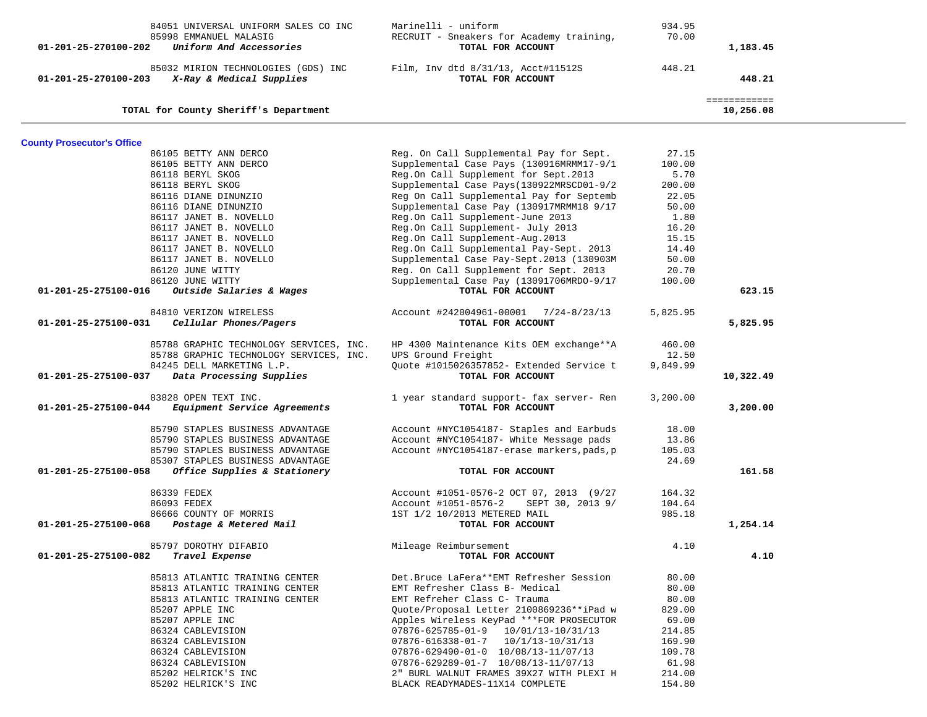| 84051 UNIVERSAL UNIFORM SALES CO INC                 | Marinelli - uniform                             | 934.95   |              |  |
|------------------------------------------------------|-------------------------------------------------|----------|--------------|--|
| 85998 EMMANUEL MALASIG                               | RECRUIT - Sneakers for Academy training,        | 70.00    |              |  |
| Uniform And Accessories<br>01-201-25-270100-202      | TOTAL FOR ACCOUNT                               |          | 1,183.45     |  |
|                                                      |                                                 |          |              |  |
| 85032 MIRION TECHNOLOGIES (GDS) INC                  | Film, Inv dtd 8/31/13, Acct#11512S              | 448.21   |              |  |
| X-Ray & Medical Supplies<br>01-201-25-270100-203     | TOTAL FOR ACCOUNT                               |          | 448.21       |  |
|                                                      |                                                 |          | ============ |  |
| TOTAL for County Sheriff's Department                |                                                 |          | 10,256.08    |  |
|                                                      |                                                 |          |              |  |
| <b>County Prosecutor's Office</b>                    |                                                 |          |              |  |
| 86105 BETTY ANN DERCO                                | Reg. On Call Supplemental Pay for Sept.         | 27.15    |              |  |
| 86105 BETTY ANN DERCO                                | Supplemental Case Pays (130916MRMM17-9/1        | 100.00   |              |  |
| 86118 BERYL SKOG                                     | Reg.On Call Supplement for Sept.2013            | 5.70     |              |  |
| 86118 BERYL SKOG                                     | Supplemental Case Pays(130922MRSCD01-9/2        | 200.00   |              |  |
| 86116 DIANE DINUNZIO                                 | Reg On Call Supplemental Pay for Septemb        | 22.05    |              |  |
| 86116 DIANE DINUNZIO                                 | Supplemental Case Pay (130917MRMM18 9/17        | 50.00    |              |  |
| 86117 JANET B. NOVELLO                               | Reg.On Call Supplement-June 2013                | 1.80     |              |  |
| 86117 JANET B. NOVELLO                               | Reg.On Call Supplement- July 2013               | 16.20    |              |  |
| 86117 JANET B. NOVELLO                               | Reg.On Call Supplement-Aug.2013                 | 15.15    |              |  |
| 86117 JANET B. NOVELLO                               | Reg.On Call Supplemental Pay-Sept. 2013         | 14.40    |              |  |
| 86117 JANET B. NOVELLO                               | Supplemental Case Pay-Sept.2013 (130903M        | 50.00    |              |  |
| 86120 JUNE WITTY                                     | Reg. On Call Supplement for Sept. 2013          | 20.70    |              |  |
| 86120 JUNE WITTY                                     | Supplemental Case Pay (13091706MRDO-9/17        | 100.00   |              |  |
| 01-201-25-275100-016<br>Outside Salaries & Wages     | TOTAL FOR ACCOUNT                               |          | 623.15       |  |
| 84810 VERIZON WIRELESS                               | Account #242004961-00001 7/24-8/23/13           | 5,825.95 |              |  |
| 01-201-25-275100-031<br>Cellular Phones/Pagers       | TOTAL FOR ACCOUNT                               |          | 5,825.95     |  |
|                                                      |                                                 |          |              |  |
| 85788 GRAPHIC TECHNOLOGY SERVICES, INC.              | HP 4300 Maintenance Kits OEM exchange**A        | 460.00   |              |  |
| 85788 GRAPHIC TECHNOLOGY SERVICES, INC.              | UPS Ground Freight                              | 12.50    |              |  |
| 84245 DELL MARKETING L.P.                            | Quote #1015026357852- Extended Service t        | 9,849.99 |              |  |
| Data Processing Supplies<br>01-201-25-275100-037     | TOTAL FOR ACCOUNT                               |          | 10,322.49    |  |
| 83828 OPEN TEXT INC.                                 | 1 year standard support- fax server- Ren        | 3,200.00 |              |  |
| 01-201-25-275100-044<br>Equipment Service Agreements | TOTAL FOR ACCOUNT                               |          | 3,200.00     |  |
|                                                      |                                                 |          |              |  |
| 85790 STAPLES BUSINESS ADVANTAGE                     | Account #NYC1054187- Staples and Earbuds        | 18.00    |              |  |
| 85790 STAPLES BUSINESS ADVANTAGE                     | Account #NYC1054187- White Message pads         | 13.86    |              |  |
| 85790 STAPLES BUSINESS ADVANTAGE                     | Account #NYC1054187-erase markers, pads, p      | 105.03   |              |  |
| 85307 STAPLES BUSINESS ADVANTAGE                     |                                                 | 24.69    |              |  |
| Office Supplies & Stationery<br>01-201-25-275100-058 | TOTAL FOR ACCOUNT                               |          | 161.58       |  |
|                                                      |                                                 |          |              |  |
| 86339 FEDEX                                          | Account #1051-0576-2 OCT 07, 2013 (9/27         | 164.32   |              |  |
| 86093 FEDEX                                          | Account #1051-0576-2 SEPT 30, 2013 9/           | 104.64   |              |  |
| 86666 COUNTY OF MORRIS                               | 1ST 1/2 10/2013 METERED MAIL                    | 985.18   |              |  |
| 01-201-25-275100-068<br>Postage & Metered Mail       | TOTAL FOR ACCOUNT                               |          | 1,254.14     |  |
| 85797 DOROTHY DIFABIO                                | Mileage Reimbursement                           | 4.10     |              |  |
| 01-201-25-275100-082<br>Travel Expense               | TOTAL FOR ACCOUNT                               |          | 4.10         |  |
|                                                      |                                                 |          |              |  |
| 85813 ATLANTIC TRAINING CENTER                       | Det.Bruce LaFera**EMT Refresher Session         | 80.00    |              |  |
| 85813 ATLANTIC TRAINING CENTER                       | EMT Refresher Class B- Medical                  | 80.00    |              |  |
| 85813 ATLANTIC TRAINING CENTER                       | EMT Refreher Class C- Trauma                    | 80.00    |              |  |
| 85207 APPLE INC                                      | Quote/Proposal Letter 2100869236**iPad w        | 829.00   |              |  |
| 85207 APPLE INC                                      | Apples Wireless KeyPad ***FOR PROSECUTOR        | 69.00    |              |  |
| 86324 CABLEVISION                                    | $07876 - 625785 - 01 - 9$ $10/01/13 - 10/31/13$ | 214.85   |              |  |
| 86324 CABLEVISION                                    | $07876 - 616338 - 01 - 7$ $10/1/13 - 10/31/13$  | 169.90   |              |  |
| 86324 CABLEVISION                                    | 07876-629490-01-0 10/08/13-11/07/13             | 109.78   |              |  |
| 86324 CABLEVISION                                    | 07876-629289-01-7 10/08/13-11/07/13             | 61.98    |              |  |
| 85202 HELRICK'S INC                                  | 2" BURL WALNUT FRAMES 39X27 WITH PLEXI H        | 214.00   |              |  |
| 85202 HELRICK'S INC                                  | BLACK READYMADES-11X14 COMPLETE                 | 154.80   |              |  |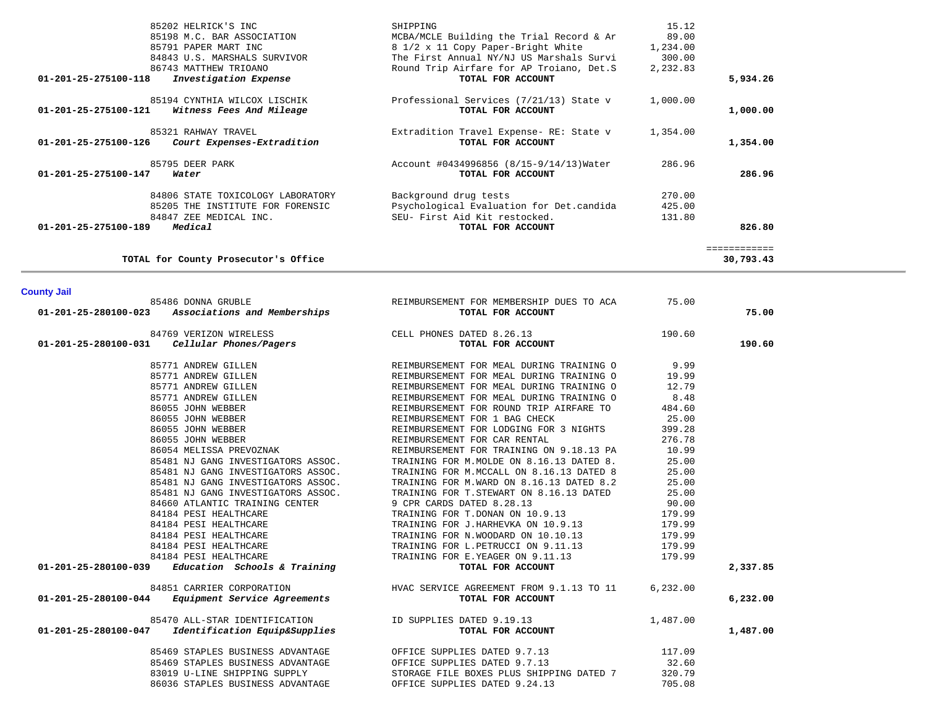| 85202 HELRICK'S INC<br>85198 M.C. BAR ASSOCIATION<br>85791 PAPER MART INC<br>84843 U.S. MARSHALS SURVIVOR<br>86743 MATTHEW TRIOANO<br>Investigation Expense<br>01-201-25-275100-118 | SHIPPING<br>MCBA/MCLE Building the Trial Record & Ar<br>8 1/2 x 11 Copy Paper-Bright White<br>The First Annual NY/NJ US Marshals Survi<br>Round Trip Airfare for AP Troiano, Det.S<br>TOTAL FOR ACCOUNT | 15.12<br>89.00<br>1,234.00<br>300.00<br>2,232.83 | 5,934.26     |
|-------------------------------------------------------------------------------------------------------------------------------------------------------------------------------------|---------------------------------------------------------------------------------------------------------------------------------------------------------------------------------------------------------|--------------------------------------------------|--------------|
| 85194 CYNTHIA WILCOX LISCHIK<br>01-201-25-275100-121<br>Witness Fees And Mileage                                                                                                    | Professional Services (7/21/13) State v<br>TOTAL FOR ACCOUNT                                                                                                                                            | 1,000.00                                         | 1,000.00     |
| 85321 RAHWAY TRAVEL<br>01-201-25-275100-126<br>Court Expenses-Extradition                                                                                                           | Extradition Travel Expense- RE: State v<br>TOTAL FOR ACCOUNT                                                                                                                                            | 1,354.00                                         | 1,354.00     |
| 85795 DEER PARK<br>01-201-25-275100-147<br>Water                                                                                                                                    | Account #0434996856 (8/15-9/14/13) Water<br>TOTAL FOR ACCOUNT                                                                                                                                           | 286.96                                           | 286.96       |
| 84806 STATE TOXICOLOGY LABORATORY<br>85205 THE INSTITUTE FOR FORENSIC<br>84847 ZEE MEDICAL INC.                                                                                     | Background drug tests<br>Psychological Evaluation for Det.candida<br>SEU- First Aid Kit restocked.                                                                                                      | 270.00<br>425.00<br>131.80                       |              |
| Medical<br>01-201-25-275100-189                                                                                                                                                     | TOTAL FOR ACCOUNT                                                                                                                                                                                       |                                                  | 826.80       |
|                                                                                                                                                                                     |                                                                                                                                                                                                         |                                                  | ============ |

30,793.43

TOTAL for County Prosecutor's Office

**County Jail** 

| 85486 DONNA GRUBLE                                   | REIMBURSEMENT FOR MEMBERSHIP DUES TO ACA      | 75.00    |          |
|------------------------------------------------------|-----------------------------------------------|----------|----------|
| Associations and Memberships<br>01-201-25-280100-023 | TOTAL FOR ACCOUNT                             |          | 75.00    |
| 84769 VERIZON WIRELESS                               | CELL PHONES DATED 8.26.13                     | 190.60   |          |
| Cellular Phones/Pagers<br>01-201-25-280100-031       | TOTAL FOR ACCOUNT                             |          | 190.60   |
| 85771 ANDREW GILLEN                                  | REIMBURSEMENT FOR MEAL DURING TRAINING 0 9.99 |          |          |
| 85771 ANDREW GILLEN                                  | REIMBURSEMENT FOR MEAL DURING TRAINING O      | 19.99    |          |
| 85771 ANDREW GILLEN                                  | REIMBURSEMENT FOR MEAL DURING TRAINING O      | 12.79    |          |
| 85771 ANDREW GILLEN                                  | REIMBURSEMENT FOR MEAL DURING TRAINING O      | 8.48     |          |
| 86055 JOHN WEBBER                                    | REIMBURSEMENT FOR ROUND TRIP AIRFARE TO       | 484.60   |          |
| 86055 JOHN WEBBER                                    | REIMBURSEMENT FOR 1 BAG CHECK                 | 25.00    |          |
| 86055 JOHN WEBBER                                    | REIMBURSEMENT FOR LODGING FOR 3 NIGHTS        | 399.28   |          |
| 86055 JOHN WEBBER                                    | REIMBURSEMENT FOR CAR RENTAL                  | 276.78   |          |
| 86054 MELISSA PREVOZNAK                              | REIMBURSEMENT FOR TRAINING ON 9.18.13 PA      | 10.99    |          |
| 85481 NJ GANG INVESTIGATORS ASSOC.                   | TRAINING FOR M.MOLDE ON 8.16.13 DATED 8.      | 25.00    |          |
| 85481 NJ GANG INVESTIGATORS ASSOC.                   | TRAINING FOR M. MCCALL ON 8.16.13 DATED 8     | 25.00    |          |
| 85481 NJ GANG INVESTIGATORS ASSOC.                   | TRAINING FOR M.WARD ON 8.16.13 DATED 8.2      | 25.00    |          |
| 85481 NJ GANG INVESTIGATORS ASSOC.                   | TRAINING FOR T.STEWART ON 8.16.13 DATED       | 25.00    |          |
| 84660 ATLANTIC TRAINING CENTER                       | 9 CPR CARDS DATED 8.28.13                     | 90.00    |          |
| 84184 PESI HEALTHCARE                                | TRAINING FOR T.DONAN ON 10.9.13               | 179.99   |          |
| 84184 PESI HEALTHCARE                                | TRAINING FOR J.HARHEVKA ON 10.9.13            | 179.99   |          |
| 84184 PESI HEALTHCARE                                | TRAINING FOR N.WOODARD ON 10.10.13            | 179.99   |          |
| 84184 PESI HEALTHCARE                                | TRAINING FOR L.PETRUCCI ON 9.11.13 179.99     |          |          |
| 84184 PESI HEALTHCARE                                | TRAINING FOR E.YEAGER ON 9.11.13              | 179.99   |          |
| $01-201-25-280100-039$ Education Schools & Training  | TOTAL FOR ACCOUNT                             |          | 2,337.85 |
| 84851 CARRIER CORPORATION                            | HVAC SERVICE AGREEMENT FROM 9.1.13 TO 11      | 6,232.00 |          |
| $01-201-25-280100-044$ Equipment Service Agreements  | TOTAL FOR ACCOUNT                             |          | 6,232.00 |
| 85470 ALL-STAR IDENTIFICATION                        | ID SUPPLIES DATED 9.19.13                     | 1,487.00 |          |
| 01-201-25-280100-047 Identification Equip&Supplies   | TOTAL FOR ACCOUNT                             |          | 1,487.00 |
| 85469 STAPLES BUSINESS ADVANTAGE                     | OFFICE SUPPLIES DATED 9.7.13                  | 117.09   |          |
| 85469 STAPLES BUSINESS ADVANTAGE                     | OFFICE SUPPLIES DATED 9.7.13                  | 32.60    |          |
| 83019 U-LINE SHIPPING SUPPLY                         | STORAGE FILE BOXES PLUS SHIPPING DATED 7      | 320.79   |          |
| 86036 STAPLES BUSINESS ADVANTAGE                     | OFFICE SUPPLIES DATED 9.24.13                 | 705.08   |          |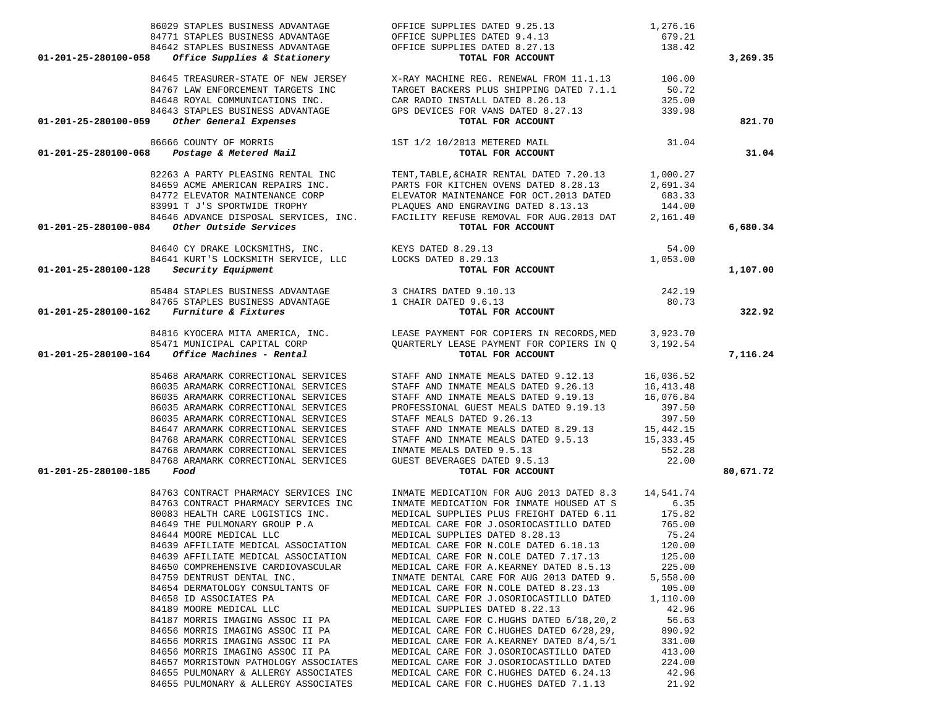| 86029 STAPLES BUSINESS ADVANTAGE<br>84771 STAPLES BUSINESS ADVANTAGE<br>84642 STAPLES BUSINESS ADVANTAGE<br>3 Office Supplies & Stationery                                                                                                                                                                                                                                                                                                                                                                                                                                                                                                                                                       | OFFICE SUPPLIES DATED 9.25.13 1,276.16<br>OFFICE SUPPLIES DATED 9.4.13 679.21<br>OFFICE SUPPLIES DATED 8.27.13 138.42<br><b>TOTAL FOR ACCOUNT</b>                                                                                                                                                                                                                                                                                                                                                                                                                                                                                                                                                                                                                                                                                        |                                                                                                                                                                               |           |
|--------------------------------------------------------------------------------------------------------------------------------------------------------------------------------------------------------------------------------------------------------------------------------------------------------------------------------------------------------------------------------------------------------------------------------------------------------------------------------------------------------------------------------------------------------------------------------------------------------------------------------------------------------------------------------------------------|------------------------------------------------------------------------------------------------------------------------------------------------------------------------------------------------------------------------------------------------------------------------------------------------------------------------------------------------------------------------------------------------------------------------------------------------------------------------------------------------------------------------------------------------------------------------------------------------------------------------------------------------------------------------------------------------------------------------------------------------------------------------------------------------------------------------------------------|-------------------------------------------------------------------------------------------------------------------------------------------------------------------------------|-----------|
| 01-201-25-280100-058                                                                                                                                                                                                                                                                                                                                                                                                                                                                                                                                                                                                                                                                             |                                                                                                                                                                                                                                                                                                                                                                                                                                                                                                                                                                                                                                                                                                                                                                                                                                          |                                                                                                                                                                               | 3,269.35  |
|                                                                                                                                                                                                                                                                                                                                                                                                                                                                                                                                                                                                                                                                                                  | 84645 TREASURER-STATE OF NEW JERSEY X-RAY MACHINE REG. RENEWAL FROM 11.1.13 106.00<br>84767 LAW ENFORCEMENT TARGETS INC<br>84648 ROYAL COMMUNICATIONS INC.<br>CAR RADIO INSTALL DATED 8.26.13<br>325.00<br>84643 STAPLES BUSINESS ADVANTAGE GPS DEVICES FOR VANS DATED 8.27.13 339.98                                                                                                                                                                                                                                                                                                                                                                                                                                                                                                                                                    |                                                                                                                                                                               |           |
| Other General Expenses<br>01-201-25-280100-059                                                                                                                                                                                                                                                                                                                                                                                                                                                                                                                                                                                                                                                   | TOTAL FOR ACCOUNT                                                                                                                                                                                                                                                                                                                                                                                                                                                                                                                                                                                                                                                                                                                                                                                                                        |                                                                                                                                                                               | 821.70    |
| % 86666 COUNTY OF MORRIS $1/2$ 10/2013 METERED MAIL <b>Postage &amp; Metered Mail</b><br>01-201-25-280100-068                                                                                                                                                                                                                                                                                                                                                                                                                                                                                                                                                                                    |                                                                                                                                                                                                                                                                                                                                                                                                                                                                                                                                                                                                                                                                                                                                                                                                                                          | 31.04                                                                                                                                                                         | 31.04     |
|                                                                                                                                                                                                                                                                                                                                                                                                                                                                                                                                                                                                                                                                                                  | 82263 A PARTY PLEASING RENTAL INC TENT, TABLE, & CHAIR RENTAL DATED 7.20.13<br>84659 ACME AMERICAN REPAIRS INC. PARTS FOR KITCHEN OVENS DATED 8.28.13<br>TENT, TABLE, & CHAIR RENTAL DATED 7.20.13 1,000.27<br>84772 ELEVATOR MAINTENANCE CORP<br>83991 T J'S SPORTWIDE TROPHY<br>84646 ADVANCE DISPOSAL SERVICES, INC. FACILITY REFUSE REMOVAL FOR AUG.2013 DATE 2,161.40                                                                                                                                                                                                                                                                                                                                                                                                                                                               | 2,691.34                                                                                                                                                                      |           |
| 01-201-25-280100-084 Other Outside Services                                                                                                                                                                                                                                                                                                                                                                                                                                                                                                                                                                                                                                                      |                                                                                                                                                                                                                                                                                                                                                                                                                                                                                                                                                                                                                                                                                                                                                                                                                                          |                                                                                                                                                                               | 6,680.34  |
| $01-201-25-280100-128$ Security Equipment                                                                                                                                                                                                                                                                                                                                                                                                                                                                                                                                                                                                                                                        | Other Outside Services<br>84640 CY DRAKE LOCKSMITHS, INC.<br>84641 KURT'S LOCKSMITH SERVICE, LLC<br>84641 KURT'S LOCKSMITH SERVICE, LLC<br>84641 KURT'S LOCKSMITH SERVICE, LLC<br>84641 KURT'S LOCKSMITH SERVICE, LLC<br>84641 KURT'S LOCK<br>TOTAL FOR ACCOUNT                                                                                                                                                                                                                                                                                                                                                                                                                                                                                                                                                                          |                                                                                                                                                                               | 1,107.00  |
| 85484 STAPLES BUSINESS ADVANTAGE 3 CHAIRS DATED 9.10.13<br>84765 STAPLES BUSINESS ADVANTAGE 1 CHAIR DATED 9.6.13<br>01-201-25-280100-162 Furniture & Fixtures                                                                                                                                                                                                                                                                                                                                                                                                                                                                                                                                    | TOTAL FOR ACCOUNT                                                                                                                                                                                                                                                                                                                                                                                                                                                                                                                                                                                                                                                                                                                                                                                                                        | 242.19<br>80.73                                                                                                                                                               | 322.92    |
| $01-201-25-280100-164$ Office Machines - Rental                                                                                                                                                                                                                                                                                                                                                                                                                                                                                                                                                                                                                                                  | 84816 KYOCERA MITA AMERICA, INC. TEASE PAYMENT FOR COPIERS IN RECORDS, MED 3,923.70<br>85471 MUNICIPAL CAPITAL CORP (QUARTERLY LEASE PAYMENT FOR COPIERS IN Q 3,192.54<br>TOTAL FOR ACCOUNT                                                                                                                                                                                                                                                                                                                                                                                                                                                                                                                                                                                                                                              |                                                                                                                                                                               | 7,116.24  |
| 85468 ARAMARK CORRECTIONAL SERVICES<br>86035 ARAMARK CORRECTIONAL SERVICES<br>86035 ARAMARK CORRECTIONAL SERVICES<br>86035 ARAMARK CORRECTIONAL SERVICES<br>86035 ARAMARK CORRECTIONAL SERVICES<br>84647 ARAMARK CORRECTIONAL SERVICES<br>84768 ARAMARK CORRECTIONAL SERVICES<br>84768 ARAMARK CORRECTIONAL SERVICES<br>84768 ARAMARK CORRECTIONAL SERVICES<br>01-201-25-280100-185<br>Food                                                                                                                                                                                                                                                                                                      | STAFF AND INMATE MEALS DATED 9.12.13 16,036.52<br>STAFF AND INMATE MEALS DATED 9.26.13 16,413.48<br>STAFF AND INMATE MEALS DATED 9.19.13<br>PROFESSIONAL GUEST MEALS DATED 9.19.13<br>STAFF MEALS DATED 9.26.13<br>STAFF AND INMATE MEALS DATED 8.29.13 15,442.15<br>STAFF AND INMATE MEALS DATED 9.5.13 15,333.45<br>INMATE MEALS DATED 9.5.13<br>GUEST BEVERAGES DATED 9.5.13<br><b>TOTAL FOR ACCOUNT</b>                                                                                                                                                                                                                                                                                                                                                                                                                              | 16,076.84<br>397.50<br>397.50<br>552.28<br>22.00                                                                                                                              | 80,671.72 |
| 84763 CONTRACT PHARMACY SERVICES INC<br>84763 CONTRACT PHARMACY SERVICES INC<br>80083 HEALTH CARE LOGISTICS INC.<br>84649 THE PULMONARY GROUP P.A<br>84644 MOORE MEDICAL LLC<br>84639 AFFILIATE MEDICAL ASSOCIATION<br>84639 AFFILIATE MEDICAL ASSOCIATION<br>84650 COMPREHENSIVE CARDIOVASCULAR<br>84759 DENTRUST DENTAL INC.<br>84654 DERMATOLOGY CONSULTANTS OF<br>84658 ID ASSOCIATES PA<br>84189 MOORE MEDICAL LLC<br>84187 MORRIS IMAGING ASSOC II PA<br>84656 MORRIS IMAGING ASSOC II PA<br>84656 MORRIS IMAGING ASSOC II PA<br>84656 MORRIS IMAGING ASSOC II PA<br>84657 MORRISTOWN PATHOLOGY ASSOCIATES<br>84655 PULMONARY & ALLERGY ASSOCIATES<br>84655 PULMONARY & ALLERGY ASSOCIATES | INMATE MEDICATION FOR AUG 2013 DATED 8.3 14,541.74<br>INMATE MEDICATION FOR INMATE HOUSED AT S<br>MEDICAL SUPPLIES PLUS FREIGHT DATED 6.11<br>MEDICAL CARE FOR J.OSORIOCASTILLO DATED<br>MEDICAL SUPPLIES DATED 8.28.13<br>MEDICAL CARE FOR N.COLE DATED 6.18.13<br>MEDICAL CARE FOR N.COLE DATED 7.17.13<br>MEDICAL CARE FOR A.KEARNEY DATED 8.5.13<br>INMATE DENTAL CARE FOR AUG 2013 DATED 9.<br>MEDICAL CARE FOR N.COLE DATED 8.23.13<br>MEDICAL CARE FOR J.OSORIOCASTILLO DATED<br>MEDICAL SUPPLIES DATED 8.22.13<br>MEDICAL CARE FOR C.HUGHS DATED 6/18, 20, 2<br>MEDICAL CARE FOR C.HUGHES DATED 6/28,29,<br>MEDICAL CARE FOR A. KEARNEY DATED 8/4,5/1<br>MEDICAL CARE FOR J.OSORIOCASTILLO DATED<br>MEDICAL CARE FOR J.OSORIOCASTILLO DATED<br>MEDICAL CARE FOR C.HUGHES DATED 6.24.13<br>MEDICAL CARE FOR C.HUGHES DATED 7.1.13 | 6.35<br>175.82<br>765.00<br>75.24<br>120.00<br>125.00<br>225.00<br>5,558.00<br>105.00<br>1,110.00<br>42.96<br>56.63<br>890.92<br>331.00<br>413.00<br>224.00<br>42.96<br>21.92 |           |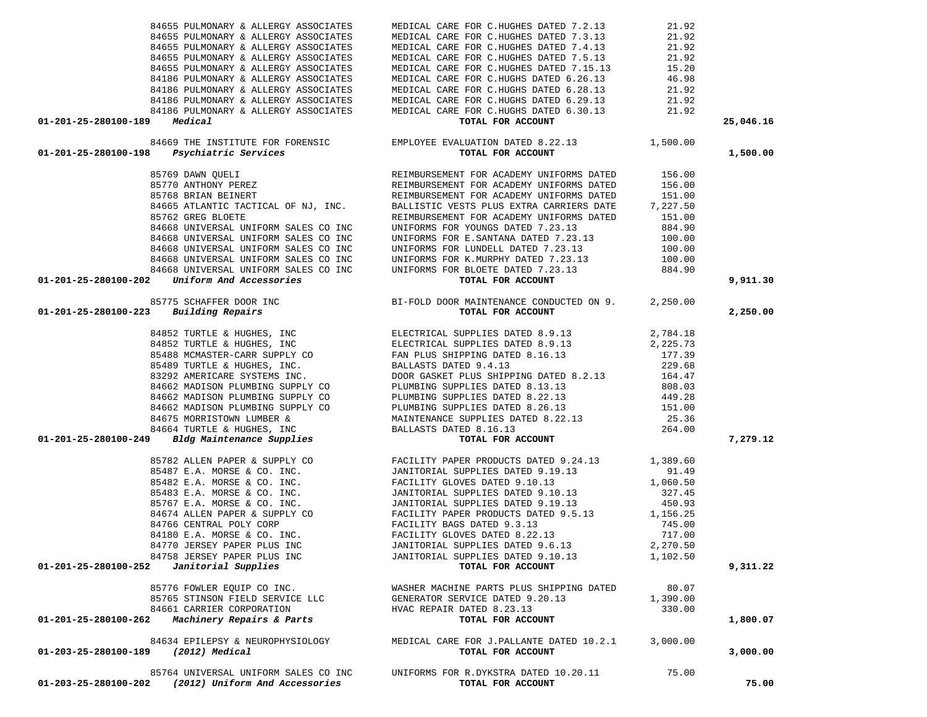| 84655 PULMONARY & ALLERGY ASSOCIATES                                                                                                                                                                                                                                                                                                                                                                                                                                            | MEDICAL CARE FOR C.HUGHES DATED 7.3.13                                                                                  | 21.92    |           |
|---------------------------------------------------------------------------------------------------------------------------------------------------------------------------------------------------------------------------------------------------------------------------------------------------------------------------------------------------------------------------------------------------------------------------------------------------------------------------------|-------------------------------------------------------------------------------------------------------------------------|----------|-----------|
| 84655 PULMONARY & ALLERGY ASSOCIATES                                                                                                                                                                                                                                                                                                                                                                                                                                            | MEDICAL CARE FOR C.HUGHES DATED 7.4.13                                                                                  | 21.92    |           |
| 84655 PULMONARY & ALLERGY ASSOCIATES                                                                                                                                                                                                                                                                                                                                                                                                                                            | MEDICAL CARE FOR C.HUGHES DATED 7.5.13                                                                                  | 21.92    |           |
| 84655 PULMONARY & ALLERGY ASSOCIATES                                                                                                                                                                                                                                                                                                                                                                                                                                            | MEDICAL CARE FOR C.HUGHES DATED 7.15.13 15.20                                                                           |          |           |
| 84186 PULMONARY & ALLERGY ASSOCIATES                                                                                                                                                                                                                                                                                                                                                                                                                                            | MEDICAL CARE FOR C.HUGHS DATED 6.26.13                                                                                  | 46.98    |           |
| 84186 PULMONARY & ALLERGY ASSOCIATES                                                                                                                                                                                                                                                                                                                                                                                                                                            | MEDICAL CARE FOR C.HUGHS DATED 6.28.13 21.92                                                                            |          |           |
| 84186 PULMONARY & ALLERGY ASSOCIATES                                                                                                                                                                                                                                                                                                                                                                                                                                            | MEDICAL CARE FOR C.HUGHS DATED 6.29.13                                                                                  | 21.92    |           |
|                                                                                                                                                                                                                                                                                                                                                                                                                                                                                 | 84186 PULMONARY & ALLERGY ASSOCIATES MEDICAL CARE FOR C.HUGHS DATED 6.30.13 21.92                                       |          |           |
| 01-201-25-280100-189 Medical                                                                                                                                                                                                                                                                                                                                                                                                                                                    | TOTAL FOR ACCOUNT                                                                                                       |          | 25,046.16 |
|                                                                                                                                                                                                                                                                                                                                                                                                                                                                                 |                                                                                                                         |          |           |
| 01-201-25-280100-198                                                                                                                                                                                                                                                                                                                                                                                                                                                            |                                                                                                                         |          | 1,500.00  |
|                                                                                                                                                                                                                                                                                                                                                                                                                                                                                 | 84669 THE INSTITUTE FOR FORENSIC EMPLOYEE EVALUATION DATED 8.22.13 1,500.00<br>3 Psychiatric Services TOTAL FOR ACCOUNT |          |           |
|                                                                                                                                                                                                                                                                                                                                                                                                                                                                                 |                                                                                                                         |          |           |
|                                                                                                                                                                                                                                                                                                                                                                                                                                                                                 |                                                                                                                         |          |           |
|                                                                                                                                                                                                                                                                                                                                                                                                                                                                                 |                                                                                                                         |          |           |
|                                                                                                                                                                                                                                                                                                                                                                                                                                                                                 |                                                                                                                         |          |           |
|                                                                                                                                                                                                                                                                                                                                                                                                                                                                                 |                                                                                                                         |          |           |
|                                                                                                                                                                                                                                                                                                                                                                                                                                                                                 |                                                                                                                         |          |           |
|                                                                                                                                                                                                                                                                                                                                                                                                                                                                                 |                                                                                                                         |          |           |
|                                                                                                                                                                                                                                                                                                                                                                                                                                                                                 |                                                                                                                         |          |           |
|                                                                                                                                                                                                                                                                                                                                                                                                                                                                                 |                                                                                                                         |          |           |
|                                                                                                                                                                                                                                                                                                                                                                                                                                                                                 |                                                                                                                         |          |           |
| 01-201-25-280100-198 Psychiatric Services<br>85769 DAWN QUELI<br>85769 DAWN QUELI<br>85769 DAWN QUELI<br>8770 ANTHONY PEREZ<br>8776 BRIAN BEINET REIMBURSEMENT POR ACADEMY UNIFORMS DATED<br>8766 BRIAN BEINET REIMBURSEMENT POR ACADEMY<br>01–201–25–280100–202 UNIFORM SALES CONNECTED AT AN INTERNATION FOR BLOGE DATA TO UNIFORM STORE DATA TO THE SERVED ON 9. 2,250.00<br>01–201–25–280100–223 Building Repairs<br>84852 TURTLE & HUGHES, INC<br>84852 TURTLE & HUGHES, I |                                                                                                                         |          | 9,911.30  |
|                                                                                                                                                                                                                                                                                                                                                                                                                                                                                 |                                                                                                                         |          |           |
|                                                                                                                                                                                                                                                                                                                                                                                                                                                                                 |                                                                                                                         |          | 2,250.00  |
|                                                                                                                                                                                                                                                                                                                                                                                                                                                                                 |                                                                                                                         |          |           |
|                                                                                                                                                                                                                                                                                                                                                                                                                                                                                 |                                                                                                                         |          |           |
|                                                                                                                                                                                                                                                                                                                                                                                                                                                                                 |                                                                                                                         |          |           |
|                                                                                                                                                                                                                                                                                                                                                                                                                                                                                 |                                                                                                                         |          |           |
|                                                                                                                                                                                                                                                                                                                                                                                                                                                                                 |                                                                                                                         |          |           |
|                                                                                                                                                                                                                                                                                                                                                                                                                                                                                 |                                                                                                                         |          |           |
|                                                                                                                                                                                                                                                                                                                                                                                                                                                                                 |                                                                                                                         |          |           |
|                                                                                                                                                                                                                                                                                                                                                                                                                                                                                 |                                                                                                                         |          |           |
|                                                                                                                                                                                                                                                                                                                                                                                                                                                                                 |                                                                                                                         |          |           |
|                                                                                                                                                                                                                                                                                                                                                                                                                                                                                 |                                                                                                                         |          |           |
|                                                                                                                                                                                                                                                                                                                                                                                                                                                                                 |                                                                                                                         |          |           |
|                                                                                                                                                                                                                                                                                                                                                                                                                                                                                 |                                                                                                                         |          | 7,279.12  |
|                                                                                                                                                                                                                                                                                                                                                                                                                                                                                 |                                                                                                                         |          |           |
|                                                                                                                                                                                                                                                                                                                                                                                                                                                                                 |                                                                                                                         |          |           |
|                                                                                                                                                                                                                                                                                                                                                                                                                                                                                 |                                                                                                                         |          |           |
|                                                                                                                                                                                                                                                                                                                                                                                                                                                                                 |                                                                                                                         |          |           |
|                                                                                                                                                                                                                                                                                                                                                                                                                                                                                 |                                                                                                                         |          |           |
|                                                                                                                                                                                                                                                                                                                                                                                                                                                                                 |                                                                                                                         |          |           |
|                                                                                                                                                                                                                                                                                                                                                                                                                                                                                 |                                                                                                                         |          |           |
|                                                                                                                                                                                                                                                                                                                                                                                                                                                                                 |                                                                                                                         |          |           |
|                                                                                                                                                                                                                                                                                                                                                                                                                                                                                 |                                                                                                                         |          |           |
| 84758 JERSEY PAPER PLUS INC                                                                                                                                                                                                                                                                                                                                                                                                                                                     | JANITORIAL SUPPLIES DATED 9.10.13 1,102.50                                                                              |          |           |
| 01-201-25-280100-252<br>Janitorial Supplies                                                                                                                                                                                                                                                                                                                                                                                                                                     | TOTAL FOR ACCOUNT                                                                                                       |          | 9,311.22  |
| 85776 FOWLER EQUIP CO INC.                                                                                                                                                                                                                                                                                                                                                                                                                                                      | WASHER MACHINE PARTS PLUS SHIPPING DATED                                                                                | 80.07    |           |
| 85765 STINSON FIELD SERVICE LLC                                                                                                                                                                                                                                                                                                                                                                                                                                                 | GENERATOR SERVICE DATED 9.20.13                                                                                         | 1,390.00 |           |
| 84661 CARRIER CORPORATION                                                                                                                                                                                                                                                                                                                                                                                                                                                       | HVAC REPAIR DATED 8.23.13                                                                                               | 330.00   |           |
| Machinery Repairs & Parts<br>01-201-25-280100-262                                                                                                                                                                                                                                                                                                                                                                                                                               | TOTAL FOR ACCOUNT                                                                                                       |          | 1,800.07  |
| 84634 EPILEPSY & NEUROPHYSIOLOGY                                                                                                                                                                                                                                                                                                                                                                                                                                                | MEDICAL CARE FOR J.PALLANTE DATED 10.2.1                                                                                | 3,000.00 |           |
| (2012) Medical<br>01-203-25-280100-189                                                                                                                                                                                                                                                                                                                                                                                                                                          | TOTAL FOR ACCOUNT                                                                                                       |          | 3,000.00  |
|                                                                                                                                                                                                                                                                                                                                                                                                                                                                                 | UNIFORMS FOR R.DYKSTRA DATED 10.20.11                                                                                   | 75.00    |           |
| 85764 UNIVERSAL UNIFORM SALES CO INC<br>01-203-25-280100-202 (2012) Uniform And Accessories                                                                                                                                                                                                                                                                                                                                                                                     | TOTAL FOR ACCOUNT                                                                                                       |          | 75.00     |
|                                                                                                                                                                                                                                                                                                                                                                                                                                                                                 |                                                                                                                         |          |           |

84655 PULMONARY & ALLERGY ASSOCIATES MEDICAL CARE FOR C.HUGHES DATED 7.2.13 21.92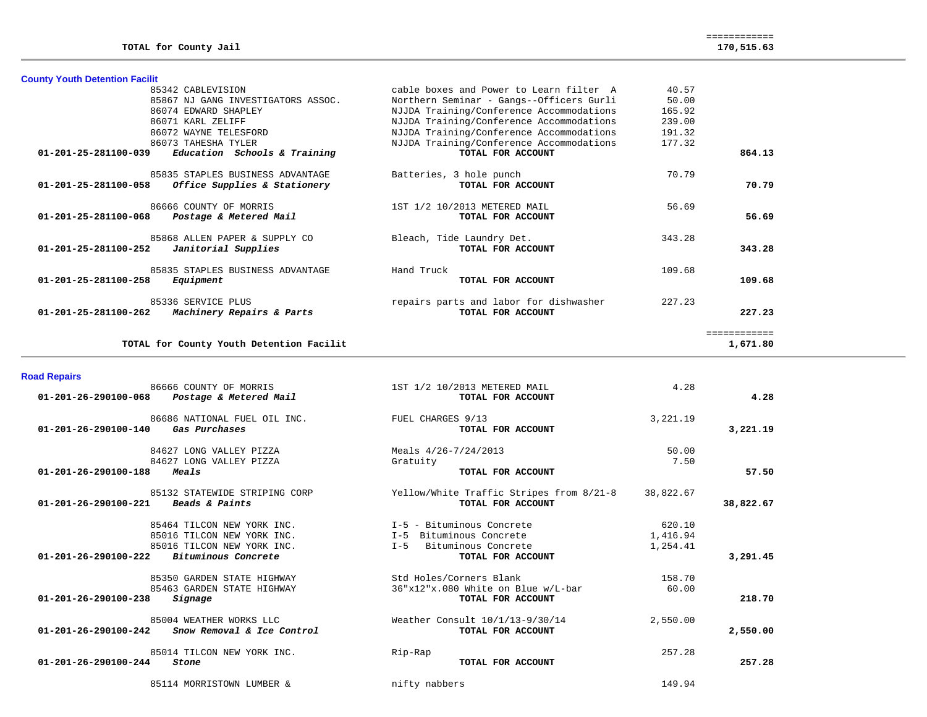| <b>County Youth Detention Facilit</b>                       |                                          |        |              |
|-------------------------------------------------------------|------------------------------------------|--------|--------------|
| 85342 CABLEVISION                                           | cable boxes and Power to Learn filter A  | 40.57  |              |
| 85867 NJ GANG INVESTIGATORS ASSOC.                          | Northern Seminar - Gangs--Officers Gurli | 50.00  |              |
| 86074 EDWARD SHAPLEY                                        | NJJDA Training/Conference Accommodations | 165.92 |              |
| 86071 KARL ZELIFF                                           | NJJDA Training/Conference Accommodations | 239.00 |              |
| 86072 WAYNE TELESFORD                                       | NJJDA Training/Conference Accommodations | 191.32 |              |
| 86073 TAHESHA TYLER                                         | NJJDA Training/Conference Accommodations | 177.32 |              |
| 01-201-25-281100-039<br>Education Schools & Training        | TOTAL FOR ACCOUNT                        |        | 864.13       |
| 85835 STAPLES BUSINESS ADVANTAGE                            | Batteries, 3 hole punch                  | 70.79  |              |
| 01-201-25-281100-058<br>Office Supplies & Stationery        | TOTAL FOR ACCOUNT                        |        | 70.79        |
| 86666 COUNTY OF MORRIS                                      | 1ST 1/2 10/2013 METERED MAIL             | 56.69  |              |
| $01 - 201 - 25 - 281100 - 068$<br>Postage & Metered Mail    | TOTAL FOR ACCOUNT                        |        | 56.69        |
| 85868 ALLEN PAPER & SUPPLY CO                               | Bleach, Tide Laundry Det.                | 343.28 |              |
| $01 - 201 - 25 - 281100 - 252$<br>Janitorial Supplies       | TOTAL FOR ACCOUNT                        |        | 343.28       |
| 85835 STAPLES BUSINESS ADVANTAGE                            | Hand Truck                               | 109.68 |              |
| 01-201-25-281100-258<br>Equipment                           | TOTAL FOR ACCOUNT                        |        | 109.68       |
| 85336 SERVICE PLUS                                          | repairs parts and labor for dishwasher   | 227.23 |              |
| $01 - 201 - 25 - 281100 - 262$<br>Machinery Repairs & Parts | TOTAL FOR ACCOUNT                        |        | 227.23       |
|                                                             |                                          |        | ============ |
| TOTAL for County Youth Detention Facilit                    |                                          |        | 1,671.80     |

| <b>Road Repairs</b> |  |  |
|---------------------|--|--|
|                     |  |  |

| waa nopano                     |                                                  |                                                               |           |           |  |
|--------------------------------|--------------------------------------------------|---------------------------------------------------------------|-----------|-----------|--|
| 01-201-26-290100-068           | 86666 COUNTY OF MORRIS<br>Postage & Metered Mail | 1ST 1/2 10/2013 METERED MAIL<br>TOTAL FOR ACCOUNT             | 4.28      | 4.28      |  |
| 01-201-26-290100-140           | 86686 NATIONAL FUEL OIL INC.<br>Gas Purchases    | FUEL CHARGES 9/13<br>TOTAL FOR ACCOUNT                        | 3,221.19  | 3,221.19  |  |
|                                | 84627 LONG VALLEY PIZZA                          | Meals 4/26-7/24/2013                                          | 50.00     |           |  |
| 01-201-26-290100-188           | 84627 LONG VALLEY PIZZA<br>Meals                 | Gratuity<br>TOTAL FOR ACCOUNT                                 | 7.50      | 57.50     |  |
| 01-201-26-290100-221           | 85132 STATEWIDE STRIPING CORP<br>Beads & Paints  | Yellow/White Traffic Stripes from 8/21-8<br>TOTAL FOR ACCOUNT | 38,822.67 | 38,822.67 |  |
|                                |                                                  |                                                               |           |           |  |
|                                | 85464 TILCON NEW YORK INC.                       | I-5 - Bituminous Concrete                                     | 620.10    |           |  |
|                                | 85016 TILCON NEW YORK INC.                       | Bituminous Concrete<br>$I - 5$                                | 1,416.94  |           |  |
|                                | 85016 TILCON NEW YORK INC.                       | Bituminous Concrete<br>$I - 5$                                | 1,254.41  |           |  |
| 01-201-26-290100-222           | Bituminous Concrete                              | TOTAL FOR ACCOUNT                                             |           | 3,291.45  |  |
|                                | 85350 GARDEN STATE HIGHWAY                       | Std Holes/Corners Blank                                       | 158.70    |           |  |
| 01-201-26-290100-238           | 85463 GARDEN STATE HIGHWAY<br>Signage            | 36"x12"x.080 White on Blue w/L-bar<br>TOTAL FOR ACCOUNT       | 60.00     | 218.70    |  |
|                                | 85004 WEATHER WORKS LLC                          | Weather Consult 10/1/13-9/30/14                               | 2,550.00  |           |  |
| 01-201-26-290100-242           | Snow Removal & Ice Control                       | TOTAL FOR ACCOUNT                                             |           | 2,550.00  |  |
|                                | 85014 TILCON NEW YORK INC.                       | Rip-Rap                                                       | 257.28    |           |  |
| $01 - 201 - 26 - 290100 - 244$ | Stone                                            | TOTAL FOR ACCOUNT                                             |           | 257.28    |  |
|                                | 85114 MORRISTOWN LUMBER &                        | nifty nabbers                                                 | 149.94    |           |  |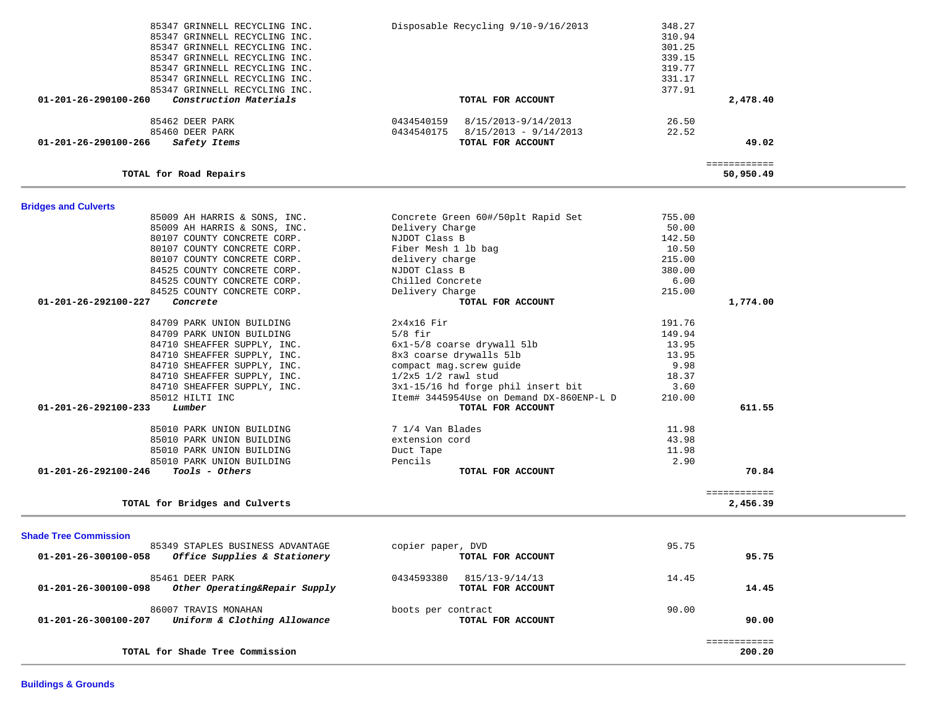| <b>Shade Tree Commission</b>                                   |                              |       |        |
|----------------------------------------------------------------|------------------------------|-------|--------|
| 85349 STAPLES BUSINESS ADVANTAGE                               | copier paper, DVD            | 95.75 |        |
| Office Supplies & Stationery<br>$01 - 201 - 26 - 300100 - 058$ | TOTAL FOR ACCOUNT            |       | 95.75  |
| 85461 DEER PARK                                                | 0434593380<br>815/13-9/14/13 | 14.45 |        |
| 01-201-26-300100-098<br>Other Operating&Repair Supply          | TOTAL FOR ACCOUNT            |       | 14.45  |
| 86007 TRAVIS MONAHAN                                           | boots per contract           | 90.00 |        |
| Uniform & Clothing Allowance<br>01-201-26-300100-207           | TOTAL FOR ACCOUNT            |       | 90.00  |
|                                                                |                              |       | .      |
| TOTAL for Shade Tree Commission                                |                              |       | 200.20 |

============

**TOTAL for Bridges and Culverts 2,456.39**

| 80107 COUNTY CONCRETE CORP.                   | NJDOT Class B                            | 142.50 |          |
|-----------------------------------------------|------------------------------------------|--------|----------|
| 80107 COUNTY CONCRETE CORP.                   | Fiber Mesh 1 lb bag                      | 10.50  |          |
| 80107 COUNTY CONCRETE CORP.                   | delivery charge                          | 215.00 |          |
| 84525 COUNTY CONCRETE CORP.                   | NJDOT Class B                            | 380.00 |          |
| 84525 COUNTY CONCRETE CORP.                   | Chilled Concrete                         | 6.00   |          |
| 84525 COUNTY CONCRETE CORP.                   | Delivery Charge                          | 215.00 |          |
| 01-201-26-292100-227<br>Concrete              | TOTAL FOR ACCOUNT                        |        | 1,774.00 |
| 84709 PARK UNION BUILDING                     | $2x4x16$ Fir                             | 191.76 |          |
| 84709 PARK UNION BUILDING                     | $5/8$ fir                                | 149.94 |          |
| 84710 SHEAFFER SUPPLY, INC.                   | 6x1-5/8 coarse drywall 5lb               | 13.95  |          |
| 84710 SHEAFFER SUPPLY, INC.                   | 8x3 coarse drywalls 5lb                  | 13.95  |          |
| 84710 SHEAFFER SUPPLY, INC.                   | compact mag.screw guide                  | 9.98   |          |
| 84710 SHEAFFER SUPPLY, INC.                   | $1/2x5$ $1/2$ rawl stud                  | 18.37  |          |
| 84710 SHEAFFER SUPPLY, INC.                   | 3x1-15/16 hd forge phil insert bit       | 3.60   |          |
| 85012 HILTI INC                               | Item# 3445954Use on Demand DX-860ENP-L D | 210.00 |          |
| 01-201-26-292100-233<br>Lumber                | TOTAL FOR ACCOUNT                        |        | 611.55   |
| 85010 PARK UNION BUILDING                     | 7 1/4 Van Blades                         | 11.98  |          |
| 85010 PARK UNION BUILDING                     | extension cord                           | 43.98  |          |
| 85010 PARK UNION BUILDING                     | Duct Tape                                | 11.98  |          |
| 85010 PARK UNION BUILDING                     | Pencils                                  | 2.90   |          |
| 01-201-26-292100-246<br><i>Tools - Others</i> | TOTAL FOR ACCOUNT                        |        | 70.84    |

 $\begin{minipage}{0.03\linewidth} \begin{tabular}{l} \multicolumn{2}{c}{\textbf{5}}\end{tabular} \end{minipage}$ 

 85009 AH HARRIS & SONS, INC. Concrete Green 60#/50plt Rapid Set 755.00 85009 AH HARRIS & SONS, INC. Delivery Charge 50.00

# **Bridges and Culverts**

| 01-201-26-290100-266<br>Safety Items                     | TOTAL FOR ACCOUNT                     | 49.02    |
|----------------------------------------------------------|---------------------------------------|----------|
| 85460 DEER PARK                                          | 0434540175<br>$8/15/2013 - 9/14/2013$ | 22.52    |
| 85462 DEER PARK                                          | 8/15/2013-9/14/2013<br>0434540159     | 26.50    |
| Construction Materials<br>$01 - 201 - 26 - 290100 - 260$ | TOTAL FOR ACCOUNT                     | 2,478.40 |
| 85347 GRINNELL RECYCLING INC.                            |                                       | 377.91   |
| 85347 GRINNELL RECYCLING INC.                            |                                       | 331.17   |
| 85347 GRINNELL RECYCLING INC.                            |                                       | 319.77   |
| 85347 GRINNELL RECYCLING INC.                            |                                       | 339.15   |
| 85347 GRINNELL RECYCLING INC.                            |                                       | 301.25   |
| 85347 GRINNELL RECYCLING INC.                            |                                       | 310.94   |
| 85347 GRINNELL RECYCLING INC.                            | Disposable Recycling 9/10-9/16/2013   | 348.27   |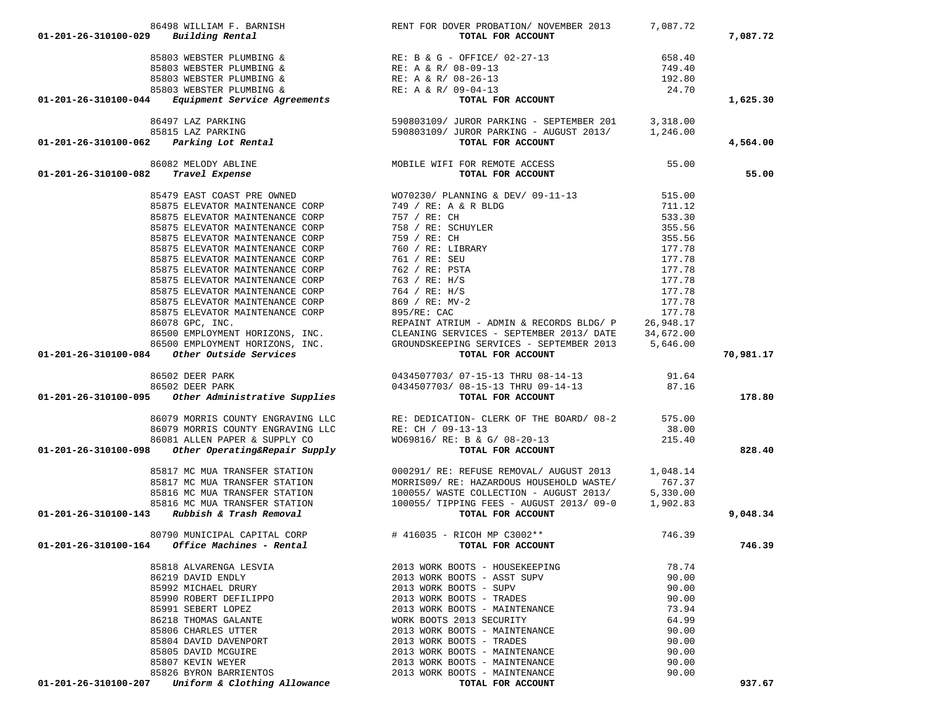| 86498 WILLIAM F. BARNISH                                                                                                                                                                                                                                      | RENT FOR DOVER PROBATION/ NOVEMBER 2013                                    | 7,087.72                   |           |
|---------------------------------------------------------------------------------------------------------------------------------------------------------------------------------------------------------------------------------------------------------------|----------------------------------------------------------------------------|----------------------------|-----------|
| $01 - 201 - 26 - 310100 - 029$ Building Rental                                                                                                                                                                                                                | TOTAL FOR ACCOUNT                                                          |                            | 7,087.72  |
|                                                                                                                                                                                                                                                               |                                                                            |                            |           |
|                                                                                                                                                                                                                                                               |                                                                            | 658.40<br>749.40           |           |
|                                                                                                                                                                                                                                                               |                                                                            |                            |           |
|                                                                                                                                                                                                                                                               |                                                                            | 192.80                     |           |
|                                                                                                                                                                                                                                                               |                                                                            | 24.70                      |           |
| 01-201-26-310100-029 BUILDING &<br>85803 WEBSTER PLUMBING &<br>85803 WEBSTER PLUMBING &<br>85803 WEBSTER PLUMBING &<br>85803 WEBSTER PLUMBING &<br>85803 WEBSTER PLUMBING &<br>85803 WEBSTER PLUMBING &<br>RE: A & R/08-09-13<br>RE: A & R/09                 |                                                                            |                            | 1,625.30  |
|                                                                                                                                                                                                                                                               |                                                                            |                            |           |
|                                                                                                                                                                                                                                                               |                                                                            |                            |           |
| 86497 LAZ PARKING<br>85815 LAZ PARKING<br>85815 LAZ PARKING<br>85815 LAZ PARKING<br>85815 LAZ PARKING<br>85815 LAZ PARKING<br>85815 LAZ PARKING<br>85815 LAZ PARKING<br>8590803109/ JUROR PARKING - AUGUST 2013/<br><b>1,246.00</b><br><b>TOTAL FOR ACCOU</b> |                                                                            |                            | 4,564.00  |
| 86082 MELODY ABLINE                                                                                                                                                                                                                                           | MOBILE WIFI FOR REMOTE ACCESS<br>TOTAL FOR ACCOUNT                         | 55.00                      |           |
| 01-201-26-310100-082 Travel Expense                                                                                                                                                                                                                           |                                                                            |                            | 55.00     |
|                                                                                                                                                                                                                                                               |                                                                            | 515.00                     |           |
|                                                                                                                                                                                                                                                               |                                                                            |                            |           |
|                                                                                                                                                                                                                                                               |                                                                            | 711.12<br>533.30<br>533.30 |           |
|                                                                                                                                                                                                                                                               |                                                                            | 355.56                     |           |
|                                                                                                                                                                                                                                                               |                                                                            | 355.56                     |           |
|                                                                                                                                                                                                                                                               |                                                                            | 177.78                     |           |
|                                                                                                                                                                                                                                                               |                                                                            | 177.78                     |           |
|                                                                                                                                                                                                                                                               |                                                                            | 177.78                     |           |
|                                                                                                                                                                                                                                                               |                                                                            | 177.78                     |           |
| 85875 ELEVATOR MAINTENANCE CORP 764 / RE: H/S                                                                                                                                                                                                                 |                                                                            | 177.78                     |           |
|                                                                                                                                                                                                                                                               |                                                                            |                            |           |
|                                                                                                                                                                                                                                                               |                                                                            |                            |           |
|                                                                                                                                                                                                                                                               |                                                                            |                            |           |
|                                                                                                                                                                                                                                                               |                                                                            |                            |           |
|                                                                                                                                                                                                                                                               |                                                                            |                            |           |
| 35875 ELEVATOR MAINTENANCE CORP<br>85875 ELEVATOR MAINTENANCE CORP<br>8575 ELEVATOR MAINTENANCE CORP<br>86775 ELEVATOR MAINTENANCE CORP<br>86775 ELEVATOR MAINTENANCE CORP<br>86775 ELEVATOR MAINTENANCE CORP<br>86776 ELEVATOR (SERVICES                     |                                                                            |                            | 70,981.17 |
|                                                                                                                                                                                                                                                               |                                                                            |                            |           |
|                                                                                                                                                                                                                                                               |                                                                            |                            |           |
| 86502 DEER PARK 0434507703/07-15-13 THRU 08-14-13<br>86502 DEER PARK 0434507703/08-15-13 THRU 09-14-13<br>0434507703/08-15-13 THRU 09-14-13<br><b>TOTAL FOR ACCOUNT</b>                                                                                       |                                                                            | 87.16                      | 178.80    |
|                                                                                                                                                                                                                                                               |                                                                            |                            |           |
|                                                                                                                                                                                                                                                               | 86079 MORRIS COUNTY ENGRAVING LLC RE: DEDICATION- CLERK OF THE BOARD/ 08-2 | 575.00                     |           |
| 86079 MORRIS COUNTY ENGRAVING LLC                                                                                                                                                                                                                             |                                                                            | 38.00                      |           |
| 86081 ALLEN PAPER & SUPPLY CO                                                                                                                                                                                                                                 | $R$ E: CH / 09-13-13<br>w069816/pm<br>W069816/ RE: B & G/ 08-20-13         | 215.40                     |           |
| 01-201-26-310100-098 Other Operating&Repair Supply                                                                                                                                                                                                            | TOTAL FOR ACCOUNT                                                          |                            | 828.40    |
| 85817 MC MUA TRANSFER STATION                                                                                                                                                                                                                                 | 000291/ RE: REFUSE REMOVAL/ AUGUST 2013 1,048.14                           |                            |           |
|                                                                                                                                                                                                                                                               | 85817 MC MUA TRANSFER STATION MORRISO9/RE: HAZARDOUS HOUSEHOLD WASTE/      | 767.37                     |           |
|                                                                                                                                                                                                                                                               |                                                                            |                            |           |
|                                                                                                                                                                                                                                                               |                                                                            |                            |           |
| 85816 MC MUA TRANSFER STATION<br>85816 MC MUA TRANSFER STATION<br>85816 MC MUA TRANSFER STATION<br>85816 MC MUA TRANSFER STATION<br>85816 MC MUA TRANSFER STATION<br>85816 MC MUA TRANSFER STATION<br>100055/ TIPPING FEES - AUGUST 2013/09-0 1,              |                                                                            |                            | 9,048.34  |
| 80790 MUNICIPAL CAPITAL CORP                                                                                                                                                                                                                                  | # 416035 - RICOH MP C3002 **                                               | 746.39                     |           |
| $01-201-26-310100-164$ Office Machines - Rental                                                                                                                                                                                                               | TOTAL FOR ACCOUNT                                                          |                            | 746.39    |
| 85818 ALVARENGA LESVIA                                                                                                                                                                                                                                        | 2013 WORK BOOTS - HOUSEKEEPING                                             | 78.74                      |           |
| 86219 DAVID ENDLY                                                                                                                                                                                                                                             | 2013 WORK BOOTS - ASST SUPV                                                | 90.00                      |           |
| 85992 MICHAEL DRURY                                                                                                                                                                                                                                           | 2013 WORK BOOTS - SUPV                                                     | 90.00                      |           |
| 85990 ROBERT DEFILIPPO                                                                                                                                                                                                                                        | 2013 WORK BOOTS - TRADES                                                   | 90.00                      |           |
| 85991 SEBERT LOPEZ                                                                                                                                                                                                                                            | 2013 WORK BOOTS - MAINTENANCE                                              | 73.94                      |           |
| 86218 THOMAS GALANTE                                                                                                                                                                                                                                          | WORK BOOTS 2013 SECURITY                                                   | 64.99                      |           |
| 85806 CHARLES UTTER                                                                                                                                                                                                                                           | 2013 WORK BOOTS - MAINTENANCE                                              | 90.00                      |           |
| 85804 DAVID DAVENPORT                                                                                                                                                                                                                                         | 2013 WORK BOOTS - TRADES                                                   | 90.00                      |           |
| 85805 DAVID MCGUIRE                                                                                                                                                                                                                                           | 2013 WORK BOOTS - MAINTENANCE                                              | 90.00                      |           |
| 85807 KEVIN WEYER                                                                                                                                                                                                                                             | 2013 WORK BOOTS - MAINTENANCE                                              | 90.00                      |           |
| 85826 BYRON BARRIENTOS                                                                                                                                                                                                                                        | 2013 WORK BOOTS - MAINTENANCE                                              | 90.00                      |           |
| Uniform & Clothing Allowance<br>01-201-26-310100-207                                                                                                                                                                                                          | TOTAL FOR ACCOUNT                                                          |                            | 937.67    |
|                                                                                                                                                                                                                                                               |                                                                            |                            |           |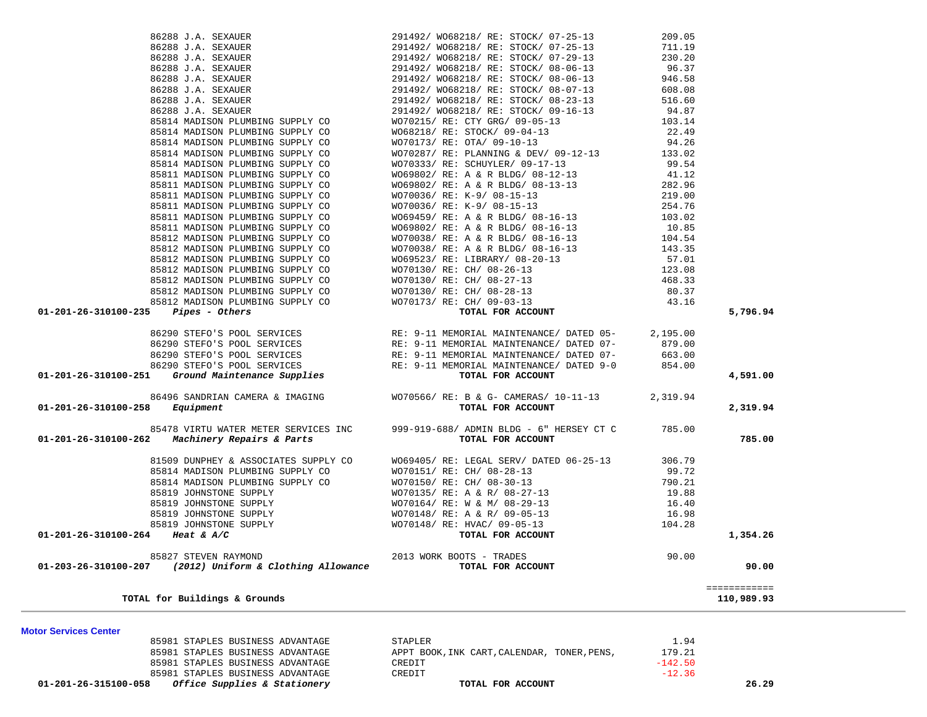| <b>Motor Services Center</b>                                                                                                                                                                                                                                                                                                                                                                                  |                                                                                                                                                                                                                                                                                                                                                   |                  |                            |
|---------------------------------------------------------------------------------------------------------------------------------------------------------------------------------------------------------------------------------------------------------------------------------------------------------------------------------------------------------------------------------------------------------------|---------------------------------------------------------------------------------------------------------------------------------------------------------------------------------------------------------------------------------------------------------------------------------------------------------------------------------------------------|------------------|----------------------------|
| TOTAL for Buildings & Grounds                                                                                                                                                                                                                                                                                                                                                                                 |                                                                                                                                                                                                                                                                                                                                                   |                  | ============<br>110,989.93 |
| 85814 MADISON PLUMBING SUPPLY CO<br>85814 MADISON PLUMBING SUPPLY CO<br>85814 MADISON PLUMBING SUPPLY CO<br>85814 MADISON PLUMBING SUPPLY CO<br>85819 JOHNSTONE SUPPLY<br>85819 JOHNSTONE SUPPLY<br>85819 JOHNSTONE SUPPLY<br>85819 JOHNSTO                                                                                                                                                                   |                                                                                                                                                                                                                                                                                                                                                   |                  | 90.00                      |
|                                                                                                                                                                                                                                                                                                                                                                                                               |                                                                                                                                                                                                                                                                                                                                                   |                  |                            |
|                                                                                                                                                                                                                                                                                                                                                                                                               |                                                                                                                                                                                                                                                                                                                                                   |                  | 1,354.26                   |
|                                                                                                                                                                                                                                                                                                                                                                                                               |                                                                                                                                                                                                                                                                                                                                                   |                  |                            |
|                                                                                                                                                                                                                                                                                                                                                                                                               |                                                                                                                                                                                                                                                                                                                                                   |                  |                            |
|                                                                                                                                                                                                                                                                                                                                                                                                               |                                                                                                                                                                                                                                                                                                                                                   |                  |                            |
|                                                                                                                                                                                                                                                                                                                                                                                                               |                                                                                                                                                                                                                                                                                                                                                   |                  |                            |
|                                                                                                                                                                                                                                                                                                                                                                                                               |                                                                                                                                                                                                                                                                                                                                                   |                  |                            |
| 85814 MADISON PLUMBING SUPPLY CO                                                                                                                                                                                                                                                                                                                                                                              | WO70151/ RE: CH/ 08-28-13                                                                                                                                                                                                                                                                                                                         | 99.72            |                            |
|                                                                                                                                                                                                                                                                                                                                                                                                               | 81509 DUNPHEY & ASSOCIATES SUPPLY CO WO69405/RE: LEGAL SERV/DATED 06-25-13 306.79                                                                                                                                                                                                                                                                 |                  |                            |
| 01-201-26-310100-262 Machinery Repairs & Parts                                                                                                                                                                                                                                                                                                                                                                | TOTAL FOR ACCOUNT                                                                                                                                                                                                                                                                                                                                 |                  | 785.00                     |
|                                                                                                                                                                                                                                                                                                                                                                                                               | 85478 VIRTU WATER METER SERVICES INC 999-919-688/ ADMIN BLDG - 6" HERSEY CT C 785.00                                                                                                                                                                                                                                                              |                  |                            |
| $01 - 201 - 26 - 310100 - 258$ Equipment                                                                                                                                                                                                                                                                                                                                                                      | 86496 SANDRIAN CAMERA & IMAGING WO70566/RE: B & G- CAMERAS/ 10-11-13 2,319.94<br>TOTAL FOR ACCOUNT                                                                                                                                                                                                                                                |                  | 2,319.94                   |
| $\begin{array}{cccc} & 86290& \text{STEFO'S POOL SERVICES} \\ & 86290& \text{STEFO'S POOL SERVICES} \\ & 86290& \text{STEFO'S POOL SERVICES} \\ & 86290& \text{STEFO'S POOL SERVICES} \\ & 86290& \text{STEFO'S POOL SERVICES} \\ & 86290& \text{STEFO'S POOL SERVICES} \\ & 86290& \text{STEFO'S POOL SERVICES} \\ & 86290& \text{STEFO'S POOL SERVICES} \\ & 86290& \text{STEFO'S POOL SERVICES} \\ & 8629$ |                                                                                                                                                                                                                                                                                                                                                   |                  |                            |
|                                                                                                                                                                                                                                                                                                                                                                                                               |                                                                                                                                                                                                                                                                                                                                                   |                  | 4,591.00                   |
|                                                                                                                                                                                                                                                                                                                                                                                                               |                                                                                                                                                                                                                                                                                                                                                   |                  |                            |
|                                                                                                                                                                                                                                                                                                                                                                                                               |                                                                                                                                                                                                                                                                                                                                                   |                  |                            |
|                                                                                                                                                                                                                                                                                                                                                                                                               |                                                                                                                                                                                                                                                                                                                                                   |                  |                            |
|                                                                                                                                                                                                                                                                                                                                                                                                               |                                                                                                                                                                                                                                                                                                                                                   |                  |                            |
| $01-201-26-310100-235$ Pipes - Others                                                                                                                                                                                                                                                                                                                                                                         | 85811 MADISON PLUMBING SUPPLY CO<br>85812 MADISON PLUMBING SUPPLY CO<br>85812 MADISON PLUMBING SUPPLY CO<br>85812 MADISON PLUMBING SUPPLY CO<br>85812 MADISON PLUMBING SUPPLY CO<br>85812 MADISON PLUMBING SUPPLY CO<br>85812 MADISON PLU                                                                                                         |                  | 5,796.94                   |
|                                                                                                                                                                                                                                                                                                                                                                                                               |                                                                                                                                                                                                                                                                                                                                                   | 43.16            |                            |
|                                                                                                                                                                                                                                                                                                                                                                                                               |                                                                                                                                                                                                                                                                                                                                                   | 80.37            |                            |
|                                                                                                                                                                                                                                                                                                                                                                                                               |                                                                                                                                                                                                                                                                                                                                                   | 123.08<br>468.33 |                            |
|                                                                                                                                                                                                                                                                                                                                                                                                               |                                                                                                                                                                                                                                                                                                                                                   |                  |                            |
|                                                                                                                                                                                                                                                                                                                                                                                                               |                                                                                                                                                                                                                                                                                                                                                   | 57.01            |                            |
|                                                                                                                                                                                                                                                                                                                                                                                                               |                                                                                                                                                                                                                                                                                                                                                   |                  |                            |
|                                                                                                                                                                                                                                                                                                                                                                                                               |                                                                                                                                                                                                                                                                                                                                                   |                  |                            |
| 85811 MADISON PLUMBING SUPPLY CO                                                                                                                                                                                                                                                                                                                                                                              | WO70173/RE: OTA/ 09-10-13<br>WO70287/RE: PLANNING & DEV/ 09-12-13<br>WO70333/RE: SCHUYLER/ 09-17-13<br>WO69802/RE: A & R BLDG/ 08-12-13<br>WO69802/RE: A & R BLDG/ 08-13-13<br>WO70036/RE: K-9/ 08-15-13<br>WO70036/RE: K-9/ 08-15-13<br>WO6                                                                                                      |                  |                            |
| 85811 MADISON PLUMBING SUPPLY CO                                                                                                                                                                                                                                                                                                                                                                              |                                                                                                                                                                                                                                                                                                                                                   |                  |                            |
| 85811 MADISON PLUMBING SUPPLY CO                                                                                                                                                                                                                                                                                                                                                                              |                                                                                                                                                                                                                                                                                                                                                   |                  |                            |
| 85811 MADISON PLUMBING SUPPLY CO                                                                                                                                                                                                                                                                                                                                                                              |                                                                                                                                                                                                                                                                                                                                                   |                  |                            |
| 85811 MADISON PLUMBING SUPPLY CO                                                                                                                                                                                                                                                                                                                                                                              |                                                                                                                                                                                                                                                                                                                                                   |                  |                            |
| 85811 MADISON PLUMBING SUPPLY CO                                                                                                                                                                                                                                                                                                                                                                              |                                                                                                                                                                                                                                                                                                                                                   |                  |                            |
| 85814 MADISON PLUMBING SUPPLY CO<br>85814 MADISON PLUMBING SUPPLY CO                                                                                                                                                                                                                                                                                                                                          |                                                                                                                                                                                                                                                                                                                                                   |                  |                            |
|                                                                                                                                                                                                                                                                                                                                                                                                               |                                                                                                                                                                                                                                                                                                                                                   |                  |                            |
| 85814 MADISON PLUMBING SUPPLY CO<br>85814 MADISON PLUMBING SUPPLY CO                                                                                                                                                                                                                                                                                                                                          | WO68218/ RE: STOCK/ 09-04-13<br>WO70173/ RE: OTA/ 09-10-13                                                                                                                                                                                                                                                                                        | 22.49<br>94.26   |                            |
|                                                                                                                                                                                                                                                                                                                                                                                                               |                                                                                                                                                                                                                                                                                                                                                   |                  |                            |
|                                                                                                                                                                                                                                                                                                                                                                                                               | $\begin{array}{cccccc} 86288\ \text{J.A.} & \text{SEXAUER} & 291492/\ \text{W068218}/\ \text{RE:} & \text{STOCK/ 07--25--13} & 209.05 \\ 86288\ \text{J.A.} & \text{SEXAUER} & 291492/\ \text{W068218}/\ \text{RE:} & \text{STOCK/ 07--29--13} & 711.19 \\ 86288\ \text{J.A.} & \text{SEXAUER} & 291492/\ \text{W068218}/\ \text{RE:} & \text{ST$ |                  |                            |
|                                                                                                                                                                                                                                                                                                                                                                                                               |                                                                                                                                                                                                                                                                                                                                                   |                  |                            |
|                                                                                                                                                                                                                                                                                                                                                                                                               |                                                                                                                                                                                                                                                                                                                                                   |                  |                            |
|                                                                                                                                                                                                                                                                                                                                                                                                               |                                                                                                                                                                                                                                                                                                                                                   |                  |                            |
|                                                                                                                                                                                                                                                                                                                                                                                                               |                                                                                                                                                                                                                                                                                                                                                   |                  |                            |
|                                                                                                                                                                                                                                                                                                                                                                                                               |                                                                                                                                                                                                                                                                                                                                                   |                  |                            |
|                                                                                                                                                                                                                                                                                                                                                                                                               |                                                                                                                                                                                                                                                                                                                                                   |                  |                            |
|                                                                                                                                                                                                                                                                                                                                                                                                               |                                                                                                                                                                                                                                                                                                                                                   |                  |                            |

85981 STAPLES BUSINESS ADVANTAGE APPT BOOK, INK CART, CALENDAR, TONER, PENS,

85981 STAPLES BUSINESS ADVANTAGE CREDIT

85981 STAPLES BUSINESS ADVANTAGE CREDIT CREDIT CONSTRUCTS:  $-142.50$ 

 **01-201-26-315100-058** *Office Supplies & Stationery* **TOTAL FOR ACCOUNT 26.29**

179.21

 $-12.36$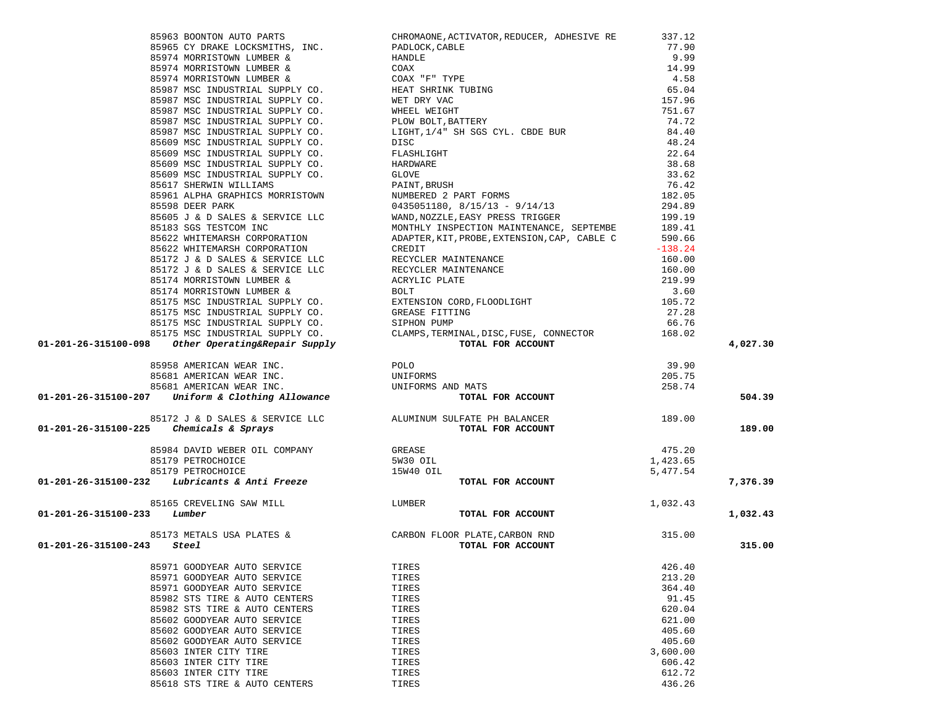|                                                                                                                                                                                                                                                                                                                                                                                                                          |                                                                                                                                                                                                                                         |          | 4,027.30 |
|--------------------------------------------------------------------------------------------------------------------------------------------------------------------------------------------------------------------------------------------------------------------------------------------------------------------------------------------------------------------------------------------------------------------------|-----------------------------------------------------------------------------------------------------------------------------------------------------------------------------------------------------------------------------------------|----------|----------|
|                                                                                                                                                                                                                                                                                                                                                                                                                          |                                                                                                                                                                                                                                         |          |          |
|                                                                                                                                                                                                                                                                                                                                                                                                                          |                                                                                                                                                                                                                                         |          |          |
|                                                                                                                                                                                                                                                                                                                                                                                                                          |                                                                                                                                                                                                                                         |          |          |
|                                                                                                                                                                                                                                                                                                                                                                                                                          |                                                                                                                                                                                                                                         |          |          |
|                                                                                                                                                                                                                                                                                                                                                                                                                          |                                                                                                                                                                                                                                         |          | 504.39   |
| 85958 AMERICAN WEAR INC.<br>85681 AMERICAN WEAR INC. UNIFORMS UNIFORMS 205.75<br>85681 AMERICAN WEAR INC. UNIFORMS AND MATS 258.74<br><b>01-201-26-315100-207</b> Uniform & Clothing Allowance TOTAL FOR ACCOUNT                                                                                                                                                                                                         |                                                                                                                                                                                                                                         |          |          |
|                                                                                                                                                                                                                                                                                                                                                                                                                          |                                                                                                                                                                                                                                         |          |          |
|                                                                                                                                                                                                                                                                                                                                                                                                                          |                                                                                                                                                                                                                                         |          | 189.00   |
|                                                                                                                                                                                                                                                                                                                                                                                                                          |                                                                                                                                                                                                                                         |          |          |
|                                                                                                                                                                                                                                                                                                                                                                                                                          |                                                                                                                                                                                                                                         | 475.20   |          |
|                                                                                                                                                                                                                                                                                                                                                                                                                          |                                                                                                                                                                                                                                         | 1,423.65 |          |
|                                                                                                                                                                                                                                                                                                                                                                                                                          |                                                                                                                                                                                                                                         | 5,477.54 |          |
| ${\small \begin{array}{cccc} \texttt{85984 DAVID WEBER OIL COMPANY} \end{array}}$ ${\small \begin{array}{c} \texttt{85179 PETROCHOICE} \end{array}}$ ${\small \begin{array}{c} \texttt{85179 PETROCHOICE} \end{array}}$ ${\small \begin{array}{c} \texttt{85179 PETROCHOICE} \end{array}}$ ${\small \begin{array}{c} \texttt{85179 PETROCHOICE} \end{array}}$ ${\small \begin{array}{c} \texttt{15W40 OIL} \end{array}}$ | TOTAL FOR ACCOUNT                                                                                                                                                                                                                       |          | 7,376.39 |
|                                                                                                                                                                                                                                                                                                                                                                                                                          |                                                                                                                                                                                                                                         |          |          |
| 85165 CREVELING SAW MILL LUMBER                                                                                                                                                                                                                                                                                                                                                                                          |                                                                                                                                                                                                                                         |          |          |
|                                                                                                                                                                                                                                                                                                                                                                                                                          |                                                                                                                                                                                                                                         |          |          |
| $01 - 201 - 26 - 315100 - 233$ Lumber                                                                                                                                                                                                                                                                                                                                                                                    | 85165 CREVELING SAW MILL LUMBER<br><b>1</b> ,032.43<br><b>1</b> ,032.43<br><b>1</b> ,032.43<br><b>1</b> ,032.43<br><b>1</b> ,032.43<br><b>1</b> ,032.43<br><b>1</b> ,032.43<br><b>1</b> ,032.43<br><b>1</b> ,032.43<br><b>1</b> ,032.43 |          | 1,032.43 |
|                                                                                                                                                                                                                                                                                                                                                                                                                          |                                                                                                                                                                                                                                         |          |          |
|                                                                                                                                                                                                                                                                                                                                                                                                                          |                                                                                                                                                                                                                                         |          |          |
| 01-201-26-315100-243<br>Steel                                                                                                                                                                                                                                                                                                                                                                                            | TOTAL FOR ACCOUNT                                                                                                                                                                                                                       |          | 315.00   |
|                                                                                                                                                                                                                                                                                                                                                                                                                          |                                                                                                                                                                                                                                         |          |          |
| 85971 GOODYEAR AUTO SERVICE                                                                                                                                                                                                                                                                                                                                                                                              | TIRES                                                                                                                                                                                                                                   | 426.40   |          |
| 85971 GOODYEAR AUTO SERVICE                                                                                                                                                                                                                                                                                                                                                                                              | TIRES                                                                                                                                                                                                                                   | 213.20   |          |
| 85971 GOODYEAR AUTO SERVICE                                                                                                                                                                                                                                                                                                                                                                                              | TIRES                                                                                                                                                                                                                                   | 364.40   |          |
| 85982 STS TIRE & AUTO CENTERS                                                                                                                                                                                                                                                                                                                                                                                            | TIRES                                                                                                                                                                                                                                   | 91.45    |          |
| 85982 STS TIRE & AUTO CENTERS                                                                                                                                                                                                                                                                                                                                                                                            | TIRES                                                                                                                                                                                                                                   | 620.04   |          |
| 85602 GOODYEAR AUTO SERVICE                                                                                                                                                                                                                                                                                                                                                                                              | TIRES                                                                                                                                                                                                                                   | 621.00   |          |
| 85602 GOODYEAR AUTO SERVICE                                                                                                                                                                                                                                                                                                                                                                                              | TIRES                                                                                                                                                                                                                                   | 405.60   |          |
| 85602 GOODYEAR AUTO SERVICE                                                                                                                                                                                                                                                                                                                                                                                              | TIRES                                                                                                                                                                                                                                   | 405.60   |          |
| 85603 INTER CITY TIRE                                                                                                                                                                                                                                                                                                                                                                                                    | TIRES                                                                                                                                                                                                                                   | 3,600.00 |          |
| 85603 INTER CITY TIRE                                                                                                                                                                                                                                                                                                                                                                                                    |                                                                                                                                                                                                                                         |          |          |
|                                                                                                                                                                                                                                                                                                                                                                                                                          | TIRES                                                                                                                                                                                                                                   | 606.42   |          |
| 85603 INTER CITY TIRE                                                                                                                                                                                                                                                                                                                                                                                                    | TIRES                                                                                                                                                                                                                                   | 612.72   |          |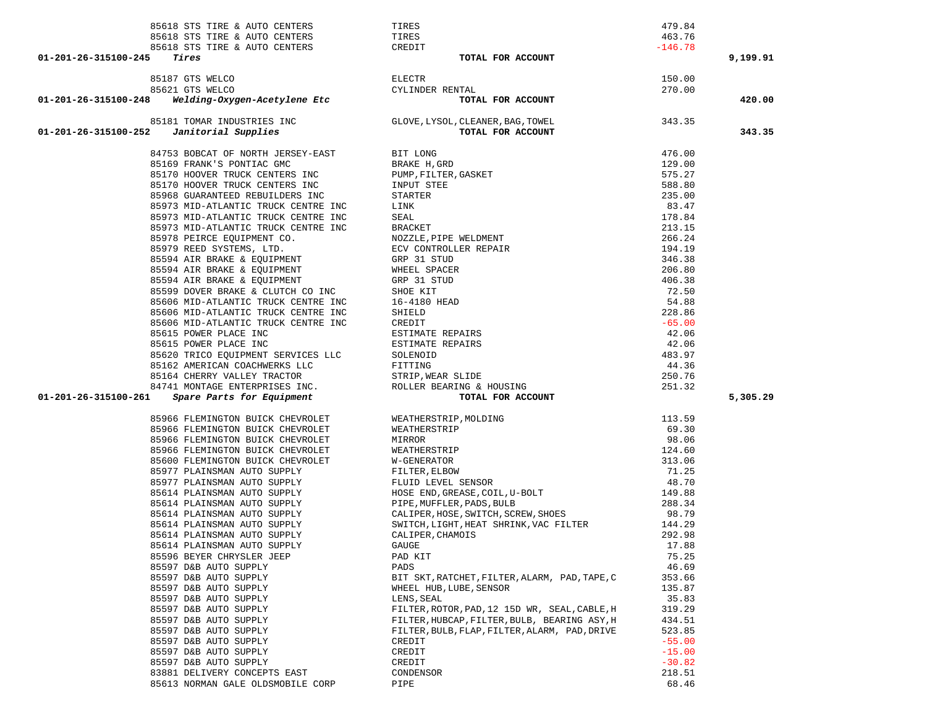| 85618 STS TIRE & AUTO CENTERS                                                             | TIRES                                                                                                                                                                                                                                                          | 479.84               |          |
|-------------------------------------------------------------------------------------------|----------------------------------------------------------------------------------------------------------------------------------------------------------------------------------------------------------------------------------------------------------------|----------------------|----------|
| 85618 STS TIRE & AUTO CENTERS                                                             | TIRES                                                                                                                                                                                                                                                          | 463.76               |          |
| 85618 STS TIRE & AUTO CENTERS CREDIT<br>01-201-26-315100-245<br>Tires                     |                                                                                                                                                                                                                                                                | $-146.78$            |          |
|                                                                                           | TOTAL FOR ACCOUNT                                                                                                                                                                                                                                              |                      | 9,199.91 |
| 87 GTS WELCO<br>21 GTS WELCO<br><b>Welding-Oxygen-Acetylene Etc</b><br>85187 GTS WELCO    | <b>ELECTR</b>                                                                                                                                                                                                                                                  | 150.00               |          |
| 85621 GTS WELCO                                                                           | CYLINDER RENTAL                                                                                                                                                                                                                                                | 270.00               |          |
| 01-201-26-315100-248                                                                      | TOTAL FOR ACCOUNT                                                                                                                                                                                                                                              |                      | 420.00   |
|                                                                                           |                                                                                                                                                                                                                                                                |                      |          |
|                                                                                           | 85181 TOMAR INDUSTRIES INC<br>2 <b>Janitorial Supplies</b> (GLOVE, LYSOL, CLEANER, BAG, TOWEL<br><b>70TAL FOR ACCOUNT</b>                                                                                                                                      |                      |          |
| 01-201-26-315100-252                                                                      |                                                                                                                                                                                                                                                                |                      | 343.35   |
|                                                                                           |                                                                                                                                                                                                                                                                |                      |          |
| 84753 BOBCAT OF NORTH JERSEY-EAST                                                         | PIT LONG<br>BRAKE H, GRD<br>BRAKE H, GRD<br>NUP, FILTER, GASKET<br>STARTER<br>STARTER<br>STARTER<br>SALL<br>BRACKET<br>NOZZLE, PIPE WELDMENT<br>ECV CONTROLLER REPAIR<br>GRP 31 STUD<br>SHDEL SPACER<br>GRP 31 STUD<br>SHOEL SPACER<br>GRP 31 STUD<br>SHOEL SP | 476.00               |          |
| 85169 FRANK'S PONTIAC GMC                                                                 |                                                                                                                                                                                                                                                                | 129.00               |          |
| 85170 HOOVER TRUCK CENTERS INC                                                            |                                                                                                                                                                                                                                                                | 575.27               |          |
| 85170 HOOVER TRUCK CENTERS INC                                                            |                                                                                                                                                                                                                                                                | 588.80               |          |
| 85968 GUARANTEED REBUILDERS INC                                                           |                                                                                                                                                                                                                                                                | 235.00               |          |
| 85973 MID-ATLANTIC TRUCK CENTRE INC                                                       |                                                                                                                                                                                                                                                                | 83.47                |          |
| 85973 MID-ATLANTIC TRUCK CENTRE INC                                                       |                                                                                                                                                                                                                                                                | 178.84               |          |
| 85973 MID-ATLANTIC TRUCK CENTRE INC                                                       |                                                                                                                                                                                                                                                                | 213.15               |          |
| 85978 PEIRCE EQUIPMENT CO.                                                                |                                                                                                                                                                                                                                                                | 266.24               |          |
| 85979 REED SYSTEMS, LTD.                                                                  |                                                                                                                                                                                                                                                                | 194.19               |          |
| 85594 AIR BRAKE & EQUIPMENT<br>85594 AIR BRAKE & EQUIPMENT<br>85594 AIR BRAKE & EQUIPMENT |                                                                                                                                                                                                                                                                | 346.38               |          |
|                                                                                           |                                                                                                                                                                                                                                                                | 206.80               |          |
|                                                                                           |                                                                                                                                                                                                                                                                | 406.38               |          |
| 85599 DOVER BRAKE & CLUTCH CO INC                                                         |                                                                                                                                                                                                                                                                | 72.50                |          |
| 85606 MID-ATLANTIC TRUCK CENTRE INC                                                       |                                                                                                                                                                                                                                                                | 54.88                |          |
| 85606 MID-ATLANTIC TRUCK CENTRE INC                                                       |                                                                                                                                                                                                                                                                | 228.86               |          |
| 85606 MID-ATLANTIC TRUCK CENTRE INC                                                       |                                                                                                                                                                                                                                                                | $-65.00$             |          |
| 85615 POWER PLACE INC                                                                     |                                                                                                                                                                                                                                                                | 42.06                |          |
| 85615 POWER PLACE INC                                                                     |                                                                                                                                                                                                                                                                | 42.06                |          |
| 85620 TRICO EQUIPMENT SERVICES LLC<br>85162 AMERICAN COACHWERKS LLC                       |                                                                                                                                                                                                                                                                | 483.97<br>44.36      |          |
| 85164 CHERRY VALLEY TRACTOR                                                               |                                                                                                                                                                                                                                                                | 250.76               |          |
| 84741 MONTAGE ENTERPRISES INC.                                                            |                                                                                                                                                                                                                                                                | 251.32               |          |
| Spare Parts for Equipment<br>01-201-26-315100-261                                         | TOTAL FOR ACCOUNT                                                                                                                                                                                                                                              |                      | 5,305.29 |
|                                                                                           |                                                                                                                                                                                                                                                                |                      |          |
| 85966 FLEMINGTON BUICK CHEVROLET                                                          |                                                                                                                                                                                                                                                                | 113.59               |          |
|                                                                                           |                                                                                                                                                                                                                                                                |                      |          |
| 85966 FLEMINGTON BUICK CHEVROLET                                                          |                                                                                                                                                                                                                                                                | 69.30                |          |
| 85966 FLEMINGTON BUICK CHEVROLET                                                          |                                                                                                                                                                                                                                                                | 98.06                |          |
| 85966 FLEMINGTON BUICK CHEVROLET                                                          |                                                                                                                                                                                                                                                                | 124.60               |          |
| 85600 FLEMINGTON BUICK CHEVROLET                                                          |                                                                                                                                                                                                                                                                | 313.06               |          |
| 85977 PLAINSMAN AUTO SUPPLY                                                               |                                                                                                                                                                                                                                                                | 71.25                |          |
| 85977 PLAINSMAN AUTO SUPPLY                                                               |                                                                                                                                                                                                                                                                | 48.70                |          |
| 85614 PLAINSMAN AUTO SUPPLY                                                               |                                                                                                                                                                                                                                                                | 149.88               |          |
| 85614 PLAINSMAN AUTO SUPPLY                                                               |                                                                                                                                                                                                                                                                | 288.34               |          |
| 85614 PLAINSMAN AUTO SUPPLY                                                               | WEATHERSTRIP, MOLDING<br>WEATHERSTRIP<br>MIRROR<br>WEATHERSTRIP<br>W-GENERATOR<br>FILTER, ELBOW<br>FLUID LEVEL SENSOR<br>HOSE END, GREASE, COIL, U-BOLT<br>PIPE, MUFFLER, PADS, BULB<br>PIPE, MUFFLER, PADS, BULB<br>CALIPER, HOSE, SWITCH, SCREW, SHOES       | 98.79                |          |
| 85614 PLAINSMAN AUTO SUPPLY                                                               | SWITCH, LIGHT, HEAT SHRINK, VAC FILTER                                                                                                                                                                                                                         | 144.29               |          |
| 85614 PLAINSMAN AUTO SUPPLY                                                               | CALIPER, CHAMOIS                                                                                                                                                                                                                                               | 292.98               |          |
| 85614 PLAINSMAN AUTO SUPPLY                                                               | GAUGE                                                                                                                                                                                                                                                          | 17.88                |          |
| 85596 BEYER CHRYSLER JEEP                                                                 | PAD KIT                                                                                                                                                                                                                                                        | 75.25                |          |
| 85597 D&B AUTO SUPPLY                                                                     | PADS                                                                                                                                                                                                                                                           | 46.69                |          |
| 85597 D&B AUTO SUPPLY                                                                     | BIT SKT, RATCHET, FILTER, ALARM, PAD, TAPE, C                                                                                                                                                                                                                  | 353.66               |          |
| 85597 D&B AUTO SUPPLY                                                                     | WHEEL HUB, LUBE, SENSOR                                                                                                                                                                                                                                        | 135.87               |          |
| 85597 D&B AUTO SUPPLY                                                                     | LENS, SEAL                                                                                                                                                                                                                                                     | 35.83                |          |
| 85597 D&B AUTO SUPPLY                                                                     | FILTER, ROTOR, PAD, 12 15D WR, SEAL, CABLE, H                                                                                                                                                                                                                  | 319.29               |          |
| 85597 D&B AUTO SUPPLY                                                                     | FILTER, HUBCAP, FILTER, BULB, BEARING ASY, H                                                                                                                                                                                                                   | 434.51               |          |
| 85597 D&B AUTO SUPPLY                                                                     | FILTER, BULB, FLAP, FILTER, ALARM, PAD, DRIVE                                                                                                                                                                                                                  | 523.85               |          |
| 85597 D&B AUTO SUPPLY<br>85597 D&B AUTO SUPPLY                                            | CREDIT                                                                                                                                                                                                                                                         | $-55.00$<br>$-15.00$ |          |
| 85597 D&B AUTO SUPPLY                                                                     | CREDIT<br>CREDIT                                                                                                                                                                                                                                               | $-30.82$             |          |
| 83881 DELIVERY CONCEPTS EAST                                                              | CONDENSOR                                                                                                                                                                                                                                                      | 218.51               |          |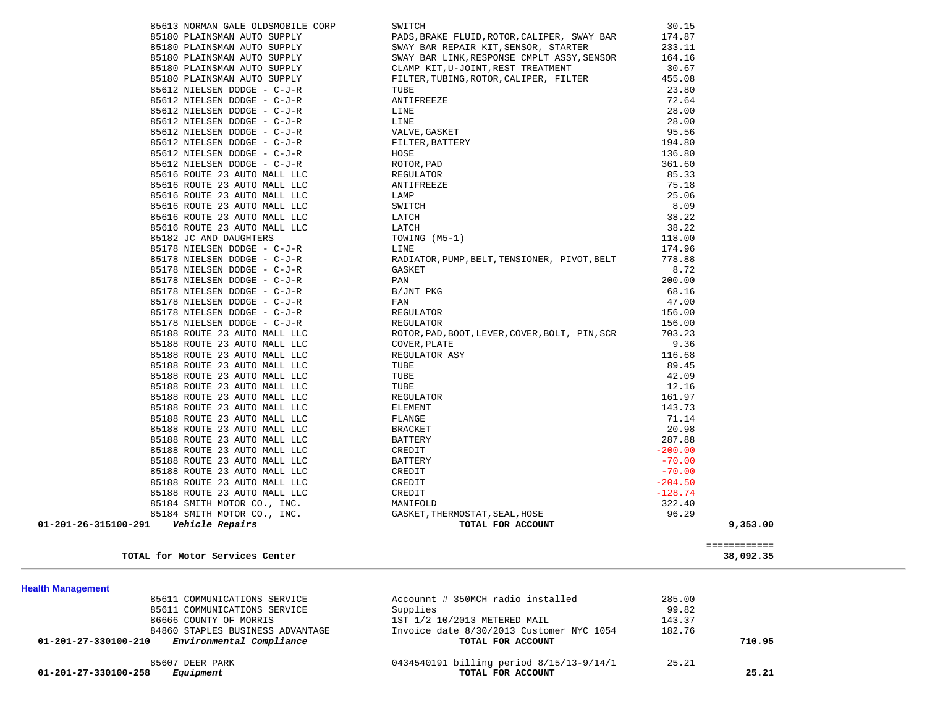| TOTAL for Motor Services Center         |                                                |           | ============<br>38,092.35 |
|-----------------------------------------|------------------------------------------------|-----------|---------------------------|
| 01-201-26-315100-291<br>Vehicle Repairs | TOTAL FOR ACCOUNT                              |           | 9,353.00                  |
| 85184 SMITH MOTOR CO., INC.             | GASKET, THERMOSTAT, SEAL, HOSE                 | 96.29     |                           |
| 85184 SMITH MOTOR CO., INC.             | MANIFOLD                                       | 322.40    |                           |
| 85188 ROUTE 23 AUTO MALL LLC            | CREDIT                                         | $-128.74$ |                           |
| 85188 ROUTE 23 AUTO MALL LLC            | CREDIT                                         | $-204.50$ |                           |
| 85188 ROUTE 23 AUTO MALL LLC            | CREDIT                                         | $-70.00$  |                           |
| 85188 ROUTE 23 AUTO MALL LLC            | BATTERY                                        | $-70.00$  |                           |
| 85188 ROUTE 23 AUTO MALL LLC            | CREDIT                                         | $-200.00$ |                           |
| 85188 ROUTE 23 AUTO MALL LLC            | BATTERY                                        | 287.88    |                           |
| 85188 ROUTE 23 AUTO MALL LLC            | <b>BRACKET</b>                                 | 20.98     |                           |
| 85188 ROUTE 23 AUTO MALL LLC            | FLANGE                                         | 71.14     |                           |
| 85188 ROUTE 23 AUTO MALL LLC            | <b>ELEMENT</b>                                 | 143.73    |                           |
| 85188 ROUTE 23 AUTO MALL LLC            | REGULATOR                                      | 161.97    |                           |
| 85188 ROUTE 23 AUTO MALL LLC            | TUBE                                           | 12.16     |                           |
| 85188 ROUTE 23 AUTO MALL LLC            | TUBE                                           | 42.09     |                           |
| 85188 ROUTE 23 AUTO MALL LLC            | TUBE                                           | 89.45     |                           |
| 85188 ROUTE 23 AUTO MALL LLC            | REGULATOR ASY                                  | 116.68    |                           |
| 85188 ROUTE 23 AUTO MALL LLC            | COVER, PLATE                                   | 9.36      |                           |
| 85188 ROUTE 23 AUTO MALL LLC            | ROTOR, PAD, BOOT, LEVER, COVER, BOLT, PIN, SCR | 703.23    |                           |
| 85178 NIELSEN DODGE - C-J-R             | REGULATOR                                      | 156.00    |                           |
| 85178 NIELSEN DODGE - C-J-R             | REGULATOR                                      | 156.00    |                           |
| 85178 NIELSEN DODGE - C-J-R             | FAN                                            | 47.00     |                           |
| 85178 NIELSEN DODGE - C-J-R             | B/JNT PKG                                      | 68.16     |                           |
| 85178 NIELSEN DODGE - C-J-R             | PAN                                            | 200.00    |                           |
| 85178 NIELSEN DODGE - C-J-R             | GASKET                                         | 8.72      |                           |
| 85178 NIELSEN DODGE - C-J-R             | RADIATOR, PUMP, BELT, TENSIONER, PIVOT, BELT   | 778.88    |                           |
| 85178 NIELSEN DODGE - C-J-R             | LINE                                           | 174.96    |                           |
| 85182 JC AND DAUGHTERS                  | TOWING (M5-1)                                  | 118.00    |                           |
| 85616 ROUTE 23 AUTO MALL LLC            | LATCH                                          | 38.22     |                           |
| 85616 ROUTE 23 AUTO MALL LLC            | LATCH                                          | 38.22     |                           |
| 85616 ROUTE 23 AUTO MALL LLC            | SWITCH                                         | 8.09      |                           |
| 85616 ROUTE 23 AUTO MALL LLC            | LAMP                                           | 25.06     |                           |
| 85616 ROUTE 23 AUTO MALL LLC            | ANTIFREEZE                                     | 75.18     |                           |
| 85616 ROUTE 23 AUTO MALL LLC            | REGULATOR                                      | 85.33     |                           |
| 85612 NIELSEN DODGE - C-J-R             | ROTOR, PAD                                     | 361.60    |                           |
| 85612 NIELSEN DODGE - C-J-R             | HOSE                                           | 136.80    |                           |
| 85612 NIELSEN DODGE - C-J-R             | FILTER, BATTERY                                | 194.80    |                           |
| 85612 NIELSEN DODGE - C-J-R             | VALVE, GASKET                                  | 95.56     |                           |
| 85612 NIELSEN DODGE - C-J-R             | LINE                                           | 28.00     |                           |
| 85612 NIELSEN DODGE - C-J-R             | LINE                                           | 28.00     |                           |
| 85612 NIELSEN DODGE - C-J-R             | ANTIFREEZE                                     | 72.64     |                           |
| 85612 NIELSEN DODGE - C-J-R             | TUBE                                           | 23.80     |                           |
| 85180 PLAINSMAN AUTO SUPPLY             | FILTER, TUBING, ROTOR, CALIPER, FILTER         | 455.08    |                           |
| 85180 PLAINSMAN AUTO SUPPLY             | CLAMP KIT, U-JOINT, REST TREATMENT             | 30.67     |                           |
| 85180 PLAINSMAN AUTO SUPPLY             | SWAY BAR LINK, RESPONSE CMPLT ASSY, SENSOR     | 164.16    |                           |
| 85180 PLAINSMAN AUTO SUPPLY             | SWAY BAR REPAIR KIT, SENSOR, STARTER           | 233.11    |                           |
| 85180 PLAINSMAN AUTO SUPPLY             | PADS, BRAKE FLUID, ROTOR, CALIPER, SWAY BAR    | 174.87    |                           |

**Health Management** 

| Equipment<br>01-201-27-330100-258                                 | TOTAL FOR ACCOUNT                        |        | 25.21  |
|-------------------------------------------------------------------|------------------------------------------|--------|--------|
| 85607 DEER PARK                                                   | 0434540191 billing period 8/15/13-9/14/1 | 25.21  |        |
| Environmental Compliance<br>01-201-27-330100-210                  | TOTAL FOR ACCOUNT                        |        | 710.95 |
| 84860 STAPLES BUSINESS ADVANTAGE                                  | Invoice date 8/30/2013 Customer NYC 1054 | 182.76 |        |
| 86666 COUNTY OF MORRIS                                            | 1ST 1/2 10/2013 METERED MAIL             | 143.37 |        |
| 85611 COMMUNICATIONS SERVICE                                      | Supplies                                 | 99.82  |        |
| Accounnt # 350MCH radio installed<br>85611 COMMUNICATIONS SERVICE |                                          | 285.00 |        |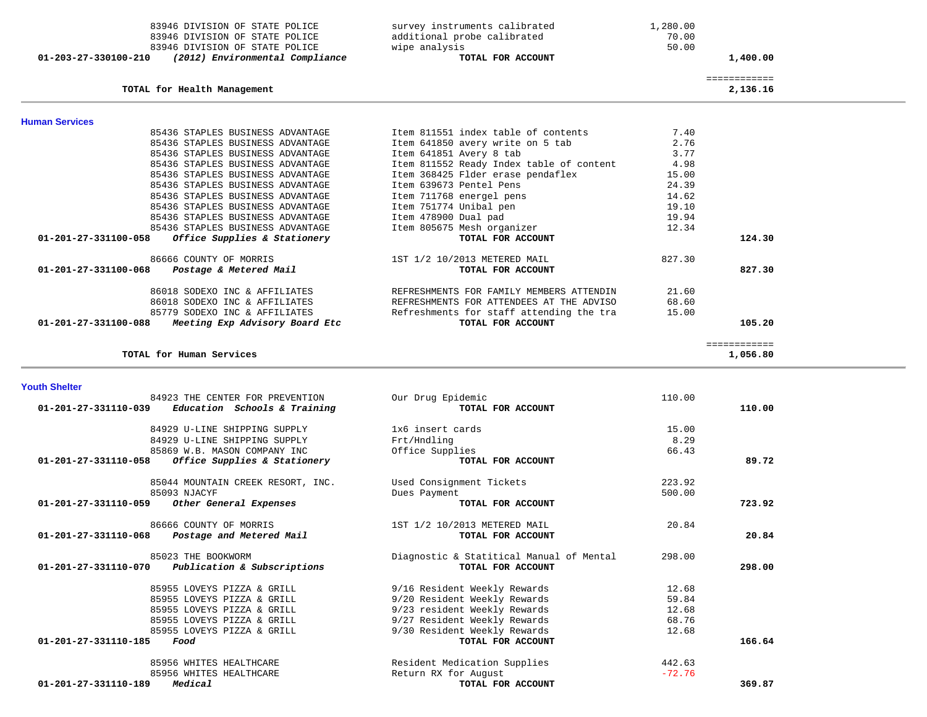| 83946 DIVISION OF STATE POLICE                                                            | survey instruments calibrated            | 1,280.00       |                          |  |
|-------------------------------------------------------------------------------------------|------------------------------------------|----------------|--------------------------|--|
| 83946 DIVISION OF STATE POLICE                                                            | additional probe calibrated              | 70.00<br>50.00 |                          |  |
| 83946 DIVISION OF STATE POLICE<br>(2012) Environmental Compliance<br>01-203-27-330100-210 | wipe analysis<br>TOTAL FOR ACCOUNT       |                | 1,400.00                 |  |
|                                                                                           |                                          |                |                          |  |
| TOTAL for Health Management                                                               |                                          |                | ============<br>2,136.16 |  |
| <b>Human Services</b>                                                                     |                                          |                |                          |  |
| 85436 STAPLES BUSINESS ADVANTAGE                                                          | Item 811551 index table of contents      | 7.40           |                          |  |
| 85436 STAPLES BUSINESS ADVANTAGE                                                          | Item 641850 avery write on 5 tab         | 2.76           |                          |  |
| 85436 STAPLES BUSINESS ADVANTAGE                                                          | Item 641851 Avery 8 tab                  | 3.77           |                          |  |
| 85436 STAPLES BUSINESS ADVANTAGE                                                          | Item 811552 Ready Index table of content | 4.98           |                          |  |
| 85436 STAPLES BUSINESS ADVANTAGE                                                          | Item 368425 Flder erase pendaflex        | 15.00          |                          |  |
| 85436 STAPLES BUSINESS ADVANTAGE                                                          | Item 639673 Pentel Pens                  | 24.39          |                          |  |
| 85436 STAPLES BUSINESS ADVANTAGE                                                          | Item 711768 energel pens                 | 14.62          |                          |  |
| 85436 STAPLES BUSINESS ADVANTAGE                                                          | Item 751774 Unibal pen                   | 19.10          |                          |  |
| 85436 STAPLES BUSINESS ADVANTAGE                                                          | Item 478900 Dual pad                     | 19.94          |                          |  |
| 85436 STAPLES BUSINESS ADVANTAGE                                                          | Item 805675 Mesh organizer               | 12.34          |                          |  |
| Office Supplies & Stationery<br>01-201-27-331100-058                                      | TOTAL FOR ACCOUNT                        |                | 124.30                   |  |
| 86666 COUNTY OF MORRIS                                                                    | 1ST 1/2 10/2013 METERED MAIL             | 827.30         |                          |  |
| $01 - 201 - 27 - 331100 - 068$<br>Postage & Metered Mail                                  | TOTAL FOR ACCOUNT                        |                | 827.30                   |  |
| 86018 SODEXO INC & AFFILIATES                                                             | REFRESHMENTS FOR FAMILY MEMBERS ATTENDIN | 21.60          |                          |  |
| 86018 SODEXO INC & AFFILIATES                                                             | REFRESHMENTS FOR ATTENDEES AT THE ADVISO | 68.60          |                          |  |
| 85779 SODEXO INC & AFFILIATES                                                             | Refreshments for staff attending the tra | 15.00          |                          |  |
| 01-201-27-331100-088<br>Meeting Exp Advisory Board Etc                                    | TOTAL FOR ACCOUNT                        |                | 105.20                   |  |
|                                                                                           |                                          |                | ============             |  |
| TOTAL for Human Services                                                                  |                                          |                | 1,056.80                 |  |
|                                                                                           |                                          |                |                          |  |
| <b>Youth Shelter</b>                                                                      |                                          |                |                          |  |
| 84923 THE CENTER FOR PREVENTION<br>01-201-27-331110-039<br>Education Schools & Training   | Our Drug Epidemic<br>TOTAL FOR ACCOUNT   | 110.00         | 110.00                   |  |
|                                                                                           |                                          |                |                          |  |
| 84929 U-LINE SHIPPING SUPPLY                                                              | 1x6 insert cards                         | 15.00          |                          |  |
| 84929 U-LINE SHIPPING SUPPLY                                                              | Frt/Hndling                              | 8.29           |                          |  |
| 85869 W.B. MASON COMPANY INC                                                              | Office Supplies                          | 66.43          |                          |  |

 **01-201-27-331110-058** *Office Supplies & Stationery* **TOTAL FOR ACCOUNT 89.72**

 85044 MOUNTAIN CREEK RESORT, INC. Used Consignment Tickets 223.92 85093 NJACYF Dues Payment 500.00

 **01-201-27-331110-059** *Other General Expenses* **TOTAL FOR ACCOUNT 723.92**

85956 WHITES HEALTHCARE **Return RX** for August -72.76<br>**Medical** -<sup>72.76</sup>  **01-201-27-331110-189** *Medical* **TOTAL FOR ACCOUNT 369.87**

 86666 COUNTY OF MORRIS 1ST 1/2 10/2013 METERED MAIL 20.84  **01-201-27-331110-068** *Postage and Metered Mail* **TOTAL FOR ACCOUNT 20.84** 85023 THE BOOKWORM<br>
Diagnostic & Statitical Manual of Mental 298.00<br> **Publication & Subscriptions Diagnostic & Statitical Manual of Mental 01-201-27-331110-070** *Publication & Subscriptions* **TOTAL FOR ACCOUNT 298.00** 85955 LOVEYS PIZZA & GRILL 9/16 Resident Weekly Rewards 12.68 85955 LOVEYS PIZZA & GRILL 9/20 Resident Weekly Rewards 59.84 85955 LOVEYS PIZZA & GRILL 9/23 resident Weekly Rewards 12.68 85955 LOVEYS PIZZA & GRILL 9/27 Resident Weekly Rewards 68.76 85955 LOVEYS PIZZA & GRILL 9/30 Resident Weekly Rewards 12.68<br>**Food Food FOOD 01-201-27-331110-185** *Food* **TOTAL FOR ACCOUNT 166.64**85956 WHITES HEALTHCARE Resident Medication Supplies 442.63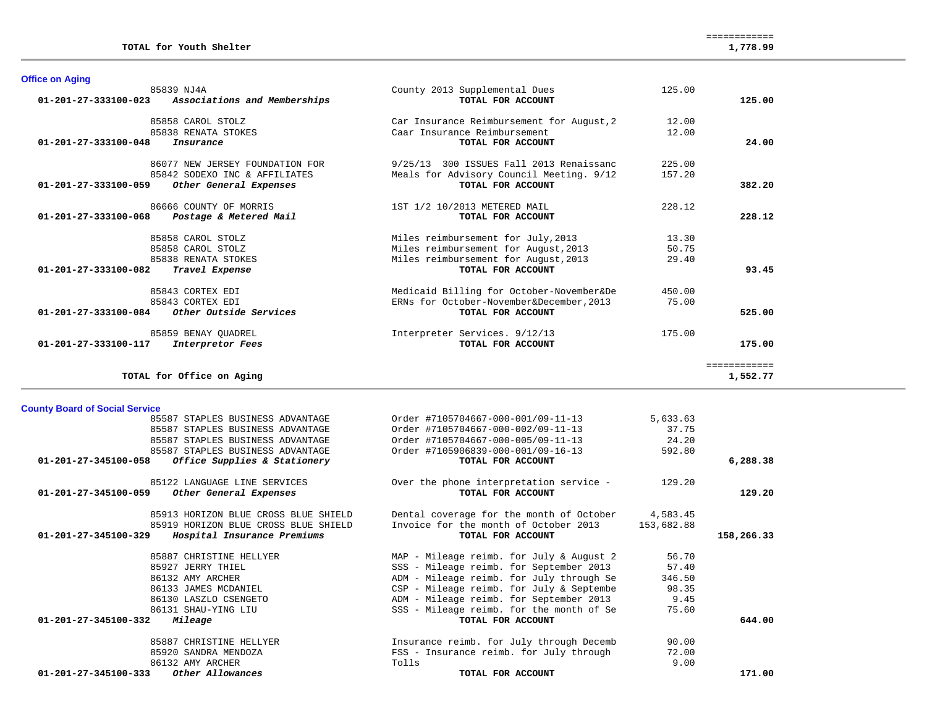| 85839 NJ4A                                               | County 2013 Supplemental Dues             | 125.00 |              |
|----------------------------------------------------------|-------------------------------------------|--------|--------------|
| Associations and Memberships<br>01-201-27-333100-023     | TOTAL FOR ACCOUNT                         |        | 125.00       |
| 85858 CAROL STOLZ                                        | Car Insurance Reimbursement for August, 2 | 12.00  |              |
| 85838 RENATA STOKES                                      | Caar Insurance Reimbursement              | 12.00  |              |
| $01 - 201 - 27 - 333100 - 048$<br>Insurance              | TOTAL FOR ACCOUNT                         |        | 24.00        |
| 86077 NEW JERSEY FOUNDATION FOR                          | 9/25/13 300 ISSUES Fall 2013 Renaissanc   | 225.00 |              |
| 85842 SODEXO INC & AFFILIATES                            | Meals for Advisory Council Meeting. 9/12  | 157.20 |              |
| 01-201-27-333100-059<br>Other General Expenses           | TOTAL FOR ACCOUNT                         |        | 382.20       |
| 86666 COUNTY OF MORRIS                                   | 1ST 1/2 10/2013 METERED MAIL              | 228.12 |              |
| $01 - 201 - 27 - 333100 - 068$<br>Postage & Metered Mail | TOTAL FOR ACCOUNT                         |        | 228.12       |
| 85858 CAROL STOLZ                                        | Miles reimbursement for July, 2013        | 13.30  |              |
| 85858 CAROL STOLZ                                        | Miles reimbursement for August, 2013      | 50.75  |              |
| 85838 RENATA STOKES                                      | Miles reimbursement for August, 2013      | 29.40  |              |
| 01-201-27-333100-082<br>Travel Expense                   | TOTAL FOR ACCOUNT                         |        | 93.45        |
| 85843 CORTEX EDI                                         | Medicaid Billing for October-November&De  | 450.00 |              |
| 85843 CORTEX EDI                                         | ERNs for October-November&December, 2013  | 75.00  |              |
| 01-201-27-333100-084<br>Other Outside Services           | TOTAL FOR ACCOUNT                         |        | 525.00       |
| 85859 BENAY OUADREL                                      | Interpreter Services. 9/12/13             | 175.00 |              |
| 01-201-27-333100-117<br>Interpretor Fees                 | TOTAL FOR ACCOUNT                         |        | 175.00       |
|                                                          |                                           |        | ============ |
| TOTAL for Office on Aging                                |                                           |        | 1,552.77     |

# **County Board of Social Service**

**Office on Aging** 

| 85587 STAPLES BUSINESS ADVANTAGE                     | Order #7105704667-000-001/09-11-13       | 5,633.63   |            |
|------------------------------------------------------|------------------------------------------|------------|------------|
| 85587 STAPLES BUSINESS ADVANTAGE                     | Order #7105704667-000-002/09-11-13       | 37.75      |            |
| 85587 STAPLES BUSINESS ADVANTAGE                     | Order #7105704667-000-005/09-11-13       | 24.20      |            |
| 85587 STAPLES BUSINESS ADVANTAGE                     | Order #7105906839-000-001/09-16-13       | 592.80     |            |
| 01-201-27-345100-058<br>Office Supplies & Stationery | TOTAL FOR ACCOUNT                        |            | 6,288.38   |
| 85122 LANGUAGE LINE SERVICES                         | Over the phone interpretation service -  | 129.20     |            |
| 01-201-27-345100-059<br>Other General Expenses       | TOTAL FOR ACCOUNT                        |            | 129.20     |
| 85913 HORIZON BLUE CROSS BLUE SHIELD                 | Dental coverage for the month of October | 4,583.45   |            |
| 85919 HORIZON BLUE CROSS BLUE SHIELD                 | Invoice for the month of October 2013    | 153,682.88 |            |
| 01-201-27-345100-329<br>Hospital Insurance Premiums  | TOTAL FOR ACCOUNT                        |            | 158,266.33 |
| 85887 CHRISTINE HELLYER                              | MAP - Mileage reimb. for July & August 2 | 56.70      |            |
| 85927 JERRY THIEL                                    | SSS - Mileage reimb. for September 2013  | 57.40      |            |
| 86132 AMY ARCHER                                     | ADM - Mileage reimb. for July through Se | 346.50     |            |
| 86133 JAMES MCDANIEL                                 | CSP - Mileage reimb. for July & Septembe | 98.35      |            |
| 86130 LASZLO CSENGETO                                | ADM - Mileage reimb. for September 2013  | 9.45       |            |
| 86131 SHAU-YING LIU                                  | SSS - Mileage reimb. for the month of Se | 75.60      |            |
| $01 - 201 - 27 - 345100 - 332$<br>Mileage            | TOTAL FOR ACCOUNT                        |            | 644.00     |
| 85887 CHRISTINE HELLYER                              | Insurance reimb. for July through Decemb | 90.00      |            |
| 85920 SANDRA MENDOZA                                 | FSS - Insurance reimb. for July through  | 72.00      |            |
| 86132 AMY ARCHER                                     | Tolls                                    | 9.00       |            |
| 01-201-27-345100-333<br>Other Allowances             | TOTAL FOR ACCOUNT                        |            | 171.00     |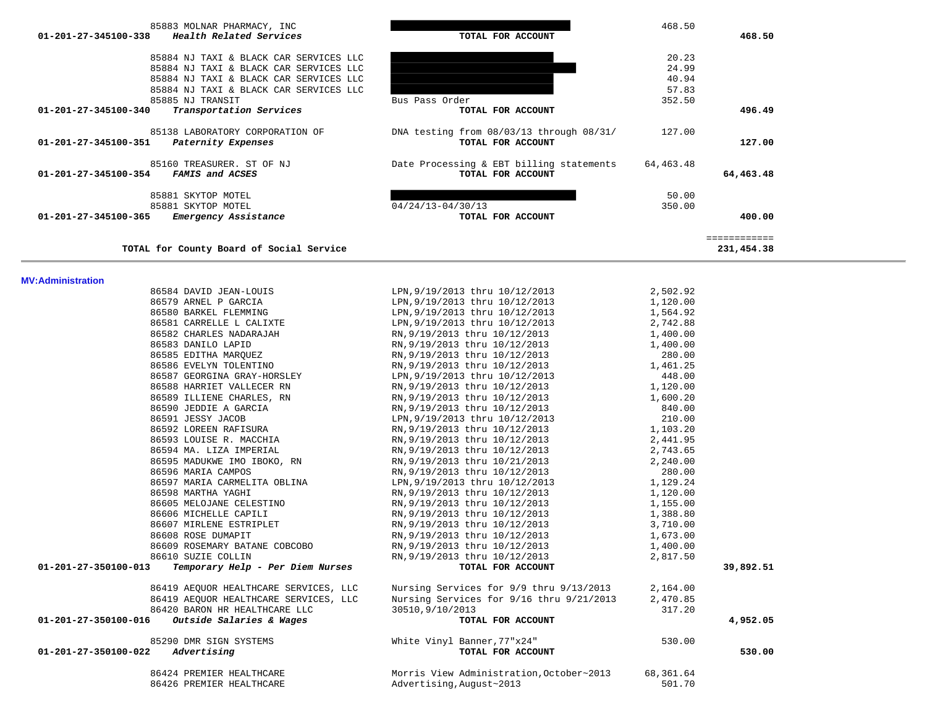| 85883 MOLNAR PHARMACY, INC                      |                                          | 468.50    |              |  |
|-------------------------------------------------|------------------------------------------|-----------|--------------|--|
| Health Related Services<br>01-201-27-345100-338 | TOTAL FOR ACCOUNT                        |           | 468.50       |  |
| 85884 NJ TAXI & BLACK CAR SERVICES LLC          |                                          | 20.23     |              |  |
| 85884 NJ TAXI & BLACK CAR SERVICES LLC          |                                          | 24.99     |              |  |
| 85884 NJ TAXI & BLACK CAR SERVICES LLC          |                                          | 40.94     |              |  |
| 85884 NJ TAXI & BLACK CAR SERVICES LLC          |                                          | 57.83     |              |  |
| 85885 NJ TRANSIT                                | Bus Pass Order                           | 352.50    |              |  |
| Transportation Services<br>01-201-27-345100-340 | TOTAL FOR ACCOUNT                        |           | 496.49       |  |
| 85138 LABORATORY CORPORATION OF                 | DNA testing from 08/03/13 through 08/31/ | 127.00    |              |  |
| 01-201-27-345100-351<br>Paternity Expenses      | TOTAL FOR ACCOUNT                        |           | 127.00       |  |
| 85160 TREASURER. ST OF NJ                       | Date Processing & EBT billing statements | 64,463.48 |              |  |
| 01-201-27-345100-354<br>FAMIS and ACSES         | TOTAL FOR ACCOUNT                        |           | 64,463.48    |  |
| 85881 SKYTOP MOTEL                              |                                          | 50.00     |              |  |
| 85881 SKYTOP MOTEL                              | $04/24/13 - 04/30/13$                    | 350.00    |              |  |
| Emergency Assistance<br>01-201-27-345100-365    | TOTAL FOR ACCOUNT                        |           | 400.00       |  |
|                                                 |                                          |           | ============ |  |
| TOTAL for County Board of Social Service        |                                          |           | 231,454.38   |  |
| <b>MV:Administration</b>                        |                                          |           |              |  |
| 86584 DAVID JEAN-LOUIS                          | LPN, 9/19/2013 thru 10/12/2013           | 2,502.92  |              |  |
| 86579 ARNEL P GARCIA                            | LPN, 9/19/2013 thru 10/12/2013           | 1,120.00  |              |  |
| 86580 BARKEL FLEMMING                           | LPN, 9/19/2013 thru 10/12/2013           | 1,564.92  |              |  |
| 86581 CARRELLE L CALIXTE                        | LPN, 9/19/2013 thru 10/12/2013           | 2,742.88  |              |  |
| 86582 CHARLES NADARAJAH                         | RN, 9/19/2013 thru 10/12/2013            | 1,400.00  |              |  |
| 86583 DANILO LAPID                              | RN, 9/19/2013 thru 10/12/2013            | 1,400.00  |              |  |
| 86585 EDITHA MAROUEZ                            | RN, 9/19/2013 thru 10/12/2013            | 280.00    |              |  |

| 86424 PREMIER HEALTHCARE<br>86426 PREMIER HEALTHCARE     | Morris View Administration, October~2013<br>Advertising, August~2013                                         | 68,361.64<br>501.70 |           |
|----------------------------------------------------------|--------------------------------------------------------------------------------------------------------------|---------------------|-----------|
| $01 - 201 - 27 - 350100 - 022$ Advertising               | TOTAL FOR ACCOUNT                                                                                            |                     | 530.00    |
| 85290 DMR SIGN SYSTEMS                                   | White Vinyl Banner,77"x24"                                                                                   | 530.00              |           |
| 01-201-27-350100-016<br>Outside Salaries & Wages         | TOTAL FOR ACCOUNT                                                                                            |                     | 4,952.05  |
| 86420 BARON HR HEALTHCARE LLC                            | 30510,9/10/2013                                                                                              | 317.20              |           |
| 86419 AEOUOR HEALTHCARE SERVICES, LLC                    | Nursing Services for 9/16 thru 9/21/2013 2,470.85                                                            |                     |           |
| 86419 AEQUOR HEALTHCARE SERVICES, LLC                    | Nursing Services for 9/9 thru 9/13/2013 2,164.00                                                             |                     |           |
| Temporary Help - Per Diem Nurses<br>01-201-27-350100-013 | TOTAL FOR ACCOUNT                                                                                            |                     | 39,892.51 |
| 86610 SUZIE COLLIN                                       | RN, 9/19/2013 thru 10/12/2013 2, 817.50                                                                      |                     |           |
|                                                          | 86609 ROSEMARY BATANE COBCOBO             RN, 9/19/2013 thru 10/12/2013               1,400.00               |                     |           |
| 86608 ROSE DUMAPIT                                       | RN, 9/19/2013 thru 10/12/2013 1, 673.00                                                                      |                     |           |
|                                                          | 86607 MIRLENE ESTRIPLET RN, 9/19/2013 thru 10/12/2013 1.10 (3,710.00                                         |                     |           |
| 86606 MICHELLE CAPILI                                    | RN, 9/19/2013 thru 10/12/2013 1, 388.80                                                                      |                     |           |
|                                                          | 86605 MELOJANE CELESTINO RN, 9/19/2013 thru 10/12/2013 1.155.00                                              |                     |           |
| 86598 MARTHA YAGHI                                       | RN, 9/19/2013 thru 10/12/2013 1, 120.00                                                                      |                     |           |
| 86597 MARIA CARMELITA OBLINA                             | LPN, 9/19/2013 thru 10/12/2013 1, 129.24                                                                     |                     |           |
| 86596 MARIA CAMPOS                                       | RN, 9/19/2013 thru 10/12/2013                                                                                | 280.00              |           |
|                                                          | 86595 MADUKWE IMO IBOKO, RN RN, 9/19/2013 thru 10/21/2013 40.00                                              |                     |           |
| 86594 MA. LIZA IMPERIAL                                  | RN, 9/19/2013 thru 10/12/2013 2, 743.65                                                                      |                     |           |
|                                                          | 86593 LOUISE R. MACCHIA (2,441.95) RN, 9/19/2013 thru 10/12/2013 (2,441.95                                   |                     |           |
| 86592 LOREEN RAFISURA                                    | LPN, 9/19/2013 thru 10/12/2013 210.00<br>RN, 9/19/2013 thru 10/12/2013 1, 103.20                             |                     |           |
| 86591 JESSY JACOB                                        |                                                                                                              |                     |           |
| 86590 JEDDIE A GARCIA                                    | RN, 9/19/2013 thru 10/12/2013 340.00                                                                         |                     |           |
|                                                          | 86589 ILLIENE CHARLES, RN                        RN,9/19/2013 thru 10/12/2013                       1,600.20 |                     |           |
|                                                          | 86588 HARRIET VALLECER RN RN, 9/19/2013 thru 10/12/2013 1.120.00                                             |                     |           |
|                                                          | 86587 GEORGINA GRAY-HORSLEY LPN, 9/19/2013 thru 10/12/2013                                                   | 448.00              |           |
|                                                          |                                                                                                              |                     |           |
| 86585 EDITHA MAROUEZ                                     | RN, 9/19/2013 thru 10/12/2013                                                                                | 280.00              |           |
|                                                          |                                                                                                              |                     |           |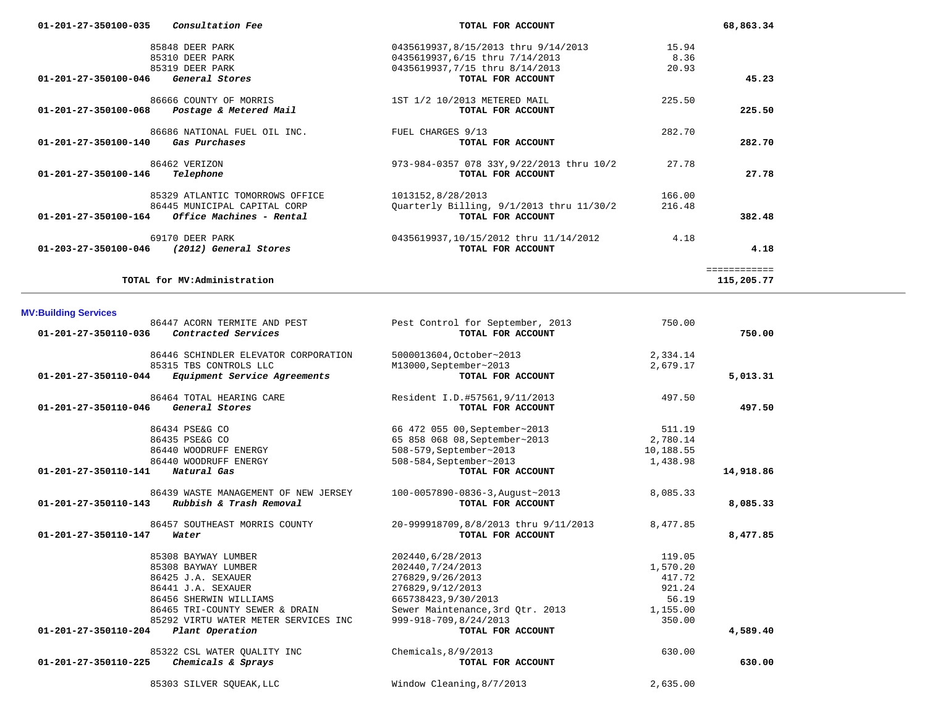| 01-201-27-350100-035           | <i>Consultation Fee</i>         | TOTAL FOR ACCOUNT                         |        | 68,863.34    |
|--------------------------------|---------------------------------|-------------------------------------------|--------|--------------|
|                                | 85848 DEER PARK                 | 0435619937,8/15/2013 thru 9/14/2013       | 15.94  |              |
|                                | 85310 DEER PARK                 | 0435619937,6/15 thru 7/14/2013            | 8.36   |              |
|                                | 85319 DEER PARK                 | 0435619937,7/15 thru 8/14/2013            | 20.93  |              |
| 01-201-27-350100-046           | General Stores                  | TOTAL FOR ACCOUNT                         |        | 45.23        |
|                                | 86666 COUNTY OF MORRIS          | 1ST 1/2 10/2013 METERED MAIL              | 225.50 |              |
| 01-201-27-350100-068           | Postage & Metered Mail          | TOTAL FOR ACCOUNT                         |        | 225.50       |
|                                | 86686 NATIONAL FUEL OIL INC.    | FUEL CHARGES 9/13                         | 282.70 |              |
| 01-201-27-350100-140           | Gas Purchases                   | TOTAL FOR ACCOUNT                         |        | 282.70       |
|                                | 86462 VERIZON                   | 973-984-0357 078 33Y, 9/22/2013 thru 10/2 | 27.78  |              |
| $01 - 201 - 27 - 350100 - 146$ | Telephone                       | TOTAL FOR ACCOUNT                         |        | 27.78        |
|                                | 85329 ATLANTIC TOMORROWS OFFICE | 1013152,8/28/2013                         | 166.00 |              |
|                                | 86445 MUNICIPAL CAPITAL CORP    | Quarterly Billing, 9/1/2013 thru 11/30/2  | 216.48 |              |
| 01-201-27-350100-164           | Office Machines - Rental        | TOTAL FOR ACCOUNT                         |        | 382.48       |
|                                | 69170 DEER PARK                 | 0435619937,10/15/2012 thru 11/14/2012     | 4.18   |              |
| 01-203-27-350100-046           | (2012) General Stores           | TOTAL FOR ACCOUNT                         |        | 4.18         |
|                                |                                 |                                           |        | ------------ |
|                                | TOTAL for MV: Administration    |                                           |        | 115,205.77   |

# **MV:Building Services**

| MV:Building Services |                                      |                                      |           |           |
|----------------------|--------------------------------------|--------------------------------------|-----------|-----------|
|                      | 86447 ACORN TERMITE AND PEST         | Pest Control for September, 2013     | 750.00    |           |
| 01-201-27-350110-036 | Contracted Services                  | TOTAL FOR ACCOUNT                    |           | 750.00    |
|                      | 86446 SCHINDLER ELEVATOR CORPORATION | 5000013604, October~2013             | 2,334.14  |           |
|                      | 85315 TBS CONTROLS LLC               | M13000, September~2013               | 2,679.17  |           |
| 01-201-27-350110-044 | Equipment Service Agreements         | TOTAL FOR ACCOUNT                    |           | 5,013.31  |
|                      | 86464 TOTAL HEARING CARE             | Resident I.D.#57561,9/11/2013        | 497.50    |           |
| 01-201-27-350110-046 | General Stores                       | TOTAL FOR ACCOUNT                    |           | 497.50    |
|                      | 86434 PSE&G CO                       | 66 472 055 00, September~2013        | 511.19    |           |
|                      | 86435 PSE&G CO                       | 65 858 068 08, September~2013        | 2,780.14  |           |
|                      | 86440 WOODRUFF ENERGY                | 508-579, September~2013              | 10,188.55 |           |
|                      | 86440 WOODRUFF ENERGY                | 508-584, September~2013              | 1,438.98  |           |
| 01-201-27-350110-141 | Natural Gas                          | TOTAL FOR ACCOUNT                    |           | 14,918.86 |
|                      | 86439 WASTE MANAGEMENT OF NEW JERSEY | 100-0057890-0836-3, August~2013      | 8,085.33  |           |
| 01-201-27-350110-143 | Rubbish & Trash Removal              | TOTAL FOR ACCOUNT                    |           | 8,085.33  |
|                      | 86457 SOUTHEAST MORRIS COUNTY        | 20-999918709,8/8/2013 thru 9/11/2013 | 8,477.85  |           |
| 01-201-27-350110-147 | Water                                | TOTAL FOR ACCOUNT                    |           | 8,477.85  |
|                      | 85308 BAYWAY LUMBER                  | 202440, 6/28/2013                    | 119.05    |           |
|                      | 85308 BAYWAY LUMBER                  | 202440, 7/24/2013                    | 1,570.20  |           |
|                      | 86425 J.A. SEXAUER                   | 276829,9/26/2013                     | 417.72    |           |
|                      | 86441 J.A. SEXAUER                   | 276829,9/12/2013                     | 921.24    |           |
|                      | 86456 SHERWIN WILLIAMS               | 665738423, 9/30/2013                 | 56.19     |           |
|                      | 86465 TRI-COUNTY SEWER & DRAIN       | Sewer Maintenance, 3rd Qtr. 2013     | 1,155.00  |           |
|                      | 85292 VIRTU WATER METER SERVICES INC | 999-918-709,8/24/2013                | 350.00    |           |
| 01-201-27-350110-204 | Plant Operation                      | TOTAL FOR ACCOUNT                    |           | 4,589.40  |
|                      | 85322 CSL WATER QUALITY INC          | Chemicals, $8/9/2013$                | 630.00    |           |
| 01-201-27-350110-225 | Chemicals & Sprays                   | TOTAL FOR ACCOUNT                    |           | 630.00    |
|                      | 85303 SILVER SQUEAK, LLC             | Window Cleaning, 8/7/2013            | 2.635.00  |           |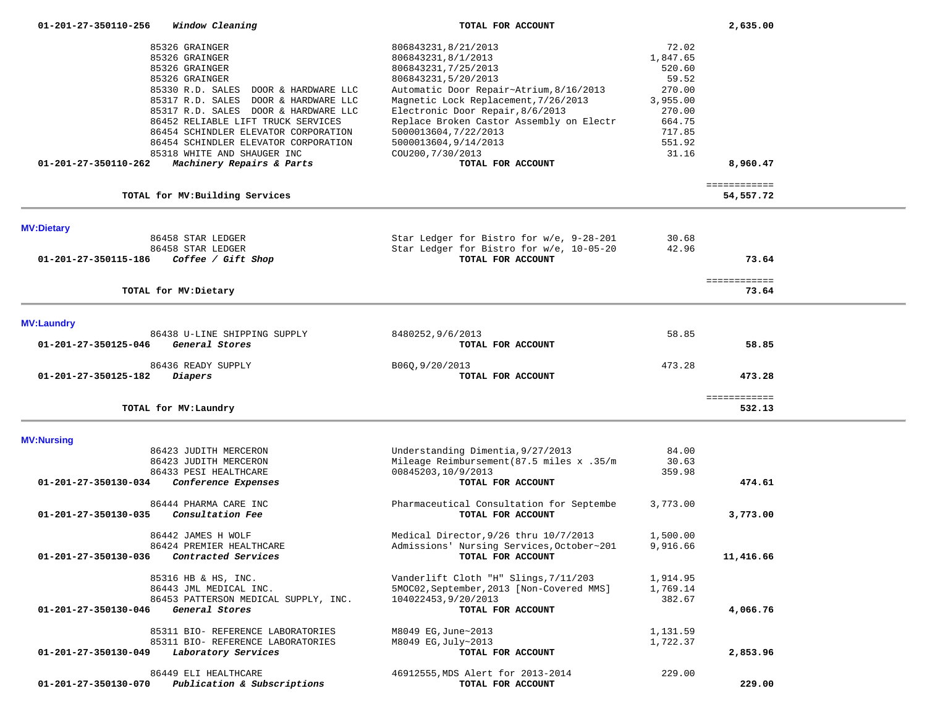| 01-201-27-350110-256 |  | Window Cleaning |
|----------------------|--|-----------------|
|----------------------|--|-----------------|

 **01-201-27-350110-256** *Window Cleaning* **TOTAL FOR ACCOUNT 2,635.00**

| 85326 GRAINGER                                      | 806843231,8/21/2013                       | 72.02    |                        |  |
|-----------------------------------------------------|-------------------------------------------|----------|------------------------|--|
| 85326 GRAINGER                                      | 806843231,8/1/2013                        | 1,847.65 |                        |  |
|                                                     |                                           |          |                        |  |
| 85326 GRAINGER                                      | 806843231, 7/25/2013                      | 520.60   |                        |  |
| 85326 GRAINGER                                      | 806843231,5/20/2013                       | 59.52    |                        |  |
| 85330 R.D. SALES DOOR & HARDWARE LLC                | Automatic Door Repair~Atrium, 8/16/2013   | 270.00   |                        |  |
| 85317 R.D. SALES DOOR & HARDWARE LLC                | Magnetic Lock Replacement, 7/26/2013      | 3,955.00 |                        |  |
| 85317 R.D. SALES DOOR & HARDWARE LLC                | Electronic Door Repair, 8/6/2013          | 270.00   |                        |  |
| 86452 RELIABLE LIFT TRUCK SERVICES                  | Replace Broken Castor Assembly on Electr  | 664.75   |                        |  |
| 86454 SCHINDLER ELEVATOR CORPORATION                | 5000013604, 7/22/2013                     | 717.85   |                        |  |
| 86454 SCHINDLER ELEVATOR CORPORATION                | 5000013604,9/14/2013                      | 551.92   |                        |  |
| 85318 WHITE AND SHAUGER INC                         | COU200, 7/30/2013                         | 31.16    |                        |  |
|                                                     |                                           |          |                        |  |
| 01-201-27-350110-262<br>Machinery Repairs & Parts   | TOTAL FOR ACCOUNT                         |          | 8,960.47               |  |
|                                                     |                                           |          | ============           |  |
| TOTAL for MV: Building Services                     |                                           |          | 54,557.72              |  |
|                                                     |                                           |          |                        |  |
| <b>MV:Dietary</b><br>86458 STAR LEDGER              | Star Ledger for Bistro for w/e, 9-28-201  | 30.68    |                        |  |
| 86458 STAR LEDGER                                   | Star Ledger for Bistro for w/e, 10-05-20  | 42.96    |                        |  |
| 01-201-27-350115-186                                |                                           |          |                        |  |
| Coffee / Gift Shop                                  | TOTAL FOR ACCOUNT                         |          | 73.64                  |  |
|                                                     |                                           |          | ============           |  |
| TOTAL for MV: Dietary                               |                                           |          | 73.64                  |  |
|                                                     |                                           |          |                        |  |
| <b>MV:Laundry</b>                                   |                                           |          |                        |  |
| 86438 U-LINE SHIPPING SUPPLY                        | 8480252,9/6/2013                          | 58.85    |                        |  |
| General Stores<br>01-201-27-350125-046              | TOTAL FOR ACCOUNT                         |          | 58.85                  |  |
| 86436 READY SUPPLY                                  | B060, 9/20/2013                           | 473.28   |                        |  |
| 01-201-27-350125-182<br><i>Diapers</i>              | TOTAL FOR ACCOUNT                         |          | 473.28                 |  |
|                                                     |                                           |          |                        |  |
| TOTAL for MV: Laundry                               |                                           |          | ============<br>532.13 |  |
|                                                     |                                           |          |                        |  |
| <b>MV:Nursing</b>                                   |                                           |          |                        |  |
| 86423 JUDITH MERCERON                               | Understanding Dimentia, 9/27/2013         | 84.00    |                        |  |
| 86423 JUDITH MERCERON                               | Mileage Reimbursement (87.5 miles x .35/m | 30.63    |                        |  |
| 86433 PESI HEALTHCARE                               | 00845203,10/9/2013                        | 359.98   |                        |  |
| Conference Expenses<br>01-201-27-350130-034         | TOTAL FOR ACCOUNT                         |          | 474.61                 |  |
|                                                     |                                           |          |                        |  |
| 86444 PHARMA CARE INC                               | Pharmaceutical Consultation for Septembe  | 3,773.00 |                        |  |
| $01 - 201 - 27 - 350130 - 035$<br>Consultation Fee  | TOTAL FOR ACCOUNT                         |          | 3,773.00               |  |
| 86442 JAMES H WOLF                                  | Medical Director, 9/26 thru 10/7/2013     | 1,500.00 |                        |  |
| 86424 PREMIER HEALTHCARE                            | Admissions' Nursing Services, October~201 | 9,916.66 |                        |  |
| 01-201-27-350130-036<br><i>Contracted Services</i>  | TOTAL FOR ACCOUNT                         |          | 11,416.66              |  |
|                                                     |                                           |          |                        |  |
| 85316 HB & HS, INC.                                 | Vanderlift Cloth "H" Slings, 7/11/203     | 1,914.95 |                        |  |
| 86443 JML MEDICAL INC.                              | 5MOC02, September, 2013 [Non-Covered MMS] | 1,769.14 |                        |  |
| 86453 PATTERSON MEDICAL SUPPLY, INC.                | 104022453,9/20/2013                       | 382.67   |                        |  |
| 01-201-27-350130-046<br>General Stores              | TOTAL FOR ACCOUNT                         |          | 4,066.76               |  |
|                                                     |                                           |          |                        |  |
| 85311 BIO- REFERENCE LABORATORIES                   | M8049 EG, June~2013                       | 1,131.59 |                        |  |
| 85311 BIO- REFERENCE LABORATORIES                   | M8049 EG, July~2013                       | 1,722.37 |                        |  |
| Laboratory Services<br>01-201-27-350130-049         | TOTAL FOR ACCOUNT                         |          | 2,853.96               |  |
| 86449 ELI HEALTHCARE                                | 46912555, MDS Alert for 2013-2014         | 229.00   |                        |  |
| Publication & Subscriptions<br>01-201-27-350130-070 | TOTAL FOR ACCOUNT                         |          | 229.00                 |  |
|                                                     |                                           |          |                        |  |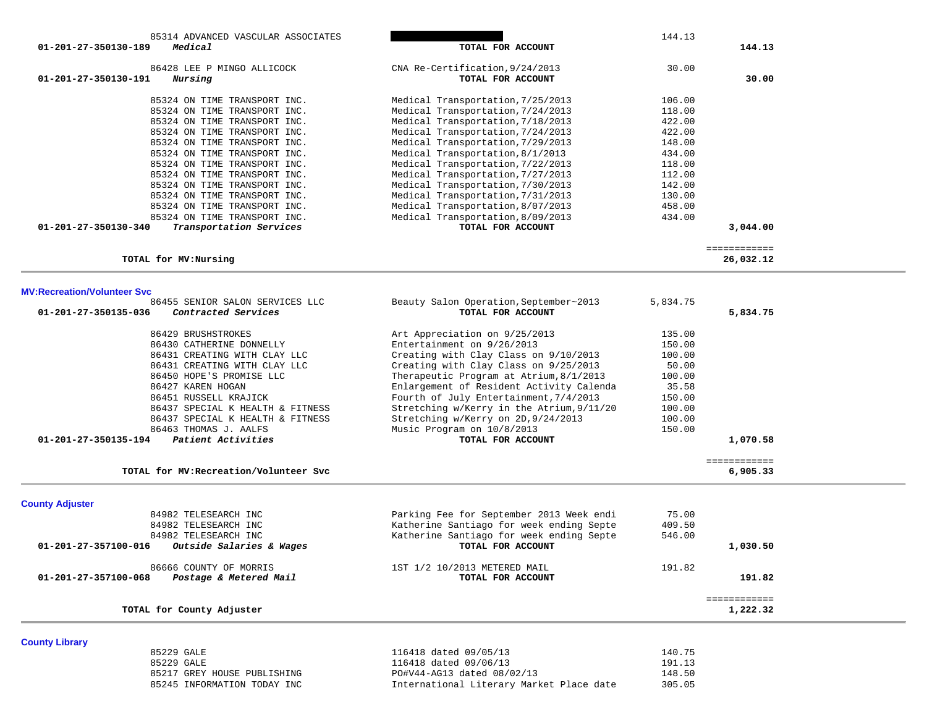| 85314 ADVANCED VASCULAR ASSOCIATES                           |                                                                                     | 144.13           |              |  |
|--------------------------------------------------------------|-------------------------------------------------------------------------------------|------------------|--------------|--|
| 01-201-27-350130-189<br>Medical                              | TOTAL FOR ACCOUNT                                                                   |                  | 144.13       |  |
|                                                              |                                                                                     |                  |              |  |
| 86428 LEE P MINGO ALLICOCK                                   | CNA Re-Certification, 9/24/2013                                                     | 30.00            |              |  |
| 01-201-27-350130-191<br>Nursing                              | TOTAL FOR ACCOUNT                                                                   |                  | 30.00        |  |
|                                                              |                                                                                     |                  |              |  |
| 85324 ON TIME TRANSPORT INC.                                 | Medical Transportation, 7/25/2013                                                   | 106.00           |              |  |
| 85324 ON TIME TRANSPORT INC.<br>85324 ON TIME TRANSPORT INC. | Medical Transportation, 7/24/2013<br>Medical Transportation, 7/18/2013              | 118.00<br>422.00 |              |  |
| 85324 ON TIME TRANSPORT INC.                                 | Medical Transportation, 7/24/2013                                                   | 422.00           |              |  |
| 85324 ON TIME TRANSPORT INC.                                 | Medical Transportation, 7/29/2013                                                   | 148.00           |              |  |
| 85324 ON TIME TRANSPORT INC.                                 | Medical Transportation, 8/1/2013                                                    | 434.00           |              |  |
| 85324 ON TIME TRANSPORT INC.                                 | Medical Transportation, 7/22/2013                                                   | 118.00           |              |  |
| 85324 ON TIME TRANSPORT INC.                                 | Medical Transportation, 7/27/2013                                                   | 112.00           |              |  |
| 85324 ON TIME TRANSPORT INC.                                 | Medical Transportation, 7/30/2013                                                   | 142.00           |              |  |
| 85324 ON TIME TRANSPORT INC.                                 | Medical Transportation, 7/31/2013                                                   | 130.00           |              |  |
| 85324 ON TIME TRANSPORT INC.                                 | Medical Transportation, 8/07/2013                                                   | 458.00           |              |  |
| 85324 ON TIME TRANSPORT INC.                                 | Medical Transportation, 8/09/2013                                                   | 434.00           |              |  |
| 01-201-27-350130-340<br>Transportation Services              | TOTAL FOR ACCOUNT                                                                   |                  | 3,044.00     |  |
|                                                              |                                                                                     |                  |              |  |
|                                                              |                                                                                     |                  | ============ |  |
| TOTAL for MV: Nursing                                        |                                                                                     |                  | 26,032.12    |  |
|                                                              |                                                                                     |                  |              |  |
| <b>MV:Recreation/Volunteer Svc</b>                           |                                                                                     |                  |              |  |
| 86455 SENIOR SALON SERVICES LLC                              | Beauty Salon Operation, September~2013                                              | 5,834.75         |              |  |
| 01-201-27-350135-036<br>Contracted Services                  | TOTAL FOR ACCOUNT                                                                   |                  | 5,834.75     |  |
|                                                              |                                                                                     |                  |              |  |
| 86429 BRUSHSTROKES                                           | Art Appreciation on 9/25/2013                                                       | 135.00           |              |  |
| 86430 CATHERINE DONNELLY                                     | Entertainment on 9/26/2013                                                          | 150.00           |              |  |
| 86431 CREATING WITH CLAY LLC                                 | Creating with Clay Class on 9/10/2013                                               | 100.00           |              |  |
| 86431 CREATING WITH CLAY LLC                                 | Creating with Clay Class on 9/25/2013                                               | 50.00            |              |  |
| 86450 HOPE'S PROMISE LLC                                     | Therapeutic Program at Atrium, 8/1/2013<br>Enlargement of Resident Activity Calenda | 100.00           |              |  |
| 86427 KAREN HOGAN                                            | Fourth of July Entertainment, 7/4/2013                                              | 35.58<br>150.00  |              |  |
| 86451 RUSSELL KRAJICK<br>86437 SPECIAL K HEALTH & FITNESS    | Stretching w/Kerry in the Atrium, 9/11/20                                           | 100.00           |              |  |
| 86437 SPECIAL K HEALTH & FITNESS                             | Stretching w/Kerry on 2D, 9/24/2013                                                 | 100.00           |              |  |
| 86463 THOMAS J. AALFS                                        | Music Program on 10/8/2013                                                          | 150.00           |              |  |
| Patient Activities<br>01-201-27-350135-194                   | TOTAL FOR ACCOUNT                                                                   |                  | 1,070.58     |  |
|                                                              |                                                                                     |                  |              |  |
|                                                              |                                                                                     |                  | ============ |  |
| TOTAL for MV: Recreation/Volunteer Svc                       |                                                                                     |                  | 6,905.33     |  |
|                                                              |                                                                                     |                  |              |  |
| <b>County Adjuster</b>                                       |                                                                                     |                  |              |  |
| 84982 TELESEARCH INC                                         | Parking Fee for September 2013 Week endi                                            | 75.00            |              |  |
| 84982 TELESEARCH INC                                         | Katherine Santiago for week ending Septe                                            | 409.50           |              |  |
| 84982 TELESEARCH INC                                         | Katherine Santiago for week ending Septe                                            | 546.00           |              |  |
| 01-201-27-357100-016<br>Outside Salaries & Wages             | TOTAL FOR ACCOUNT                                                                   |                  | 1,030.50     |  |
|                                                              |                                                                                     |                  |              |  |
| 86666 COUNTY OF MORRIS                                       | 1ST 1/2 10/2013 METERED MAIL                                                        | 191.82           |              |  |
| 01-201-27-357100-068<br>Postage & Metered Mail               | TOTAL FOR ACCOUNT                                                                   |                  | 191.82       |  |
|                                                              |                                                                                     |                  | ============ |  |
| TOTAL for County Adjuster                                    |                                                                                     |                  | 1,222.32     |  |
|                                                              |                                                                                     |                  |              |  |
|                                                              |                                                                                     |                  |              |  |
| <b>County Library</b><br>85229 GALE                          | 116418 dated 09/05/13                                                               | 140.75           |              |  |
| 85229 GALE                                                   | 116418 dated 09/06/13                                                               | 191.13           |              |  |
| 85217 GREY HOUSE PUBLISHING                                  | PO#V44-AG13 dated 08/02/13                                                          | 148.50           |              |  |
| 85245 INFORMATION TODAY INC                                  | International Literary Market Place date                                            | 305.05           |              |  |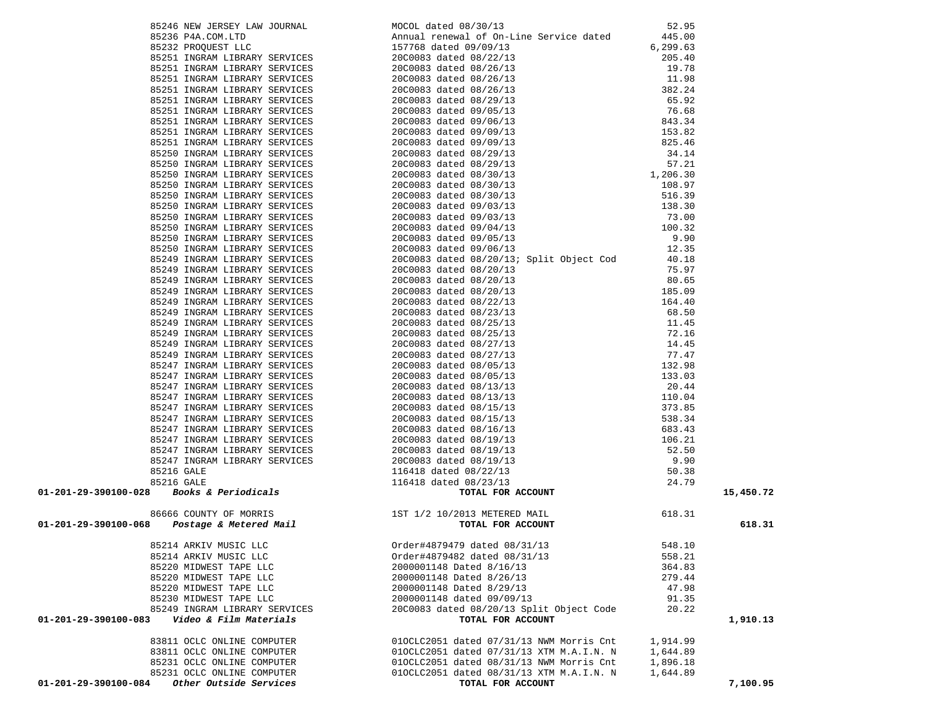|                                                                                                                                                                                                                              |                                          |          | 15,450.72 |
|------------------------------------------------------------------------------------------------------------------------------------------------------------------------------------------------------------------------------|------------------------------------------|----------|-----------|
|                                                                                                                                                                                                                              |                                          |          |           |
| 0.534 Fig. 2.49 Fig. 2.49 Fig. 2.49 Fig. 2.49 Fig. 2.49 Fig. 2.49 Fig. 2.49 Fig. 2.49 Fig. 2.49 Fig. 2.49 Fig. 2.49 Fig. 2.49 Fig. 2.49 Fig. 2.49 Fig. 2.49 Fig. 2.49 Fig. 2.49 Fig. 2.49 Fig. 2.49 Fig. 2.49 Fig. 2.49 Fig. |                                          |          |           |
|                                                                                                                                                                                                                              |                                          |          | 618.31    |
|                                                                                                                                                                                                                              |                                          |          |           |
| 85214 ARKIV MUSIC LLC                                                                                                                                                                                                        | 0rder#4879479 dated 08/31/13 548.10      |          |           |
| 85214 ARKIV MUSIC LLC                                                                                                                                                                                                        | Order#4879482 dated 08/31/13             | 558.21   |           |
| 85220 MIDWEST TAPE LLC                                                                                                                                                                                                       | 2000001148 Dated 8/16/13                 | 364.83   |           |
| 85220 MIDWEST TAPE LLC                                                                                                                                                                                                       | 2000001148 Dated 8/26/13                 | 279.44   |           |
| 85220 MIDWEST TAPE LLC                                                                                                                                                                                                       | 2000001148 Dated 8/29/13                 | 47.98    |           |
| 85230 MIDWEST TAPE LLC                                                                                                                                                                                                       | 2000001148 dated 09/09/13                | 91.35    |           |
| 85249 INGRAM LIBRARY SERVICES                                                                                                                                                                                                | 20C0083 dated 08/20/13 Split Object Code | 20.22    |           |
| Video & Film Materials<br>01-201-29-390100-083                                                                                                                                                                               | TOTAL FOR ACCOUNT                        |          | 1,910.13  |
|                                                                                                                                                                                                                              |                                          |          |           |
| 83811 OCLC ONLINE COMPUTER                                                                                                                                                                                                   | 010CLC2051 dated 07/31/13 NWM Morris Cnt | 1,914.99 |           |
| 83811 OCLC ONLINE COMPUTER                                                                                                                                                                                                   | 010CLC2051 dated 07/31/13 XTM M.A.I.N. N | 1,644.89 |           |
| 85231 OCLC ONLINE COMPUTER                                                                                                                                                                                                   | 010CLC2051 dated 08/31/13 NWM Morris Cnt | 1,896.18 |           |
| 85231 OCLC ONLINE COMPUTER                                                                                                                                                                                                   | 010CLC2051 dated 08/31/13 XTM M.A.I.N. N | 1,644.89 |           |
| Other Outside Services<br>01-201-29-390100-084                                                                                                                                                                               | TOTAL FOR ACCOUNT                        |          | 7,100.95  |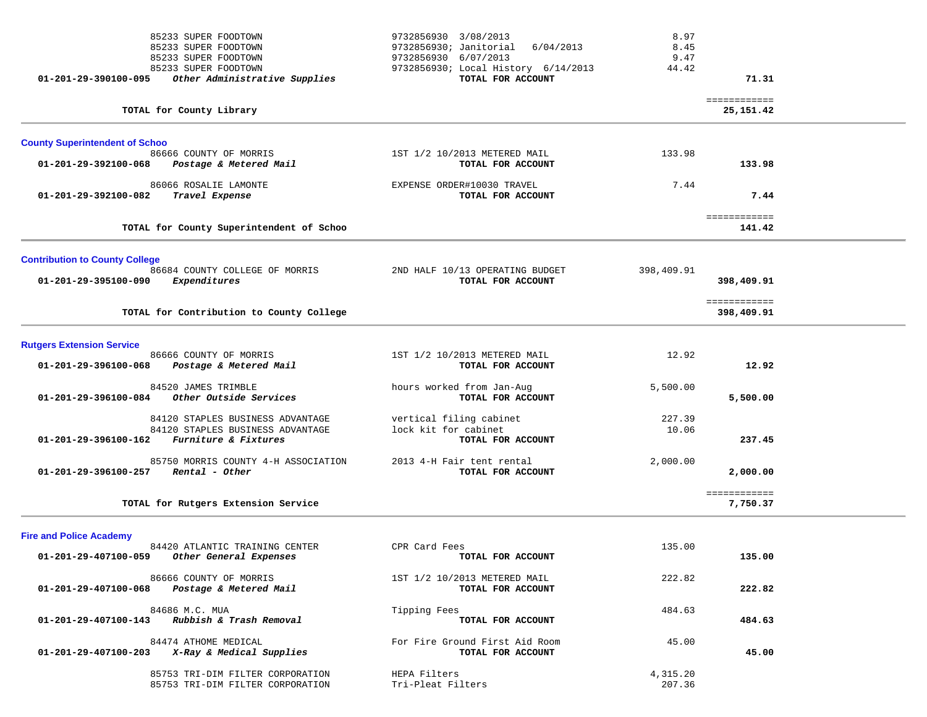|                                       | 85233 SUPER FOODTOWN<br>85233 SUPER FOODTOWN                                                            | 9732856930 3/08/2013<br>9732856930; Janitorial 6/04/2013             | 8.97<br>8.45       |                            |  |
|---------------------------------------|---------------------------------------------------------------------------------------------------------|----------------------------------------------------------------------|--------------------|----------------------------|--|
|                                       | 85233 SUPER FOODTOWN                                                                                    | 9732856930 6/07/2013                                                 | 9.47               |                            |  |
| 01-201-29-390100-095                  | 85233 SUPER FOODTOWN<br>Other Administrative Supplies                                                   | 9732856930; Local History 6/14/2013<br>TOTAL FOR ACCOUNT             | 44.42              | 71.31                      |  |
|                                       | TOTAL for County Library                                                                                |                                                                      |                    | ============<br>25,151.42  |  |
| <b>County Superintendent of Schoo</b> |                                                                                                         |                                                                      |                    |                            |  |
| 01-201-29-392100-068                  | 86666 COUNTY OF MORRIS<br>Postage & Metered Mail                                                        | 1ST 1/2 10/2013 METERED MAIL<br>TOTAL FOR ACCOUNT                    | 133.98             | 133.98                     |  |
| 01-201-29-392100-082                  | 86066 ROSALIE LAMONTE<br>Travel Expense                                                                 | EXPENSE ORDER#10030 TRAVEL<br>TOTAL FOR ACCOUNT                      | 7.44               | 7.44                       |  |
|                                       | TOTAL for County Superintendent of Schoo                                                                |                                                                      |                    | ============<br>141.42     |  |
| <b>Contribution to County College</b> |                                                                                                         |                                                                      |                    |                            |  |
| 01-201-29-395100-090                  | 86684 COUNTY COLLEGE OF MORRIS<br>Expenditures                                                          | 2ND HALF 10/13 OPERATING BUDGET<br>TOTAL FOR ACCOUNT                 | 398,409.91         | 398,409.91                 |  |
|                                       | TOTAL for Contribution to County College                                                                |                                                                      |                    | ============<br>398,409.91 |  |
| <b>Rutgers Extension Service</b>      |                                                                                                         |                                                                      |                    |                            |  |
| 01-201-29-396100-068                  | 86666 COUNTY OF MORRIS<br>Postage & Metered Mail                                                        | 1ST 1/2 10/2013 METERED MAIL<br>TOTAL FOR ACCOUNT                    | 12.92              | 12.92                      |  |
| 01-201-29-396100-084                  | 84520 JAMES TRIMBLE<br>Other Outside Services                                                           | hours worked from Jan-Aug<br>TOTAL FOR ACCOUNT                       | 5,500.00           | 5,500.00                   |  |
| 01-201-29-396100-162                  | 84120 STAPLES BUSINESS ADVANTAGE<br>84120 STAPLES BUSINESS ADVANTAGE<br><i>Furniture &amp; Fixtures</i> | vertical filing cabinet<br>lock kit for cabinet<br>TOTAL FOR ACCOUNT | 227.39<br>10.06    | 237.45                     |  |
| 01-201-29-396100-257                  | 85750 MORRIS COUNTY 4-H ASSOCIATION<br>Rental - Other                                                   | 2013 4-H Fair tent rental<br>TOTAL FOR ACCOUNT                       | 2,000.00           | 2,000.00                   |  |
|                                       | TOTAL for Rutgers Extension Service                                                                     |                                                                      |                    | ============<br>7,750.37   |  |
| <b>Fire and Police Academy</b>        |                                                                                                         |                                                                      |                    |                            |  |
|                                       | 84420 ATLANTIC TRAINING CENTER<br>01-201-29-407100-059 Other General Expenses                           | CPR Card Fees<br>TOTAL FOR ACCOUNT                                   | 135.00             | 135.00                     |  |
| 01-201-29-407100-068                  | 86666 COUNTY OF MORRIS<br>Postage & Metered Mail                                                        | 1ST 1/2 10/2013 METERED MAIL<br>TOTAL FOR ACCOUNT                    | 222.82             | 222.82                     |  |
|                                       | 84686 M.C. MUA<br>01-201-29-407100-143 Rubbish & Trash Removal                                          | Tipping Fees<br>TOTAL FOR ACCOUNT                                    | 484.63             | 484.63                     |  |
|                                       | 84474 ATHOME MEDICAL<br>$01-201-29-407100-203$ X-Ray & Medical Supplies                                 | For Fire Ground First Aid Room<br>TOTAL FOR ACCOUNT                  | 45.00              | 45.00                      |  |
|                                       | 85753 TRI-DIM FILTER CORPORATION<br>85753 TRI-DIM FILTER CORPORATION                                    | HEPA Filters<br>Tri-Pleat Filters                                    | 4,315.20<br>207.36 |                            |  |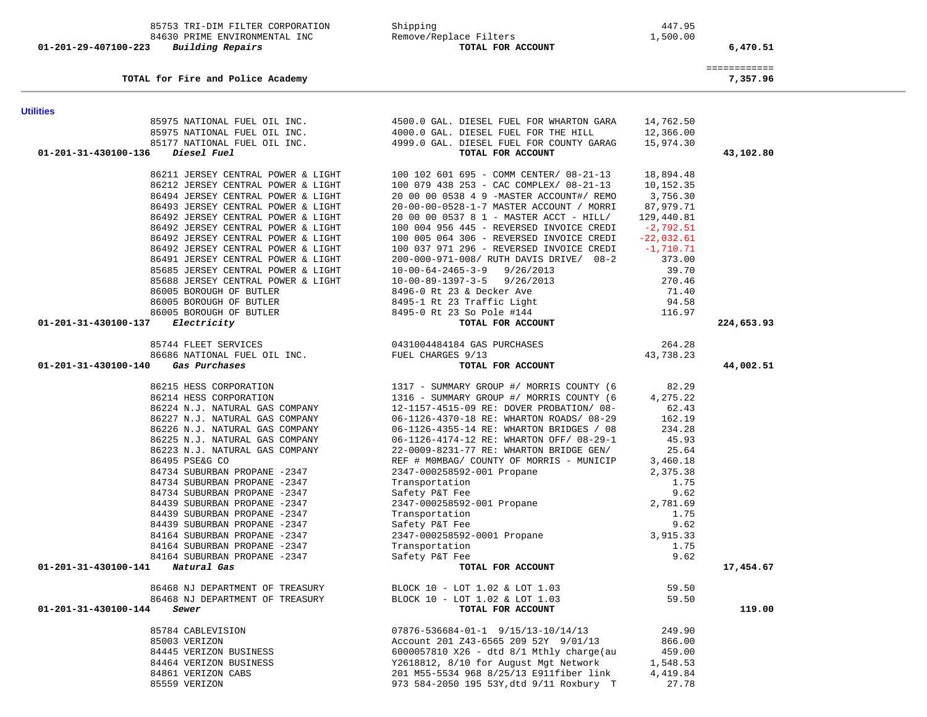| <b>Utilities</b>                                             |                                                                                                                                                                                                                                                |              |            |
|--------------------------------------------------------------|------------------------------------------------------------------------------------------------------------------------------------------------------------------------------------------------------------------------------------------------|--------------|------------|
|                                                              | 85975 NATIONAL FUEL OIL INC.<br>85975 NATIONAL FUEL OIL INC.                       4000.0 GAL. DIESEL FUEL FOR THE HILL                                                                                                                        | 14,762.50    |            |
| 85975 NATIONAL FUEL OIL INC.                                 |                                                                                                                                                                                                                                                | 12,366.00    |            |
| 01-201-31-430100-136<br>Diesel Fuel                          | 85177 NATIONAL FUEL OIL INC.<br>85177 NATIONAL FUEL OIL INC. 4999.0 GAL. DIESEL FUEL FOR COUNTY GARAG<br>TOTAL FOR ACCOUNT                                                                                                                     | 15,974.30    | 43,102.80  |
|                                                              |                                                                                                                                                                                                                                                |              |            |
| 86211 JERSEY CENTRAL POWER & LIGHT                           | 100 102 601 695 - COMM CENTER/ 08-21-13                                                                                                                                                                                                        | 18,894.48    |            |
| 86212 JERSEY CENTRAL POWER & LIGHT                           | 100 079 438 253 - CAC COMPLEX/ 08-21-13                                                                                                                                                                                                        | 10,152.35    |            |
| 86494 JERSEY CENTRAL POWER & LIGHT                           | 20 00 00 0538 4 9 -MASTER ACCOUNT#/ REMO                                                                                                                                                                                                       | 3,756.30     |            |
| 86493 JERSEY CENTRAL POWER & LIGHT                           | 20-00-00-0528-1-7 MASTER ACCOUNT / MORRI                                                                                                                                                                                                       | 87,979.71    |            |
| 86492 JERSEY CENTRAL POWER & LIGHT                           | 20 00 00 0537 8 1 - MASTER ACCT - HILL/                                                                                                                                                                                                        | 129,440.81   |            |
| 86492 JERSEY CENTRAL POWER & LIGHT                           | 100 004 956 445 - REVERSED INVOICE CREDI                                                                                                                                                                                                       | $-2,792.51$  |            |
| 86492 JERSEY CENTRAL POWER & LIGHT                           | 100 005 064 306 - REVERSED INVOICE CREDI                                                                                                                                                                                                       | $-22,032.61$ |            |
| 86492 JERSEY CENTRAL POWER & LIGHT                           | 100 037 971 296 - REVERSED INVOICE CREDI                                                                                                                                                                                                       | $-1,710.71$  |            |
| 86491 JERSEY CENTRAL POWER & LIGHT                           | 200-000-971-008/ RUTH DAVIS DRIVE/ 08-2                                                                                                                                                                                                        | 373.00       |            |
|                                                              |                                                                                                                                                                                                                                                |              |            |
|                                                              |                                                                                                                                                                                                                                                |              |            |
|                                                              |                                                                                                                                                                                                                                                |              |            |
|                                                              |                                                                                                                                                                                                                                                |              |            |
| 01-201-31-430100-137                                         |                                                                                                                                                                                                                                                |              | 224,653.93 |
|                                                              |                                                                                                                                                                                                                                                |              |            |
|                                                              |                                                                                                                                                                                                                                                |              |            |
|                                                              |                                                                                                                                                                                                                                                |              |            |
| 01-201-31-430100-140                                         | 373.00<br>85688 JERSEY CENTRAL POWER & LIGHT<br>85688 JERSEY CENTRAL POWER & LIGHT<br>86005 BOROUGH OF BUTLER<br>86005 BOROUGH OF BUTLER<br>86005 BOROUGH OF BUTLER<br>86005 BOROUGH OF BUTLER<br>86005 BOROUGH OF BUTLER<br>8495-0 Rt 23 & De |              | 44,002.51  |
| 86215 HESS CORPORATION                                       |                                                                                                                                                                                                                                                | 82.29        |            |
| 86214 HESS CORPORATION                                       | 1317 - SUMMARY GROUP #/ MORRIS COUNTY (6<br>1316 - SUMMARY GROUP #/ MORRIS COUNTY (6                                                                                                                                                           | 4,275.22     |            |
| 86224 N.J. NATURAL GAS COMPANY                               | 12-1157-4515-09 RE: DOVER PROBATION/ 08-                                                                                                                                                                                                       | 62.43        |            |
| 86227 N.J. NATURAL GAS COMPANY                               | 06-1126-4370-18 RE: WHARTON ROADS/ 08-29                                                                                                                                                                                                       | 162.19       |            |
| 86226 N.J. NATURAL GAS COMPANY                               | 06-1126-4355-14 RE: WHARTON BRIDGES / 08                                                                                                                                                                                                       | 234.28       |            |
| 86225 N.J. NATURAL GAS COMPANY                               | 06-1126-4174-12 RE: WHARTON OFF/ 08-29-1                                                                                                                                                                                                       | 45.93        |            |
| 86223 N.J. NATURAL GAS COMPANY                               | 22-0009-8231-77 RE: WHARTON BRIDGE GEN/                                                                                                                                                                                                        | 25.64        |            |
| 86495 PSE&G CO                                               | REF # MOMBAG/ COUNTY OF MORRIS - MUNICIP                                                                                                                                                                                                       | 3,460.18     |            |
| 84734 SUBURBAN PROPANE -2347                                 |                                                                                                                                                                                                                                                |              |            |
| 84734 SUBURBAN PROPANE -2347                                 |                                                                                                                                                                                                                                                |              |            |
| 84734 SUBURBAN PROPANE -2347                                 |                                                                                                                                                                                                                                                |              |            |
| 84439 SUBURBAN PROPANE -2347                                 |                                                                                                                                                                                                                                                |              |            |
| 84439 SUBURBAN PROPANE -2347                                 |                                                                                                                                                                                                                                                |              |            |
| 84439 SUBURBAN PROPANE -2347                                 |                                                                                                                                                                                                                                                |              |            |
| 84164 SUBURBAN PROPANE -2347<br>84164 SUBURBAN PROPANE -2347 |                                                                                                                                                                                                                                                |              |            |
| 84164 SUBURBAN PROPANE -2347                                 |                                                                                                                                                                                                                                                |              |            |
| 01-201-31-430100-141 Natural Gas                             | REF # MUMBAG/ COUNTY OF MORRIS - MUNICIP<br>2347-000258592-001 Propane<br>Transportation 0.62<br>2347-000258592-001 Propane 9.62<br>2347-000258592-001 Propane 2,781.69<br>Transportation 1.75<br>Safety P&T Fee 9.62<br>2347-000258592-0001   |              | 17,454.67  |
|                                                              |                                                                                                                                                                                                                                                |              |            |
| 86468 NJ DEPARTMENT OF TREASURY                              | BLOCK 10 - LOT 1.02 & LOT 1.03                                                                                                                                                                                                                 | 59.50        |            |
| 86468 NJ DEPARTMENT OF TREASURY                              | BLOCK 10 - LOT 1.02 & LOT 1.03                                                                                                                                                                                                                 | 59.50        |            |
| 01-201-31-430100-144<br>Sewer                                | TOTAL FOR ACCOUNT                                                                                                                                                                                                                              |              | 119.00     |
| 85784 CABLEVISION                                            |                                                                                                                                                                                                                                                | 249.90       |            |
| 85003 VERIZON                                                | $07876 - 536684 - 01 - 1$ 9/15/13-10/14/13<br>Account 201 243-6565 209 52Y 9/01/13                                                                                                                                                             | 866.00       |            |
| 84445 VERIZON BUSINESS                                       | $6000057810$ X26 - dtd 8/1 Mthly charge(au $459.00$                                                                                                                                                                                            |              |            |
| 84464 VERIZON BUSINESS                                       | Y2618812, 8/10 for August Mgt Network                                                                                                                                                                                                          | 1,548.53     |            |
| 84861 VERIZON CABS                                           | 201 M55-5534 968 8/25/13 E911fiber link                                                                                                                                                                                                        | 4,419.84     |            |
| 85559 VERIZON                                                | 973 584-2050 195 53Y, dtd 9/11 Roxbury T                                                                                                                                                                                                       | 27.78        |            |

TOTAL for Fire and Police Academy

 ============ 7,357.96

85753 TRI-DIM FILTER CORPORATION Shipping 447.95

84630 PRIME ENVIRONMENTAL INC<br> **Building Repairs** 1,500.00 Remove/Replace Filters 1,500.00 PRIMENT ROR ACCOUNT  **01-201-29-407100-223** *Building Repairs* **TOTAL FOR ACCOUNT 6,470.51**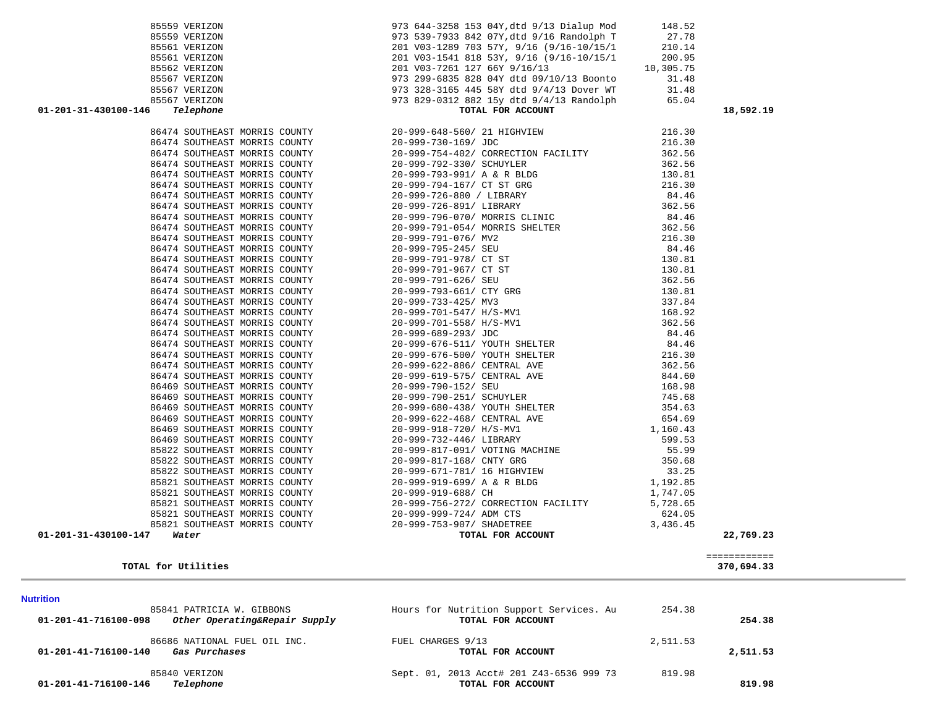| 85841 PATRICIA W. GIBBONS<br>Other Operating&Repair Supply<br>01-201-41-716100-098 | Hours for Nutrition Support Services. Au<br>TOTAL FOR ACCOUNT | 254.38   | 254.38   |
|------------------------------------------------------------------------------------|---------------------------------------------------------------|----------|----------|
| 86686 NATIONAL FUEL OIL INC.<br>01-201-41-716100-140<br>Gas Purchases              | FUEL CHARGES 9/13<br>TOTAL FOR ACCOUNT                        | 2,511.53 | 2,511.53 |
| 85840 VERIZON<br>01-201-41-716100-146<br>Telephone                                 | Sept. 01, 2013 Acct# 201 Z43-6536 999 73<br>TOTAL FOR ACCOUNT | 819.98   | 819.98   |

| TOTAL for Utilities | 370,694.33 |
|---------------------|------------|
|---------------------|------------|

**Nutrition** 

============

### 86474 SOUTHEAST MORRIS COUNTY 20-999-793-661/ CTY GRG 130.81 86474 SOUTHEAST MORRIS COUNTY 20-999-733-425/ MV3 337.84  $20-999-701-547/$  H/S-MV1 168.92 86474 SOUTHEAST MORRIS COUNTY 20-999-701-558/ H/S-MV1 362.56 86474 SOUTHEAST MORRIS COUNTY 20-999-689-293/ JDC 84.46 86474 SOUTHEAST MORRIS COUNTY 20-999-676-511/ YOUTH SHELTER 84.46 86474 SOUTHEAST MORRIS COUNTY 20-999-676-500/ YOUTH SHELTER 216.30 86474 SOUTHEAST MORRIS COUNTY 20-999-622-886/ CENTRAL AVE 362.56 20-999-619-575/ CENTRAL AVE 844.60 86469 SOUTHEAST MORRIS COUNTY 20-999-790-152/ SEU 168.98 86469 SOUTHEAST MORRIS COUNTY 20-999-790-251/ SCHUYLER 745.68 86469 SOUTHEAST MORRIS COUNTY 20-999-680-438/ YOUTH SHELTER 354.63 86469 SOUTHEAST MORRIS COUNTY 20-999-622-468/ CENTRAL AVE 654.69 86469 SOUTHEAST MORRIS COUNTY 20-999-918-720/ H/S-MV1 1,160.43 86469 SOUTHEAST MORRIS COUNTY 20-999-732-446/ LIBRARY 599.53 85822 SOUTHEAST MORRIS COUNTY 20-999-817-091/ VOTING MACHINE 55.99 85822 SOUTHEAST MORRIS COUNTY 20-999-817-168/ CNTY GRG 350.68 85822 SOUTHEAST MORRIS COUNTY 20-999-671-781/ 16 HIGHVIEW 33.25 85821 SOUTHEAST MORRIS COUNTY 20-999-919-699/ A & R BLDG 1,192.85 85821 SOUTHEAST MORRIS COUNTY 20-999-919-688/ CH 1,747.05 85821 SOUTHEAST MORRIS COUNTY 20-999-756-272/ CORRECTION FACILITY 5,728.65 85821 SOUTHEAST MORRIS COUNTY 20-999-999-724/ ADM CTS 624.05 85821 SOUTHEAST MORRIS COUNTY 20-999-753-907/ SHADETREE 3,436.45  **01-201-31-430100-147** *Water* **TOTAL FOR ACCOUNT 22,769.23**

| 01-201-31-430100-146 Telephone | TOTAL FOR ACCOUNT<br>66 Telephone Morals Compyright (1992)<br>1991 - 2001<br>1992 - 2003 - 2003 - 2003 - 2003 - 2003 - 2003 - 2003 - 2003 - 2003 - 2003 - 2003 - 2003 - 2003 - 2003 - 2003 - 2003 - 2003 - 2003 - 2003 - 2003 - 2003 - 2003 - 2003 - 2 | 18,592.19 |
|--------------------------------|--------------------------------------------------------------------------------------------------------------------------------------------------------------------------------------------------------------------------------------------------------|-----------|
|                                |                                                                                                                                                                                                                                                        |           |
|                                |                                                                                                                                                                                                                                                        |           |
|                                |                                                                                                                                                                                                                                                        |           |
|                                |                                                                                                                                                                                                                                                        |           |
|                                |                                                                                                                                                                                                                                                        |           |
|                                |                                                                                                                                                                                                                                                        |           |
|                                |                                                                                                                                                                                                                                                        |           |
|                                |                                                                                                                                                                                                                                                        |           |
|                                |                                                                                                                                                                                                                                                        |           |
|                                |                                                                                                                                                                                                                                                        |           |
|                                |                                                                                                                                                                                                                                                        |           |
|                                |                                                                                                                                                                                                                                                        |           |
|                                |                                                                                                                                                                                                                                                        |           |
|                                |                                                                                                                                                                                                                                                        |           |
|                                |                                                                                                                                                                                                                                                        |           |
|                                |                                                                                                                                                                                                                                                        |           |
|                                |                                                                                                                                                                                                                                                        |           |
|                                |                                                                                                                                                                                                                                                        |           |
|                                |                                                                                                                                                                                                                                                        |           |
|                                |                                                                                                                                                                                                                                                        |           |
|                                |                                                                                                                                                                                                                                                        |           |
|                                |                                                                                                                                                                                                                                                        |           |
|                                |                                                                                                                                                                                                                                                        |           |
|                                |                                                                                                                                                                                                                                                        |           |
|                                |                                                                                                                                                                                                                                                        |           |
|                                |                                                                                                                                                                                                                                                        |           |
|                                |                                                                                                                                                                                                                                                        |           |
|                                |                                                                                                                                                                                                                                                        |           |
|                                |                                                                                                                                                                                                                                                        |           |
|                                |                                                                                                                                                                                                                                                        |           |
|                                |                                                                                                                                                                                                                                                        |           |
|                                |                                                                                                                                                                                                                                                        |           |
|                                |                                                                                                                                                                                                                                                        |           |
|                                |                                                                                                                                                                                                                                                        |           |
|                                |                                                                                                                                                                                                                                                        |           |
|                                |                                                                                                                                                                                                                                                        |           |
|                                |                                                                                                                                                                                                                                                        |           |
|                                |                                                                                                                                                                                                                                                        |           |

| 85561 VERIZON | 201 V03-1289 703 57Y, 9/16 (9/16-10/15/1 | 210.14    |
|---------------|------------------------------------------|-----------|
| 85561 VERIZON | 201 V03-1541 818 53Y, 9/16 (9/16-10/15/1 | 200.95    |
| 85562 VERIZON | 201 V03-7261 127 66Y 9/16/13             | 10,305.75 |
| 85567 VERIZON | 973 299-6835 828 04Y dtd 09/10/13 Boonto | 31.48     |
| 85567 VERIZON | 973 328-3165 445 58Y dtd 9/4/13 Dover WT | 31.48     |
| 85567 VERIZON | 973 829-0312 882 15y dtd 9/4/13 Randolph | 65.04     |

85559 VERIZON 973 539-7933 842 07Y,dtd 9/16 Randolph T 27.78

85559 VERIZON 973 644-3258 153 04Y,dtd 9/13 Dialup Mod 148.52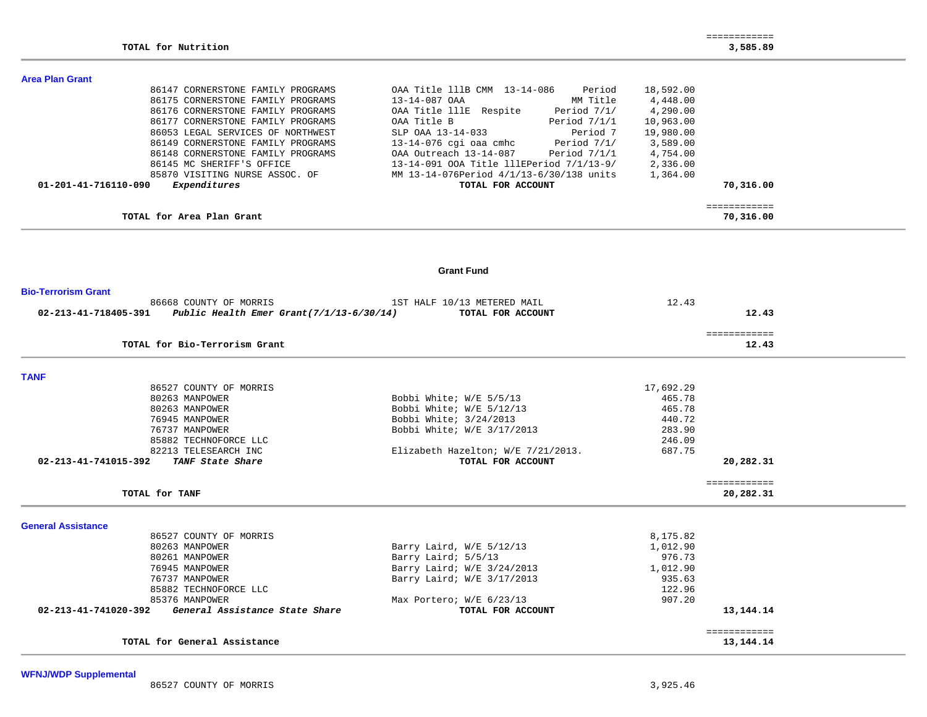÷.

#### **Area Plan Grant**

| 86147 CORNERSTONE FAMILY PROGRAMS    | OAA Title 111B CMM 13-14-086<br>Period   | 18,592.00    |
|--------------------------------------|------------------------------------------|--------------|
| 86175 CORNERSTONE FAMILY PROGRAMS    | MM Title<br>13-14-087 OAA                | 4,448.00     |
| 86176 CORNERSTONE FAMILY PROGRAMS    | OAA Title lllE Respite<br>Period 7/1/    | 4,290.00     |
| 86177 CORNERSTONE FAMILY PROGRAMS    | Period 7/1/1<br>OAA Title B              | 10,963.00    |
| 86053 LEGAL SERVICES OF NORTHWEST    | Period 7<br>SLP OAA 13-14-033            | 19,980.00    |
| 86149 CORNERSTONE FAMILY PROGRAMS    | Period 7/1/<br>13-14-076 cgi oaa cmhc    | 3,589.00     |
| 86148 CORNERSTONE FAMILY PROGRAMS    | Period 7/1/1<br>OAA Outreach 13-14-087   | 4,754.00     |
| 86145 MC SHERIFF'S OFFICE            | 13-14-091 OOA Title lllEPeriod 7/1/13-9/ | 2,336.00     |
| 85870 VISITING NURSE ASSOC. OF       | MM 13-14-076Period 4/1/13-6/30/138 units | 1,364.00     |
| Expenditures<br>01-201-41-716110-090 | TOTAL FOR ACCOUNT                        | 70,316.00    |
|                                      |                                          | ============ |
| TOTAL for Area Plan Grant            |                                          | 70,316.00    |

#### **Grant Fund**

| <b>Bio-Terrorism Grant</b>                                                                             |                                    |              |             |
|--------------------------------------------------------------------------------------------------------|------------------------------------|--------------|-------------|
| 86668 COUNTY OF MORRIS<br>$02 - 213 - 41 - 718405 - 391$ Public Health Emer Grant $(7/1/13 - 6/30/14)$ | 1ST HALF 10/13 METERED MAIL        | 12.43        | 12.43       |
|                                                                                                        | TOTAL FOR ACCOUNT                  |              |             |
|                                                                                                        |                                    | ============ |             |
| TOTAL for Bio-Terrorism Grant                                                                          |                                    |              | 12.43       |
| <b>TANF</b>                                                                                            |                                    |              |             |
| 86527 COUNTY OF MORRIS                                                                                 |                                    | 17,692.29    |             |
| 80263 MANPOWER                                                                                         | Bobbi White; W/E 5/5/13            | 465.78       |             |
| 80263 MANPOWER                                                                                         | Bobbi White; W/E 5/12/13           | 465.78       |             |
| 76945 MANPOWER                                                                                         | Bobbi White; 3/24/2013             | 440.72       |             |
| 76737 MANPOWER                                                                                         | Bobbi White; W/E 3/17/2013         | 283.90       |             |
| 85882 TECHNOFORCE LLC                                                                                  |                                    | 246.09       |             |
| 82213 TELESEARCH INC                                                                                   | Elizabeth Hazelton; W/E 7/21/2013. | 687.75       |             |
| 02-213-41-741015-392<br>TANF State Share                                                               | TOTAL FOR ACCOUNT                  |              | 20,282.31   |
| TOTAL for TANF                                                                                         |                                    | ============ | 20,282.31   |
| <b>General Assistance</b>                                                                              |                                    |              |             |
| 86527 COUNTY OF MORRIS                                                                                 |                                    | 8,175.82     |             |
| 80263 MANPOWER                                                                                         | Barry Laird, W/E 5/12/13           | 1,012.90     |             |
| 80261 MANPOWER                                                                                         | Barry Laird; 5/5/13                | 976.73       |             |
| 76945 MANPOWER                                                                                         | Barry Laird; W/E 3/24/2013         | 1,012.90     |             |
| 76737 MANPOWER                                                                                         | Barry Laird; W/E 3/17/2013         | 935.63       |             |
| 85882 TECHNOFORCE LLC                                                                                  |                                    | 122.96       |             |
| 85376 MANPOWER                                                                                         | Max Portero; W/E 6/23/13           | 907.20       |             |
| General Assistance State Share<br>02-213-41-741020-392                                                 | TOTAL FOR ACCOUNT                  |              | 13, 144. 14 |
|                                                                                                        |                                    | ============ |             |
| TOTAL for General Assistance                                                                           |                                    |              | 13, 144. 14 |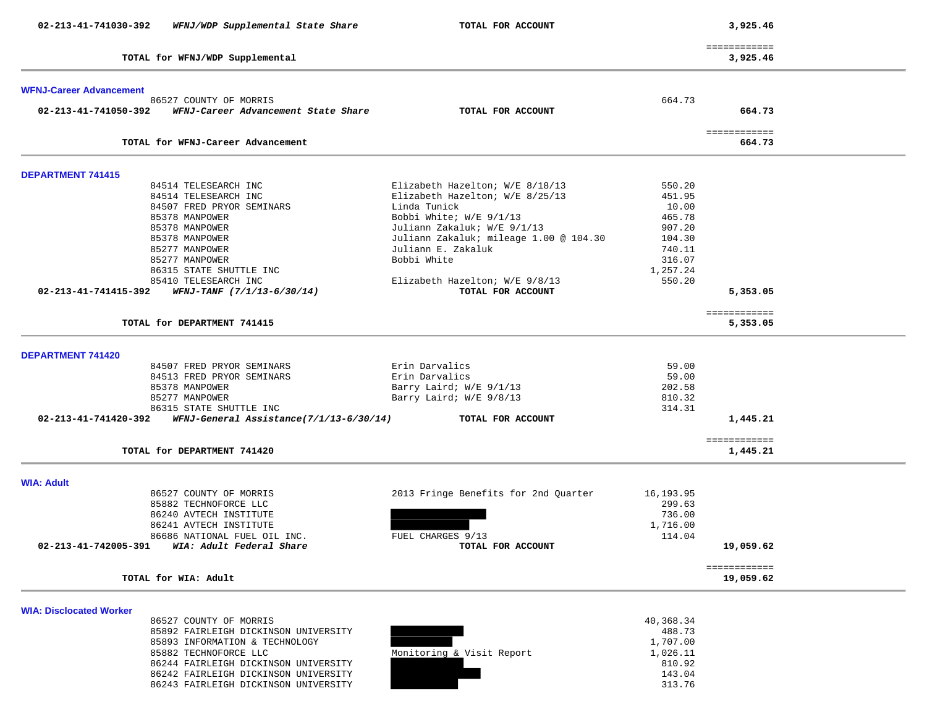| 02-213-41-741030-392<br>WFNJ/WDP Supplemental State Share       | TOTAL FOR ACCOUNT                      |           | 3,925.46                 |  |
|-----------------------------------------------------------------|----------------------------------------|-----------|--------------------------|--|
| TOTAL for WFNJ/WDP Supplemental                                 |                                        |           | ============<br>3,925.46 |  |
|                                                                 |                                        |           |                          |  |
| <b>WFNJ-Career Advancement</b><br>86527 COUNTY OF MORRIS        |                                        | 664.73    |                          |  |
| WFNJ-Career Advancement State Share<br>02-213-41-741050-392     | TOTAL FOR ACCOUNT                      |           | 664.73                   |  |
| TOTAL for WFNJ-Career Advancement                               |                                        |           | ============<br>664.73   |  |
|                                                                 |                                        |           |                          |  |
| <b>DEPARTMENT 741415</b>                                        |                                        |           |                          |  |
| 84514 TELESEARCH INC                                            | Elizabeth Hazelton; W/E 8/18/13        | 550.20    |                          |  |
| 84514 TELESEARCH INC                                            | Elizabeth Hazelton; W/E 8/25/13        | 451.95    |                          |  |
| 84507 FRED PRYOR SEMINARS                                       | Linda Tunick                           | 10.00     |                          |  |
| 85378 MANPOWER                                                  | Bobbi White; W/E 9/1/13                | 465.78    |                          |  |
| 85378 MANPOWER                                                  | Juliann Zakaluk; W/E 9/1/13            | 907.20    |                          |  |
|                                                                 |                                        |           |                          |  |
| 85378 MANPOWER                                                  | Juliann Zakaluk; mileage 1.00 @ 104.30 | 104.30    |                          |  |
| 85277 MANPOWER                                                  | Juliann E. Zakaluk                     | 740.11    |                          |  |
| 85277 MANPOWER                                                  | Bobbi White                            | 316.07    |                          |  |
| 86315 STATE SHUTTLE INC                                         |                                        | 1,257.24  |                          |  |
| 85410 TELESEARCH INC                                            | Elizabeth Hazelton; W/E 9/8/13         | 550.20    |                          |  |
| 02-213-41-741415-392<br>WFNJ-TANF (7/1/13-6/30/14)              | TOTAL FOR ACCOUNT                      |           | 5,353.05                 |  |
|                                                                 |                                        |           |                          |  |
|                                                                 |                                        |           | ============             |  |
| TOTAL for DEPARTMENT 741415                                     |                                        |           | 5,353.05                 |  |
|                                                                 |                                        |           |                          |  |
|                                                                 |                                        |           |                          |  |
| DEPARTMENT 741420                                               |                                        |           |                          |  |
| 84507 FRED PRYOR SEMINARS                                       | Erin Darvalics                         | 59.00     |                          |  |
| 84513 FRED PRYOR SEMINARS                                       | Erin Darvalics                         | 59.00     |                          |  |
| 85378 MANPOWER                                                  | Barry Laird; W/E 9/1/13                | 202.58    |                          |  |
| 85277 MANPOWER                                                  | Barry Laird; W/E 9/8/13                | 810.32    |                          |  |
| 86315 STATE SHUTTLE INC                                         |                                        | 314.31    |                          |  |
| 02-213-41-741420-392<br>WFNJ-General Assistance(7/1/13-6/30/14) | TOTAL FOR ACCOUNT                      |           | 1,445.21                 |  |
|                                                                 |                                        |           |                          |  |
| TOTAL for DEPARTMENT 741420                                     |                                        |           | ============<br>1,445.21 |  |
|                                                                 |                                        |           |                          |  |
| <b>WIA: Adult</b>                                               |                                        |           |                          |  |
| 86527 COUNTY OF MORRIS                                          | 2013 Fringe Benefits for 2nd Quarter   | 16,193.95 |                          |  |
| 85882 TECHNOFORCE LLC                                           |                                        | 299.63    |                          |  |
|                                                                 |                                        |           |                          |  |
| 86240 AVTECH INSTITUTE                                          |                                        | 736.00    |                          |  |
| 86241 AVTECH INSTITUTE                                          |                                        | 1,716.00  |                          |  |
| 86686 NATIONAL FUEL OIL INC.                                    | FUEL CHARGES 9/13                      | 114.04    |                          |  |
| 02-213-41-742005-391<br>WIA: Adult Federal Share                | TOTAL FOR ACCOUNT                      |           | 19,059.62                |  |
|                                                                 |                                        |           |                          |  |
|                                                                 |                                        |           | ============             |  |
| TOTAL for WIA: Adult                                            |                                        |           | 19,059.62                |  |
|                                                                 |                                        |           |                          |  |
| <b>WIA: Disclocated Worker</b>                                  |                                        |           |                          |  |
| 86527 COUNTY OF MORRIS                                          |                                        | 40,368.34 |                          |  |
| 85892 FAIRLEIGH DICKINSON UNIVERSITY                            |                                        | 488.73    |                          |  |
| 85893 INFORMATION & TECHNOLOGY                                  |                                        | 1,707.00  |                          |  |
| 85882 TECHNOFORCE LLC                                           | Monitoring & Visit Report              | 1,026.11  |                          |  |
| 86244 FAIRLEIGH DICKINSON UNIVERSITY                            |                                        | 810.92    |                          |  |
| 86242 FAIRLEIGH DICKINSON UNIVERSITY                            |                                        | 143.04    |                          |  |
| 86243 FAIRLEIGH DICKINSON UNIVERSITY                            |                                        | 313.76    |                          |  |
|                                                                 |                                        |           |                          |  |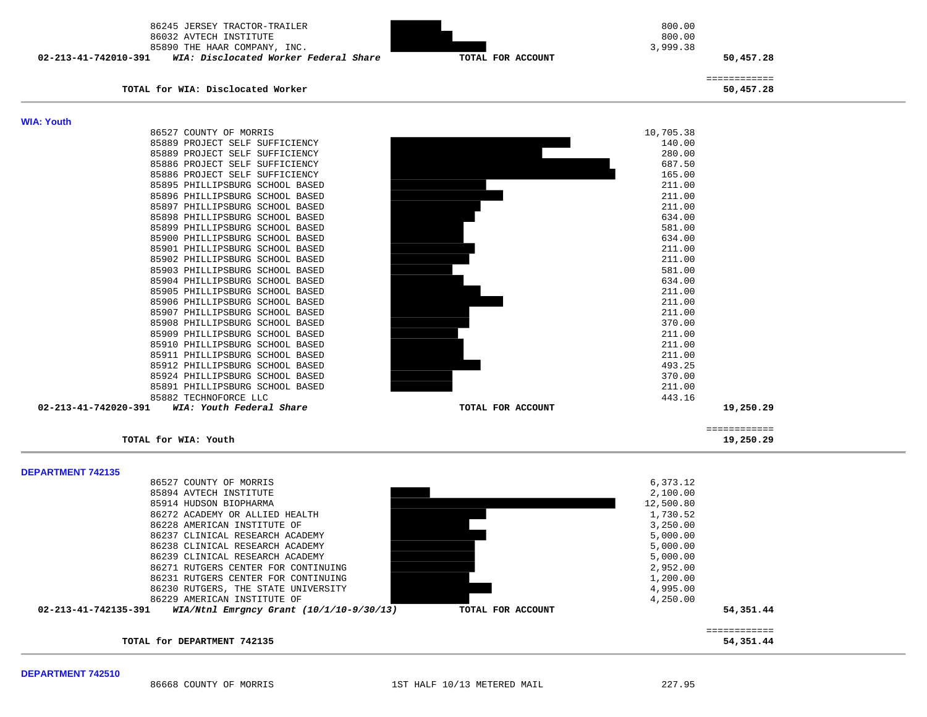| 86245 JERSEY TRACTOR-TRAILER<br>86032 AVTECH INSTITUTE<br>85890 THE HAAR COMPANY, INC.<br>02-213-41-742010-391<br>WIA: Disclocated Worker Federal Share | 3,999.38<br>TOTAL FOR ACCOUNT | 800.00<br>800.00<br>50,457.28 |
|---------------------------------------------------------------------------------------------------------------------------------------------------------|-------------------------------|-------------------------------|
| TOTAL for WIA: Disclocated Worker                                                                                                                       |                               | ============<br>50,457.28     |
| <b>WIA: Youth</b>                                                                                                                                       |                               |                               |
| 86527 COUNTY OF MORRIS                                                                                                                                  | 10,705.38                     |                               |
| 85889 PROJECT SELF SUFFICIENCY                                                                                                                          |                               | 140.00                        |
| 85889 PROJECT SELF SUFFICIENCY                                                                                                                          |                               | 280.00                        |
| 85886 PROJECT SELF SUFFICIENCY                                                                                                                          |                               | 687.50                        |
| 85886 PROJECT SELF SUFFICIENCY                                                                                                                          |                               | 165.00                        |
| 85895 PHILLIPSBURG SCHOOL BASED                                                                                                                         |                               | 211.00                        |
| 85896 PHILLIPSBURG SCHOOL BASED                                                                                                                         |                               | 211.00                        |
| 85897 PHILLIPSBURG SCHOOL BASED                                                                                                                         |                               | 211.00                        |
| 85898 PHILLIPSBURG SCHOOL BASED                                                                                                                         |                               | 634.00                        |
| 85899 PHILLIPSBURG SCHOOL BASED                                                                                                                         |                               | 581.00                        |
| 85900 PHILLIPSBURG SCHOOL BASED<br>85901 PHILLIPSBURG SCHOOL BASED                                                                                      |                               | 634.00<br>211.00              |
| 85902 PHILLIPSBURG SCHOOL BASED                                                                                                                         |                               | 211.00                        |
| 85903 PHILLIPSBURG SCHOOL BASED                                                                                                                         |                               | 581.00                        |
| 85904 PHILLIPSBURG SCHOOL BASED                                                                                                                         |                               | 634.00                        |
| 85905 PHILLIPSBURG SCHOOL BASED                                                                                                                         |                               | 211.00                        |
| 85906 PHILLIPSBURG SCHOOL BASED                                                                                                                         |                               | 211.00                        |
| 85907 PHILLIPSBURG SCHOOL BASED                                                                                                                         |                               | 211.00                        |
| 85908 PHILLIPSBURG SCHOOL BASED                                                                                                                         |                               | 370.00                        |
| 85909 PHILLIPSBURG SCHOOL BASED                                                                                                                         |                               | 211.00                        |
| 85910 PHILLIPSBURG SCHOOL BASED                                                                                                                         |                               | 211.00                        |
| 85911 PHILLIPSBURG SCHOOL BASED                                                                                                                         |                               | 211.00                        |
| 85912 PHILLIPSBURG SCHOOL BASED                                                                                                                         |                               | 493.25                        |
| 85924 PHILLIPSBURG SCHOOL BASED                                                                                                                         |                               | 370.00                        |
| 85891 PHILLIPSBURG SCHOOL BASED                                                                                                                         |                               | 211.00                        |
| 85882 TECHNOFORCE LLC                                                                                                                                   |                               | 443.16                        |
| 02-213-41-742020-391<br>WIA: Youth Federal Share                                                                                                        | TOTAL FOR ACCOUNT             | 19,250.29                     |
| TOTAL for WIA: Youth                                                                                                                                    |                               | ============<br>19,250.29     |
|                                                                                                                                                         |                               |                               |
| <b>DEPARTMENT 742135</b>                                                                                                                                |                               |                               |
| 86527 COUNTY OF MORRIS                                                                                                                                  | 6,373.12                      |                               |
| 85894 AVTECH INSTITUTE                                                                                                                                  | 2,100.00                      |                               |
| 85914 HUDSON BIOPHARMA                                                                                                                                  | 12,500.80                     |                               |
| 86272 ACADEMY OR ALLIED HEALTH<br>86228 AMERICAN INSTITUTE OF                                                                                           | 1,730.52<br>3,250.00          |                               |
| 86237 CLINICAL RESEARCH ACADEMY                                                                                                                         | 5,000.00                      |                               |
| 86238 CLINICAL RESEARCH ACADEMY                                                                                                                         | 5,000.00                      |                               |
| 86239 CLINICAL RESEARCH ACADEMY                                                                                                                         | 5,000.00                      |                               |



TOTAL for DEPARTMENT 742135

 ============ 54,351.44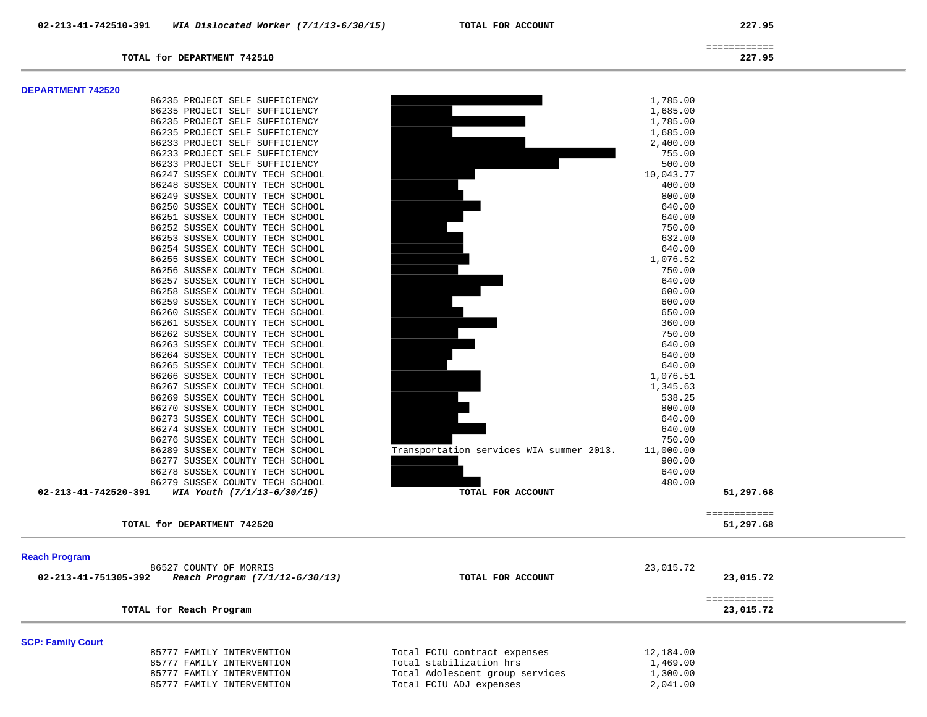============

### **TOTAL for DEPARTMENT 742510 227.95**

#### **DEPARTMENT 742520**

|                      | 86235 PROJECT SELF SUFFICIENCY  |                                          | 1,785.00  |           |
|----------------------|---------------------------------|------------------------------------------|-----------|-----------|
|                      | 86235 PROJECT SELF SUFFICIENCY  |                                          | 1,685.00  |           |
|                      | 86235 PROJECT SELF SUFFICIENCY  |                                          | 1,785.00  |           |
|                      | 86235 PROJECT SELF SUFFICIENCY  |                                          | 1,685.00  |           |
|                      | 86233 PROJECT SELF SUFFICIENCY  |                                          | 2,400.00  |           |
|                      | 86233 PROJECT SELF SUFFICIENCY  |                                          | 755.00    |           |
|                      | 86233 PROJECT SELF SUFFICIENCY  |                                          | 500.00    |           |
|                      | 86247 SUSSEX COUNTY TECH SCHOOL |                                          | 10,043.77 |           |
|                      | 86248 SUSSEX COUNTY TECH SCHOOL |                                          | 400.00    |           |
|                      | 86249 SUSSEX COUNTY TECH SCHOOL |                                          | 800.00    |           |
|                      | 86250 SUSSEX COUNTY TECH SCHOOL |                                          | 640.00    |           |
|                      | 86251 SUSSEX COUNTY TECH SCHOOL |                                          | 640.00    |           |
|                      | 86252 SUSSEX COUNTY TECH SCHOOL |                                          | 750.00    |           |
|                      | 86253 SUSSEX COUNTY TECH SCHOOL |                                          | 632.00    |           |
|                      | 86254 SUSSEX COUNTY TECH SCHOOL |                                          | 640.00    |           |
|                      | 86255 SUSSEX COUNTY TECH SCHOOL |                                          | 1,076.52  |           |
|                      | 86256 SUSSEX COUNTY TECH SCHOOL |                                          | 750.00    |           |
|                      | 86257 SUSSEX COUNTY TECH SCHOOL |                                          | 640.00    |           |
|                      | 86258 SUSSEX COUNTY TECH SCHOOL |                                          | 600.00    |           |
|                      | 86259 SUSSEX COUNTY TECH SCHOOL |                                          | 600.00    |           |
|                      | 86260 SUSSEX COUNTY TECH SCHOOL |                                          | 650.00    |           |
|                      | 86261 SUSSEX COUNTY TECH SCHOOL |                                          | 360.00    |           |
|                      | 86262 SUSSEX COUNTY TECH SCHOOL |                                          | 750.00    |           |
|                      | 86263 SUSSEX COUNTY TECH SCHOOL |                                          | 640.00    |           |
|                      | 86264 SUSSEX COUNTY TECH SCHOOL |                                          | 640.00    |           |
|                      | 86265 SUSSEX COUNTY TECH SCHOOL |                                          | 640.00    |           |
|                      | 86266 SUSSEX COUNTY TECH SCHOOL |                                          | 1,076.51  |           |
|                      | 86267 SUSSEX COUNTY TECH SCHOOL |                                          | 1,345.63  |           |
|                      | 86269 SUSSEX COUNTY TECH SCHOOL |                                          | 538.25    |           |
|                      | 86270 SUSSEX COUNTY TECH SCHOOL |                                          | 800.00    |           |
|                      | 86273 SUSSEX COUNTY TECH SCHOOL |                                          | 640.00    |           |
|                      | 86274 SUSSEX COUNTY TECH SCHOOL |                                          | 640.00    |           |
|                      | 86276 SUSSEX COUNTY TECH SCHOOL |                                          | 750.00    |           |
|                      | 86289 SUSSEX COUNTY TECH SCHOOL | Transportation services WIA summer 2013. | 11,000.00 |           |
|                      | 86277 SUSSEX COUNTY TECH SCHOOL |                                          | 900.00    |           |
|                      | 86278 SUSSEX COUNTY TECH SCHOOL |                                          | 640.00    |           |
|                      | 86279 SUSSEX COUNTY TECH SCHOOL |                                          | 480.00    |           |
| 02-213-41-742520-391 | WIA Youth (7/1/13-6/30/15)      | TOTAL FOR ACCOUNT                        |           | 51,297.68 |

| TOTAL | DEPARTMENT 742520<br>for |  | 51,297.68 |  |
|-------|--------------------------|--|-----------|--|

| 86235 PROJECT SELF SUFFICIENCY  |                                          | 1,785.00  |
|---------------------------------|------------------------------------------|-----------|
| 86235 PROJECT SELF SUFFICIENCY  |                                          | 1,685.00  |
| 86235 PROJECT SELF SUFFICIENCY  |                                          | 1,785.00  |
| 86235 PROJECT SELF SUFFICIENCY  |                                          | 1,685.00  |
| 86233 PROJECT SELF SUFFICIENCY  |                                          | 2,400.00  |
| 86233 PROJECT SELF SUFFICIENCY  |                                          | 755.00    |
| 86233 PROJECT SELF SUFFICIENCY  |                                          | 500.00    |
| 86247 SUSSEX COUNTY TECH SCHOOL |                                          | 10,043.77 |
| 86248 SUSSEX COUNTY TECH SCHOOL |                                          | 400.00    |
| 86249 SUSSEX COUNTY TECH SCHOOL |                                          | 800.00    |
| 86250 SUSSEX COUNTY TECH SCHOOL |                                          | 640.00    |
| 86251 SUSSEX COUNTY TECH SCHOOL |                                          | 640.00    |
| 86252 SUSSEX COUNTY TECH SCHOOL |                                          | 750.00    |
| 86253 SUSSEX COUNTY TECH SCHOOL |                                          | 632.00    |
| 86254 SUSSEX COUNTY TECH SCHOOL |                                          | 640.00    |
| 86255 SUSSEX COUNTY TECH SCHOOL |                                          | 1,076.52  |
| 86256 SUSSEX COUNTY TECH SCHOOL |                                          | 750.00    |
| 86257 SUSSEX COUNTY TECH SCHOOL |                                          | 640.00    |
| 86258 SUSSEX COUNTY TECH SCHOOL |                                          | 600.00    |
| 86259 SUSSEX COUNTY TECH SCHOOL |                                          | 600.00    |
| 86260 SUSSEX COUNTY TECH SCHOOL |                                          | 650.00    |
| 86261 SUSSEX COUNTY TECH SCHOOL |                                          | 360.00    |
| 86262 SUSSEX COUNTY TECH SCHOOL |                                          | 750.00    |
| 86263 SUSSEX COUNTY TECH SCHOOL |                                          | 640.00    |
| 86264 SUSSEX COUNTY TECH SCHOOL |                                          | 640.00    |
| 86265 SUSSEX COUNTY TECH SCHOOL |                                          | 640.00    |
| 86266 SUSSEX COUNTY TECH SCHOOL |                                          | 1,076.51  |
| 86267 SUSSEX COUNTY TECH SCHOOL |                                          | 1,345.63  |
| 86269 SUSSEX COUNTY TECH SCHOOL |                                          | 538.25    |
| 86270 SUSSEX COUNTY TECH SCHOOL |                                          | 800.00    |
| 86273 SUSSEX COUNTY TECH SCHOOL |                                          | 640.00    |
| 86274 SUSSEX COUNTY TECH SCHOOL |                                          | 640.00    |
| 86276 SUSSEX COUNTY TECH SCHOOL |                                          | 750.00    |
| 86289 SUSSEX COUNTY TECH SCHOOL | Transportation services WIA summer 2013. | 11,000.00 |
| 86277 SUSSEX COUNTY TECH SCHOOL |                                          | 900.00    |

 ============ 51,297.68

### **Reach Program**

| <b>Washington</b>                                      |                                 |           |  |
|--------------------------------------------------------|---------------------------------|-----------|--|
| 86527 COUNTY OF MORRIS                                 |                                 | 23,015.72 |  |
| 02-213-41-751305-392<br>Reach Program (7/1/12-6/30/13) | TOTAL FOR ACCOUNT               | 23,015.72 |  |
|                                                        |                                 |           |  |
| TOTAL for Reach Program                                |                                 | 23,015.72 |  |
| <b>SCP: Family Court</b>                               |                                 |           |  |
| 85777 FAMILY INTERVENTION                              | Total FCIU contract expenses    | 12,184.00 |  |
| 85777 FAMILY INTERVENTION                              | Total stabilization hrs         | 1,469.00  |  |
| 85777 FAMILY INTERVENTION                              | Total Adolescent group services | 1,300.00  |  |
| 85777 FAMILY INTERVENTION                              | Total FCIU ADJ expenses         | 2,041.00  |  |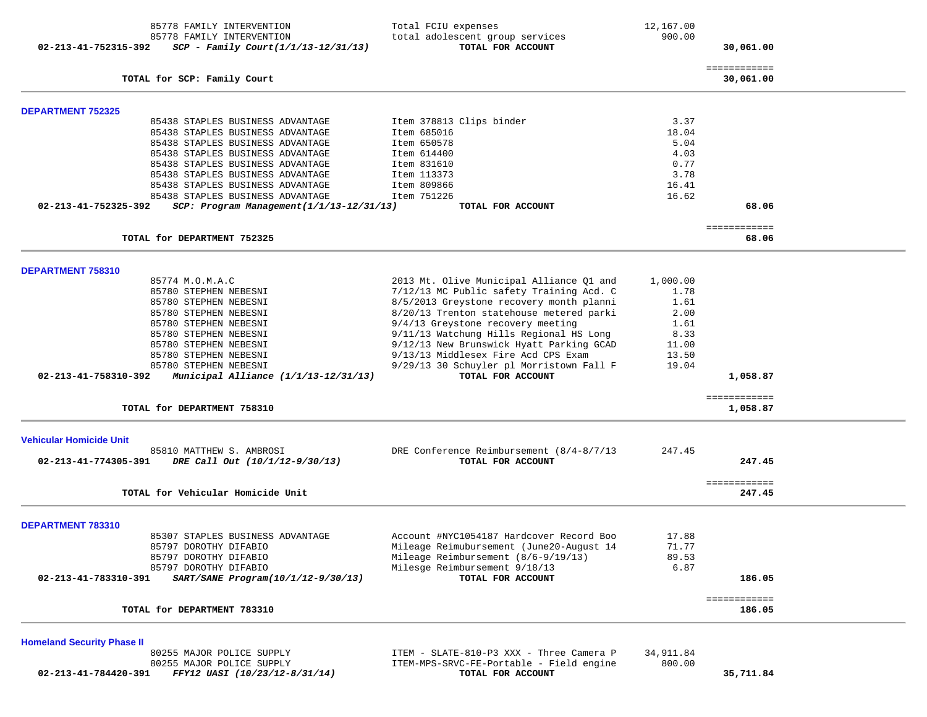|                                   | 85778 FAMILY INTERVENTION                | Total FCIU expenses                                                          | 12,167.00 |                           |  |
|-----------------------------------|------------------------------------------|------------------------------------------------------------------------------|-----------|---------------------------|--|
|                                   | 85778 FAMILY INTERVENTION                | total adolescent group services                                              | 900.00    |                           |  |
| 02-213-41-752315-392              | $SCP - Family Court (1/1/13-12/31/13)$   | TOTAL FOR ACCOUNT                                                            |           | 30,061.00                 |  |
|                                   | TOTAL for SCP: Family Court              |                                                                              |           | ============<br>30,061.00 |  |
|                                   |                                          |                                                                              |           |                           |  |
| <b>DEPARTMENT 752325</b>          |                                          |                                                                              |           |                           |  |
|                                   | 85438 STAPLES BUSINESS ADVANTAGE         | Item 378813 Clips binder                                                     | 3.37      |                           |  |
|                                   | 85438 STAPLES BUSINESS ADVANTAGE         | Item 685016                                                                  | 18.04     |                           |  |
|                                   | 85438 STAPLES BUSINESS ADVANTAGE         | Item 650578                                                                  | 5.04      |                           |  |
|                                   | 85438 STAPLES BUSINESS ADVANTAGE         | Item 614400                                                                  | 4.03      |                           |  |
|                                   | 85438 STAPLES BUSINESS ADVANTAGE         | Item 831610                                                                  | 0.77      |                           |  |
|                                   | 85438 STAPLES BUSINESS ADVANTAGE         | Item 113373                                                                  | 3.78      |                           |  |
|                                   | 85438 STAPLES BUSINESS ADVANTAGE         | Item 809866                                                                  | 16.41     |                           |  |
|                                   | 85438 STAPLES BUSINESS ADVANTAGE         | Item 751226                                                                  | 16.62     |                           |  |
| 02-213-41-752325-392              | SCP: Program Management(1/1/13-12/31/13) | TOTAL FOR ACCOUNT                                                            |           | 68.06                     |  |
|                                   |                                          |                                                                              |           | ============              |  |
|                                   | TOTAL for DEPARTMENT 752325              |                                                                              |           | 68.06                     |  |
|                                   |                                          |                                                                              |           |                           |  |
| DEPARTMENT 758310                 | 85774 M.O.M.A.C                          | 2013 Mt. Olive Municipal Alliance Q1 and                                     | 1,000.00  |                           |  |
|                                   | 85780 STEPHEN NEBESNI                    | 7/12/13 MC Public safety Training Acd. C                                     | 1.78      |                           |  |
|                                   | 85780 STEPHEN NEBESNI                    | 8/5/2013 Greystone recovery month planni                                     | 1.61      |                           |  |
|                                   | 85780 STEPHEN NEBESNI                    | 8/20/13 Trenton statehouse metered parki                                     | 2.00      |                           |  |
|                                   | 85780 STEPHEN NEBESNI                    |                                                                              | 1.61      |                           |  |
|                                   |                                          | 9/4/13 Greystone recovery meeting<br>9/11/13 Watchung Hills Regional HS Long |           |                           |  |
|                                   | 85780 STEPHEN NEBESNI                    |                                                                              | 8.33      |                           |  |
|                                   | 85780 STEPHEN NEBESNI                    | 9/12/13 New Brunswick Hyatt Parking GCAD                                     | 11.00     |                           |  |
|                                   | 85780 STEPHEN NEBESNI                    | 9/13/13 Middlesex Fire Acd CPS Exam                                          | 13.50     |                           |  |
|                                   | 85780 STEPHEN NEBESNI                    | 9/29/13 30 Schuyler pl Morristown Fall F                                     | 19.04     |                           |  |
| 02-213-41-758310-392              | Municipal Alliance $(1/1/13-12/31/13)$   | TOTAL FOR ACCOUNT                                                            |           | 1,058.87                  |  |
|                                   | TOTAL for DEPARTMENT 758310              |                                                                              |           | ============<br>1,058.87  |  |
|                                   |                                          |                                                                              |           |                           |  |
| <b>Vehicular Homicide Unit</b>    |                                          |                                                                              |           |                           |  |
|                                   | 85810 MATTHEW S. AMBROSI                 | DRE Conference Reimbursement (8/4-8/7/13                                     | 247.45    |                           |  |
| 02-213-41-774305-391              | DRE Call Out (10/1/12-9/30/13)           | TOTAL FOR ACCOUNT                                                            |           | 247.45                    |  |
|                                   | TOTAL for Vehicular Homicide Unit        |                                                                              |           | ============<br>247.45    |  |
|                                   |                                          |                                                                              |           |                           |  |
| DEPARTMENT 783310                 |                                          |                                                                              |           |                           |  |
|                                   | 85307 STAPLES BUSINESS ADVANTAGE         | Account #NYC1054187 Hardcover Record Boo                                     | 17.88     |                           |  |
|                                   | 85797 DOROTHY DIFABIO                    | Mileage Reimubursement (June20-August 14                                     | 71.77     |                           |  |
|                                   | 85797 DOROTHY DIFABIO                    | Mileage Reimbursement (8/6-9/19/13)                                          | 89.53     |                           |  |
|                                   | 85797 DOROTHY DIFABIO                    | Milesge Reimbursement 9/18/13                                                | 6.87      |                           |  |
| 02-213-41-783310-391              | SART/SANE Program(10/1/12-9/30/13)       | TOTAL FOR ACCOUNT                                                            |           | 186.05                    |  |
|                                   |                                          |                                                                              |           | ============              |  |
|                                   | TOTAL for DEPARTMENT 783310              |                                                                              |           | 186.05                    |  |
|                                   |                                          |                                                                              |           |                           |  |
| <b>Homeland Security Phase II</b> | 80255 MAJOR POLICE SUPPLY                | ITEM - SLATE-810-P3 XXX - Three Camera P                                     | 34,911.84 |                           |  |

 80255 MAJOR POLICE SUPPLY ITEM-MPS-SRVC-FE-Portable - Field engine 800.00  **02-213-41-784420-391** *FFY12 UASI (10/23/12-8/31/14)* **TOTAL FOR ACCOUNT 35,711.84**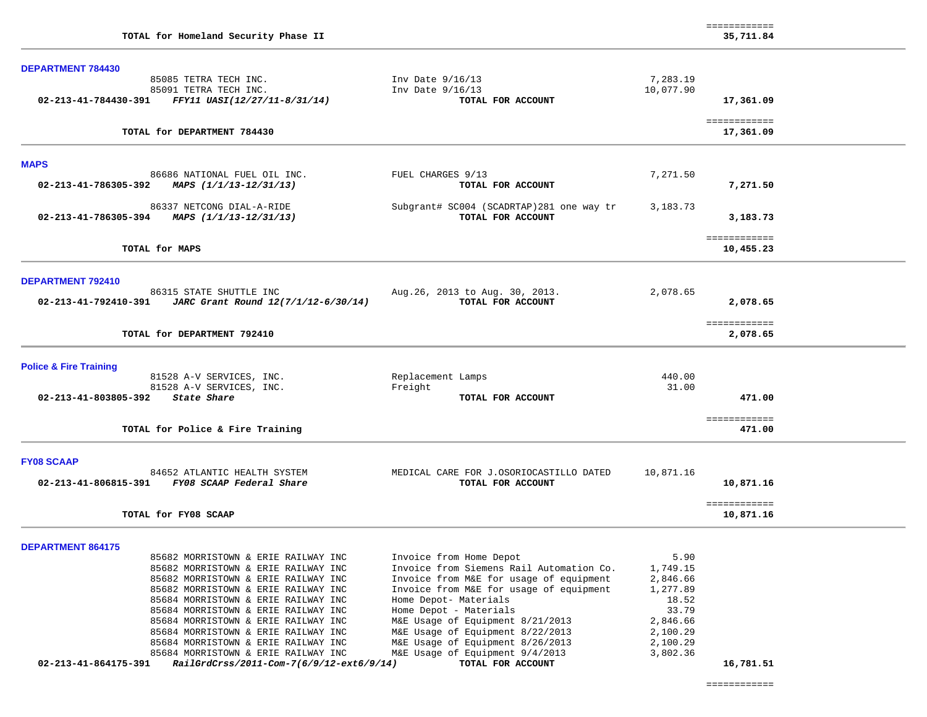| TOTAL for Homeland Security Phase II                                                                |                                                                                    |                       | ============<br>35,711.84 |
|-----------------------------------------------------------------------------------------------------|------------------------------------------------------------------------------------|-----------------------|---------------------------|
| <b>DEPARTMENT 784430</b>                                                                            |                                                                                    |                       |                           |
| 85085 TETRA TECH INC.<br>85091 TETRA TECH INC.<br>02-213-41-784430-391 FFY11 UASI(12/27/11-8/31/14) | Inv Date 9/16/13<br>Inv Date 9/16/13<br>TOTAL FOR ACCOUNT                          | 7,283.19<br>10,077.90 | 17,361.09                 |
| TOTAL for DEPARTMENT 784430                                                                         |                                                                                    |                       | ============<br>17,361.09 |
| <b>MAPS</b>                                                                                         |                                                                                    |                       |                           |
| 86686 NATIONAL FUEL OIL INC.<br>02-213-41-786305-392 MAPS $(1/1/13-12/31/13)$                       | FUEL CHARGES 9/13<br>TOTAL FOR ACCOUNT                                             | 7,271.50              | 7,271.50                  |
| 86337 NETCONG DIAL-A-RIDE<br>02-213-41-786305-394<br>MAPS (1/1/13-12/31/13)                         | Subgrant# SC004 (SCADRTAP) 281 one way tr<br>TOTAL FOR ACCOUNT                     | 3,183.73              | 3,183.73                  |
| TOTAL for MAPS                                                                                      |                                                                                    |                       | ============<br>10,455.23 |
| DEPARTMENT 792410                                                                                   |                                                                                    |                       |                           |
| 86315 STATE SHUTTLE INC<br>JARC Grant Round 12(7/1/12-6/30/14)<br>02-213-41-792410-391              | Aug. 26, 2013 to Aug. 30, 2013.<br>TOTAL FOR ACCOUNT                               | 2,078.65              | 2,078.65                  |
| TOTAL for DEPARTMENT 792410                                                                         |                                                                                    |                       | ============<br>2,078.65  |
| <b>Police &amp; Fire Training</b>                                                                   |                                                                                    |                       |                           |
| 81528 A-V SERVICES, INC.                                                                            | Replacement Lamps                                                                  | 440.00                |                           |
| 81528 A-V SERVICES, INC.<br>State Share<br>02-213-41-803805-392                                     | Freight<br>TOTAL FOR ACCOUNT                                                       | 31.00                 | 471.00                    |
|                                                                                                     |                                                                                    |                       | ============              |
| TOTAL for Police & Fire Training                                                                    |                                                                                    |                       | 471.00                    |
| <b>FY08 SCAAP</b>                                                                                   |                                                                                    |                       |                           |
| 84652 ATLANTIC HEALTH SYSTEM<br>02-213-41-806815-391 FY08 SCAAP Federal Share                       | MEDICAL CARE FOR J.OSORIOCASTILLO DATED<br>TOTAL FOR ACCOUNT                       | 10,871.16             | 10,871.16                 |
| TOTAL for FY08 SCAAP                                                                                |                                                                                    |                       | ============<br>10,871.16 |
| <b>DEPARTMENT 864175</b>                                                                            |                                                                                    |                       |                           |
| 85682 MORRISTOWN & ERIE RAILWAY INC                                                                 | Invoice from Home Depot                                                            | 5.90                  |                           |
| 85682 MORRISTOWN & ERIE RAILWAY INC                                                                 | Invoice from Siemens Rail Automation Co.                                           | 1,749.15              |                           |
| 85682 MORRISTOWN & ERIE RAILWAY INC<br>85682 MORRISTOWN & ERIE RAILWAY INC                          | Invoice from M&E for usage of equipment<br>Invoice from M&E for usage of equipment | 2,846.66<br>1,277.89  |                           |
| 85684 MORRISTOWN & ERIE RAILWAY INC                                                                 | Home Depot- Materials                                                              | 18.52                 |                           |
| 85684 MORRISTOWN & ERIE RAILWAY INC                                                                 | Home Depot - Materials                                                             | 33.79                 |                           |
| 85684 MORRISTOWN & ERIE RAILWAY INC                                                                 | M&E Usage of Equipment 8/21/2013                                                   | 2,846.66              |                           |
| 85684 MORRISTOWN & ERIE RAILWAY INC                                                                 | M&E Usage of Equipment 8/22/2013                                                   | 2,100.29              |                           |
| 85684 MORRISTOWN & ERIE RAILWAY INC                                                                 | M&E Usage of Equipment 8/26/2013                                                   | 2,100.29              |                           |
| 85684 MORRISTOWN & ERIE RAILWAY INC                                                                 | M&E Usage of Equipment 9/4/2013                                                    | 3,802.36              |                           |
| 02-213-41-864175-391<br>RailGrdCrss/2011-Com-7(6/9/12-ext6/9/14)                                    | TOTAL FOR ACCOUNT                                                                  |                       | 16,781.51                 |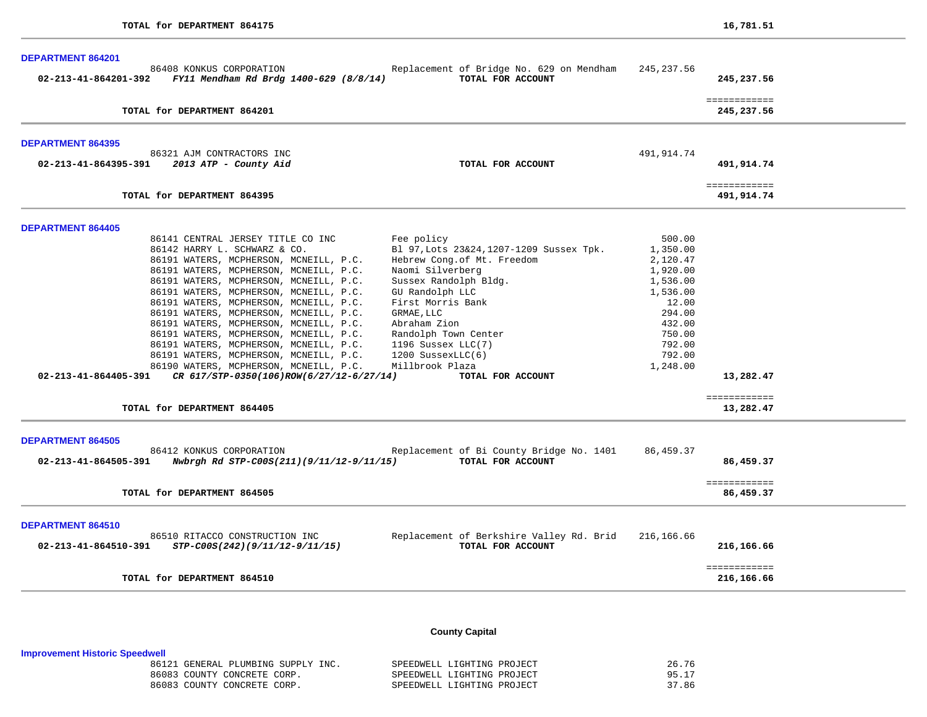| <b>DEPARTMENT 864201</b>                                                                 |                                                               |                    |                            |
|------------------------------------------------------------------------------------------|---------------------------------------------------------------|--------------------|----------------------------|
| 86408 KONKUS CORPORATION<br>02-213-41-864201-392 FY11 Mendham Rd Brdg 1400-629 (8/8/14)  | Replacement of Bridge No. 629 on Mendham<br>TOTAL FOR ACCOUNT | 245,237.56         | 245,237.56                 |
| TOTAL for DEPARTMENT 864201                                                              |                                                               |                    | ============<br>245,237.56 |
| <b>DEPARTMENT 864395</b><br>86321 AJM CONTRACTORS INC                                    |                                                               | 491,914.74         |                            |
| 02-213-41-864395-391 2013 ATP - County Aid                                               | TOTAL FOR ACCOUNT                                             |                    | 491,914.74                 |
| TOTAL for DEPARTMENT 864395                                                              |                                                               |                    | ============<br>491,914.74 |
| <b>DEPARTMENT 864405</b>                                                                 |                                                               |                    |                            |
| 86141 CENTRAL JERSEY TITLE CO INC                                                        | Fee policy                                                    | 500.00             |                            |
| 86142 HARRY L. SCHWARZ & CO.                                                             | B1 97, Lots 23&24, 1207-1209 Sussex Tpk.                      | 1,350.00           |                            |
| 86191 WATERS, MCPHERSON, MCNEILL, P.C.                                                   | Hebrew Cong.of Mt. Freedom                                    | 2,120.47           |                            |
| 86191 WATERS, MCPHERSON, MCNEILL, P.C.                                                   | Naomi Silverberg                                              | 1,920.00           |                            |
| 86191 WATERS, MCPHERSON, MCNEILL, P.C.                                                   | Sussex Randolph Bldg.                                         | 1,536.00           |                            |
| 86191 WATERS, MCPHERSON, MCNEILL, P.C.                                                   | GU Randolph LLC                                               | 1,536.00           |                            |
| 86191 WATERS, MCPHERSON, MCNEILL, P.C.                                                   | First Morris Bank                                             | 12.00              |                            |
| 86191 WATERS, MCPHERSON, MCNEILL, P.C.                                                   | GRMAE, LLC                                                    | 294.00             |                            |
| 86191 WATERS, MCPHERSON, MCNEILL, P.C.                                                   | Abraham Zion                                                  | 432.00             |                            |
| 86191 WATERS, MCPHERSON, MCNEILL, P.C.                                                   | Randolph Town Center                                          | 750.00<br>792.00   |                            |
| 86191 WATERS, MCPHERSON, MCNEILL, P.C.                                                   | 1196 Sussex LLC(7)                                            |                    |                            |
| 86191 WATERS, MCPHERSON, MCNEILL, P.C.<br>86190 WATERS, MCPHERSON, MCNEILL, P.C.         | $1200$ SussexLLC $(6)$<br>Millbrook Plaza                     | 792.00<br>1,248.00 |                            |
| 02-213-41-864405-391 CR $617/STP-0350(106)$ ROW $(6/27/12-6/27/14)$                      | TOTAL FOR ACCOUNT                                             |                    | 13,282.47                  |
|                                                                                          |                                                               |                    |                            |
|                                                                                          |                                                               |                    | ============               |
| TOTAL for DEPARTMENT 864405                                                              |                                                               |                    | 13,282.47                  |
| <b>DEPARTMENT 864505</b>                                                                 |                                                               |                    |                            |
| 86412 KONKUS CORPORATION                                                                 | Replacement of Bi County Bridge No. 1401                      | 86,459.37          |                            |
| $02 - 213 - 41 - 864505 - 391$ Nwbrgh Rd STP-C00S(211)(9/11/12-9/11/15)                  | TOTAL FOR ACCOUNT                                             |                    | 86,459.37                  |
|                                                                                          |                                                               |                    | ============               |
| TOTAL for DEPARTMENT 864505                                                              |                                                               |                    | 86,459.37                  |
| DEPARTMENT 864510                                                                        |                                                               |                    |                            |
| 86510 RITACCO CONSTRUCTION INC<br>STP-C00S(242)(9/11/12-9/11/15)<br>02-213-41-864510-391 | Replacement of Berkshire Valley Rd. Brid<br>TOTAL FOR ACCOUNT | 216,166.66         | 216,166.66                 |
| TOTAL for DEPARTMENT 864510                                                              |                                                               |                    | ============<br>216,166.66 |
|                                                                                          |                                                               |                    |                            |

# **County Capital**

# **Improvement Historic Speedwell**

| 8612 | GENERAL PLUMBING SUPPLY INC. |  | SPEEDWELL LIGHTING PROJECT | . 76 |
|------|------------------------------|--|----------------------------|------|
|      | 86083 COUNTY CONCRETE CORP   |  | SPEEDWELL LIGHTING PROJECT | 95   |
|      | 86083 COUNTY CONCRETE CORP.  |  | SPEEDWELL LIGHTING PROJECT | .86  |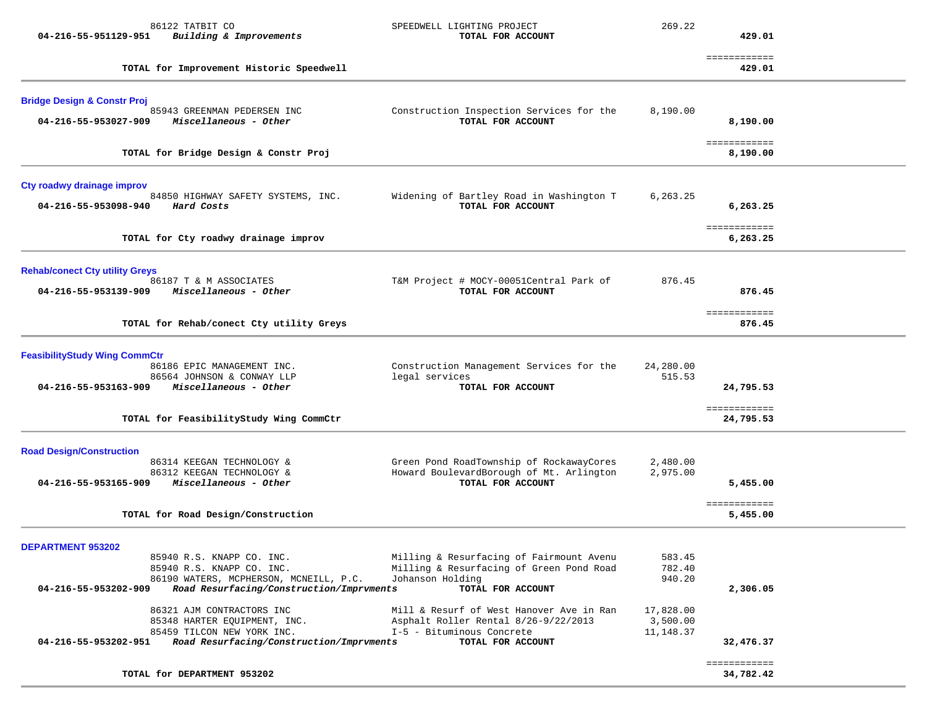| 86122 TATBIT CO<br>Building & Improvements<br>04-216-55-951129-951                                        | SPEEDWELL LIGHTING PROJECT<br>TOTAL FOR ACCOUNT                                                               | 269.22                             | 429.01                    |  |
|-----------------------------------------------------------------------------------------------------------|---------------------------------------------------------------------------------------------------------------|------------------------------------|---------------------------|--|
| TOTAL for Improvement Historic Speedwell                                                                  |                                                                                                               |                                    | ============<br>429.01    |  |
| <b>Bridge Design &amp; Constr Proj</b>                                                                    |                                                                                                               |                                    |                           |  |
| 85943 GREENMAN PEDERSEN INC<br>Miscellaneous - Other<br>04-216-55-953027-909                              | Construction Inspection Services for the<br>TOTAL FOR ACCOUNT                                                 | 8,190.00                           | 8,190.00                  |  |
| TOTAL for Bridge Design & Constr Proj                                                                     |                                                                                                               |                                    | ============<br>8,190.00  |  |
| Cty roadwy drainage improv                                                                                |                                                                                                               | 6,263.25                           |                           |  |
| 84850 HIGHWAY SAFETY SYSTEMS, INC.<br>04-216-55-953098-940<br>Hard Costs                                  | Widening of Bartley Road in Washington T<br>TOTAL FOR ACCOUNT                                                 |                                    | 6,263.25                  |  |
| TOTAL for Cty roadwy drainage improv                                                                      |                                                                                                               |                                    | ============<br>6,263.25  |  |
| <b>Rehab/conect Cty utility Greys</b>                                                                     |                                                                                                               |                                    |                           |  |
| 86187 T & M ASSOCIATES<br>Miscellaneous - Other<br>04-216-55-953139-909                                   | T&M Project # MOCY-00051Central Park of<br>TOTAL FOR ACCOUNT                                                  | 876.45                             | 876.45                    |  |
| TOTAL for Rehab/conect Cty utility Greys                                                                  |                                                                                                               |                                    | ============<br>876.45    |  |
| <b>FeasibilityStudy Wing CommCtr</b>                                                                      |                                                                                                               |                                    |                           |  |
| 86186 EPIC MANAGEMENT INC.<br>86564 JOHNSON & CONWAY LLP<br>Miscellaneous - Other<br>04-216-55-953163-909 | Construction Management Services for the<br>legal services<br>TOTAL FOR ACCOUNT                               | 24,280.00<br>515.53                | 24,795.53                 |  |
| TOTAL for FeasibilityStudy Wing CommCtr                                                                   |                                                                                                               |                                    | ============<br>24,795.53 |  |
| <b>Road Design/Construction</b>                                                                           |                                                                                                               |                                    |                           |  |
| 86314 KEEGAN TECHNOLOGY &<br>86312 KEEGAN TECHNOLOGY &<br>Miscellaneous - Other<br>04-216-55-953165-909   | Green Pond RoadTownship of RockawayCores<br>Howard BoulevardBorough of Mt. Arlington<br>TOTAL FOR ACCOUNT     | 2,480.00<br>2,975.00               | 5,455.00                  |  |
| TOTAL for Road Design/Construction                                                                        |                                                                                                               |                                    | ============<br>5,455.00  |  |
| <b>DEPARTMENT 953202</b>                                                                                  |                                                                                                               |                                    |                           |  |
| 85940 R.S. KNAPP CO. INC.<br>85940 R.S. KNAPP CO. INC.<br>86190 WATERS, MCPHERSON, MCNEILL, P.C.          | Milling & Resurfacing of Fairmount Avenu<br>Milling & Resurfacing of Green Pond Road<br>Johanson Holding      | 583.45<br>782.40<br>940.20         |                           |  |
| 04-216-55-953202-909<br>Road Resurfacing/Construction/Imprvments<br>TOTAL FOR ACCOUNT                     |                                                                                                               |                                    | 2,306.05                  |  |
| 86321 AJM CONTRACTORS INC<br>85348 HARTER EQUIPMENT, INC.<br>85459 TILCON NEW YORK INC.                   | Mill & Resurf of West Hanover Ave in Ran<br>Asphalt Roller Rental 8/26-9/22/2013<br>I-5 - Bituminous Concrete | 17,828.00<br>3,500.00<br>11,148.37 |                           |  |
| Road Resurfacing/Construction/Imprvments<br>04-216-55-953202-951                                          | TOTAL FOR ACCOUNT                                                                                             |                                    | 32,476.37                 |  |
| TOTAL for DEPARTMENT 953202                                                                               |                                                                                                               |                                    | ============<br>34,782.42 |  |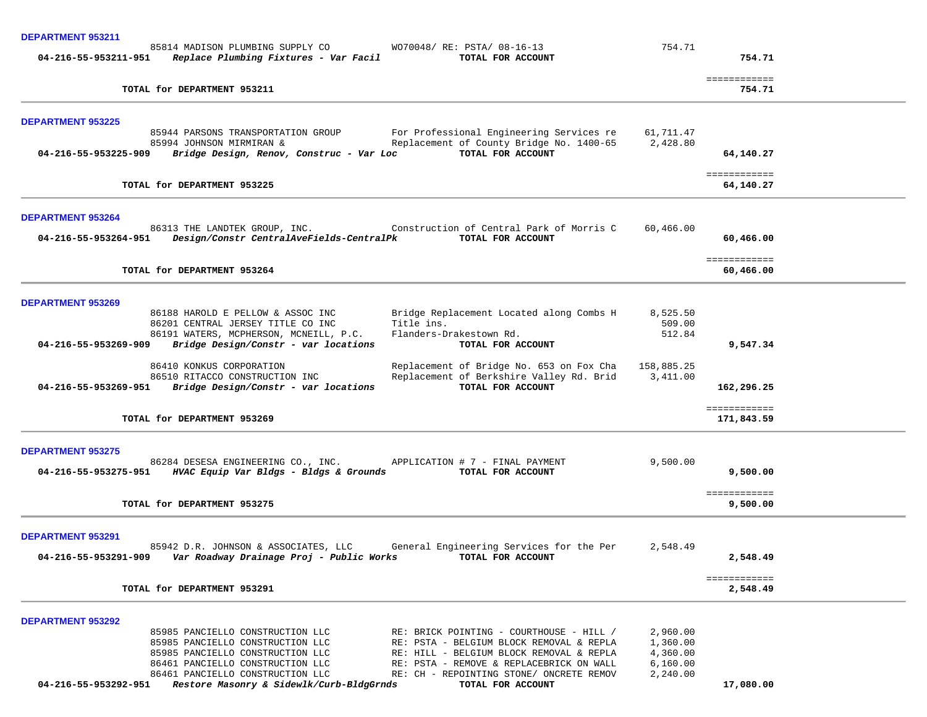| DEPARTMENT 953211                                                                                                                                                         |                      |                           |  |
|---------------------------------------------------------------------------------------------------------------------------------------------------------------------------|----------------------|---------------------------|--|
| 85814 MADISON PLUMBING SUPPLY CO<br>WO70048/ RE: PSTA/ 08-16-13<br>04-216-55-953211-951<br>Replace Plumbing Fixtures - Var Facil<br>TOTAL FOR ACCOUNT                     | 754.71               | 754.71                    |  |
|                                                                                                                                                                           |                      | ============              |  |
| TOTAL for DEPARTMENT 953211                                                                                                                                               |                      | 754.71                    |  |
| <b>DEPARTMENT 953225</b>                                                                                                                                                  |                      |                           |  |
| 85944 PARSONS TRANSPORTATION GROUP<br>For Professional Engineering Services re                                                                                            | 61,711.47            |                           |  |
| Replacement of County Bridge No. 1400-65<br>85994 JOHNSON MIRMIRAN &<br>TOTAL FOR ACCOUNT<br>Bridge Design, Renov, Construc - Var Loc<br>04-216-55-953225-909             | 2,428.80             | 64,140.27                 |  |
| TOTAL for DEPARTMENT 953225                                                                                                                                               |                      | ============<br>64,140.27 |  |
| <b>DEPARTMENT 953264</b>                                                                                                                                                  |                      |                           |  |
| 86313 THE LANDTEK GROUP, INC. Construction of Central Park of Morris C<br>04-216-55-953264-951  Design/Constr CentralAveFields-CentralPk<br>TOTAL FOR ACCOUNT             | 60,466.00            | 60,466.00                 |  |
| TOTAL for DEPARTMENT 953264                                                                                                                                               |                      | ============<br>60,466.00 |  |
| <b>DEPARTMENT 953269</b>                                                                                                                                                  |                      |                           |  |
| 86188 HAROLD E PELLOW & ASSOC INC<br>Bridge Replacement Located along Combs H<br>Title ins.                                                                               | 8,525.50<br>509.00   |                           |  |
| 86201 CENTRAL JERSEY TITLE CO INC<br>Flanders-Drakestown Rd.<br>86191 WATERS, MCPHERSON, MCNEILL, P.C.                                                                    | 512.84               |                           |  |
| Bridge Design/Constr - var locations<br>04-216-55-953269-909<br>TOTAL FOR ACCOUNT                                                                                         |                      | 9,547.34                  |  |
| 86410 KONKUS CORPORATION<br>Replacement of Bridge No. 653 on Fox Cha                                                                                                      | 158,885.25           |                           |  |
| Replacement of Berkshire Valley Rd. Brid<br>86510 RITACCO CONSTRUCTION INC<br>TOTAL FOR ACCOUNT<br>Bridge Design/Constr - var locations<br>04-216-55-953269-951           | 3,411.00             | 162,296.25                |  |
|                                                                                                                                                                           |                      | ============              |  |
| TOTAL for DEPARTMENT 953269                                                                                                                                               |                      | 171,843.59                |  |
| <b>DEPARTMENT 953275</b>                                                                                                                                                  |                      |                           |  |
| 86284 DESESA ENGINEERING CO., INC. APPLICATION # 7 - FINAL PAYMENT<br>04-216-55-953275-951<br>HVAC Equip Var Bldgs - Bldgs & Grounds<br>TOTAL FOR ACCOUNT                 | 9,500.00             | 9,500.00                  |  |
|                                                                                                                                                                           |                      |                           |  |
| TOTAL for DEPARTMENT 953275                                                                                                                                               |                      | ============<br>9,500.00  |  |
| <b>DEPARTMENT 953291</b>                                                                                                                                                  |                      |                           |  |
| General Engineering Services for the Per<br>85942 D.R. JOHNSON & ASSOCIATES, LLC<br>Var Roadway Drainage Proj - Public Works<br>04-216-55-953291-909<br>TOTAL FOR ACCOUNT | 2,548.49             | 2,548.49                  |  |
|                                                                                                                                                                           |                      | ============              |  |
| TOTAL for DEPARTMENT 953291                                                                                                                                               |                      | 2,548.49                  |  |
| <b>DEPARTMENT 953292</b>                                                                                                                                                  |                      |                           |  |
| 85985 PANCIELLO CONSTRUCTION LLC<br>RE: BRICK POINTING - COURTHOUSE - HILL /<br>85985 PANCIELLO CONSTRUCTION LLC<br>RE: PSTA - BELGIUM BLOCK REMOVAL & REPLA              | 2,960.00<br>1,360.00 |                           |  |
| 85985 PANCIELLO CONSTRUCTION LLC<br>RE: HILL - BELGIUM BLOCK REMOVAL & REPLA                                                                                              | 4,360.00             |                           |  |
| 86461 PANCIELLO CONSTRUCTION LLC<br>RE: PSTA - REMOVE & REPLACEBRICK ON WALL<br>86461 PANCIELLO CONSTRUCTION LLC<br>RE: CH - REPOINTING STONE/ ONCRETE REMOV              | 6,160.00<br>2,240.00 |                           |  |
| 04-216-55-953292-951<br>Restore Masonry & Sidewlk/Curb-BldgGrnds<br>TOTAL FOR ACCOUNT                                                                                     |                      | 17,080.00                 |  |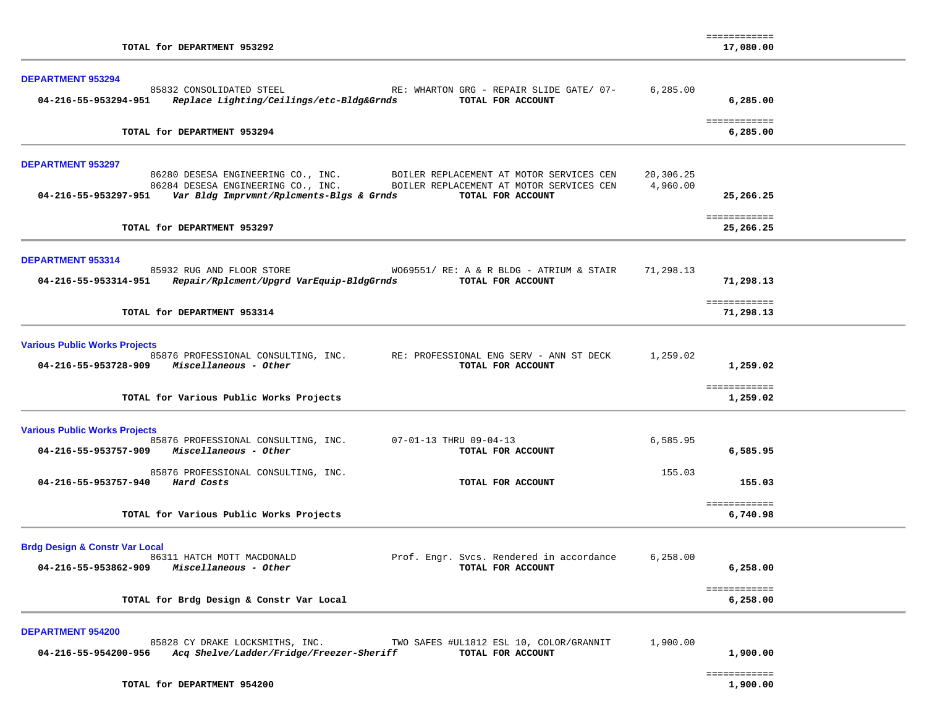| TOTAL for DEPARTMENT 953292                                                                                                                                                                                                                                                            |                       | ============<br>17,080.00 |  |
|----------------------------------------------------------------------------------------------------------------------------------------------------------------------------------------------------------------------------------------------------------------------------------------|-----------------------|---------------------------|--|
| <b>DEPARTMENT 953294</b><br>85832 CONSOLIDATED STEEL<br>RE: WHARTON GRG - REPAIR SLIDE GATE/ 07-<br>04-216-55-953294-951<br>Replace Lighting/Ceilings/etc-Bldg&Grnds<br>TOTAL FOR ACCOUNT                                                                                              | 6, 285.00             | 6,285.00                  |  |
| TOTAL for DEPARTMENT 953294                                                                                                                                                                                                                                                            |                       | ============<br>6,285.00  |  |
| <b>DEPARTMENT 953297</b><br>86280 DESESA ENGINEERING CO., INC.<br>BOILER REPLACEMENT AT MOTOR SERVICES CEN<br>86284 DESESA ENGINEERING CO., INC.<br>BOILER REPLACEMENT AT MOTOR SERVICES CEN<br>04-216-55-953297-951     Var Bldg Imprvmnt/Rplcments-Blgs & Grnds<br>TOTAL FOR ACCOUNT | 20,306.25<br>4,960.00 | 25,266.25                 |  |
| TOTAL for DEPARTMENT 953297                                                                                                                                                                                                                                                            |                       | ============<br>25,266.25 |  |
| DEPARTMENT 953314<br>85932 RUG AND FLOOR STORE<br>$W069551/RE: A & R BLDG - ATRIUM & STAIR$<br>Repair/Rplcment/Upgrd VarEquip-BldgGrnds<br>TOTAL FOR ACCOUNT<br>04-216-55-953314-951                                                                                                   | 71,298.13             | 71,298.13                 |  |
| TOTAL for DEPARTMENT 953314                                                                                                                                                                                                                                                            |                       | ============<br>71,298.13 |  |
| <b>Various Public Works Projects</b><br>85876 PROFESSIONAL CONSULTING, INC.<br>RE: PROFESSIONAL ENG SERV - ANN ST DECK<br>04-216-55-953728-909 Miscellaneous - Other<br>TOTAL FOR ACCOUNT                                                                                              | 1,259.02              | 1,259.02<br>============  |  |
| TOTAL for Various Public Works Projects                                                                                                                                                                                                                                                |                       | 1,259.02                  |  |
| <b>Various Public Works Projects</b><br>85876 PROFESSIONAL CONSULTING, INC.<br>07-01-13 THRU 09-04-13<br>04-216-55-953757-909 Miscellaneous - Other<br>TOTAL FOR ACCOUNT                                                                                                               | 6,585.95              | 6,585.95                  |  |
| 85876 PROFESSIONAL CONSULTING, INC.<br>04-216-55-953757-940 Hard Costs<br>TOTAL FOR ACCOUNT                                                                                                                                                                                            | 155.03                | 155.03                    |  |
| TOTAL for Various Public Works Projects                                                                                                                                                                                                                                                |                       | ============<br>6,740.98  |  |
| <b>Brdg Design &amp; Constr Var Local</b><br>Prof. Engr. Svcs. Rendered in accordance<br>86311 HATCH MOTT MACDONALD<br>Miscellaneous - Other<br>04-216-55-953862-909<br>TOTAL FOR ACCOUNT                                                                                              | 6,258.00              | 6,258.00                  |  |
| TOTAL for Brdg Design & Constr Var Local                                                                                                                                                                                                                                               |                       | ============<br>6,258.00  |  |
| <b>DEPARTMENT 954200</b><br>85828 CY DRAKE LOCKSMITHS, INC.<br>TWO SAFES #UL1812 ESL 10, COLOR/GRANNIT<br>Acq Shelve/Ladder/Fridge/Freezer-Sheriff<br>TOTAL FOR ACCOUNT<br>04-216-55-954200-956                                                                                        | 1,900.00              | 1,900.00                  |  |

============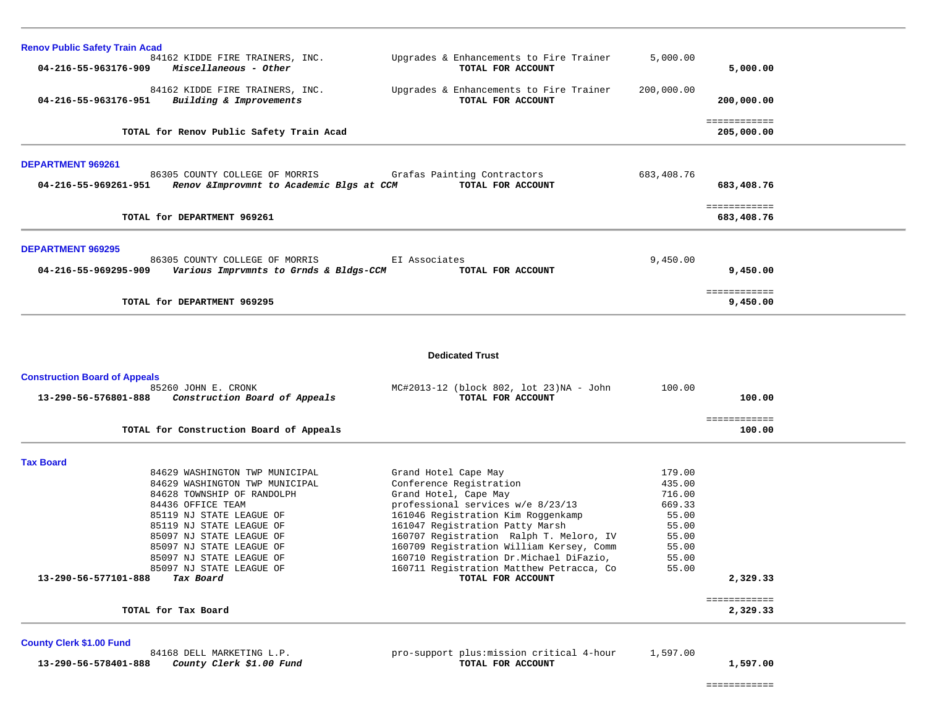| <b>Renov Public Safety Train Acad</b>                                                                                                                                                                                                                                                                                                                   |                                                                                                                                                                                                                                                                                                                                                                                           |                                                                                            |                                      |  |
|---------------------------------------------------------------------------------------------------------------------------------------------------------------------------------------------------------------------------------------------------------------------------------------------------------------------------------------------------------|-------------------------------------------------------------------------------------------------------------------------------------------------------------------------------------------------------------------------------------------------------------------------------------------------------------------------------------------------------------------------------------------|--------------------------------------------------------------------------------------------|--------------------------------------|--|
| 84162 KIDDE FIRE TRAINERS, INC.<br>04-216-55-963176-909<br>Miscellaneous - Other                                                                                                                                                                                                                                                                        | Upgrades & Enhancements to Fire Trainer<br>TOTAL FOR ACCOUNT                                                                                                                                                                                                                                                                                                                              | 5,000.00                                                                                   | 5,000.00                             |  |
| 84162 KIDDE FIRE TRAINERS, INC.<br>Building & Improvements<br>04-216-55-963176-951                                                                                                                                                                                                                                                                      | Upgrades & Enhancements to Fire Trainer<br>TOTAL FOR ACCOUNT                                                                                                                                                                                                                                                                                                                              | 200,000.00                                                                                 | 200,000.00                           |  |
| TOTAL for Renov Public Safety Train Acad                                                                                                                                                                                                                                                                                                                |                                                                                                                                                                                                                                                                                                                                                                                           |                                                                                            | ============<br>205,000.00           |  |
| <b>DEPARTMENT 969261</b>                                                                                                                                                                                                                                                                                                                                |                                                                                                                                                                                                                                                                                                                                                                                           |                                                                                            |                                      |  |
| 86305 COUNTY COLLEGE OF MORRIS<br>Renov & Improvmnt to Academic Blgs at CCM<br>04-216-55-969261-951                                                                                                                                                                                                                                                     | Grafas Painting Contractors<br>TOTAL FOR ACCOUNT                                                                                                                                                                                                                                                                                                                                          | 683,408.76                                                                                 | 683,408.76                           |  |
| TOTAL for DEPARTMENT 969261                                                                                                                                                                                                                                                                                                                             |                                                                                                                                                                                                                                                                                                                                                                                           |                                                                                            | ============<br>683,408.76           |  |
| <b>DEPARTMENT 969295</b>                                                                                                                                                                                                                                                                                                                                |                                                                                                                                                                                                                                                                                                                                                                                           |                                                                                            |                                      |  |
| 86305 COUNTY COLLEGE OF MORRIS<br>04-216-55-969295-909<br>Various Imprvmnts to Grnds & Bldgs-CCM                                                                                                                                                                                                                                                        | EI Associates<br>TOTAL FOR ACCOUNT                                                                                                                                                                                                                                                                                                                                                        | 9,450.00                                                                                   | 9,450.00                             |  |
| TOTAL for DEPARTMENT 969295                                                                                                                                                                                                                                                                                                                             |                                                                                                                                                                                                                                                                                                                                                                                           |                                                                                            | ============<br>9,450.00             |  |
|                                                                                                                                                                                                                                                                                                                                                         | <b>Dedicated Trust</b>                                                                                                                                                                                                                                                                                                                                                                    |                                                                                            |                                      |  |
| <b>Construction Board of Appeals</b>                                                                                                                                                                                                                                                                                                                    |                                                                                                                                                                                                                                                                                                                                                                                           |                                                                                            |                                      |  |
| 85260 JOHN E. CRONK<br>13-290-56-576801-888<br>Construction Board of Appeals                                                                                                                                                                                                                                                                            | MC#2013-12 (block 802, lot 23)NA - John<br>TOTAL FOR ACCOUNT                                                                                                                                                                                                                                                                                                                              | 100.00                                                                                     | 100.00                               |  |
| TOTAL for Construction Board of Appeals                                                                                                                                                                                                                                                                                                                 |                                                                                                                                                                                                                                                                                                                                                                                           |                                                                                            | ============<br>100.00               |  |
| <b>Tax Board</b>                                                                                                                                                                                                                                                                                                                                        |                                                                                                                                                                                                                                                                                                                                                                                           |                                                                                            |                                      |  |
| 84629 WASHINGTON TWP MUNICIPAL<br>84629 WASHINGTON TWP MUNICIPAL<br>84628 TOWNSHIP OF RANDOLPH<br>84436 OFFICE TEAM<br>85119 NJ STATE LEAGUE OF<br>85119 NJ STATE LEAGUE OF<br>85097 NJ STATE LEAGUE OF<br>85097 NJ STATE LEAGUE OF<br>85097 NJ STATE LEAGUE OF<br>85097 NJ STATE LEAGUE OF<br>13-290-56-577101-888<br>Tax Board<br>TOTAL for Tax Board | Grand Hotel Cape May<br>Conference Registration<br>Grand Hotel, Cape May<br>professional services w/e 8/23/13<br>161046 Registration Kim Roggenkamp<br>161047 Registration Patty Marsh<br>160707 Registration Ralph T. Meloro, IV<br>160709 Registration William Kersey, Comm<br>160710 Registration Dr.Michael DiFazio,<br>160711 Registration Matthew Petracca, Co<br>TOTAL FOR ACCOUNT | 179.00<br>435.00<br>716.00<br>669.33<br>55.00<br>55.00<br>55.00<br>55.00<br>55.00<br>55.00 | 2,329.33<br>============<br>2,329.33 |  |
|                                                                                                                                                                                                                                                                                                                                                         |                                                                                                                                                                                                                                                                                                                                                                                           |                                                                                            |                                      |  |
| <b>County Clerk \$1.00 Fund</b><br>84168 DELL MARKETING L.P.                                                                                                                                                                                                                                                                                            | pro-support plus: mission critical 4-hour                                                                                                                                                                                                                                                                                                                                                 | 1,597.00                                                                                   |                                      |  |

 **13-290-56-578401-888** *County Clerk \$1.00 Fund* **TOTAL FOR ACCOUNT 1,597.00**

============